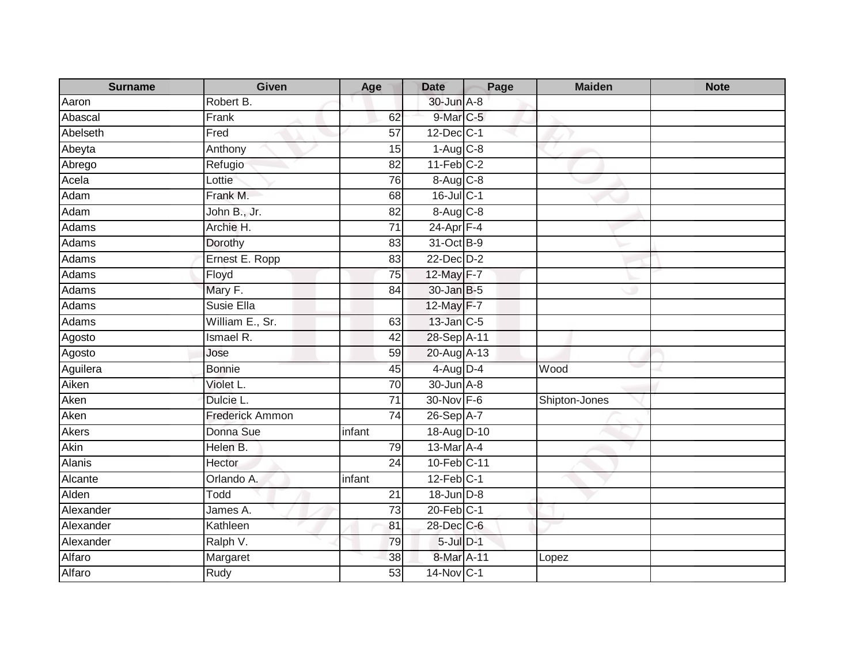| <b>Surname</b> | <b>Given</b>    | Age             | <b>Date</b>            | Page | <b>Maiden</b> | <b>Note</b> |
|----------------|-----------------|-----------------|------------------------|------|---------------|-------------|
| Aaron          | Robert B.       |                 | 30-Jun A-8             |      |               |             |
| Abascal        | Frank           | 62              | 9-Mar C-5              |      |               |             |
| Abelseth       | Fred            | 57              | $12$ -Dec $ C-1 $      |      |               |             |
| Abeyta         | Anthony         | 15              | $1-Aug$ <sub>C-8</sub> |      |               |             |
| Abrego         | Refugio         | 82              | $11-Feb$ C-2           |      |               |             |
| Acela          | Lottie          | 76              | $8-Aug$ $C-8$          |      |               |             |
| Adam           | Frank M.        | 68              | 16-Jul C-1             |      |               |             |
| Adam           | John B., Jr.    | 82              | 8-Aug C-8              |      |               |             |
| Adams          | Archie H.       | 71              | 24-Apr F-4             |      |               |             |
| Adams          | Dorothy         | 83              | 31-Oct B-9             |      |               |             |
| Adams          | Ernest E. Ropp  | 83              | 22-Dec D-2             |      |               |             |
| Adams          | Floyd           | 75              | 12-May F-7             |      |               |             |
| Adams          | Mary F.         | 84              | 30-Jan B-5             |      |               |             |
| Adams          | Susie Ella      |                 | 12-May F-7             |      |               |             |
| Adams          | William E., Sr. | 63              | $13$ -Jan $ C-5 $      |      |               |             |
| Agosto         | Ismael R.       | 42              | 28-Sep A-11            |      |               |             |
| Agosto         | Jose            | 59              | 20-Aug A-13            |      |               |             |
| Aguilera       | <b>Bonnie</b>   | 45              | $4$ -Aug $D-4$         |      | Wood          |             |
| Aiken          | Violet L.       | 70              | 30-Jun A-8             |      |               |             |
| Aken           | Dulcie L.       | 71              | 30-Nov F-6             |      | Shipton-Jones |             |
| Aken           | Frederick Ammon | $\overline{74}$ | 26-Sep A-7             |      |               |             |
| <b>Akers</b>   | Donna Sue       | infant          | 18-Aug D-10            |      |               |             |
| Akin           | Helen B.        | 79              | 13-Mar A-4             |      |               |             |
| <b>Alanis</b>  | Hector          | 24              | 10-Feb C-11            |      |               |             |
| Alcante        | Orlando A.      | infant          | $12$ -Feb $C-1$        |      |               |             |
| Alden          | Todd            | $\overline{21}$ | 18-Jun D-8             |      |               |             |
| Alexander      | James A.        | $\overline{73}$ | $20$ -Feb $C-1$        |      |               |             |
| Alexander      | Kathleen        | 81              | 28-Dec C-6             |      |               |             |
| Alexander      | Ralph V.        | 79              | 5-Jul D-1              |      |               |             |
| Alfaro         | Margaret        | 38              | 8-Mar A-11             |      | Lopez         |             |
| Alfaro         | Rudy            | 53              | 14-Nov C-1             |      |               |             |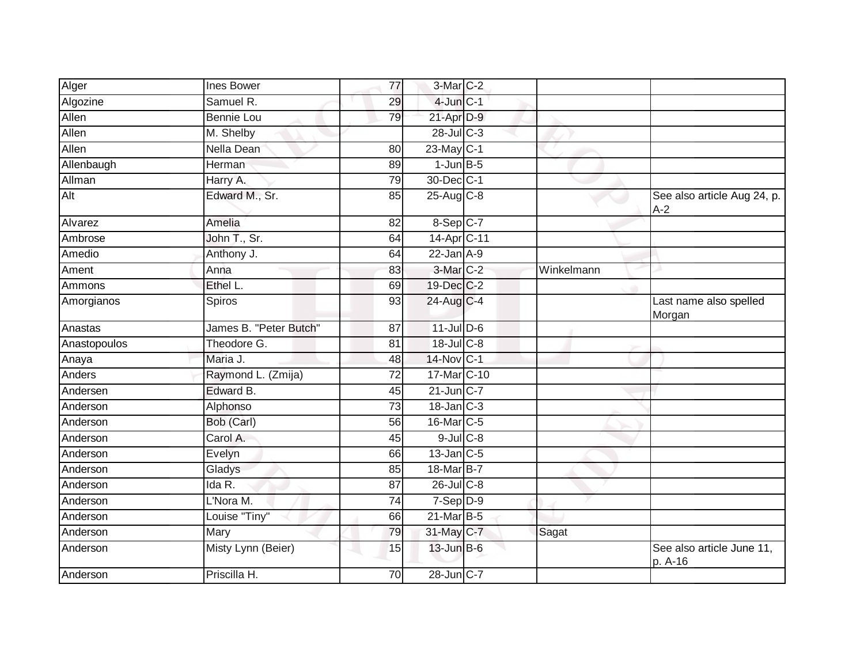| Alger        | <b>Ines Bower</b>      | $\overline{77}$ | 3-Mar C-2               |            |                                      |
|--------------|------------------------|-----------------|-------------------------|------------|--------------------------------------|
| Algozine     | Samuel R.              | 29              | $4$ -Jun $C-1$          |            |                                      |
| Allen        | <b>Bennie Lou</b>      | 79              | 21-Apr D-9              |            |                                      |
| Allen        | M. Shelby              |                 | 28-Jul C-3              |            |                                      |
| Allen        | Nella Dean             | 80              | 23-May C-1              |            |                                      |
| Allenbaugh   | Herman                 | 89              | $1$ -Jun $B-5$          |            |                                      |
| Allman       | Harry A.               | 79              | 30-Dec C-1              |            |                                      |
| Alt          | Edward M., Sr.         | 85              | $25-Aug$ <sub>C-8</sub> |            | See also article Aug 24, p.<br>$A-2$ |
| Alvarez      | Amelia                 | 82              | $8-$ Sep $C-7$          |            |                                      |
| Ambrose      | John T., Sr.           | 64              | 14-Apr <sub>C-11</sub>  |            |                                      |
| Amedio       | Anthony J.             | 64              | $22$ -Jan $A-9$         |            |                                      |
| Ament        | Anna                   | 83              | 3-Mar C-2               | Winkelmann |                                      |
| Ammons       | Ethel L.               | 69              | 19-Dec C-2              |            |                                      |
| Amorgianos   | Spiros                 | 93              | 24-Aug C-4              |            | Last name also spelled<br>Morgan     |
| Anastas      | James B. "Peter Butch" | 87              | $11$ -Jul $D-6$         |            |                                      |
| Anastopoulos | Theodore G.            | 81              | 18-Jul C-8              |            |                                      |
| Anaya        | Maria J.               | 48              | 14-Nov C-1              |            |                                      |
| Anders       | Raymond L. (Zmija)     | $\overline{72}$ | 17-Mar C-10             |            |                                      |
| Andersen     | Edward B.              | 45              | $21$ -Jun C-7           |            |                                      |
| Anderson     | Alphonso               | $\overline{73}$ | $18$ -Jan $C-3$         |            |                                      |
| Anderson     | Bob (Carl)             | 56              | 16-Mar C-5              |            |                                      |
| Anderson     | Carol A.               | 45              | $9$ -Jul $C$ -8         |            |                                      |
| Anderson     | Evelyn                 | 66              | $13$ -Jan C-5           |            |                                      |
| Anderson     | Gladys                 | 85              | 18-Mar B-7              |            |                                      |
| Anderson     | Ida R.                 | $\overline{87}$ | $26$ -Jul C-8           |            |                                      |
| Anderson     | L'Nora M.              | 74              | $7-Sep D-9$             |            |                                      |
| Anderson     | Louise "Tiny"          | 66              | $21$ -Mar $B-5$         |            |                                      |
| Anderson     | Mary                   | 79              | 31-May C-7              | Sagat      |                                      |
| Anderson     | Misty Lynn (Beier)     | 15              | $13$ -Jun $B$ -6        |            | See also article June 11,<br>p. A-16 |
| Anderson     | Priscilla H.           | 70              | 28-Jun C-7              |            |                                      |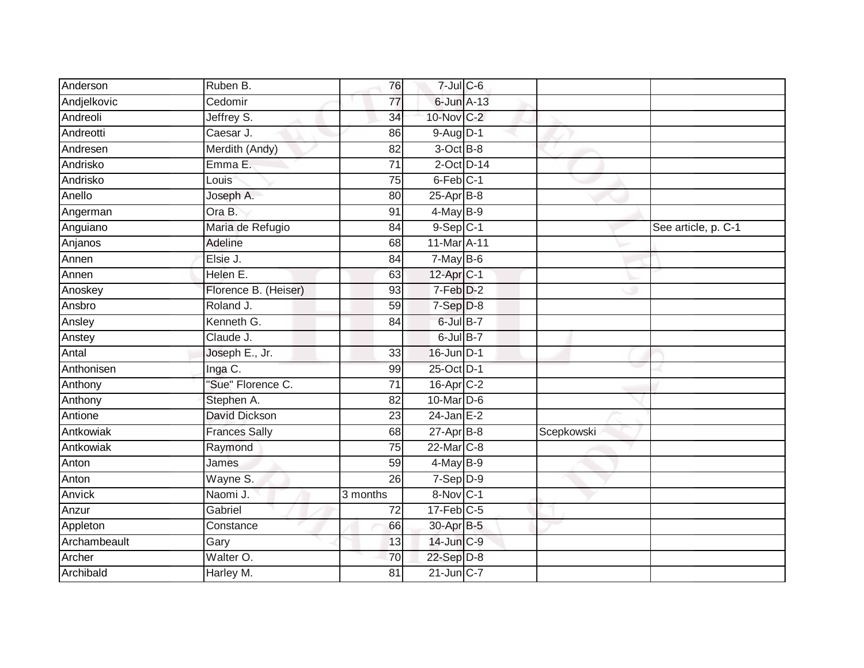| Jeffrey S.           | 34                  |          |                                                                                                                                                                                                                                                                                                                                                                                                                                                                                                                                                    |                     |
|----------------------|---------------------|----------|----------------------------------------------------------------------------------------------------------------------------------------------------------------------------------------------------------------------------------------------------------------------------------------------------------------------------------------------------------------------------------------------------------------------------------------------------------------------------------------------------------------------------------------------------|---------------------|
| Caesar J.            | 86                  |          |                                                                                                                                                                                                                                                                                                                                                                                                                                                                                                                                                    |                     |
| Merdith (Andy)       | $\overline{82}$     |          |                                                                                                                                                                                                                                                                                                                                                                                                                                                                                                                                                    |                     |
| Emma E.              | 71                  |          |                                                                                                                                                                                                                                                                                                                                                                                                                                                                                                                                                    |                     |
| Louis                | 75                  |          |                                                                                                                                                                                                                                                                                                                                                                                                                                                                                                                                                    |                     |
| Joseph A.            | 80                  |          |                                                                                                                                                                                                                                                                                                                                                                                                                                                                                                                                                    |                     |
| Ora B.               | 91                  |          |                                                                                                                                                                                                                                                                                                                                                                                                                                                                                                                                                    |                     |
| Maria de Refugio     | 84                  |          |                                                                                                                                                                                                                                                                                                                                                                                                                                                                                                                                                    | See article, p. C-1 |
| Adeline              | 68                  |          |                                                                                                                                                                                                                                                                                                                                                                                                                                                                                                                                                    |                     |
| Elsie J.             | 84                  |          |                                                                                                                                                                                                                                                                                                                                                                                                                                                                                                                                                    |                     |
| Helen E.             | 63                  |          |                                                                                                                                                                                                                                                                                                                                                                                                                                                                                                                                                    |                     |
| Florence B. (Heiser) | 93                  |          |                                                                                                                                                                                                                                                                                                                                                                                                                                                                                                                                                    |                     |
| Roland J.            | 59                  |          |                                                                                                                                                                                                                                                                                                                                                                                                                                                                                                                                                    |                     |
| Kenneth G.           | 84                  |          |                                                                                                                                                                                                                                                                                                                                                                                                                                                                                                                                                    |                     |
| Claude J.            |                     |          |                                                                                                                                                                                                                                                                                                                                                                                                                                                                                                                                                    |                     |
| Joseph E., Jr.       | 33                  |          |                                                                                                                                                                                                                                                                                                                                                                                                                                                                                                                                                    |                     |
| Inga C.              | 99                  |          |                                                                                                                                                                                                                                                                                                                                                                                                                                                                                                                                                    |                     |
| "Sue" Florence C.    | 71                  |          |                                                                                                                                                                                                                                                                                                                                                                                                                                                                                                                                                    |                     |
| Stephen A.           | 82                  |          |                                                                                                                                                                                                                                                                                                                                                                                                                                                                                                                                                    |                     |
| David Dickson        | $\overline{23}$     |          |                                                                                                                                                                                                                                                                                                                                                                                                                                                                                                                                                    |                     |
| <b>Frances Sally</b> | 68                  |          | Scepkowski                                                                                                                                                                                                                                                                                                                                                                                                                                                                                                                                         |                     |
| Raymond              | 75                  |          |                                                                                                                                                                                                                                                                                                                                                                                                                                                                                                                                                    |                     |
| James                | $\overline{59}$     |          |                                                                                                                                                                                                                                                                                                                                                                                                                                                                                                                                                    |                     |
| Wayne S.             | 26                  |          |                                                                                                                                                                                                                                                                                                                                                                                                                                                                                                                                                    |                     |
| Naomi J.             | 3 months            |          |                                                                                                                                                                                                                                                                                                                                                                                                                                                                                                                                                    |                     |
| Gabriel              | 72                  |          |                                                                                                                                                                                                                                                                                                                                                                                                                                                                                                                                                    |                     |
| Constance            | 66                  |          |                                                                                                                                                                                                                                                                                                                                                                                                                                                                                                                                                    |                     |
| Gary                 | 13                  |          |                                                                                                                                                                                                                                                                                                                                                                                                                                                                                                                                                    |                     |
| Walter O.            | 70                  |          |                                                                                                                                                                                                                                                                                                                                                                                                                                                                                                                                                    |                     |
| Harley M.            | $\overline{81}$     |          |                                                                                                                                                                                                                                                                                                                                                                                                                                                                                                                                                    |                     |
|                      | Ruben B.<br>Cedomir | 76<br>77 | $7 -$ Jul $C - 6$<br>6-Jun A-13<br>10-Nov C-2<br>$9-Aug$ $D-1$<br>$3-OctB-8$<br>$2$ -Oct $D-14$<br>$6$ -Feb $ C-1 $<br>$25-Apr$ B-8<br>$4$ -May $B-9$<br>$9-Sep$ $C-1$<br>11-Mar A-11<br>$7$ -May B-6<br>12-Apr <sub>C-1</sub><br>$7-Feb$ $D-2$<br>$7-Sep$ $D-8$<br>$6$ -Jul $B-7$<br>$6$ -Jul $B-7$<br>16-Jun D-1<br>25-Oct D-1<br>$16$ -Apr $C-2$<br>10-Mar D-6<br>$24$ -Jan E-2<br>$27$ -Apr $B$ -8<br>22-Mar C-8<br>$4$ -May B-9<br>7-Sep D-9<br>8-Nov C-1<br>$17$ -Feb $ C$ -5<br>30-Apr B-5<br>14-Jun C-9<br>$22-Sep D-8$<br>$21$ -Jun $C-7$ |                     |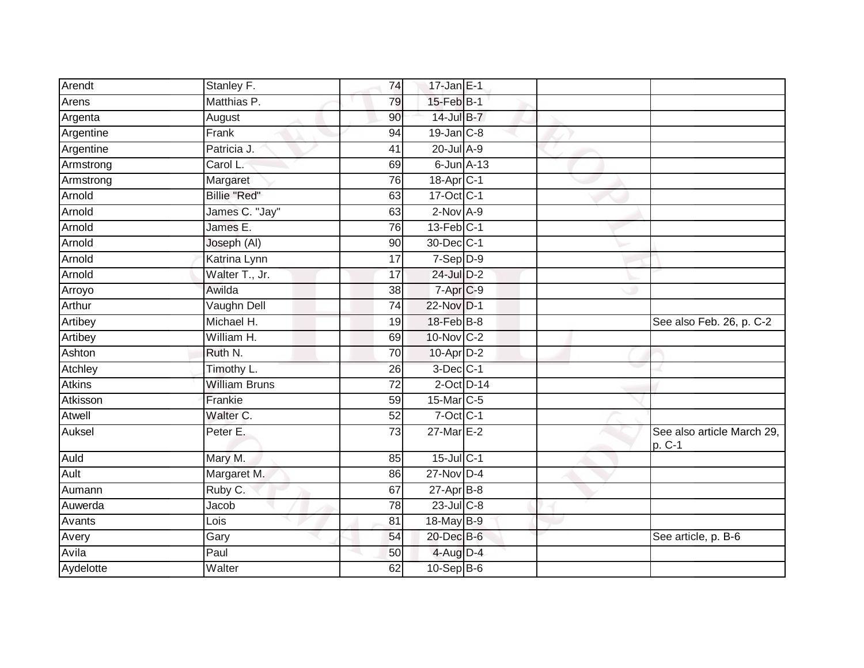| Arendt        | Stanley F.           | 74              | $17$ -Jan E-1     |  |                                      |
|---------------|----------------------|-----------------|-------------------|--|--------------------------------------|
| Arens         | Matthias P.          | 79              | 15-Feb B-1        |  |                                      |
| Argenta       | August               | 90              | 14-Jul B-7        |  |                                      |
| Argentine     | Frank                | 94              | $19$ -Jan $C-8$   |  |                                      |
| Argentine     | Patricia J.          | 41              | $20$ -Jul $A-9$   |  |                                      |
| Armstrong     | Carol L.             | 69              | $6$ -Jun $A-13$   |  |                                      |
| Armstrong     | Margaret             | 76              | $18-Apr$ $C-1$    |  |                                      |
| Arnold        | Billie "Red"         | 63              | 17-Oct C-1        |  |                                      |
| Arnold        | James C. "Jay"       | 63              | $2$ -Nov $A-9$    |  |                                      |
| Arnold        | James E.             | 76              | $13$ -Feb $ C-1 $ |  |                                      |
| Arnold        | Joseph (AI)          | 90              | 30-Dec C-1        |  |                                      |
| Arnold        | Katrina Lynn         | 17              | $7-Sep D-9$       |  |                                      |
| Arnold        | Walter T., Jr.       | 17              | 24-Jul D-2        |  |                                      |
| Arroyo        | Awilda               | 38              | $7-AprC-9$        |  |                                      |
| Arthur        | Vaughn Dell          | $\overline{74}$ | 22-Nov D-1        |  |                                      |
| Artibey       | Michael H.           | 19              | 18-Feb B-8        |  | See also Feb. 26, p. C-2             |
| Artibey       | William H.           | 69              | 10-Nov C-2        |  |                                      |
| Ashton        | Ruth N.              | 70              | $10$ -Apr $D-2$   |  |                                      |
| Atchley       | Timothy L.           | 26              | 3-Dec C-1         |  |                                      |
| <b>Atkins</b> | <b>William Bruns</b> | $\overline{72}$ | $2$ -Oct $D-14$   |  |                                      |
| Atkisson      | Frankie              | 59              | $15$ -Mar $ C-5 $ |  |                                      |
| Atwell        | Walter C.            | $\overline{52}$ | $7$ -Oct $C-1$    |  |                                      |
| Auksel        | Peter E.             | 73              | 27-Mar E-2        |  | See also article March 29,<br>p. C-1 |
| Auld          | Mary M.              | 85              | $15$ -Jul C-1     |  |                                      |
| Ault          | Margaret M.          | 86              | $27$ -Nov $D-4$   |  |                                      |
| Aumann        | Ruby C.              | 67              | $27$ -Apr $B$ -8  |  |                                      |
| Auwerda       | Jacob                | $\overline{78}$ | $23$ -Jul $C-8$   |  |                                      |
| Avants        | Lois                 | 81              | 18-May B-9        |  |                                      |
| Avery         | Gary                 | 54              | 20-Dec B-6        |  | See article, p. B-6                  |
| Avila         | Paul                 | 50              | $4$ -Aug D-4      |  |                                      |
| Aydelotte     | Walter               | 62              | $10-Sep$ B-6      |  |                                      |
|               |                      |                 |                   |  |                                      |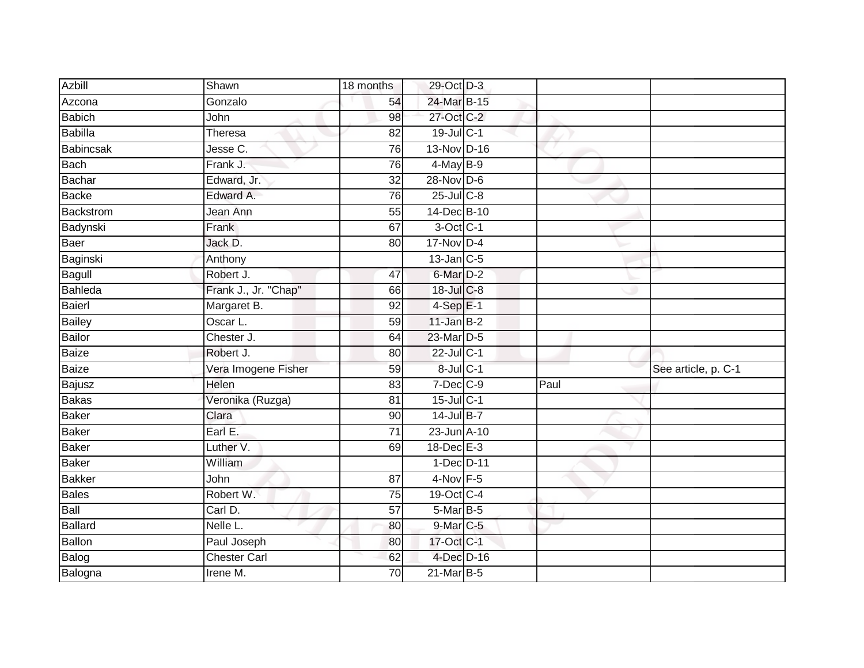| <b>Azbill</b>    | Shawn                        | 18 months       | 29-Oct D-3       |      |                     |
|------------------|------------------------------|-----------------|------------------|------|---------------------|
| Azcona           | Gonzalo                      | 54              | 24-Mar B-15      |      |                     |
| <b>Babich</b>    | John                         | 98              | 27-Oct C-2       |      |                     |
| Babilla          | <b>Theresa</b>               | 82              | 19-Jul C-1       |      |                     |
| <b>Babincsak</b> | Jesse C.                     | 76              | 13-Nov D-16      |      |                     |
| <b>Bach</b>      | Frank J.                     | 76              | $4$ -May B-9     |      |                     |
| Bachar           | Edward, Jr.                  | 32              | 28-Nov D-6       |      |                     |
| <b>Backe</b>     | Edward A.                    | 76              | $25$ -Jul $C$ -8 |      |                     |
| Backstrom        | Jean Ann                     | 55              | 14-Dec B-10      |      |                     |
| Badynski         | Frank                        | 67              | 3-Oct C-1        |      |                     |
| Baer             | Jack D.                      | 80              | $17-Nov$ D-4     |      |                     |
| Baginski         | Anthony                      |                 | $13$ -Jan C-5    |      |                     |
| Bagull           | Robert J.                    | 47              | $6$ -Mar $D-2$   |      |                     |
| Bahleda          | Frank J., Jr. "Chap"         | 66              | 18-Jul C-8       |      |                     |
| <b>Baierl</b>    | Margaret B.                  | 92              | $4-Sep$ E-1      |      |                     |
| <b>Bailey</b>    | Oscar L.                     | 59              | $11$ -Jan B-2    |      |                     |
| <b>Bailor</b>    | Chester J.                   | 64              | 23-Mar D-5       |      |                     |
| Baize            | Robert J.                    | 80              | 22-Jul C-1       |      |                     |
| <b>Baize</b>     | Vera Imogene Fisher          | 59              | 8-Jul C-1        |      | See article, p. C-1 |
| Bajusz           | Helen                        | 83              | $7$ -Dec $C-9$   | Paul |                     |
| <b>Bakas</b>     | Veronika (Ruzga)             | 81              | $15$ -Jul C-1    |      |                     |
| <b>Baker</b>     | Clara                        | 90              | 14-Jul B-7       |      |                     |
| <b>Baker</b>     | Earl E.                      | 71              | 23-Jun A-10      |      |                     |
| <b>Baker</b>     | Luther V.                    | 69              | $18$ -Dec $E-3$  |      |                     |
| <b>Baker</b>     | William                      |                 | 1-Dec D-11       |      |                     |
| <b>Bakker</b>    | John                         | 87              | $4-Nov$ F-5      |      |                     |
| <b>Bales</b>     | Robert W.                    | 75              | 19-Oct C-4       |      |                     |
| Ball             | Carl D.                      | 57              | $5-Mar$ B-5      |      |                     |
| <b>Ballard</b>   | $\overline{\text{Nelle}}$ L. | 80              | $9$ -Mar $C$ -5  |      |                     |
| Ballon           | Paul Joseph                  | 80              | 17-Oct C-1       |      |                     |
| Balog            | <b>Chester Carl</b>          | 62              | 4-Dec D-16       |      |                     |
| Balogna          | Irene M.                     | $\overline{70}$ | 21-Mar B-5       |      |                     |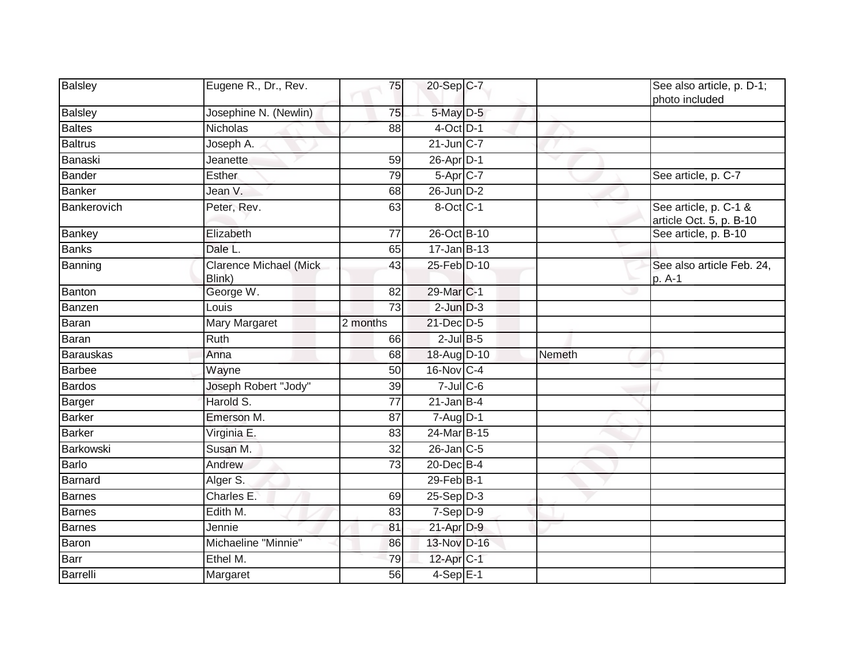| <b>Balsley</b> | Eugene R., Dr., Rev.                    | 75              | 20-Sep C-7      |        | See also article, p. D-1;<br>photo included      |
|----------------|-----------------------------------------|-----------------|-----------------|--------|--------------------------------------------------|
| <b>Balsley</b> | Josephine N. (Newlin)                   | 75              | 5-May D-5       |        |                                                  |
| <b>Baltes</b>  | <b>Nicholas</b>                         | 88              | $4$ -Oct $D-1$  |        |                                                  |
| <b>Baltrus</b> | Joseph A.                               |                 | $21$ -Jun $C-7$ |        |                                                  |
| Banaski        | Jeanette                                | 59              | 26-Apr D-1      |        |                                                  |
| <b>Bander</b>  | <b>Esther</b>                           | 79              | $5-Apr$ $C-7$   |        | See article, p. C-7                              |
| <b>Banker</b>  | Jean V.                                 | 68              | 26-Jun D-2      |        |                                                  |
| Bankerovich    | Peter, Rev.                             | 63              | 8-Oct C-1       |        | See article, p. C-1 &<br>article Oct. 5, p. B-10 |
| Bankey         | Elizabeth                               | 77              | 26-Oct B-10     |        | See article, p. B-10                             |
| <b>Banks</b>   | Dale L.                                 | 65              | $17 - Jan$ B-13 |        |                                                  |
| Banning        | <b>Clarence Michael (Mick</b><br>Blink) | 43              | 25-Feb D-10     |        | See also article Feb. 24,<br>p. A-1              |
| Banton         | George W.                               | 82              | 29-Mar C-1      |        |                                                  |
| Banzen         | Louis                                   | 73              | $2$ -Jun $D-3$  |        |                                                  |
| Baran          | Mary Margaret                           | 2 months        | 21-Dec D-5      |        |                                                  |
| Baran          | Ruth                                    | 66              | $2$ -Jul B-5    |        |                                                  |
| Barauskas      | Anna                                    | 68              | 18-Aug D-10     | Nemeth |                                                  |
| <b>Barbee</b>  | Wayne                                   | 50              | 16-Nov C-4      |        |                                                  |
| <b>Bardos</b>  | Joseph Robert "Jody"                    | 39              | $7$ -Jul $C$ -6 |        |                                                  |
| Barger         | Harold S.                               | 77              | $21$ -Jan B-4   |        |                                                  |
| <b>Barker</b>  | Emerson M.                              | 87              | $7 - Aug$ $D-1$ |        |                                                  |
| <b>Barker</b>  | Virginia E.                             | 83              | 24-Mar B-15     |        |                                                  |
| Barkowski      | Susan M.                                | 32              | $26$ -Jan $C-5$ |        |                                                  |
| Barlo          | Andrew                                  | $\overline{73}$ | 20-Dec B-4      |        |                                                  |
| <b>Barnard</b> | Alger S.                                |                 | 29-Feb B-1      |        |                                                  |
| <b>Barnes</b>  | Charles E.                              | 69              | $25-Sep D-3$    |        |                                                  |
| <b>Barnes</b>  | Edith M.                                | 83              | $7-Sep$ D-9     |        |                                                  |
| Barnes         | Jennie                                  | 81              | $21$ -Apr $D-9$ |        |                                                  |
| Baron          | Michaeline "Minnie"                     | 86              | 13-Nov D-16     |        |                                                  |
| Barr           | Ethel M.                                | 79              | $12$ -Apr $C-1$ |        |                                                  |
| Barrelli       | Margaret                                | 56              | $4-SepE-1$      |        |                                                  |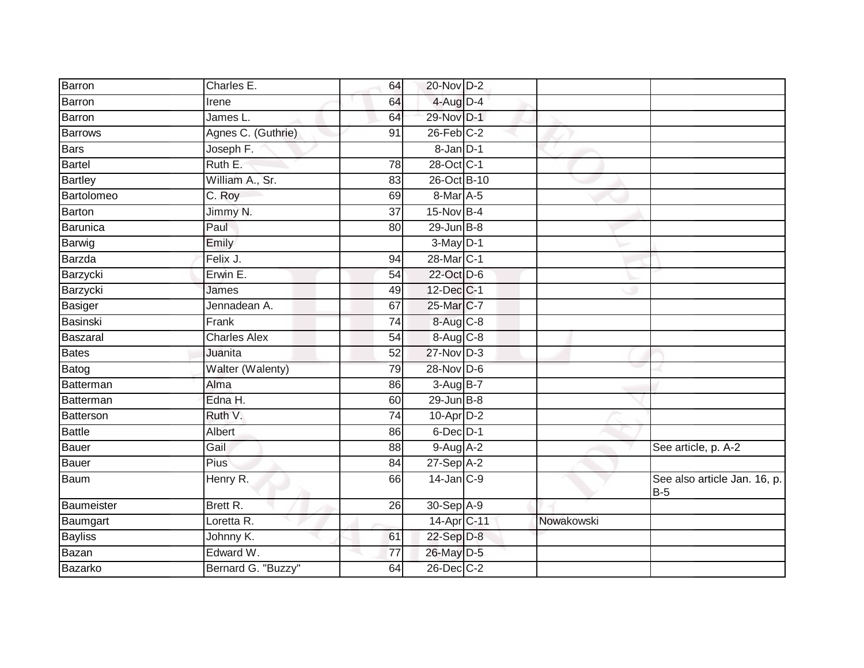| Barron         | Charles E.          | 64              | 20-Nov D-2             |            |                                       |
|----------------|---------------------|-----------------|------------------------|------------|---------------------------------------|
| Barron         | Irene               | 64              | $4$ -Aug D-4           |            |                                       |
| Barron         | James L.            | 64              | 29-Nov D-1             |            |                                       |
| <b>Barrows</b> | Agnes C. (Guthrie)  | 91              | $26$ -Feb $C-2$        |            |                                       |
| Bars           | Joseph F.           |                 | $8 - Jan$ $D-1$        |            |                                       |
| <b>Bartel</b>  | Ruth E.             | 78              | 28-Oct C-1             |            |                                       |
| <b>Bartley</b> | William A., Sr.     | 83              | 26-Oct B-10            |            |                                       |
| Bartolomeo     | C. Roy              | 69              | 8-Mar A-5              |            |                                       |
| <b>Barton</b>  | Jimmy N.            | 37              | 15-Nov B-4             |            |                                       |
| Barunica       | Paul                | 80              | $29$ -Jun $B-8$        |            |                                       |
| Barwig         | Emily               |                 | $3-May$ D-1            |            |                                       |
| Barzda         | Felix J.            | 94              | 28-Mar <sub>IC-1</sub> |            |                                       |
| Barzycki       | Erwin E.            | 54              | 22-Oct D-6             |            |                                       |
| Barzycki       | James               | 49              | 12-Dec C-1             |            |                                       |
| Basiger        | Jennadean A.        | 67              | 25-Mar C-7             |            |                                       |
| Basinski       | Frank               | 74              | 8-Aug C-8              |            |                                       |
| Baszaral       | <b>Charles Alex</b> | 54              | 8-Aug C-8              |            |                                       |
| Bates          | Juanita             | 52              | 27-Nov D-3             |            |                                       |
| Batog          | Walter (Walenty)    | 79              | 28-Nov D-6             |            |                                       |
| Batterman      | Alma                | 86              | $3-AugB-7$             |            |                                       |
| Batterman      | Edna H.             | 60              | 29-Jun B-8             |            |                                       |
| Batterson      | Ruth V.             | $\overline{74}$ | $10$ -Apr $D-2$        |            |                                       |
| <b>Battle</b>  | Albert              | 86              | 6-Dec D-1              |            |                                       |
| Bauer          | Gail                | 88              | $9-Aug$ A-2            |            | See article, p. A-2                   |
| Bauer          | Pius                | 84              | 27-Sep A-2             |            |                                       |
| Baum           | Henry R.            | 66              | $14$ -Jan $C-9$        |            | See also article Jan. 16, p.<br>$B-5$ |
| Baumeister     | Brett R.            | 26              | 30-Sep A-9             |            |                                       |
| Baumgart       | Loretta R.          |                 | 14-Apr C-11            | Nowakowski |                                       |
| <b>Bayliss</b> | Johnny K.           | 61              | 22-Sep D-8             |            |                                       |
| Bazan          | Edward W.           | 77              | 26-May D-5             |            |                                       |
| Bazarko        | Bernard G. "Buzzy"  | 64              | $26$ -Dec $C-2$        |            |                                       |
|                |                     |                 |                        |            |                                       |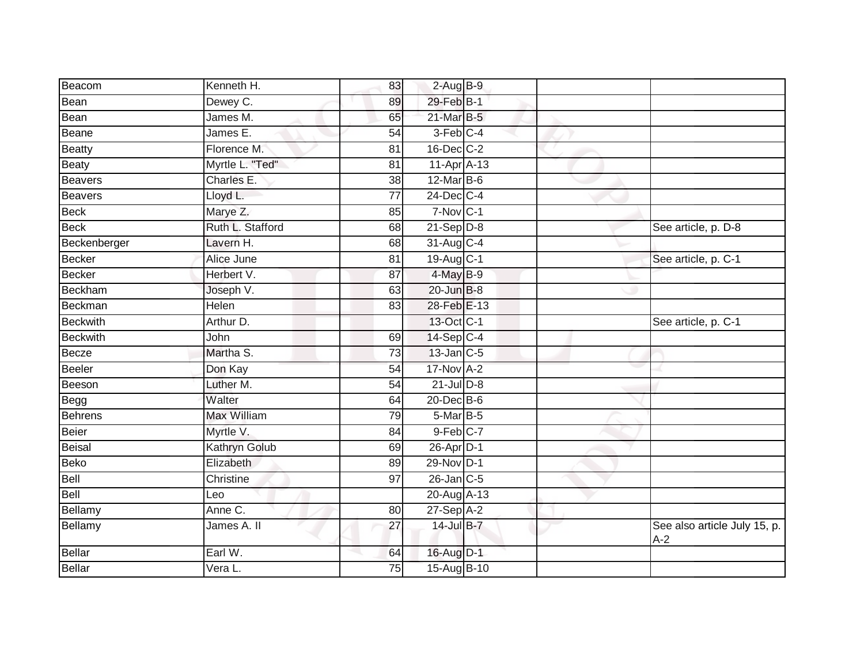| Beacom          | Kenneth H.                     | 83              | $2-Aug$ B-9     |  |                                       |
|-----------------|--------------------------------|-----------------|-----------------|--|---------------------------------------|
| Bean            | Dewey C.                       | 89              | 29-Feb B-1      |  |                                       |
| Bean            | James M.                       | 65              | 21-Mar B-5      |  |                                       |
| Beane           | James E.                       | 54              | 3-Feb C-4       |  |                                       |
| <b>Beatty</b>   | Florence M.                    | 81              | 16-Dec C-2      |  |                                       |
| <b>Beaty</b>    | Myrtle L. "Ted"                | 81              | 11-Apr A-13     |  |                                       |
| <b>Beavers</b>  | Charles E.                     | 38              | 12-Mar B-6      |  |                                       |
| <b>Beavers</b>  | Lloyd L.                       | $\overline{77}$ | $24$ -Dec $C-4$ |  |                                       |
| <b>Beck</b>     | Marye Z.                       | 85              | $7-Nov$ C-1     |  |                                       |
| <b>Beck</b>     | Ruth L. Stafford               | 68              | $21-Sep D-8$    |  | See article, p. D-8                   |
| Beckenberger    | Lavern H.                      | 68              | 31-Aug C-4      |  |                                       |
| <b>Becker</b>   | Alice June                     | 81              | 19-Aug C-1      |  | See article, p. C-1                   |
| <b>Becker</b>   | Herbert V.                     | 87              | 4-May B-9       |  |                                       |
| <b>Beckham</b>  | Joseph V.                      | 63              | $20$ -Jun $B-8$ |  |                                       |
| Beckman         | Helen                          | 83              | 28-Feb E-13     |  |                                       |
| <b>Beckwith</b> | Arthur D.                      |                 | 13-Oct C-1      |  | See article, p. C-1                   |
| <b>Beckwith</b> | John                           | 69              | 14-Sep C-4      |  |                                       |
| Becze           | Martha S.                      | 73              | $13$ -Jan C-5   |  |                                       |
| <b>Beeler</b>   | Don Kay                        | 54              | 17-Nov A-2      |  |                                       |
| Beeson          | Luther M.                      | 54              | $21$ -Jul $D-8$ |  |                                       |
| Begg            | Walter                         | 64              | 20-Dec B-6      |  |                                       |
| <b>Behrens</b>  | <b>Max William</b>             | 79              | 5-Mar B-5       |  |                                       |
| <b>Beier</b>    | Myrtle V.                      | 84              | $9$ -Feb $C-7$  |  |                                       |
| <b>Beisal</b>   | Kathryn Golub                  | 69              | $26$ -Apr $D-1$ |  |                                       |
| <b>Beko</b>     | Elizabeth                      | 89              | 29-Nov D-1      |  |                                       |
| Bell            | Christine                      | 97              | 26-Jan C-5      |  |                                       |
| Bell            | Leo                            |                 | 20-Aug A-13     |  |                                       |
| Bellamy         | Anne C.                        | 80              | $27-Sep$ A-2    |  |                                       |
| Bellamy         | James A. II                    | 27              | 14-Jul B-7      |  | See also article July 15, p.<br>$A-2$ |
| <b>Bellar</b>   | Earl W.                        | 64              | 16-Aug D-1      |  |                                       |
| <b>Bellar</b>   | $\overline{\mathsf{V}}$ era L. | 75              | 15-Aug B-10     |  |                                       |
|                 |                                |                 |                 |  |                                       |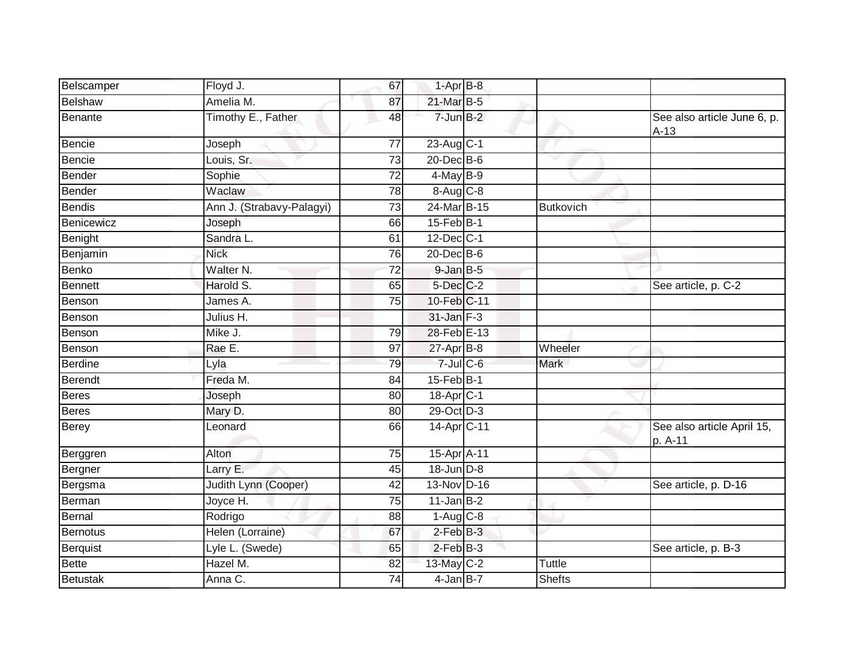| Belscamper      | Floyd J.                  | 67              | $1-AprB-8$                 |               |                                       |
|-----------------|---------------------------|-----------------|----------------------------|---------------|---------------------------------------|
| <b>Belshaw</b>  | Amelia M.                 | 87              | 21-Mar B-5                 |               |                                       |
| Benante         | Timothy E., Father        | 48              | $7$ -Jun $B-2$             |               | See also article June 6, p.<br>$A-13$ |
| Bencie          | Joseph                    | 77              | 23-Aug C-1                 |               |                                       |
| Bencie          | Louis, Sr.                | 73              | 20-Dec B-6                 | $\checkmark$  |                                       |
| Bender          | Sophie                    | $\overline{72}$ | $4$ -May B-9               |               |                                       |
| Bender          | Waclaw                    | 78              | $8-Aug$ $C-8$              |               |                                       |
| Bendis          | Ann J. (Strabavy-Palagyi) | 73              | 24-Mar B-15                | Butkovich     |                                       |
| Benicewicz      | Joseph                    | 66              | $15$ -Feb $B-1$            |               |                                       |
| Benight         | Sandra L.                 | 61              | 12-Dec C-1                 |               |                                       |
| Benjamin        | <b>Nick</b>               | 76              | 20-Dec B-6                 |               |                                       |
| Benko           | Walter N.                 | $\overline{72}$ | $9$ -Jan $B$ -5            |               |                                       |
| Bennett         | Harold S.                 | 65              | $5$ -Dec $C$ -2            |               | See article, p. C-2                   |
| Benson          | James A.                  | 75              | 10-Feb C-11                |               |                                       |
| Benson          | Julius H.                 |                 | 31-Jan F-3                 |               |                                       |
| Benson          | Mike J.                   | 79              | 28-Feb E-13                |               |                                       |
| Benson          | Rae E.                    | 97              | $27$ -Apr $B-8$            | Wheeler       |                                       |
| <b>Berdine</b>  | Lyla                      | 79              | $7$ -Jul $C$ -6            | Mark          |                                       |
| Berendt         | Freda M.                  | 84              | 15-Feb B-1                 |               |                                       |
| <b>Beres</b>    | Joseph                    | 80              | 18-Apr <sub>C-1</sub>      |               |                                       |
| <b>Beres</b>    | Mary D.                   | 80              | $29$ -Oct $\overline{D-3}$ |               |                                       |
| <b>Berey</b>    | Leonard                   | 66              | 14-Apr C-11                |               | See also article April 15,<br>p. A-11 |
| Berggren        | Alton                     | 75              | 15-Apr A-11                |               |                                       |
| Bergner         | Larry E.                  | 45              | 18-Jun D-8                 |               |                                       |
| Bergsma         | Judith Lynn (Cooper)      | 42              | 13-Nov D-16                |               | See article, p. D-16                  |
| Berman          | Joyce H.                  | 75              | $11$ -Jan $B-2$            |               |                                       |
| Bernal          | Rodrigo                   | 88              | $1-Aug$ $C-8$              |               |                                       |
| Bernotus        | Helen (Lorraine)          | 67              | $2$ -Feb $B-3$             |               |                                       |
| Berquist        | Lyle L. (Swede)           | 65              | $2$ -Feb $B-3$             |               | See article, p. B-3                   |
| <b>Bette</b>    | Hazel M.                  | 82              | 13-May C-2                 | <b>Tuttle</b> |                                       |
| <b>Betustak</b> | Anna C.                   | 74              | $4$ -Jan $B$ -7            | <b>Shefts</b> |                                       |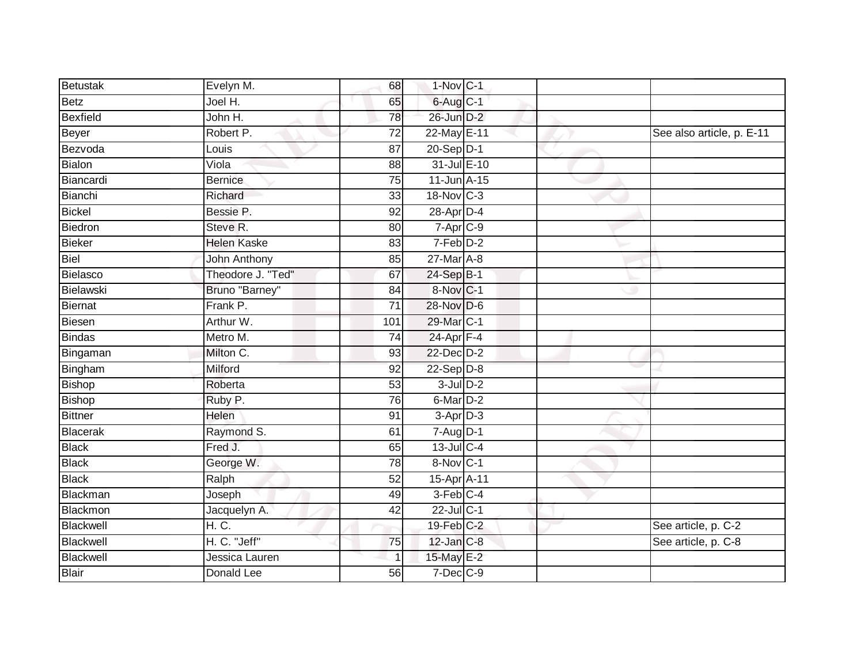| Betustak        | Evelyn M.          | 68              | 1-Nov C-1              |  |                           |
|-----------------|--------------------|-----------------|------------------------|--|---------------------------|
| <b>Betz</b>     | Joel H.            | 65              | $6$ -Aug $C$ -1        |  |                           |
| <b>Bexfield</b> | John H.            | 78              | 26-Jun D-2             |  |                           |
| <b>Beyer</b>    | Robert P.          | $\overline{72}$ | 22-May E-11            |  | See also article, p. E-11 |
| Bezvoda         | Louis              | $\overline{87}$ | 20-Sep D-1             |  |                           |
| <b>Bialon</b>   | Viola              | 88              | 31-Jul E-10            |  |                           |
| Biancardi       | <b>Bernice</b>     | 75              | $11$ -Jun $A-15$       |  |                           |
| Bianchi         | Richard            | 33              | 18-Nov C-3             |  |                           |
| <b>Bickel</b>   | Bessie P.          | 92              | 28-Apr D-4             |  |                           |
| Biedron         | Steve R.           | 80              | 7-Apr C-9              |  |                           |
| <b>Bieker</b>   | <b>Helen Kaske</b> | 83              | 7-Feb D-2              |  |                           |
| Biel            | John Anthony       | 85              | 27-Mar A-8             |  |                           |
| <b>Bielasco</b> | Theodore J. "Ted"  | 67              | 24-Sep B-1             |  |                           |
| Bielawski       | Bruno "Barney"     | 84              | 8-Nov C-1              |  |                           |
| <b>Biernat</b>  | Frank P.           | $\overline{71}$ | 28-Nov D-6             |  |                           |
| <b>Biesen</b>   | Arthur W.          | 101             | 29-Mar C-1             |  |                           |
| <b>Bindas</b>   | Metro M.           | 74              | $24$ -Apr $F-4$        |  |                           |
| Bingaman        | Milton C.          | 93              | 22-Dec D-2             |  |                           |
| Bingham         | Milford            | 92              | $22-Sep D-8$           |  |                           |
| <b>Bishop</b>   | Roberta            | 53              | $3$ -Jul $D-2$         |  |                           |
| <b>Bishop</b>   | Ruby P.            | 76              | 6-Mar <sub>D-2</sub>   |  |                           |
| <b>Bittner</b>  | Helen              | 91              | 3-Apr D-3              |  |                           |
| Blacerak        | Raymond S.         | 61              | $7 - Aug$ $D-1$        |  |                           |
| <b>Black</b>    | Fred J.            | 65              | $13$ -Jul $C-4$        |  |                           |
| <b>Black</b>    | George W.          | 78              | $8-Nov$ <sub>C-1</sub> |  |                           |
| <b>Black</b>    | Ralph              | 52              | 15-Apr A-11            |  |                           |
| <b>Blackman</b> | Joseph             | 49              | 3-Feb C-4              |  |                           |
| Blackmon        | Jacquelyn A.       | 42              | 22-Jul C-1             |  |                           |
| Blackwell       | H. C.              |                 | $19$ -Feb $C-2$        |  | See article, p. C-2       |
| Blackwell       | H. C. "Jeff"       | 75              | 12-Jan C-8             |  | See article, p. C-8       |
| Blackwell       | Jessica Lauren     |                 | 15-May E-2             |  |                           |
| <b>Blair</b>    | <b>Donald Lee</b>  | $\overline{56}$ | $7$ -Dec $C-9$         |  |                           |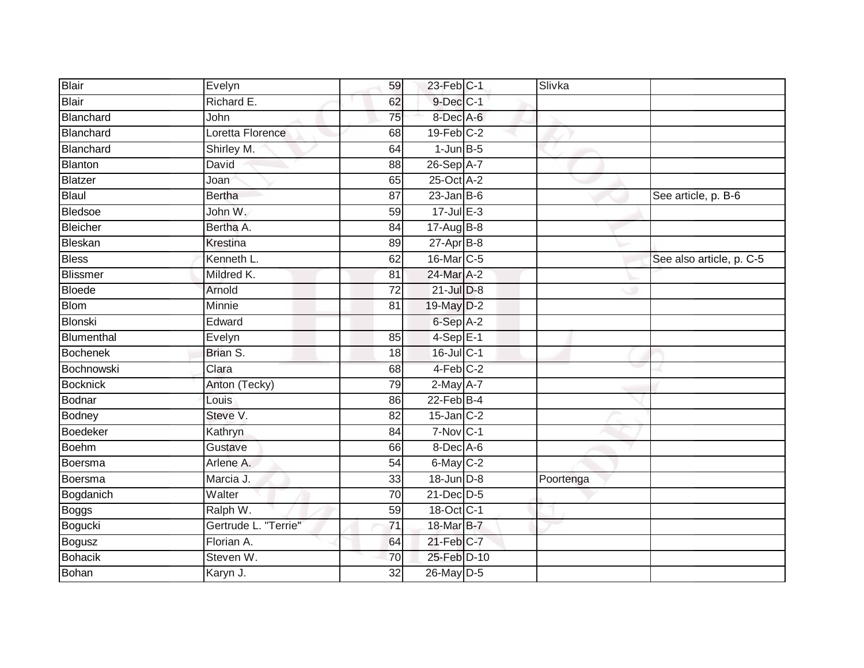| <b>Blair</b>    | Evelyn               | 59              | $23$ -Feb $ C-1 $ | Slivka    |                          |
|-----------------|----------------------|-----------------|-------------------|-----------|--------------------------|
| Blair           | Richard E.           | 62              | 9-Dec C-1         |           |                          |
| Blanchard       | John                 | 75              | 8-Dec A-6         |           |                          |
| Blanchard       | Loretta Florence     | 68              | $19$ -Feb $C-2$   |           |                          |
| Blanchard       | Shirley M.           | 64              | $1$ -Jun $B-5$    |           |                          |
| Blanton         | David                | 88              | 26-Sep A-7        |           |                          |
| <b>Blatzer</b>  | Joan                 | 65              | 25-Oct A-2        |           |                          |
| Blaul           | <b>Bertha</b>        | 87              | $23$ -Jan B-6     |           | See article, p. B-6      |
| <b>Bledsoe</b>  | John W.              | 59              | $17$ -Jul $E-3$   |           |                          |
| Bleicher        | Bertha A.            | 84              | $17 - Aug$ B-8    |           |                          |
| Bleskan         | Krestina             | 89              | $27 - Apr$ B-8    |           |                          |
| <b>Bless</b>    | Kenneth L.           | 62              | 16-Mar C-5        |           | See also article, p. C-5 |
| <b>Blissmer</b> | Mildred K.           | 81              | 24-Mar A-2        |           |                          |
| <b>Bloede</b>   | Arnold               | $\overline{72}$ | $21$ -Jul $D-8$   |           |                          |
| <b>Blom</b>     | Minnie               | 81              | 19-May D-2        |           |                          |
| Blonski         | Edward               |                 | 6-Sep A-2         |           |                          |
| Blumenthal      | Evelyn               | 85              | $4-SepE-1$        |           |                          |
| Bochenek        | Brian S.             | 18              | 16-Jul C-1        |           |                          |
| Bochnowski      | Clara                | 68              | 4-Feb C-2         |           |                          |
| Bocknick        | Anton (Tecky)        | 79              | $2-May$ A-7       |           |                          |
| <b>Bodnar</b>   | Louis                | 86              | $22$ -Feb $B-4$   |           |                          |
| Bodney          | Steve V.             | 82              | $15$ -Jan $C-2$   |           |                          |
| <b>Boedeker</b> | Kathryn              | 84              | $7-Nov$ C-1       |           |                          |
| Boehm           | Gustave              | 66              | 8-Dec A-6         |           |                          |
| Boersma         | Arlene A.            | 54              | $6$ -May $C-2$    |           |                          |
| Boersma         | Marcia J.            | 33              | 18-Jun D-8        | Poortenga |                          |
| Bogdanich       | Walter               | 70              | $21$ -Dec $D-5$   |           |                          |
| Boggs           | Ralph W.             | 59              | 18-Oct C-1        |           |                          |
| Bogucki         | Gertrude L. "Terrie" | $\overline{71}$ | 18-Mar B-7        |           |                          |
| <b>Bogusz</b>   | Florian A.           | 64              | $21$ -Feb $C-7$   |           |                          |
| Bohacik         | Steven W.            | 70              | 25-Feb D-10       |           |                          |
| Bohan           | Karyn J.             | 32              | 26-May D-5        |           |                          |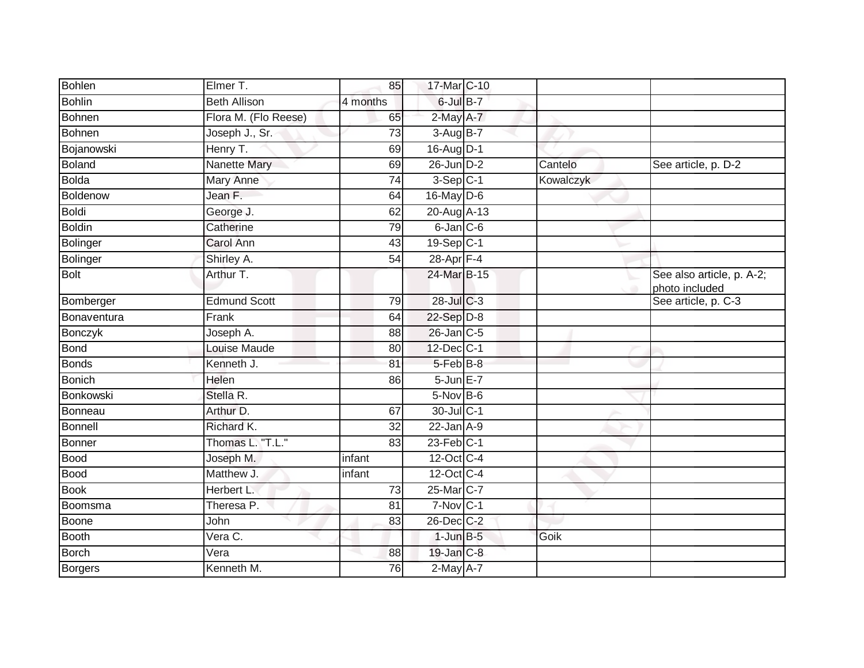| <b>Bohlen</b>   | Elmer T.              | 85              | 17-Mar C-10     |           |                                             |
|-----------------|-----------------------|-----------------|-----------------|-----------|---------------------------------------------|
| <b>Bohlin</b>   | <b>Beth Allison</b>   | 4 months        | 6-Jul B-7       |           |                                             |
| <b>Bohnen</b>   | Flora M. (Flo Reese)  | 65              | 2-May A-7       |           |                                             |
| <b>Bohnen</b>   | Joseph J., Sr.        | 73              | $3-Aug$ B-7     |           |                                             |
| Bojanowski      | Henry T.              | 69              | 16-Aug D-1      |           |                                             |
| <b>Boland</b>   | <b>Nanette Mary</b>   | 69              | 26-Jun D-2      | Cantelo   | See article, p. D-2                         |
| <b>Bolda</b>    | Mary Anne             | 74              | $3-Sep$ C-1     | Kowalczyk |                                             |
| Boldenow        | Jean $\overline{F}$ . | 64              | $16$ -May $D-6$ |           |                                             |
| <b>Boldi</b>    | George J.             | 62              | 20-Aug A-13     |           |                                             |
| <b>Boldin</b>   | Catherine             | 79              | $6$ -Jan $C$ -6 |           |                                             |
| Bolinger        | <b>Carol Ann</b>      | 43              | 19-Sep C-1      |           |                                             |
| <b>Bolinger</b> | Shirley A.            | 54              | 28-Apr F-4      |           |                                             |
| <b>Bolt</b>     | Arthur T.             |                 | 24-Mar B-15     |           | See also article, p. A-2;<br>photo included |
| Bomberger       | <b>Edmund Scott</b>   | 79              | 28-Jul C-3      |           | See article, p. C-3                         |
| Bonaventura     | Frank                 | 64              | 22-Sep D-8      |           |                                             |
| Bonczyk         | Joseph A.             | 88              | 26-Jan C-5      |           |                                             |
| <b>Bond</b>     | Louise Maude          | 80              | 12-Dec C-1      |           |                                             |
| <b>Bonds</b>    | Kenneth J.            | 81              | 5-Feb B-8       |           |                                             |
| <b>Bonich</b>   | Helen                 | 86              | 5-Jun E-7       |           |                                             |
| Bonkowski       | Stella R.             |                 | $5-Nov$ B-6     |           |                                             |
| Bonneau         | Arthur D.             | 67              | 30-Jul C-1      |           |                                             |
| <b>Bonnell</b>  | Richard K.            | $\overline{32}$ | $22$ -Jan $A-9$ |           |                                             |
| <b>Bonner</b>   | Thomas L. "T.L."      | 83              | $23$ -Feb $C-1$ |           |                                             |
| <b>Bood</b>     | Joseph M.             | infant          | 12-Oct C-4      |           |                                             |
| <b>Bood</b>     | Matthew J.            | infant          | 12-Oct C-4      |           |                                             |
| <b>Book</b>     | Herbert L.            | 73              | 25-Mar C-7      |           |                                             |
| Boomsma         | Theresa P.            | $\overline{81}$ | $7-Nov$ C-1     |           |                                             |
| Boone           | John                  | 83              | 26-Dec C-2      |           |                                             |
| <b>Booth</b>    | Vera C.               |                 | $1$ -Jun $B-5$  | Goik      |                                             |
| <b>Borch</b>    | Vera                  | 88              | 19-Jan C-8      |           |                                             |
| <b>Borgers</b>  | Kenneth M.            | 76              | 2-May A-7       |           |                                             |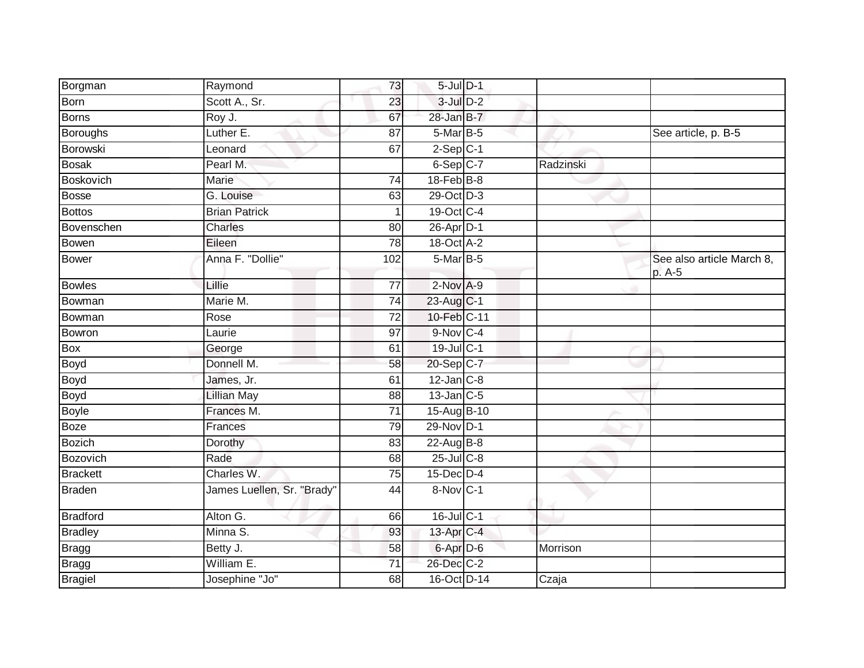| Borgman         | Raymond                    | 73              | $5$ -Jul $D-1$    |           |                                     |
|-----------------|----------------------------|-----------------|-------------------|-----------|-------------------------------------|
| <b>Born</b>     | Scott A., Sr.              | 23              | $3$ -Jul $D-2$    |           |                                     |
| <b>Borns</b>    | Roy J.                     | 67              | 28-Jan B-7        |           |                                     |
| <b>Boroughs</b> | Luther E.                  | 87              | $5-Mar$ B-5       |           | See article, p. B-5                 |
| Borowski        | Leonard                    | 67              | $2-Sep$ C-1       |           |                                     |
| <b>Bosak</b>    | Pearl M.                   |                 | 6-Sep C-7         | Radzinski |                                     |
| Boskovich       | Marie                      | 74              | $18$ -Feb $B$ -8  |           |                                     |
| <b>Bosse</b>    | G. Louise                  | 63              | 29-Oct D-3        |           |                                     |
| <b>Bottos</b>   | <b>Brian Patrick</b>       |                 | 19-Oct C-4        |           |                                     |
| Bovenschen      | <b>Charles</b>             | 80              | 26-Apr D-1        |           |                                     |
| <b>Bowen</b>    | Eileen                     | 78              | 18-Oct A-2        |           |                                     |
| <b>Bower</b>    | Anna F. "Dollie"           | 102             | 5-Mar B-5         |           | See also article March 8,<br>p. A-5 |
| <b>Bowles</b>   | Lillie                     | $\overline{77}$ | $2$ -Nov $A-9$    |           |                                     |
| Bowman          | Marie M.                   | 74              | 23-Aug C-1        |           |                                     |
| Bowman          | Rose                       | $\overline{72}$ | 10-Feb C-11       |           |                                     |
| Bowron          | Laurie                     | 97              | $9-Nov$ C-4       |           |                                     |
| Box             | George                     | 61              | 19-Jul C-1        |           |                                     |
| <b>Boyd</b>     | Donnell M.                 | 58              | 20-Sep C-7        |           |                                     |
| Boyd            | James, Jr.                 | 61              | $12$ -Jan $ C-8 $ |           |                                     |
| <b>Boyd</b>     | <b>Lillian May</b>         | $\overline{88}$ | $13$ -Jan $C$ -5  |           |                                     |
| <b>Boyle</b>    | Frances M.                 | $\overline{71}$ | 15-Aug B-10       |           |                                     |
| <b>Boze</b>     | Frances                    | 79              | 29-Nov D-1        |           |                                     |
| <b>Bozich</b>   | Dorothy                    | 83              | 22-Aug B-8        |           |                                     |
| Bozovich        | Rade                       | 68              | $25$ -Jul $C$ -8  |           |                                     |
| <b>Brackett</b> | Charles W.                 | 75              | $15$ -Dec $D-4$   |           |                                     |
| <b>Braden</b>   | James Luellen, Sr. "Brady" | 44              | 8-Nov C-1         |           |                                     |
| <b>Bradford</b> | Alton G.                   | 66              | $16$ -Jul C-1     |           |                                     |
| <b>Bradley</b>  | Minna S.                   | 93              | 13-Apr C-4        |           |                                     |
| <b>Bragg</b>    | Betty J.                   | 58              | 6-Apr D-6         | Morrison  |                                     |
| <b>Bragg</b>    | William E.                 | $\overline{71}$ | 26-Dec C-2        |           |                                     |
| <b>Bragiel</b>  | Josephine "Jo"             | 68              | 16-Oct D-14       | Czaja     |                                     |
|                 |                            |                 |                   |           |                                     |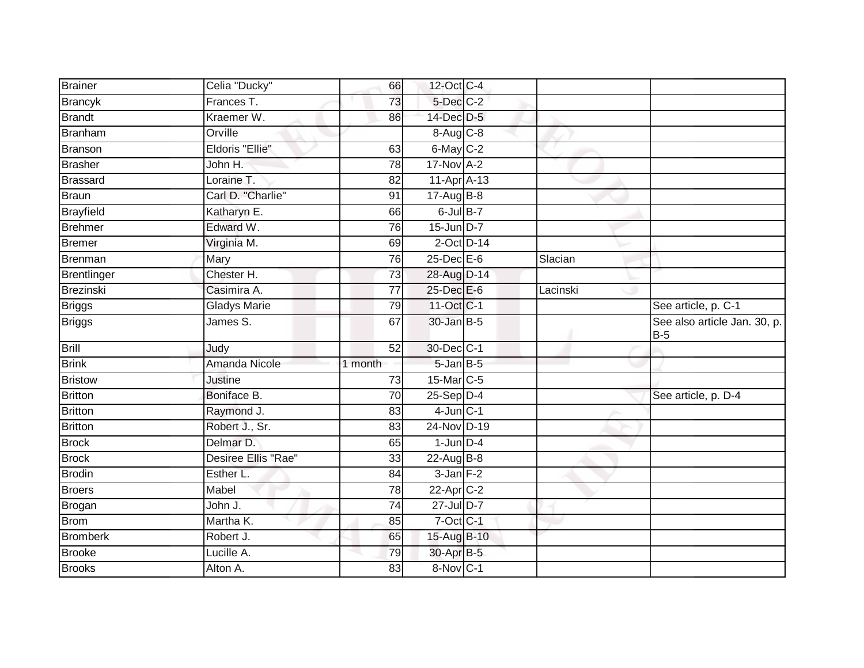| Brainer         | Celia "Ducky"       | 66      | 12-Oct C-4               |          |                                       |
|-----------------|---------------------|---------|--------------------------|----------|---------------------------------------|
| <b>Brancyk</b>  | Frances T.          | 73      | 5-Dec C-2                |          |                                       |
| <b>Brandt</b>   | Kraemer W.          | 86      | 14-Dec D-5               |          |                                       |
| Branham         | Orville             |         | $8 - Aug$ <sub>C-8</sub> |          |                                       |
| Branson         | Eldoris "Ellie"     | 63      | $6$ -May $C-2$           |          |                                       |
| <b>Brasher</b>  | John H.             | 78      | $17-Nov$ A-2             |          |                                       |
| <b>Brassard</b> | Loraine T.          | 82      | $11-Apr\overline{A-13}$  |          |                                       |
| <b>Braun</b>    | Carl D. "Charlie"   | 91      | 17-Aug B-8               |          |                                       |
| Brayfield       | Katharyn E.         | 66      | $6$ -Jul $B$ -7          |          |                                       |
| <b>Brehmer</b>  | Edward W.           | 76      | $15$ -Jun $D-7$          |          |                                       |
| Bremer          | Virginia M.         | 69      | $2$ -Oct $D-14$          |          |                                       |
| Brenman         | Mary                | 76      | $25$ -Dec $E$ -6         | Slacian  |                                       |
| Brentlinger     | Chester H.          | 73      | 28-Aug D-14              |          |                                       |
| Brezinski       | Casimira A.         | 77      | 25-Dec E-6               | Lacinski |                                       |
| <b>Briggs</b>   | <b>Gladys Marie</b> | 79      | 11-Oct C-1               |          | See article, p. C-1                   |
| <b>Briggs</b>   | James S.            | 67      | 30-Jan B-5               |          | See also article Jan. 30, p.<br>$B-5$ |
| <b>Brill</b>    | Judy                | 52      | 30-Dec C-1               |          |                                       |
| <b>Brink</b>    | Amanda Nicole       | 1 month | $5 - JanB - 5$           |          |                                       |
| <b>Bristow</b>  | Justine             | 73      | 15-Mar C-5               |          |                                       |
| Britton         | Boniface B.         | 70      | $25-Sep$ $D-4$           |          | See article, p. D-4                   |
| <b>Britton</b>  | Raymond J.          | 83      | $4$ -Jun $C-1$           |          |                                       |
| <b>Britton</b>  | Robert J., Sr.      | 83      | 24-Nov D-19              |          |                                       |
| <b>Brock</b>    | Delmar D.           | 65      | $1$ -Jun $D-4$           |          |                                       |
| <b>Brock</b>    | Desiree Ellis "Rae" | 33      | 22-Aug B-8               |          |                                       |
| <b>Brodin</b>   | Esther L.           | 84      | $3$ -Jan $F-2$           |          |                                       |
| Broers          | Mabel               | 78      | 22-Apr C-2               |          |                                       |
| Brogan          | John J.             | 74      | $27$ -Jul $D-7$          |          |                                       |
| <b>Brom</b>     | Martha K.           | 85      | 7-Oct C-1                |          |                                       |
| <b>Bromberk</b> | Robert J.           | 65      | 15-Aug B-10              |          |                                       |
| <b>Brooke</b>   | Lucille A.          | 79      | 30-Apr B-5               |          |                                       |
| <b>Brooks</b>   | Alton A.            | 83      | 8-Nov C-1                |          |                                       |
|                 |                     |         |                          |          |                                       |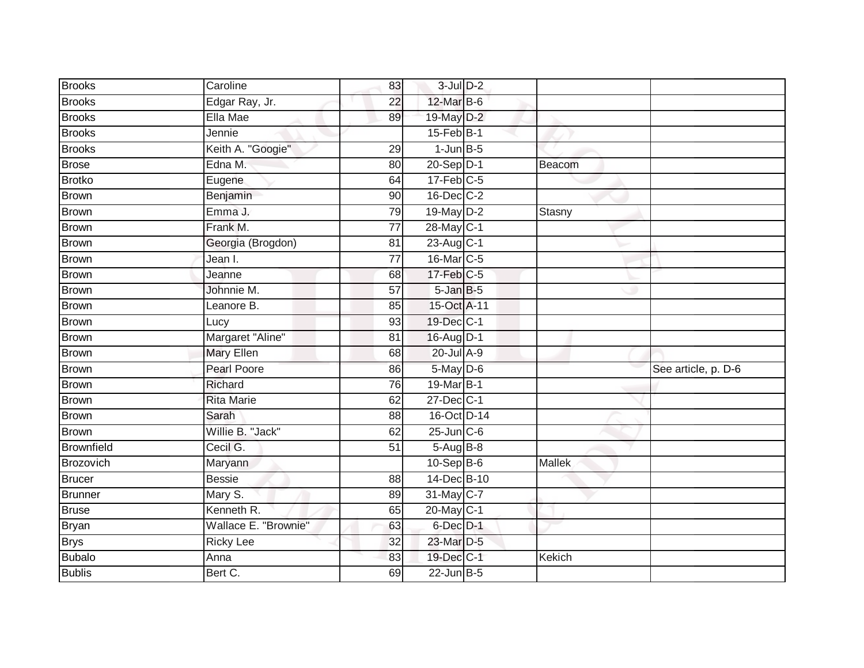| <b>Brooks</b>     | Caroline             | 83              | $3$ -Jul $D-2$   |               |                     |
|-------------------|----------------------|-----------------|------------------|---------------|---------------------|
| <b>Brooks</b>     | Edgar Ray, Jr.       | $\overline{22}$ | 12-Mar B-6       |               |                     |
| <b>Brooks</b>     | Ella Mae             | 89              | 19-May D-2       |               |                     |
| <b>Brooks</b>     | Jennie               |                 | $15$ -Feb $B$ -1 |               |                     |
| <b>Brooks</b>     | Keith A. "Googie"    | 29              | $1$ -Jun $B-5$   |               |                     |
| <b>Brose</b>      | Edna M.              | 80              | 20-Sep D-1       | Beacom        |                     |
| Brotko            | Eugene               | 64              | $17-Feb$ C-5     |               |                     |
| Brown             | Benjamin             | 90              | 16-Dec C-2       |               |                     |
| <b>Brown</b>      | Emma J.              | 79              | 19-May D-2       | Stasny        |                     |
| <b>Brown</b>      | Frank M.             | $\overline{77}$ | 28-May C-1       |               |                     |
| Brown             | Georgia (Brogdon)    | $\overline{81}$ | 23-Aug C-1       |               |                     |
| Brown             | Jean I.              | $\overline{77}$ | 16-Mar C-5       |               |                     |
| <b>Brown</b>      | Jeanne               | 68              | $17$ -Feb $C-5$  |               |                     |
| <b>Brown</b>      | Johnnie M.           | 57              | $5 - JanB - 5$   |               |                     |
| Brown             | Leanore B.           | 85              | 15-Oct A-11      |               |                     |
| <b>Brown</b>      | Lucy                 | 93              | 19-Dec C-1       |               |                     |
| <b>Brown</b>      | Margaret "Aline"     | $\overline{81}$ | 16-Aug D-1       |               |                     |
| Brown             | <b>Mary Ellen</b>    | 68              | 20-Jul A-9       |               |                     |
| <b>Brown</b>      | <b>Pearl Poore</b>   | 86              | 5-May D-6        |               | See article, p. D-6 |
| <b>Brown</b>      | Richard              | 76              | 19-Mar B-1       |               |                     |
| <b>Brown</b>      | <b>Rita Marie</b>    | 62              | 27-Dec C-1       |               |                     |
| Brown             | Sarah                | 88              | 16-Oct D-14      |               |                     |
| <b>Brown</b>      | Willie B. "Jack"     | 62              | $25$ -Jun $C$ -6 |               |                     |
| <b>Brownfield</b> | Cecil G.             | 51              | 5-Aug B-8        |               |                     |
| Brozovich         | Maryann              |                 | $10-Sep$ B-6     | Mallek        |                     |
| <b>Brucer</b>     | <b>Bessie</b>        | 88              | 14-Dec B-10      |               |                     |
| <b>Brunner</b>    | Mary S.              | 89              | 31-May C-7       |               |                     |
| Bruse             | Kenneth R.           | 65              | 20-May C-1       |               |                     |
| Bryan             | Wallace E. "Brownie" | 63              | 6-Dec D-1        |               |                     |
| <b>Brys</b>       | <b>Ricky Lee</b>     | 32              | 23-Mar D-5       |               |                     |
| <b>Bubalo</b>     | Anna                 | 83              | 19-Dec C-1       | <b>Kekich</b> |                     |
| <b>Bublis</b>     | Bert C.              | 69              | 22-Jun B-5       |               |                     |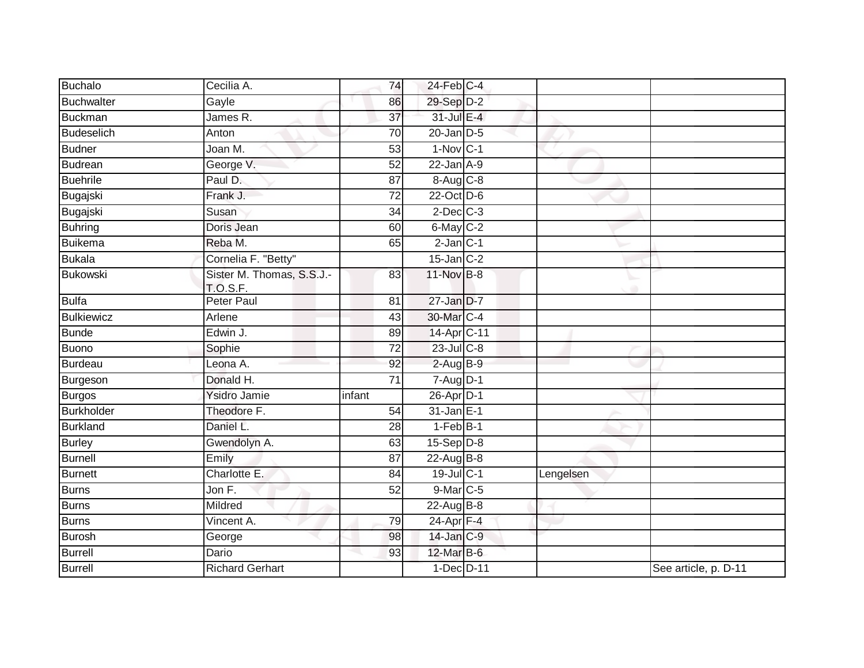| <b>Buchalo</b>    | Cecilia A.                                   | 74              | $24$ -Feb $C-4$ |           |                      |
|-------------------|----------------------------------------------|-----------------|-----------------|-----------|----------------------|
| <b>Buchwalter</b> | Gayle                                        | 86              | 29-Sep D-2      |           |                      |
| Buckman           | James R.                                     | 37              | 31-Jul E-4      |           |                      |
| Budeselich        | Anton                                        | 70              | $20$ -Jan $D-5$ |           |                      |
| <b>Budner</b>     | Joan M.                                      | $\overline{53}$ | $1-Nov$ C-1     |           |                      |
| Budrean           | George V.                                    | 52              | $22$ -Jan $A-9$ |           |                      |
| <b>Buehrile</b>   | Paul D.                                      | 87              | 8-Aug C-8       |           |                      |
| Bugajski          | Frank J.                                     | $\overline{72}$ | 22-Oct D-6      |           |                      |
| Bugajski          | Susan                                        | 34              | $2$ -Dec $C-3$  |           |                      |
| <b>Buhring</b>    | Doris Jean                                   | 60              | 6-May C-2       |           |                      |
| Buikema           | Reba M.                                      | 65              | $2$ -Jan $C-1$  |           |                      |
| Bukala            | Cornelia F. "Betty"                          |                 | $15$ -Jan $C-2$ |           |                      |
| <b>Bukowski</b>   | Sister M. Thomas, S.S.J.-<br><b>T.O.S.F.</b> | 83              | 11-Nov B-8      |           |                      |
| <b>Bulfa</b>      | <b>Peter Paul</b>                            | 81              | $27$ -Jan $D-7$ |           |                      |
| <b>Bulkiewicz</b> | Arlene                                       | 43              | 30-Mar C-4      |           |                      |
| <b>Bunde</b>      | Edwin J.                                     | 89              | 14-Apr C-11     |           |                      |
| <b>Buono</b>      | Sophie                                       | $\overline{72}$ | $23$ -Jul C-8   |           |                      |
| Burdeau           | Leona A.                                     | 92              | $2-AugB-9$      |           |                      |
| Burgeson          | Donald H.                                    | 71              | $7 - Aug$ $D-1$ |           |                      |
| Burgos            | Ysidro Jamie                                 | infant          | 26-Apr D-1      |           |                      |
| <b>Burkholder</b> | Theodore F.                                  | 54              | $31$ -Jan $E-1$ |           |                      |
| <b>Burkland</b>   | Daniel L.                                    | 28              | $1-FebB-1$      |           |                      |
| <b>Burley</b>     | Gwendolyn A.                                 | 63              | $15-Sep$ D-8    |           |                      |
| Burnell           | Emily                                        | 87              | $22$ -AugB-8    |           |                      |
| <b>Burnett</b>    | Charlotte E.                                 | 84              | 19-Jul C-1      | Lengelsen |                      |
| Burns             | Jon F.                                       | 52              | 9-Mar C-5       |           |                      |
| <b>Burns</b>      | Mildred                                      |                 | 22-Aug B-8      |           |                      |
| Burns             | Vincent A.                                   | 79              | $24$ -Apr $F-4$ |           |                      |
| <b>Burosh</b>     | George                                       | 98              | 14-Jan C-9      |           |                      |
| Burrell           | Dario                                        | 93              | 12-Mar B-6      |           |                      |
| <b>Burrell</b>    | <b>Richard Gerhart</b>                       |                 | 1-Dec D-11      |           | See article, p. D-11 |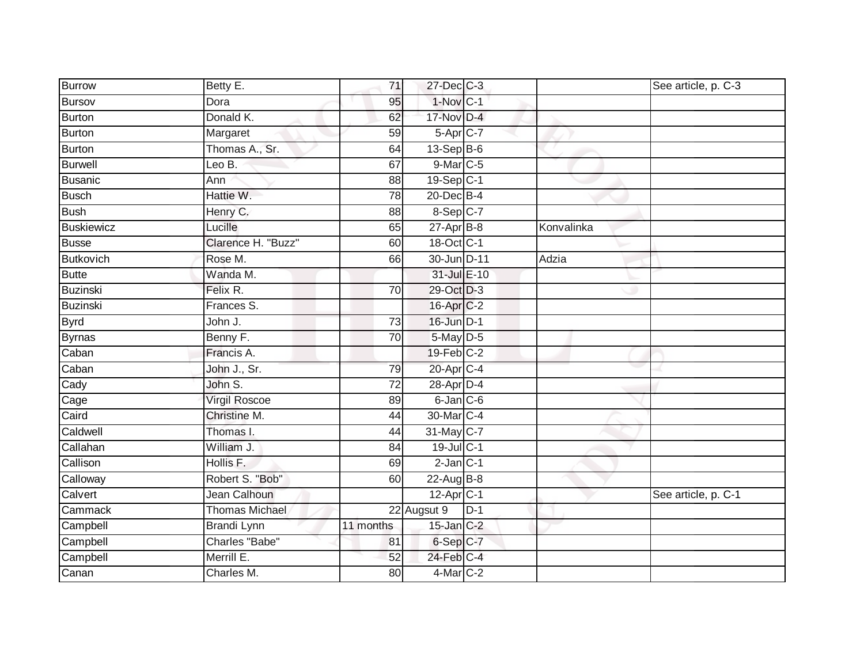| <b>Burrow</b>     | Betty E.              | 71              | 27-Dec C-3              |       |            | See article, p. C-3 |
|-------------------|-----------------------|-----------------|-------------------------|-------|------------|---------------------|
| Bursov            | Dora                  | 95              | $1-Nov$ C-1             |       |            |                     |
| Burton            | Donald K.             | 62              | 17-Nov D-4              |       |            |                     |
| Burton            | Margaret              | 59              | $5-Apr$ <sub>C-7</sub>  |       |            |                     |
| Burton            | Thomas A., Sr.        | 64              | $13-Sep$ B-6            |       |            |                     |
| <b>Burwell</b>    | Leo B.                | 67              | 9-Mar C-5               |       |            |                     |
| <b>Busanic</b>    | Ann                   | 88              | $19-Sep$ <sub>C-1</sub> |       |            |                     |
| <b>Busch</b>      | Hattie W.             | $\overline{78}$ | $20$ -Dec $B-4$         |       |            |                     |
| <b>Bush</b>       | Henry C.              | 88              | 8-Sep C-7               |       |            |                     |
| <b>Buskiewicz</b> | Lucille               | 65              | $27$ -Apr $B-8$         |       | Konvalinka |                     |
| <b>Busse</b>      | Clarence H. "Buzz"    | 60              | 18-Oct C-1              |       |            |                     |
| <b>Butkovich</b>  | Rose M.               | 66              | 30-Jun D-11             |       | Adzia      |                     |
| <b>Butte</b>      | Wanda M.              |                 | 31-Jul E-10             |       |            |                     |
| Buzinski          | Felix R.              | 70              | 29-Oct D-3              |       |            |                     |
| <b>Buzinski</b>   | Frances S.            |                 | 16-Apr C-2              |       |            |                     |
| <b>Byrd</b>       | John J.               | $\overline{73}$ | 16-Jun D-1              |       |            |                     |
| Byrnas            | Benny F.              | $\overline{70}$ | 5-May D-5               |       |            |                     |
| Caban             | Francis A.            |                 | $19$ -Feb $C-2$         |       |            |                     |
| Caban             | John J., Sr.          | 79              | 20-Apr C-4              |       |            |                     |
| Cady              | John S.               | $\overline{72}$ | 28-Apr D-4              |       |            |                     |
| Cage              | <b>Virgil Roscoe</b>  | 89              | $6$ -Jan $C$ -6         |       |            |                     |
| Caird             | Christine M.          | 44              | 30-Mar C-4              |       |            |                     |
| Caldwell          | Thomas I.             | 44              | 31-May C-7              |       |            |                     |
| Callahan          | William J.            | 84              | 19-Jul C-1              |       |            |                     |
| Callison          | Hollis F.             | 69              | $2$ -Jan $C-1$          |       |            |                     |
| Calloway          | Robert S. "Bob"       | 60              | $22$ -Aug B-8           |       |            |                     |
| Calvert           | Jean Calhoun          |                 | 12-Apr C-1              |       |            | See article, p. C-1 |
| Cammack           | <b>Thomas Michael</b> |                 | 22 Augsut 9             | $D-1$ |            |                     |
| Campbell          | <b>Brandi Lynn</b>    | 11 months       | 15-Jan C-2              |       |            |                     |
| Campbell          | Charles "Babe"        | 81              | 6-Sep C-7               |       |            |                     |
| Campbell          | Merrill E.            | 52              | 24-Feb C-4              |       |            |                     |
| Canan             | Charles M.            | 80              | 4-Mar C-2               |       |            |                     |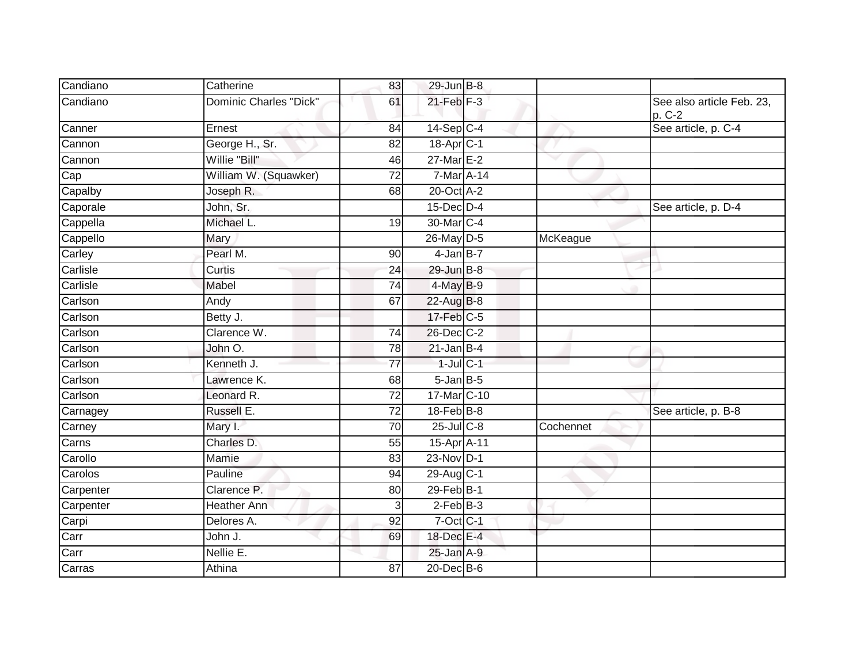| Candiano  | Catherine                     | 83              | 29-Jun B-8             |           |                                       |
|-----------|-------------------------------|-----------------|------------------------|-----------|---------------------------------------|
| Candiano  | <b>Dominic Charles "Dick"</b> | 61              | $21$ -Feb $F-3$        |           | See also article Feb. 23,<br>$p. C-2$ |
| Canner    | Ernest                        | 84              | $14-Sep C-4$           |           | See article, p. C-4                   |
| Cannon    | George H., Sr.                | 82              | 18-Apr C-1             |           |                                       |
| Cannon    | Willie "Bill"                 | 46              | $27$ -Mar $E-2$        |           |                                       |
| Cap       | William W. (Squawker)         | 72              | $7$ -Mar A-14          |           |                                       |
| Capalby   | Joseph R.                     | 68              | 20-Oct A-2             |           |                                       |
| Caporale  | John, Sr.                     |                 | $15$ -Dec $D-4$        |           | See article, p. D-4                   |
| Cappella  | Michael L.                    | 19              | 30-Mar C-4             |           |                                       |
| Cappello  | Mary                          |                 | 26-May D-5             | McKeague  |                                       |
| Carley    | Pearl M.                      | 90              | $4$ -Jan B-7           |           |                                       |
| Carlisle  | Curtis                        | 24              | 29-Jun B-8             |           |                                       |
| Carlisle  | Mabel                         | $\overline{74}$ | $4$ -May $B-9$         |           |                                       |
| Carlson   | Andy                          | 67              | 22-Aug B-8             |           |                                       |
| Carlson   | Betty J.                      |                 | 17-Feb C-5             |           |                                       |
| Carlson   | Clarence W.                   | 74              | 26-Dec C-2             |           |                                       |
| Carlson   | John O.                       | 78              | $21$ -Jan B-4          |           |                                       |
| Carlson   | Kenneth J.                    | $\overline{77}$ | $1$ -Jul C-1           |           |                                       |
| Carlson   | Lawrence K.                   | 68              | $5 - Jan$ $B-5$        |           |                                       |
| Carlson   | Leonard R.                    | $\overline{72}$ | 17-Mar C-10            |           |                                       |
| Carnagey  | Russell E.                    | 72              | 18-Feb B-8             |           | See article, p. B-8                   |
| Carney    | Mary I.                       | $\overline{70}$ | $25$ -Jul C-8          | Cochennet |                                       |
| Carns     | Charles D.                    | 55              | 15-Apr <sub>A-11</sub> |           |                                       |
| Carollo   | Mamie                         | 83              | 23-Nov D-1             |           |                                       |
| Carolos   | Pauline                       | 94              | 29-Aug C-1             |           |                                       |
| Carpenter | Clarence P.                   | 80              | $29$ -Feb $B-1$        |           |                                       |
| Carpenter | <b>Heather Ann</b>            | 3               | $2$ -Feb $B-3$         |           |                                       |
| Carpi     | Delores A.                    | 92              | $7$ -Oct $ C-1 $       |           |                                       |
| Carr      | John J.                       | 69              | 18-Dec E-4             |           |                                       |
| Carr      | Nellie E.                     |                 | $25$ -Jan $A-9$        |           |                                       |
| Carras    | Athina                        | 87              | 20-Dec B-6             |           |                                       |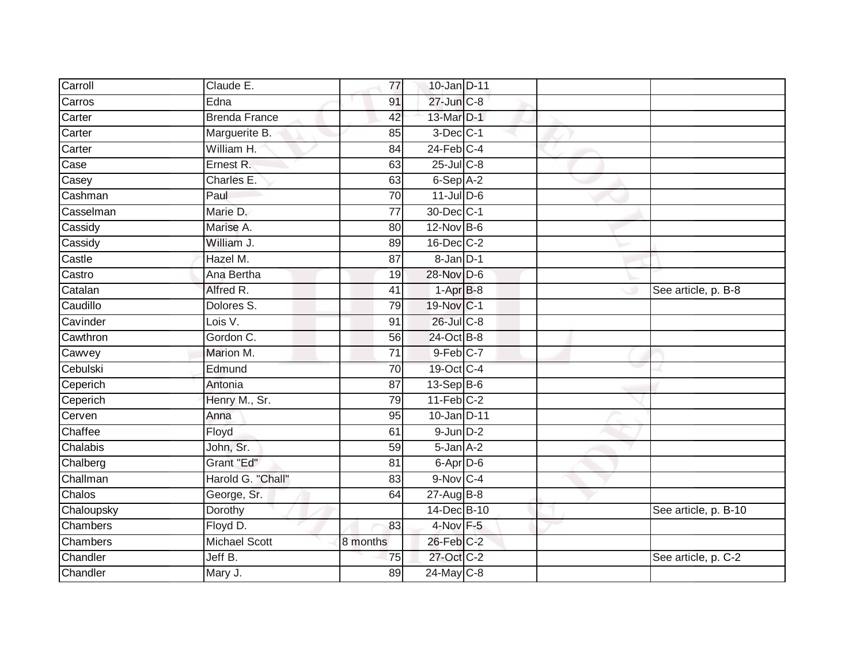| Carroll    | Claude E.            | 77              | 10-Jan D-11            |  |                      |
|------------|----------------------|-----------------|------------------------|--|----------------------|
| Carros     | Edna                 | 91              | 27-Jun C-8             |  |                      |
| Carter     | <b>Brenda France</b> | 42              | 13-Mar D-1             |  |                      |
| Carter     | Marguerite B.        | 85              | $3$ -Dec $C-1$         |  |                      |
| Carter     | William H.           | $\overline{84}$ | $24$ -Feb $C-4$        |  |                      |
| Case       | Ernest R.            | 63              | $25$ -Jul C-8          |  |                      |
| Casey      | Charles E.           | 63              | $6-Sep$ A-2            |  |                      |
| Cashman    | Paul                 | 70              | $11$ -Jul D-6          |  |                      |
| Casselman  | Marie D.             | 77              | 30-Dec C-1             |  |                      |
| Cassidy    | Marise A.            | 80              | 12-Nov B-6             |  |                      |
| Cassidy    | William J.           | 89              | 16-Dec C-2             |  |                      |
| Castle     | Hazel M.             | 87              | $8 - Jan$ $D-1$        |  |                      |
| Castro     | Ana Bertha           | 19              | 28-Nov D-6             |  |                      |
| Catalan    | Alfred R.            | 41              | $1-AprB-8$             |  | See article, p. B-8  |
| Caudillo   | Dolores S.           | 79              | 19-Nov C-1             |  |                      |
| Cavinder   | Lois V.              | 91              | 26-Jul C-8             |  |                      |
| Cawthron   | Gordon C.            | 56              | 24-Oct B-8             |  |                      |
| Cawvey     | Marion M.            | $\overline{71}$ | $9$ -Feb $C-7$         |  |                      |
| Cebulski   | Edmund               | 70              | 19-Oct C-4             |  |                      |
| Ceperich   | Antonia              | 87              | $13-Sep$ B-6           |  |                      |
| Ceperich   | Henry M., Sr.        | 79              | $11-Feb$ C-2           |  |                      |
| Cerven     | Anna                 | 95              | 10-Jan D-11            |  |                      |
| Chaffee    | Floyd                | 61              | $9$ -Jun $D-2$         |  |                      |
| Chalabis   | John, Sr.            | 59              | 5-Jan A-2              |  |                      |
| Chalberg   | Grant "Ed"           | 81              | 6-Apr D-6              |  |                      |
| Challman   | Harold G. "Chall"    | 83              | $9-Nov$ <sub>C-4</sub> |  |                      |
| Chalos     | George, Sr.          | 64              | $27 - Aug$ B-8         |  |                      |
| Chaloupsky | Dorothy              |                 | 14-Dec B-10            |  | See article, p. B-10 |
| Chambers   | Floyd D.             | 83              | $4$ -Nov $F - 5$       |  |                      |
| Chambers   | <b>Michael Scott</b> | 8 months        | 26-Feb C-2             |  |                      |
| Chandler   | Jeff B.              | 75              | 27-Oct C-2             |  | See article, p. C-2  |
| Chandler   | Mary J.              | 89              | $24$ -May C-8          |  |                      |
|            |                      |                 |                        |  |                      |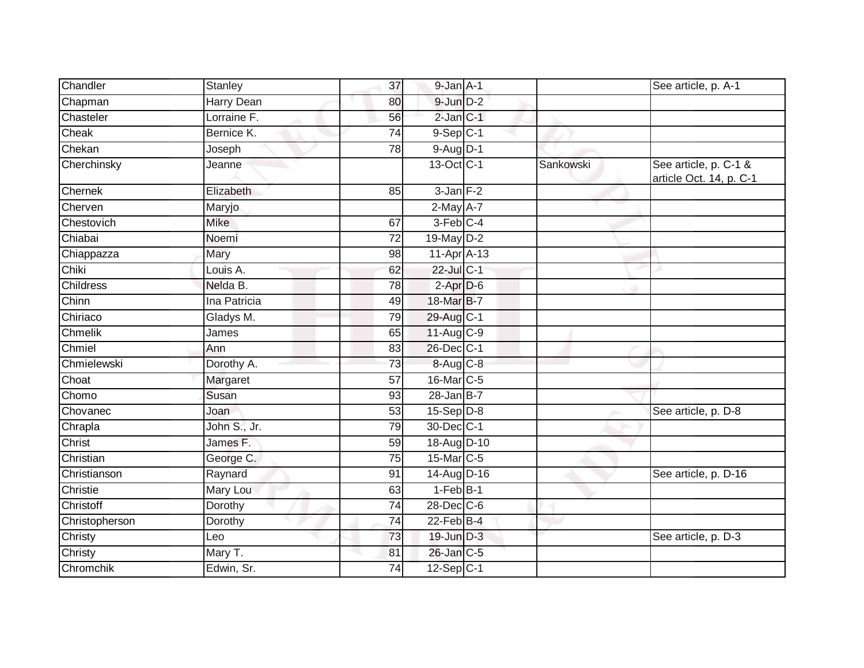| Chandler         | Stanley             | 37              | $9$ -Jan $A-1$         |           | See article, p. A-1                              |
|------------------|---------------------|-----------------|------------------------|-----------|--------------------------------------------------|
| Chapman          | <b>Harry Dean</b>   | 80              | $9$ -Jun $D-2$         |           |                                                  |
| Chasteler        | Lorraine F.         | 56              | $2$ -Jan $C-1$         |           |                                                  |
| Cheak            | Bernice K.          | 74              | $9-Sep$ C-1            |           |                                                  |
| Chekan           | Joseph              | 78              | 9-Aug D-1              |           |                                                  |
| Cherchinsky      | Jeanne              |                 | 13-Oct C-1             | Sankowski | See article, p. C-1 &<br>article Oct. 14, p. C-1 |
| Chernek          | Elizabeth           | 85              | $3$ -Jan $F-2$         |           |                                                  |
| Cherven          | Maryjo              |                 | $2$ -May $A-7$         |           |                                                  |
| Chestovich       | Mike                | 67              | $3-Feb$ <sub>C-4</sub> |           |                                                  |
| Chiabai          | Noemi               | 72              | 19-May D-2             |           |                                                  |
| Chiappazza       | Mary                | 98              | $11-Apr$ A-13          |           |                                                  |
| Chiki            | Louis A.            | 62              | 22-Jul C-1             |           |                                                  |
| <b>Childress</b> | Nelda B.            | 78              | $2-Apr$ D-6            |           |                                                  |
| Chinn            | Ina Patricia        | 49              | 18-Mar B-7             |           |                                                  |
| Chiriaco         | Gladys M.           | 79              | 29-Aug C-1             |           |                                                  |
| Chmelik          | James               | 65              | $11-Aug$ $C-9$         |           |                                                  |
| Chmiel           | Ann                 | 83              | 26-Dec C-1             |           |                                                  |
| Chmielewski      | Dorothy A.          | 73              | 8-Aug C-8              |           |                                                  |
| Choat            | Margaret            | 57              | $16$ -Mar $ C-5 $      |           |                                                  |
| Chomo            | Susan               | 93              | $28$ -Jan $B-7$        |           |                                                  |
| Chovanec         | Joan                | 53              | $15 - Sep$ $D-8$       |           | See article, p. D-8                              |
| Chrapla          | John S., Jr.        | 79              | 30-Dec C-1             |           |                                                  |
| Christ           | James <sub>F.</sub> | 59              | 18-Aug D-10            |           |                                                  |
| Christian        | George C.           | 75              | 15-Mar <sub>IC-5</sub> |           |                                                  |
| Christianson     | Raynard             | 91              | 14-Aug D-16            |           | See article, p. D-16                             |
| Christie         | Mary Lou            | 63              | $1-FebB-1$             |           |                                                  |
| Christoff        | Dorothy             | $\overline{74}$ | 28-Dec C-6             |           |                                                  |
| Christopherson   | Dorothy             | $\overline{74}$ | 22-Feb B-4             |           |                                                  |
| Christy          | Leo                 | 73              | 19-Jun D-3             |           | See article, p. D-3                              |
| Christy          | Mary T.             | 81              | 26-Jan C-5             |           |                                                  |
| Chromchik        | Edwin, Sr.          | 74              | $12-Sep C-1$           |           |                                                  |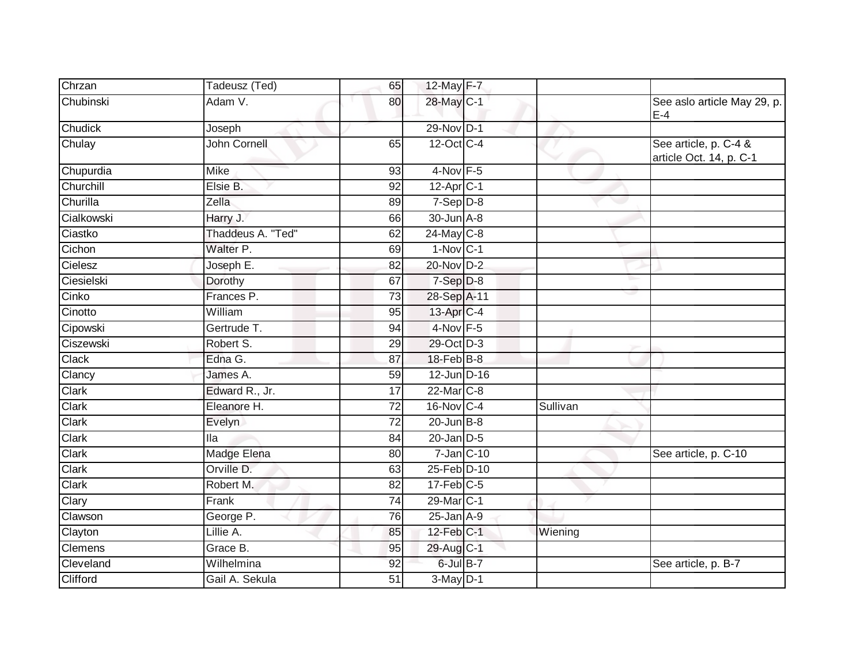| Chrzan         | Tadeusz (Ted)     | 65              | $12$ -May $F-7$        |          |                                                  |
|----------------|-------------------|-----------------|------------------------|----------|--------------------------------------------------|
| Chubinski      | Adam V.           | 80              | 28-May C-1             |          | See aslo article May 29, p.<br>$E-4$             |
| Chudick        | Joseph            |                 | 29-Nov D-1             |          |                                                  |
| Chulay         | John Cornell      | 65              | 12-Oct C-4             |          | See article, p. C-4 &<br>article Oct. 14, p. C-1 |
| Chupurdia      | Mike              | 93              | $4-Nov$ F-5            |          |                                                  |
| Churchill      | Elsie B.          | 92              | 12-Apr <sub>C-1</sub>  |          |                                                  |
| Churilla       | Zella             | 89              | $7-Sep D-8$            |          |                                                  |
| Cialkowski     | Harry J.          | 66              | 30-Jun A-8             |          |                                                  |
| Ciastko        | Thaddeus A. "Ted" | 62              | $24$ -May C-8          |          |                                                  |
| Cichon         | Walter P.         | 69              | $1-Nov$ C-1            |          |                                                  |
| Cielesz        | Joseph E.         | 82              | 20-Nov D-2             |          |                                                  |
| Ciesielski     | Dorothy           | 67              | $7-Sep$ $D-8$          |          |                                                  |
| Cinko          | Frances P.        | 73              | 28-Sep A-11            |          |                                                  |
| Cinotto        | William           | 95              | 13-Apr <sub>IC-4</sub> |          |                                                  |
| Cipowski       | Gertrude T.       | 94              | $4-Nov$ F-5            |          |                                                  |
| Ciszewski      | Robert S.         | 29              | 29-Oct D-3             |          |                                                  |
| Clack          | Edna G.           | 87              | $18$ -Feb $ B-8 $      |          |                                                  |
| Clancy         | James A.          | 59              | 12-Jun D-16            |          |                                                  |
| Clark          | Edward R., Jr.    | 17              | 22-Mar C-8             |          |                                                  |
| Clark          | Eleanore H.       | $\overline{72}$ | 16-Nov C-4             | Sullivan |                                                  |
| <b>Clark</b>   | Evelyn            | 72              | $20$ -Jun $B-8$        |          |                                                  |
| Clark          | lla               | 84              | $20$ -Jan $D-5$        |          |                                                  |
| Clark          | Madge Elena       | 80              | $7$ -Jan $ C-10$       |          | See article, p. C-10                             |
| Clark          | Orville D.        | 63              | 25-Feb D-10            |          |                                                  |
| Clark          | Robert M.         | 82              | $17$ -Feb $C-5$        |          |                                                  |
| Clary          | Frank             | 74              | 29-Mar C-1             |          |                                                  |
| Clawson        | George P.         | 76              | $25$ -Jan $A-9$        |          |                                                  |
| Clayton        | Lillie A.         | 85              | 12-Feb C-1             | Wiening  |                                                  |
| <b>Clemens</b> | Grace B.          | 95              | 29-Aug C-1             |          |                                                  |
| Cleveland      | Wilhelmina        | 92              | 6-Jul B-7              |          | See article, p. B-7                              |
| Clifford       | Gail A. Sekula    | 51              | $3-May$ D-1            |          |                                                  |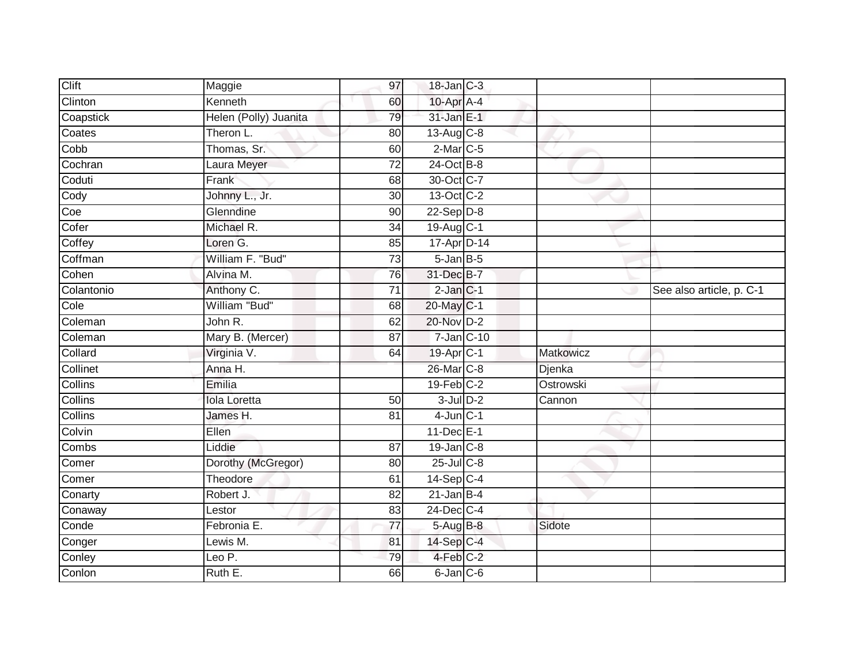| Clift      | Maggie                | 97              | $18$ -Jan $C-3$         |           |                          |
|------------|-----------------------|-----------------|-------------------------|-----------|--------------------------|
| Clinton    | Kenneth               | 60              | 10-Apr A-4              |           |                          |
| Coapstick  | Helen (Polly) Juanita | 79              | 31-Jan E-1              |           |                          |
| Coates     | Theron L.             | 80              | $13-Aug$ <sub>C-8</sub> |           |                          |
| Cobb       | Thomas, Sr.           | 60              | $2$ -Mar $C$ -5         |           |                          |
| Cochran    | Laura Meyer           | $\overline{72}$ | 24-Oct B-8              |           |                          |
| Coduti     | Frank                 | 68              | 30-Oct C-7              |           |                          |
| Cody       | Johnny L., Jr.        | 30              | 13-Oct C-2              |           |                          |
| Coe        | Glenndine             | 90              | $22-Sep D-8$            |           |                          |
| Cofer      | Michael R.            | 34              | 19-Aug C-1              |           |                          |
| Coffey     | Loren G.              | 85              | 17-Apr D-14             |           |                          |
| Coffman    | William F. "Bud"      | 73              | $5 - Jan$ $B - 5$       |           |                          |
| Cohen      | Alvina M.             | 76              | 31-Dec B-7              |           |                          |
| Colantonio | Anthony C.            | 71              | $2$ -Jan $C-1$          |           | See also article, p. C-1 |
| Cole       | William "Bud"         | 68              | 20-May C-1              |           |                          |
| Coleman    | John R.               | 62              | 20-Nov D-2              |           |                          |
| Coleman    | Mary B. (Mercer)      | $\overline{87}$ | $7$ -Jan $ C-10 $       |           |                          |
| Collard    | Virginia V.           | 64              | 19-Apr <sub>IC-1</sub>  | Matkowicz |                          |
| Collinet   | Anna H.               |                 | 26-Mar C-8              | Djenka    |                          |
| Collins    | Emilia                |                 | $19$ -Feb $C-2$         | Ostrowski |                          |
| Collins    | <b>Iola Loretta</b>   | $\overline{50}$ | $3$ -Jul $D-2$          | Cannon    |                          |
| Collins    | James H.              | 81              | $4$ -Jun $C-1$          |           |                          |
| Colvin     | Ellen                 |                 | 11-Dec E-1              |           |                          |
| Combs      | Liddie                | 87              | $19$ -Jan $C-8$         |           |                          |
| Comer      | Dorothy (McGregor)    | 80              | $25$ -Jul $C-8$         |           |                          |
| Comer      | Theodore              | 61              | $14-Sep C-4$            |           |                          |
| Conarty    | Robert J.             | $\overline{82}$ | $21$ -Jan B-4           |           |                          |
| Conaway    | Lestor                | 83              | 24-Dec C-4              |           |                          |
| Conde      | Febronia E.           | 77              | 5-Aug B-8               | Sidote    |                          |
| Conger     | Lewis M.              | 81              | $14-Sep$ C-4            |           |                          |
| Conley     | Leo P.                | 79              | 4-Feb C-2               |           |                          |
| Conlon     | Ruth E.               | 66              | 6-Jan C-6               |           |                          |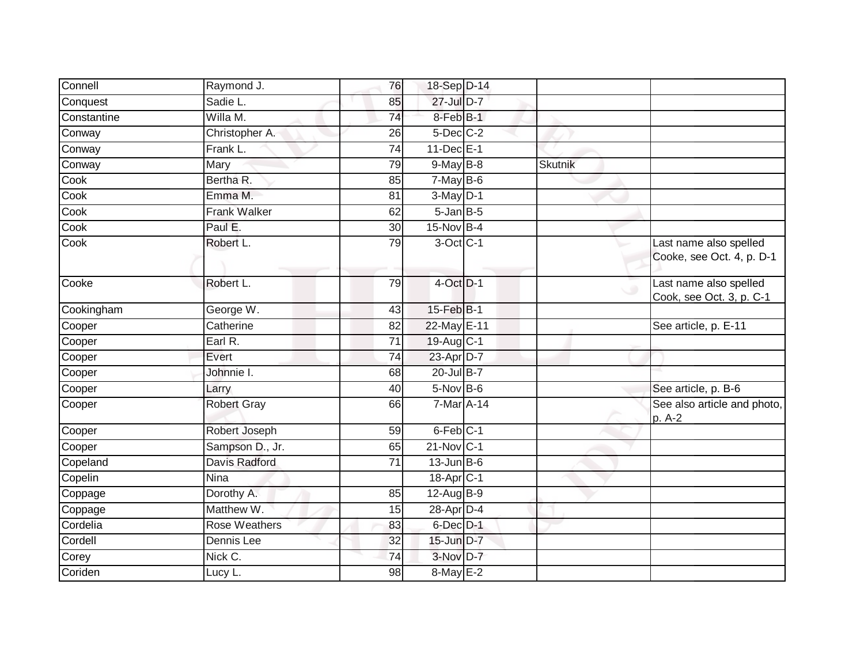| Connell     | Raymond J.           | 76              | 18-Sep D-14           |                |                                                     |
|-------------|----------------------|-----------------|-----------------------|----------------|-----------------------------------------------------|
| Conquest    | Sadie L.             | 85              | 27-Jul D-7            |                |                                                     |
| Constantine | Willa M.             | 74              | 8-Feb B-1             |                |                                                     |
| Conway      | Christopher A.       | 26              | $5$ -Dec $C$ -2       |                |                                                     |
| Conway      | Frank L.             | $\overline{74}$ | 11-Dec E-1            |                |                                                     |
| Conway      | Mary                 | 79              | $9$ -May $B$ -8       | <b>Skutnik</b> |                                                     |
| Cook        | Bertha R.            | 85              | $7$ -May $B$ -6       |                |                                                     |
| Cook        | Emma M.              | 81              | $3-May$ D-1           |                |                                                     |
| Cook        | <b>Frank Walker</b>  | 62              | $5 - JanB - 5$        |                |                                                     |
| Cook        | Paul E.              | $\overline{30}$ | $15-Nov$ B-4          |                |                                                     |
| Cook        | Robert L.            | 79              | $3$ -Oct $C-1$        |                | Last name also spelled<br>Cooke, see Oct. 4, p. D-1 |
| Cooke       | Robert L.            | 79              | $4$ -Oct $D-1$        |                | Last name also spelled<br>Cook, see Oct. 3, p. C-1  |
| Cookingham  | George W.            | 43              | 15-Feb B-1            |                |                                                     |
| Cooper      | Catherine            | 82              | 22-May E-11           |                | See article, p. E-11                                |
| Cooper      | Earl R.              | 71              | 19-Aug C-1            |                |                                                     |
| Cooper      | Evert                | 74              | 23-Apr D-7            |                |                                                     |
| Cooper      | Johnnie I.           | 68              | 20-Jul B-7            |                |                                                     |
| Cooper      | Larry                | 40              | $5-Nov$ B-6           |                | See article, p. B-6                                 |
| Cooper      | Robert Gray          | 66              | 7-Mar A-14            |                | See also article and photo,<br>p. A-2               |
| Cooper      | Robert Joseph        | 59              | 6-Feb C-1             |                |                                                     |
| Cooper      | Sampson D., Jr.      | 65              | $21-Nov$ C-1          |                |                                                     |
| Copeland    | <b>Davis Radford</b> | $\overline{71}$ | $13$ -Jun $B$ -6      |                |                                                     |
| Copelin     | Nina                 |                 | 18-Apr <sub>C-1</sub> |                |                                                     |
| Coppage     | Dorothy A.           | 85              | 12-Aug B-9            |                |                                                     |
| Coppage     | Matthew W.           | 15              | 28-Apr D-4            |                |                                                     |
| Cordelia    | <b>Rose Weathers</b> | 83              | 6-Dec D-1             |                |                                                     |
| Cordell     | Dennis Lee           | 32              | 15-Jun D-7            |                |                                                     |
| Corey       | Nick C.              | $\overline{74}$ | 3-Nov D-7             |                |                                                     |
| Coriden     | Lucy L.              | 98              | 8-May E-2             |                |                                                     |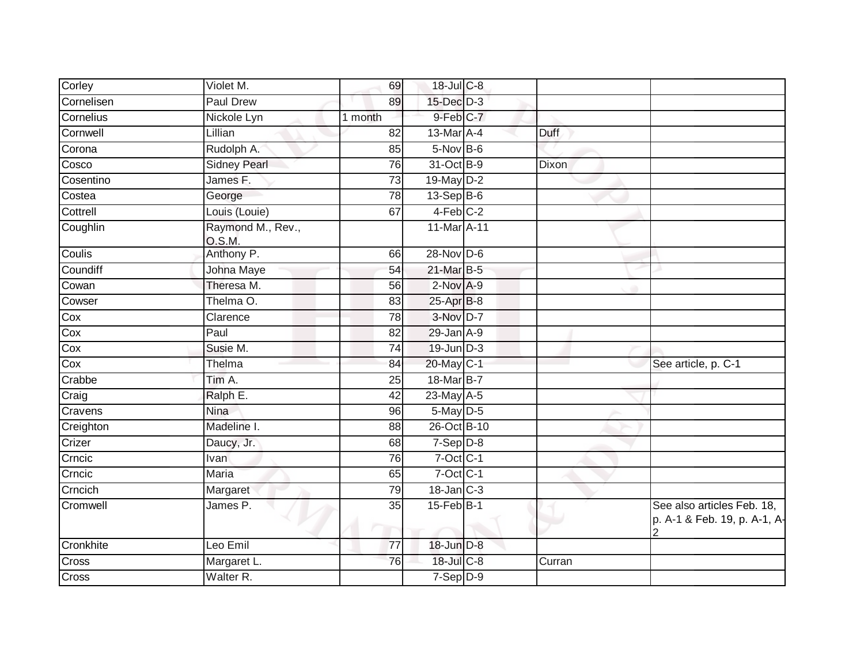| Corley     | Violet M.                   | 69                               | 18-Jul C-8       |             |                                                            |
|------------|-----------------------------|----------------------------------|------------------|-------------|------------------------------------------------------------|
| Cornelisen | <b>Paul Drew</b>            | 89                               | 15-Dec D-3       |             |                                                            |
| Cornelius  | Nickole Lyn                 | 1 month                          | 9-Feb C-7        |             |                                                            |
| Cornwell   | Lillian                     | 82                               | 13-Mar A-4       | <b>Duff</b> |                                                            |
| Corona     | Rudolph A.                  | 85                               | $5-Nov$ B-6      |             |                                                            |
| Cosco      | <b>Sidney Pearl</b>         | 76                               | 31-Oct B-9       | Dixon       |                                                            |
| Cosentino  | James F.                    | 73                               | 19-May D-2       |             |                                                            |
| Costea     | George                      | 78                               | $13-Sep$ B-6     |             |                                                            |
| Cottrell   | Louis (Louie)               | 67                               | 4-Feb C-2        |             |                                                            |
| Coughlin   | Raymond M., Rev.,<br>O.S.M. |                                  | 11-Mar A-11      |             |                                                            |
| Coulis     | Anthony P.                  | 66                               | $28 - Nov$ $D-6$ |             |                                                            |
| Coundiff   | Johna Maye                  | 54                               | 21-Mar B-5       |             |                                                            |
| Cowan      | Theresa M.                  | 56                               | $2$ -Nov $A-9$   |             |                                                            |
| Cowser     | Thelma O.                   | 83                               | 25-Apr B-8       |             |                                                            |
| Cox        | Clarence                    | 78                               | $3-Nov$ D-7      |             |                                                            |
| Cox        | Paul                        | 82                               | 29-Jan A-9       |             |                                                            |
| Cox        | Susie M.                    | 74                               | $19$ -Jun $D-3$  |             |                                                            |
| Cox        | Thelma                      | 84                               | 20-May C-1       |             | See article, p. C-1                                        |
| Crabbe     | Tim A.                      | 25                               | 18-Mar B-7       |             |                                                            |
| Craig      | Ralph E.                    | $\overline{42}$                  | $23$ -May $A-5$  |             |                                                            |
| Cravens    | <b>Nina</b>                 | 96                               | 5-May D-5        |             |                                                            |
| Creighton  | Madeline I.                 | 88                               | 26-Oct B-10      |             |                                                            |
| Crizer     | Daucy, Jr.                  | 68                               | $7-Sep$ $D-8$    |             |                                                            |
| Crncic     | Ivan                        | 76                               | $7$ -Oct $C-1$   |             |                                                            |
| Crncic     | <b>Maria</b>                | 65                               | $7$ -Oct $C-1$   |             |                                                            |
| Crncich    | Margaret                    | 79                               | $18$ -Jan $C-3$  |             |                                                            |
| Cromwell   | James P.                    | $\overline{35}$<br><b>The Co</b> | 15-Feb B-1       |             | See also articles Feb. 18,<br>p. A-1 & Feb. 19, p. A-1, A- |
| Cronkhite  | Leo Emil                    | 77                               | 18-Jun D-8       |             |                                                            |
| Cross      | Margaret L.                 | 76                               | 18-Jul C-8       | Curran      |                                                            |
| Cross      | Walter R.                   |                                  | $7-Sep$ D-9      |             |                                                            |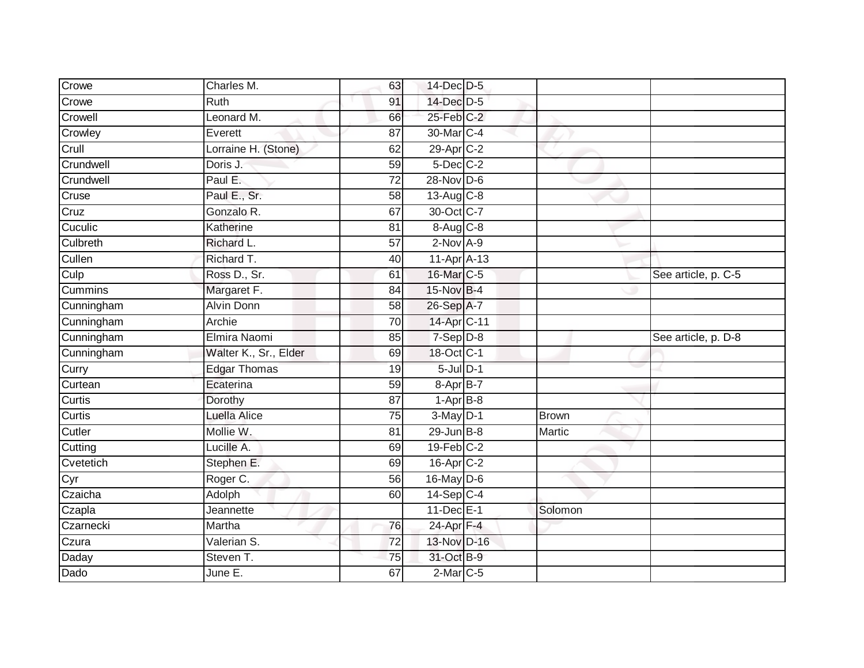| Crowe                                        | Charles M.            | 63              | 14-Dec D-5                    |         |                     |
|----------------------------------------------|-----------------------|-----------------|-------------------------------|---------|---------------------|
| Crowe                                        | <b>Ruth</b>           | 91              | 14-Dec D-5                    |         |                     |
| Crowell                                      | Leonard M.            | 66              | 25-Feb C-2                    |         |                     |
| Crowley                                      | Everett               | 87              | 30-Mar C-4                    |         |                     |
| Crull                                        | Lorraine H. (Stone)   | 62              | 29-Apr C-2                    |         |                     |
| Crundwell                                    | Doris J.              | 59              | $5$ -Dec $C$ -2               |         |                     |
| Crundwell                                    | Paul E.               | $\overline{72}$ | $28-Nov$ D-6                  |         |                     |
| Cruse                                        | Paul E., Sr.          | 58              | $13-Aug$ $C-8$                |         |                     |
| Cruz                                         | Gonzalo R.            | 67              | 30-Oct C-7                    |         |                     |
| Cuculic                                      | Katherine             | 81              | 8-Aug C-8                     |         |                     |
| Culbreth                                     | Richard L.            | 57              | $2-Nov A-9$                   |         |                     |
| Cullen                                       | Richard T.            | 40              | $11-Apr$ A-13                 |         |                     |
| Culp                                         | Ross D., Sr.          | 61              | 16-Mar C-5                    |         | See article, p. C-5 |
| Cummins                                      | Margaret F.           | 84              | 15-Nov B-4                    |         |                     |
| Cunningham                                   | <b>Alvin Donn</b>     | 58              | 26-Sep A-7                    |         |                     |
| Cunningham                                   | Archie                | 70              | 14-Apr C-11                   |         |                     |
|                                              |                       |                 |                               |         |                     |
| Cunningham                                   | Elmira Naomi          | 85              | $7-Sep$ $D-8$                 |         | See article, p. D-8 |
| Cunningham                                   | Walter K., Sr., Elder | 69              | 18-Oct C-1                    |         |                     |
| Curry                                        | <b>Edgar Thomas</b>   | 19              | $5$ -Jul $D-1$                |         |                     |
|                                              | Ecaterina             | 59              | 8-Apr B-7                     |         |                     |
|                                              | Dorothy               | 87              | $1-AprB-8$                    |         |                     |
|                                              | Luella Alice          | 75              | $3-May$ $D-1$                 | Brown   |                     |
| Curtean<br>Curtis<br><b>Curtis</b><br>Cutler | Mollie W.             | 81              | $29$ -Jun $B - 8$             | Martic  |                     |
| Cutting                                      | Lucille A.            | 69              | $19$ -Feb $C-2$               |         |                     |
|                                              | Stephen E.            | 69              | 16-Apr C-2                    |         |                     |
|                                              | Roger C.              | 56              | 16-May D-6                    |         |                     |
| Cvetetich<br>Cyr<br>Czaicha                  | Adolph                | 60              | 14-Sep C-4                    |         |                     |
| Czapla                                       | Jeannette             |                 | 11-Dec E-1                    | Solomon |                     |
|                                              | Martha                | 76              | 24-Apr $F-4$                  |         |                     |
| Czarnecki<br>Czura                           | Valerian S.           | $\overline{72}$ | 13-Nov D-16                   |         |                     |
| Daday<br>Dado                                | Steven T.<br>June E.  | $\overline{75}$ | 31-Oct B-9<br>$2$ -Mar $C$ -5 |         |                     |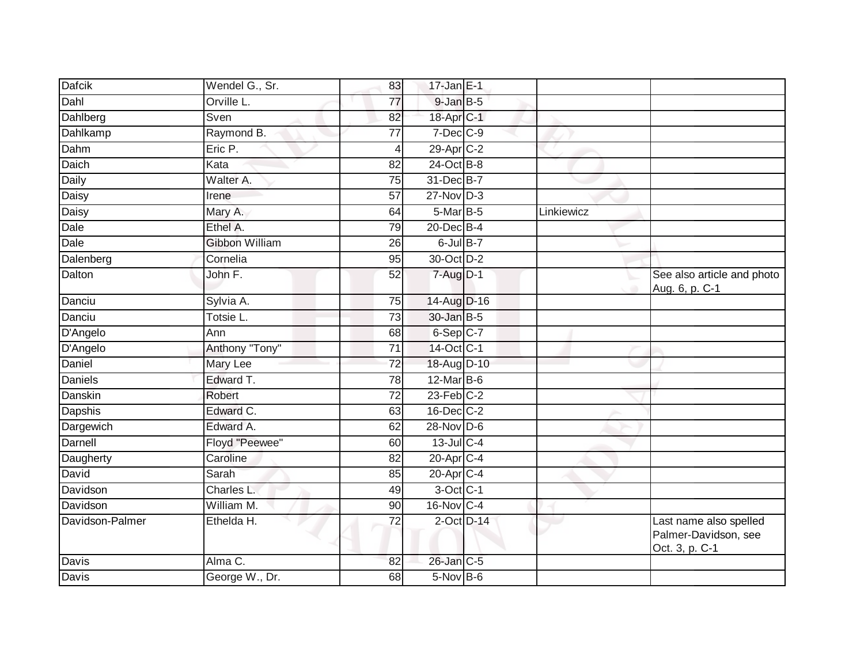| <b>Dafcik</b>   | Wendel G., Sr. | 83              | $17$ -Jan E-1    |            |                                                                  |
|-----------------|----------------|-----------------|------------------|------------|------------------------------------------------------------------|
| Dahl            | Orville L.     | 77              | $9$ -Jan $B$ -5  |            |                                                                  |
| Dahlberg        | Sven           | 82              | 18-Apr C-1       |            |                                                                  |
| Dahlkamp        | Raymond B.     | 77              | 7-Dec C-9        |            |                                                                  |
| Dahm            | Eric P.        | $\overline{4}$  | 29-Apr C-2       |            |                                                                  |
| Daich           | Kata           | 82              | 24-Oct B-8       |            |                                                                  |
| <b>Daily</b>    | Walter A.      | 75              | 31-Dec B-7       |            |                                                                  |
| Daisy           | Irene          | 57              | $27$ -Nov D-3    |            |                                                                  |
| Daisy           | Mary A.        | 64              | 5-Mar B-5        | Linkiewicz |                                                                  |
| Dale            | Ethel A.       | 79              | 20-Dec B-4       |            |                                                                  |
| Dale            | Gibbon William | 26              | $6$ -Jul B-7     |            |                                                                  |
| Dalenberg       | Cornelia       | 95              | 30-Oct D-2       |            |                                                                  |
| Dalton          | John F.        | 52              | $7 - Aug$ $D-1$  |            | See also article and photo<br>Aug. 6, p. C-1                     |
| Danciu          | Sylvia A.      | 75              | 14-Aug D-16      |            |                                                                  |
| Danciu          | Totsie L.      | $\overline{73}$ | 30-Jan B-5       |            |                                                                  |
| D'Angelo        | Ann            | 68              | 6-Sep C-7        |            |                                                                  |
| D'Angelo        | Anthony "Tony" | 71              | 14-Oct C-1       |            |                                                                  |
| Daniel          | Mary Lee       | $\overline{72}$ | 18-Aug D-10      |            |                                                                  |
| <b>Daniels</b>  | Edward T.      | 78              | $12$ -Mar $B$ -6 |            |                                                                  |
| Danskin         | Robert         | $\overline{72}$ | $23$ -Feb $C-2$  |            |                                                                  |
| Dapshis         | Edward C.      | 63              | $16$ -Dec $C-2$  |            |                                                                  |
| Dargewich       | Edward A.      | 62              | 28-Nov D-6       |            |                                                                  |
| Darnell         | Floyd "Peewee" | 60              | 13-Jul C-4       |            |                                                                  |
| Daugherty       | Caroline       | 82              | 20-Apr C-4       |            |                                                                  |
| David           | Sarah          | 85              | $20$ -Apr $C-4$  |            |                                                                  |
| Davidson        | Charles L.     | 49              | $3$ -Oct $C-1$   |            |                                                                  |
| Davidson        | William M.     | 90              | 16-Nov C-4       |            |                                                                  |
| Davidson-Palmer | Ethelda H.     | $\overline{72}$ | $2$ -Oct $D-14$  |            | Last name also spelled<br>Palmer-Davidson, see<br>Oct. 3, p. C-1 |
| Davis           | Alma C.        | 82              | 26-Jan C-5       |            |                                                                  |
| <b>Davis</b>    | George W., Dr. | 68              | 5-Nov B-6        |            |                                                                  |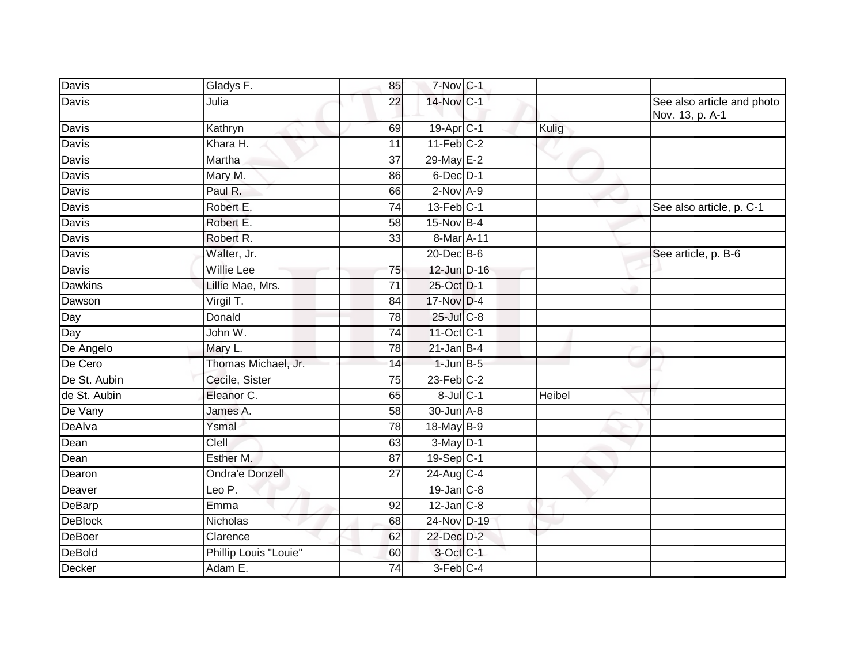| <b>Davis</b>   | Gladys F.              | 85              | 7-Nov C-1             |               |                                               |
|----------------|------------------------|-----------------|-----------------------|---------------|-----------------------------------------------|
| Davis          | Julia                  | 22              | 14-Nov C-1            |               | See also article and photo<br>Nov. 13, p. A-1 |
| Davis          | Kathryn                | 69              | 19-Apr <sub>C-1</sub> | Kulig         |                                               |
| Davis          | Khara H.               | 11              | $11-Feb$ C-2          |               |                                               |
| Davis          | Martha                 | $\overline{37}$ | 29-May E-2            | ▽             |                                               |
| Davis          | Mary M.                | 86              | $6$ -Dec $D-1$        |               |                                               |
| Davis          | Paul R.                | 66              | $2$ -Nov $A-9$        |               |                                               |
| <b>Davis</b>   | Robert E.              | $\overline{74}$ | $13$ -Feb $ C-1 $     |               | See also article, p. C-1                      |
| Davis          | Robert E.              | 58              | $15-Nov$ B-4          |               |                                               |
| Davis          | Robert R.              | 33              | 8-Mar A-11            |               |                                               |
| Davis          | Walter, Jr.            |                 | 20-Dec B-6            |               | See article, p. B-6                           |
| Davis          | <b>Willie Lee</b>      | $\overline{75}$ | 12-Jun D-16           |               |                                               |
| <b>Dawkins</b> | Lillie Mae, Mrs.       | $\overline{71}$ | 25-Oct D-1            |               |                                               |
| Dawson         | Virgil T.              | 84              | 17-Nov D-4            |               |                                               |
| Day            | Donald                 | 78              | 25-Jul C-8            |               |                                               |
| Day            | John W.                | 74              | 11-Oct C-1            |               |                                               |
| De Angelo      | Mary L.                | 78              | $21$ -Jan B-4         |               |                                               |
| De Cero        | Thomas Michael, Jr.    | 14              | $1$ -Jun $B$ -5       |               |                                               |
| De St. Aubin   | Cecile, Sister         | 75              | $23$ -Feb $C-2$       |               |                                               |
| de St. Aubin   | Eleanor C.             | 65              | 8-Jul C-1             | <b>Heibel</b> |                                               |
| De Vany        | James A.               | 58              | 30-Jun A-8            |               |                                               |
| DeAlva         | Ysmal                  | 78              | 18-May B-9            |               |                                               |
| Dean           | Clell                  | 63              | $3-May$ D-1           |               |                                               |
| Dean           | Esther M.              | 87              | 19-Sep C-1            |               |                                               |
| Dearon         | <b>Ondra'e Donzell</b> | $\overline{27}$ | 24-Aug C-4            |               |                                               |
| Deaver         | Leo P.                 |                 | $19$ -Jan $C-8$       |               |                                               |
| DeBarp         | Emma                   | 92              | $12$ -Jan $C-8$       |               |                                               |
| <b>DeBlock</b> | <b>Nicholas</b>        | 68              | 24-Nov D-19           |               |                                               |
| <b>DeBoer</b>  | Clarence               | 62              | 22-Dec D-2            |               |                                               |
| <b>DeBold</b>  | Phillip Louis "Louie"  | 60              | 3-Oct C-1             |               |                                               |
| Decker         | Adam E.                | 74              | 3-Feb C-4             |               |                                               |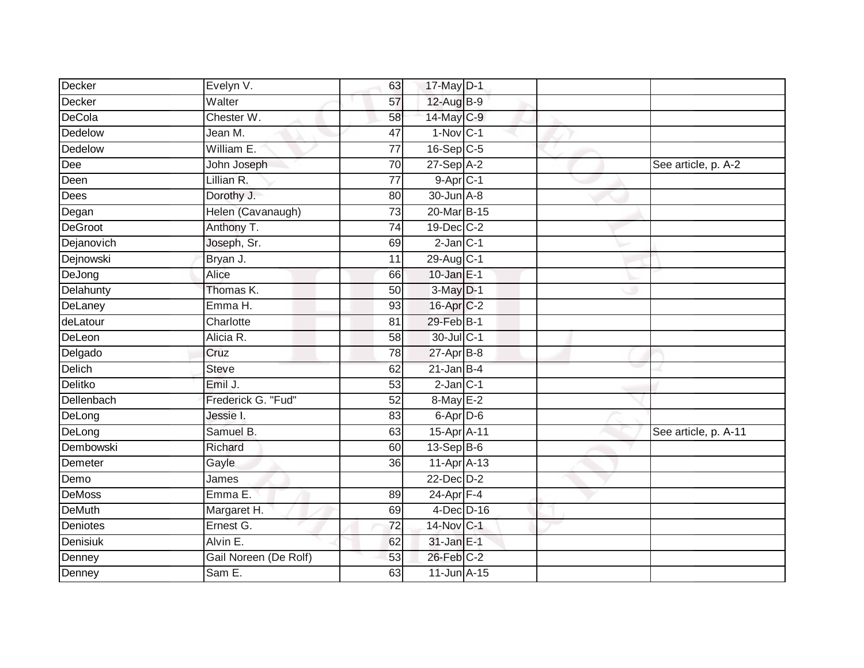| Decker         | Evelyn V.             | 63              | 17-May D-1             |  |                      |
|----------------|-----------------------|-----------------|------------------------|--|----------------------|
| Decker         | Walter                | 57              | 12-Aug B-9             |  |                      |
| DeCola         | Chester W.            | 58              | 14-May C-9             |  |                      |
| Dedelow        | Jean M.               | 47              | $1-Nov$ <sub>C-1</sub> |  |                      |
| Dedelow        | William E.            | $\overline{77}$ | $16-Sep$ C-5           |  |                      |
| Dee            | John Joseph           | 70              | 27-Sep A-2             |  | See article, p. A-2  |
| Deen           | Lillian R.            | $\overline{77}$ | $9-$ Apr $C-1$         |  |                      |
| Dees           | Dorothy J.            | 80              | 30-Jun A-8             |  |                      |
| Degan          | Helen (Cavanaugh)     | $\overline{73}$ | 20-Mar B-15            |  |                      |
| <b>DeGroot</b> | Anthony T.            | 74              | 19-Dec C-2             |  |                      |
| Dejanovich     | Joseph, Sr.           | 69              | $2$ -Jan $C-1$         |  |                      |
| Dejnowski      | Bryan J.              | 11              | 29-Aug C-1             |  |                      |
| DeJong         | Alice                 | 66              | 10-Jan $E-1$           |  |                      |
| Delahunty      | Thomas K.             | 50              | $3-May$ $D-1$          |  |                      |
| DeLaney        | Emma H.               | 93              | 16-Apr C-2             |  |                      |
| deLatour       | Charlotte             | 81              | 29-Feb B-1             |  |                      |
| DeLeon         | Alicia R.             | $\overline{58}$ | 30-Jul C-1             |  |                      |
| Delgado        | Cruz                  | 78              | $27$ -Apr $B-8$        |  |                      |
| Delich         | <b>Steve</b>          | 62              | $21$ -Jan $B-4$        |  |                      |
| Delitko        | Emil J.               | 53              | $2$ -Jan $C-1$         |  |                      |
| Dellenbach     | Frederick G. "Fud"    | 52              | 8-May E-2              |  |                      |
| DeLong         | Jessie I.             | 83              | 6-Apr D-6              |  |                      |
| DeLong         | Samuel B.             | 63              | 15-Apr A-11            |  | See article, p. A-11 |
| Dembowski      | Richard               | 60              | $13-Sep B-6$           |  |                      |
| Demeter        | Gayle                 | 36              | 11-Apr A-13            |  |                      |
| Demo           | James                 |                 | 22-Dec D-2             |  |                      |
| <b>DeMoss</b>  | Emma E.               | 89              | $24$ -Apr $F-4$        |  |                      |
| <b>DeMuth</b>  | Margaret H.           | 69              | $4$ -Dec $D-16$        |  |                      |
| Deniotes       | Ernest G.             | 72              | 14-Nov C-1             |  |                      |
| Denisiuk       | Alvin E.              | 62              | 31-Jan E-1             |  |                      |
| Denney         | Gail Noreen (De Rolf) | $\overline{53}$ | 26-Feb C-2             |  |                      |
| Denney         | Sam E.                | 63              | 11-Jun A-15            |  |                      |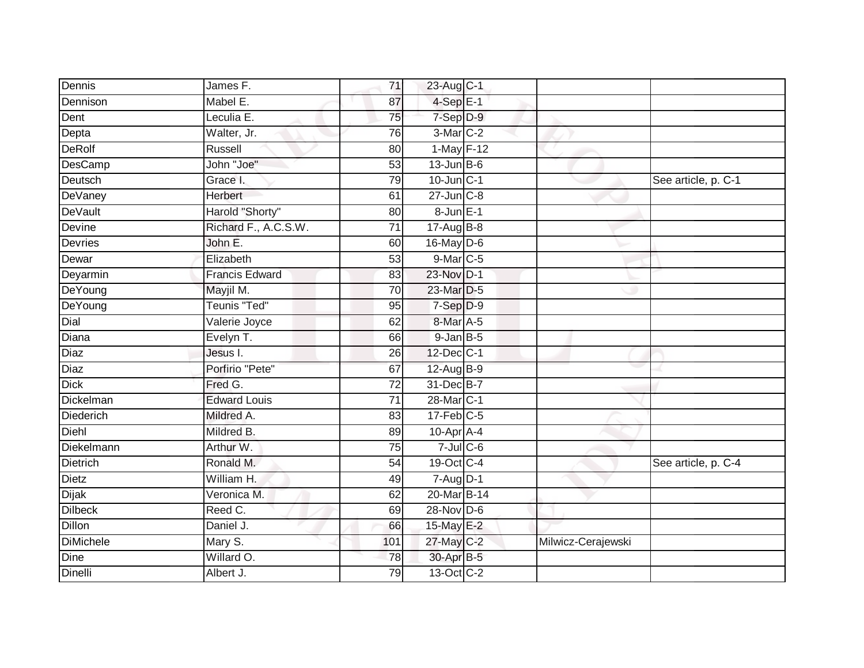| Dennis         | James F.              | 71              | 23-Aug C-1                      |                    |                     |
|----------------|-----------------------|-----------------|---------------------------------|--------------------|---------------------|
| Dennison       | Mabel E.              | 87              | $4-SepE-1$                      |                    |                     |
| Dent           | Leculia E.            | 75              | 7-Sep D-9                       |                    |                     |
| Depta          | Walter, Jr.           | 76              | 3-Mar <sub>C-2</sub>            |                    |                     |
| <b>DeRolf</b>  | Russell               | $\overline{80}$ | $1-May$ F-12                    |                    |                     |
| DesCamp        | John "Joe"            | 53              | $13$ -Jun $B$ -6                |                    |                     |
| Deutsch        | Grace I.              | 79              | $10$ -Jun $C-1$                 |                    | See article, p. C-1 |
| DeVaney        | Herbert               | 61              | $27$ -Jun $C-8$                 |                    |                     |
| DeVault        | Harold "Shorty"       | 80              | $8$ -Jun $E-1$                  |                    |                     |
| Devine         | Richard F., A.C.S.W.  | $\overline{71}$ | 17-Aug B-8                      |                    |                     |
| <b>Devries</b> | John E.               | 60              | 16-May D-6                      |                    |                     |
| Dewar          | Elizabeth             | 53              | 9-Mar C-5                       |                    |                     |
| Deyarmin       | <b>Francis Edward</b> | 83              | 23-Nov D-1                      |                    |                     |
| DeYoung        | Mayjil M.             | 70              | 23-Mar D-5                      |                    |                     |
| DeYoung        | Teunis "Ted"          | $\overline{95}$ | 7-Sep D-9                       |                    |                     |
| Dial           | Valerie Joyce         | 62              | 8-Mar A-5                       |                    |                     |
| Diana          | Evelyn T.             | 66              | $9$ -Jan $B$ -5                 |                    |                     |
| Diaz           | Jesus I.              | 26              | 12-Dec C-1                      |                    |                     |
| Diaz           | Porfirio "Pete"       | 67              | 12-Aug B-9                      |                    |                     |
| <b>Dick</b>    | Fred G.               | $\overline{72}$ | 31-Dec B-7                      |                    |                     |
| Dickelman      | <b>Edward Louis</b>   | 71              | 28-Mar C-1                      |                    |                     |
| Diederich      | Mildred A.            | 83              | $17$ -Feb $C-5$                 |                    |                     |
| Diehl          | Mildred B.            | 89              | 10-Apr A-4                      |                    |                     |
| Diekelmann     | Arthur W.             | 75              | $7 -$ Jul $C - 6$               |                    |                     |
| Dietrich       | Ronald M.             | 54              | 19-Oct C-4                      |                    | See article, p. C-4 |
| Dietz          | William H.            | 49              | $7 - \text{Aug}$ <sub>D-1</sub> |                    |                     |
| Dijak          | Veronica M.           | 62              | 20-Mar B-14                     |                    |                     |
| <b>Dilbeck</b> | Reed C.               | 69              | 28-Nov D-6                      |                    |                     |
| <b>Dillon</b>  | Daniel J.             | 66              | 15-May E-2                      |                    |                     |
| DiMichele      | Mary S.               | 101             | 27-May C-2                      | Milwicz-Cerajewski |                     |
| <b>Dine</b>    | Willard O.            | 78              | 30-Apr B-5                      |                    |                     |
| <b>Dinelli</b> | Albert J.             | 79              | 13-Oct C-2                      |                    |                     |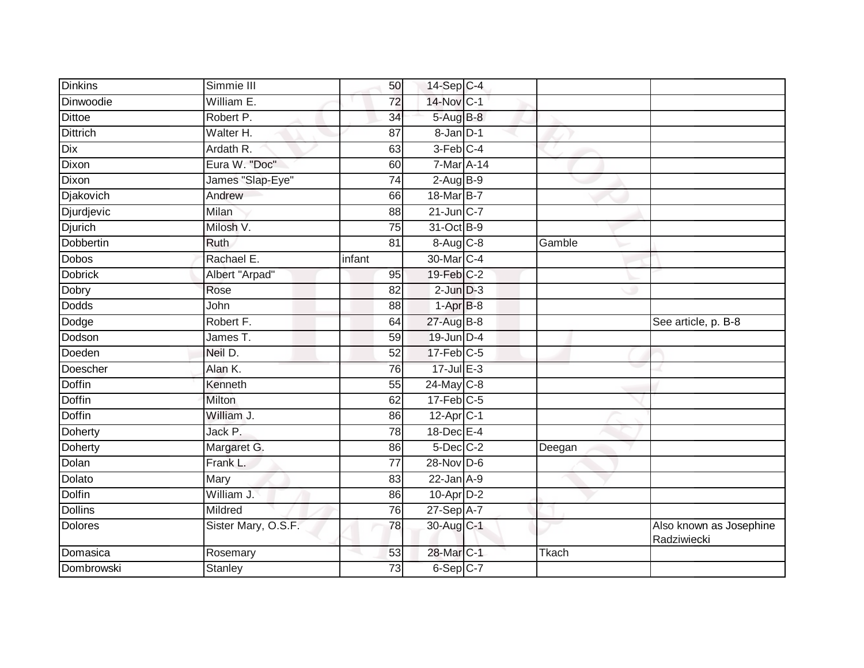| <b>Dinkins</b>   | Simmie III          | 50              | 14-Sep C-4              |              |                                        |
|------------------|---------------------|-----------------|-------------------------|--------------|----------------------------------------|
| <b>Dinwoodie</b> | William E.          | 72              | 14-Nov C-1              |              |                                        |
| <b>Dittoe</b>    | Robert P.           | 34              | 5-Aug B-8               |              |                                        |
| <b>Dittrich</b>  | Walter H.           | 87              | 8-Jan D-1               |              |                                        |
| Dix              | Ardath R.           | 63              | $3-Feb$ <sub>C-4</sub>  |              |                                        |
| Dixon            | Eura W. "Doc"       | 60              | 7-Mar A-14              |              |                                        |
| Dixon            | James "Slap-Eye"    | 74              | $2$ -Aug $B-9$          |              |                                        |
| Djakovich        | Andrew              | 66              | 18-Mar B-7              |              |                                        |
| Djurdjevic       | <b>Milan</b>        | 88              | $21$ -Jun $C-7$         |              |                                        |
| <b>Djurich</b>   | Milosh V.           | $\overline{75}$ | 31-Oct B-9              |              |                                        |
| Dobbertin        | Ruth                | 81              | 8-Aug C-8               | Gamble       |                                        |
| Dobos            | Rachael E.          | infant          | 30-Mar C-4              |              |                                        |
| <b>Dobrick</b>   | Albert "Arpad"      | 95              | 19-Feb C-2              |              |                                        |
| Dobry            | Rose                | 82              | $2$ -Jun $D-3$          |              |                                        |
| <b>Dodds</b>     | John                | 88              | $1-AprB-8$              |              |                                        |
| Dodge            | Robert F.           | 64              | 27-Aug B-8              |              | See article, p. B-8                    |
| Dodson           | James T.            | 59              | 19-Jun D-4              |              |                                        |
| Doeden           | Neil D.             | 52              | $17$ -Feb $C$ -5        |              |                                        |
| Doescher         | Alan K.             | 76              | $17 -$ Jul E-3          |              |                                        |
| <b>Doffin</b>    | Kenneth             | 55              | $24$ -May C-8           |              |                                        |
| Doffin           | Milton              | 62              | $17$ -Feb $ C-5$        |              |                                        |
| <b>Doffin</b>    | William J.          | 86              | $12-Apr$ <sub>C-1</sub> |              |                                        |
| Doherty          | Jack P.             | 78              | $18$ -Dec $E-4$         |              |                                        |
| Doherty          | Margaret G.         | 86              | $5$ -Dec $C$ -2         | Deegan       |                                        |
| Dolan            | Frank L.            | 77              | 28-Nov D-6              |              |                                        |
| Dolato           | Mary                | 83              | $22$ -Jan $A-9$         |              |                                        |
| <b>Dolfin</b>    | William J.          | 86              | $10$ -Apr $D-2$         |              |                                        |
| <b>Dollins</b>   | Mildred             | 76              | 27-Sep A-7              |              |                                        |
| <b>Dolores</b>   | Sister Mary, O.S.F. | 78              | 30-Aug C-1              |              | Also known as Josephine<br>Radziwiecki |
| Domasica         | Rosemary            | 53              | 28-Mar C-1              | <b>Tkach</b> |                                        |
| Dombrowski       | <b>Stanley</b>      | 73              | $6-Sep$ $C-7$           |              |                                        |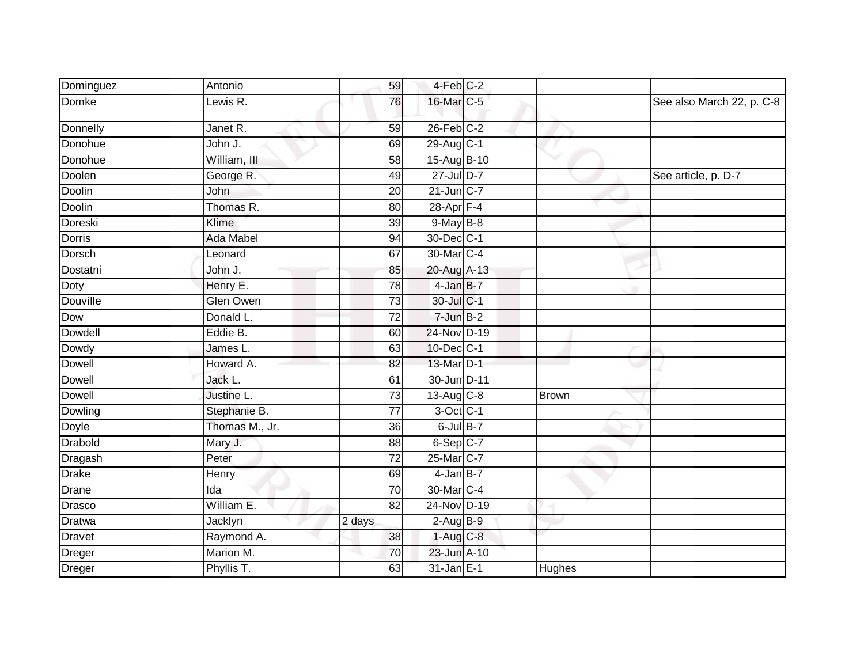| Dominguez     | Antonio          | 59              | 4-Feb C-2               |              |                           |
|---------------|------------------|-----------------|-------------------------|--------------|---------------------------|
| Domke         | Lewis R.         | 76              | 16-Mar C-5              |              | See also March 22, p. C-8 |
| Donnelly      | Janet R.         | 59              | $26$ -Feb $C-2$         |              |                           |
| Donohue       | John J.          | 69              | 29-Aug C-1              |              |                           |
| Donohue       | William, III     | 58              | 15-Aug B-10             |              |                           |
| Doolen        | George R.        | 49              | $27$ -Jul D-7           |              | See article, p. D-7       |
| Doolin        | John             | 20              | $21$ -Jun C-7           |              |                           |
| <b>Doolin</b> | Thomas R.        | $\overline{80}$ | $28$ -Apr $F-4$         |              |                           |
| Doreski       | Klime            | 39              | $9$ -May $B$ -8         |              |                           |
| <b>Dorris</b> | <b>Ada Mabel</b> | 94              | 30-Dec C-1              |              |                           |
| Dorsch        | Leonard          | 67              | 30-Mar <sub>C</sub> -4  |              |                           |
| Dostatni      | John J.          | 85              | 20-Aug A-13             |              |                           |
| Doty          | Henry E.         | 78              | 4-Jan B-7               |              |                           |
| Douville      | Glen Owen        | 73              | 30-Jul C-1              |              |                           |
| Dow           | Donald L.        | $\overline{72}$ | $7$ -Jun $B-2$          |              |                           |
| Dowdell       | Eddie B.         | 60              | 24-Nov D-19             |              |                           |
| Dowdy         | James L.         | 63              | 10-Dec C-1              |              |                           |
| <b>Dowell</b> | Howard A.        | 82              | 13-Mar D-1              |              |                           |
| <b>Dowell</b> | Jack L.          | 61              | 30-Jun D-11             |              |                           |
| <b>Dowell</b> | Justine L.       | 73              | $13-Aug$ <sub>C-8</sub> | <b>Brown</b> |                           |
| Dowling       | Stephanie B.     | 77              | $3$ -Oct C-1            |              |                           |
| Doyle         | Thomas M., Jr.   | $\overline{36}$ | $6$ -Jul $B-7$          |              |                           |
| Drabold       | Mary J.          | 88              | $6-Sep$ $C-7$           |              |                           |
| Dragash       | Peter            | 72              | 25-Mar C-7              |              |                           |
| <b>Drake</b>  | Henry            | 69              | $4$ -Jan B-7            |              |                           |
| Drane         | Ida              | 70              | 30-Mar C-4              |              |                           |
| Drasco        | William E.       | 82              | 24-Nov D-19             |              |                           |
| Dratwa        | Jacklyn          | 2 days          | $2-Aug$ B-9             |              |                           |
| Dravet        | Raymond A.       | 38              | 1-Aug C-8               |              |                           |
| Dreger        | Marion M.        | 70              | 23-Jun A-10             |              |                           |
| Dreger        | Phyllis T.       | 63              | 31-Jan E-1              | Hughes       |                           |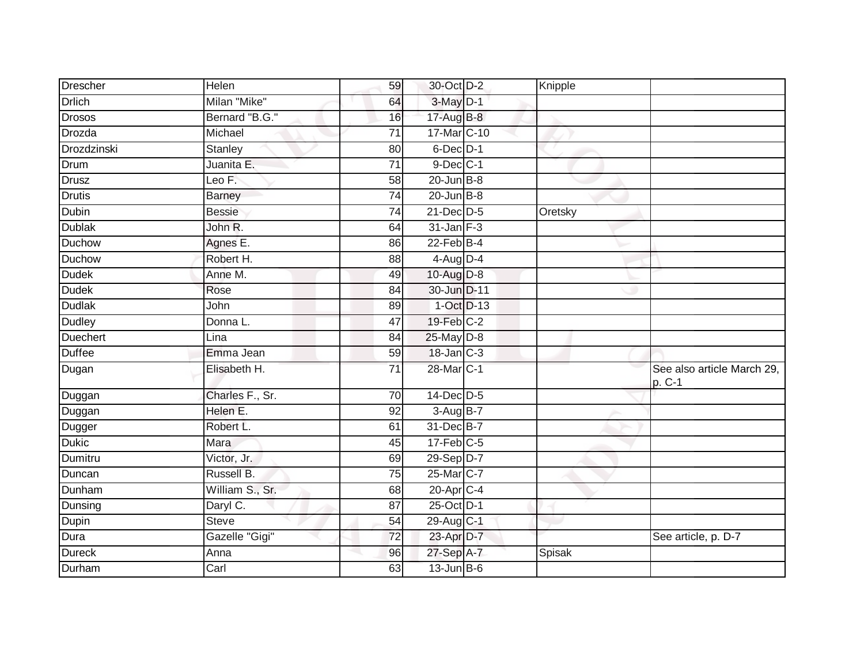| Drescher      | Helen           | 59              | 30-Oct D-2         | Knipple |                                      |
|---------------|-----------------|-----------------|--------------------|---------|--------------------------------------|
| <b>Drlich</b> | Milan "Mike"    | 64              | $3-May$ D-1        |         |                                      |
| <b>Drosos</b> | Bernard "B.G."  | 16              | 17-Aug B-8         |         |                                      |
| Drozda        | Michael         | 71              | $17$ -Mar $ C-10 $ |         |                                      |
| Drozdzinski   | Stanley         | 80              | $6$ -Dec $D-1$     |         |                                      |
| Drum          | Juanita E.      | 71              | $9$ -Dec $C-1$     |         |                                      |
| <b>Drusz</b>  | Leo F.          | 58              | $20$ -Jun $B-8$    |         |                                      |
| <b>Drutis</b> | Barney          | $\overline{74}$ | $20$ -Jun $B-8$    |         |                                      |
| Dubin         | <b>Bessie</b>   | 74              | 21-Dec D-5         | Oretsky |                                      |
| <b>Dublak</b> | John R.         | 64              | $31$ -Jan $F-3$    |         |                                      |
| Duchow        | Agnes E.        | 86              | $22$ -Feb $B-4$    |         |                                      |
| Duchow        | Robert H.       | 88              | $4$ -Aug D-4       |         |                                      |
| <b>Dudek</b>  | Anne M.         | 49              | 10-Aug D-8         |         |                                      |
| <b>Dudek</b>  | Rose            | 84              | 30-Jun D-11        |         |                                      |
| Dudlak        | John            | 89              | $1-Oct$ $D-13$     |         |                                      |
| <b>Dudley</b> | Donna L.        | 47              | 19-Feb C-2         |         |                                      |
| Duechert      | Lina            | 84              | $25$ -May $D-8$    |         |                                      |
| Duffee        | Emma Jean       | 59              | $18$ -Jan $C-3$    |         |                                      |
| Dugan         | Elisabeth H.    | 71              | 28-Mar C-1         |         | See also article March 29,<br>p. C-1 |
| Duggan        | Charles F., Sr. | $\overline{70}$ | $14$ -Dec $D-5$    |         |                                      |
| Duggan        | Helen E.        | 92              | 3-Aug B-7          |         |                                      |
| Dugger        | Robert L.       | 61              | 31-Dec B-7         |         |                                      |
| Dukic         | Mara            | 45              | $17$ -Feb $C-5$    |         |                                      |
| Dumitru       | Victor, Jr.     | 69              | 29-Sep D-7         |         |                                      |
| Duncan        | Russell B.      | $\overline{75}$ | 25-Mar C-7         |         |                                      |
| Dunham        | William S., Sr. | 68              | $20$ -Apr $C-4$    |         |                                      |
| Dunsing       | Daryl C.        | 87              | 25-Oct D-1         |         |                                      |
| Dupin         | <b>Steve</b>    | $\overline{54}$ | 29-Aug C-1         |         |                                      |
| Dura          | Gazelle "Gigi"  | $\overline{72}$ | 23-Apr D-7         |         | See article, p. D-7                  |
| Dureck        | Anna            | 96              | 27-Sep A-7         | Spisak  |                                      |
| Durham        | Carl            | 63              | $13$ -Jun $B$ -6   |         |                                      |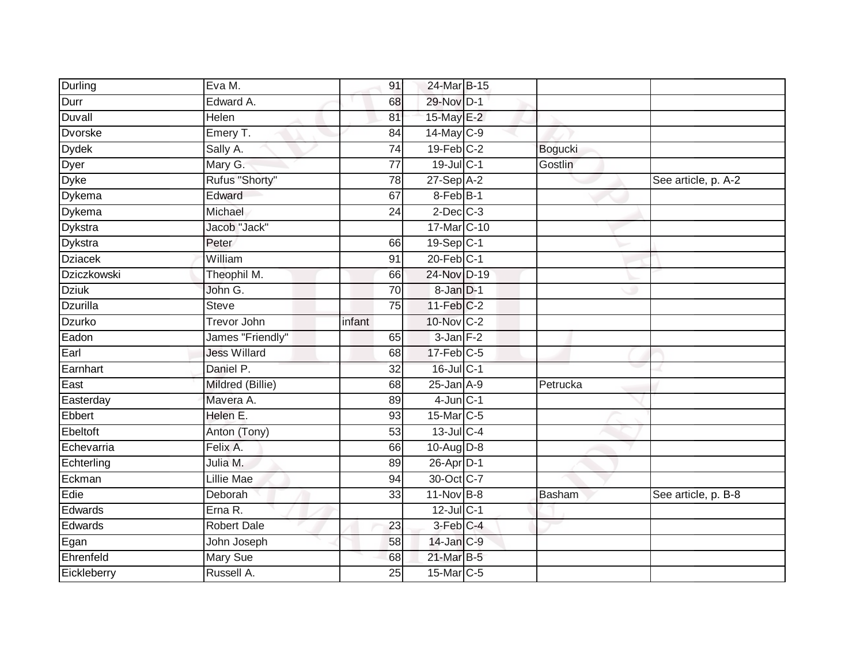| Durling         | Eva M.              | 91              | 24-Mar B-15     |          |                     |
|-----------------|---------------------|-----------------|-----------------|----------|---------------------|
| Durr            | Edward A.           | 68              | 29-Nov D-1      |          |                     |
| Duvall          | Helen               | 81              | 15-May E-2      |          |                     |
| <b>Dvorske</b>  | Emery T.            | 84              | 14-May C-9      |          |                     |
| <b>Dydek</b>    | Sally A.            | $\overline{74}$ | $19$ -Feb $C-2$ | Bogucki  |                     |
| Dyer            | Mary G.             | $\overline{77}$ | 19-Jul C-1      | Gostlin  |                     |
| <b>Dyke</b>     | Rufus "Shorty"      | 78              | $27-SepA-2$     |          | See article, p. A-2 |
| Dykema          | Edward              | 67              | $8-Feb$ $B-1$   |          |                     |
| Dykema          | Michael             | 24              | $2$ -Dec $C-3$  |          |                     |
| <b>Dykstra</b>  | Jacob "Jack"        |                 | 17-Mar C-10     |          |                     |
| <b>Dykstra</b>  | Peter               | 66              | 19-Sep C-1      |          |                     |
| <b>Dziacek</b>  | William             | 91              | $20$ -Feb $C-1$ |          |                     |
| Dziczkowski     | Theophil M.         | 66              | 24-Nov D-19     |          |                     |
| <b>Dziuk</b>    | John G.             | 70              | $8$ -Jan $D-1$  |          |                     |
| <b>Dzurilla</b> | <b>Steve</b>        | 75              | $11-Feb$ C-2    |          |                     |
| Dzurko          | <b>Trevor John</b>  | infant          | 10-Nov C-2      |          |                     |
| Eadon           | James "Friendly"    | 65              | $3$ -Jan $F-2$  |          |                     |
| Earl            | <b>Jess Willard</b> | 68              | $17$ -Feb $C-5$ |          |                     |
| Earnhart        | Daniel P.           | 32              | 16-Jul C-1      |          |                     |
| East            | Mildred (Billie)    | 68              | $25$ -Jan $A-9$ | Petrucka |                     |
| Easterday       | Mavera A.           | 89              | $4$ -Jun $C-1$  |          |                     |
| Ebbert          | Helen E.            | 93              | 15-Mar C-5      |          |                     |
| Ebeltoft        | Anton (Tony)        | 53              | 13-Jul C-4      |          |                     |
| Echevarria      | Felix A.            | 66              | $10-Aug$ $D-8$  |          |                     |
| Echterling      | Julia M.            | 89              | 26-Apr D-1      |          |                     |
| Eckman          | <b>Lillie Mae</b>   | 94              | 30-Oct C-7      |          |                     |
| Edie            | Deborah             | 33              | $11-Nov$ B-8    | Basham   | See article, p. B-8 |
| Edwards         | Erna R.             |                 | $12$ -Jul C-1   |          |                     |
| Edwards         | Robert Dale         | 23              | 3-Feb C-4       |          |                     |
| Egan            | John Joseph         | 58              | 14-Jan C-9      |          |                     |
| Ehrenfeld       | Mary Sue            | 68              | 21-Mar B-5      |          |                     |
| Eickleberry     | Russell A.          | 25              | 15-Mar C-5      |          |                     |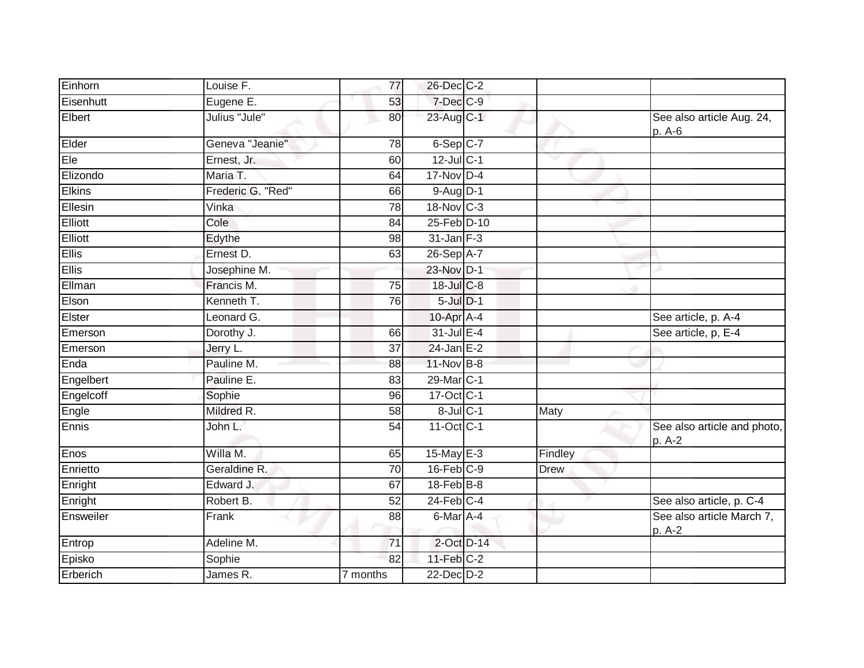| Einhorn       | Louise F.         | 77              | 26-Dec C-2              |             |                                       |
|---------------|-------------------|-----------------|-------------------------|-------------|---------------------------------------|
| Eisenhutt     | Eugene E.         | 53              | 7-Dec C-9               |             |                                       |
| Elbert        | Julius "Jule"     | 80              | 23-Aug C-1              |             | See also article Aug. 24,<br>p. A-6   |
| Elder         | Geneva "Jeanie"   | 78              | $6-Sep$ $C-7$           |             |                                       |
| Ele           | Ernest, Jr.       | 60              | $12$ -Jul C-1           |             |                                       |
| Elizondo      | Maria T.          | 64              | $17-Nov$ D-4            |             |                                       |
| <b>Elkins</b> | Frederic G. "Red" | 66              | $9-AuqD-1$              |             |                                       |
| Ellesin       | Vinka             | 78              | 18-Nov C-3              |             |                                       |
| Elliott       | Cole              | 84              | 25-Feb D-10             |             |                                       |
| Elliott       | Edythe            | 98              | $31$ -Jan $F-3$         |             |                                       |
| <b>Ellis</b>  | Ernest D.         | 63              | 26-Sep A-7              |             |                                       |
| <b>Ellis</b>  | Josephine M.      |                 | 23-Nov D-1              |             |                                       |
| Ellman        | Francis M.        | 75              | $18$ -Jul C-8           |             |                                       |
| Elson         | Kenneth T.        | 76              | $5$ -Jul $D-1$          |             |                                       |
| Elster        | Leonard G.        |                 | 10-Apr A-4              |             | See article, p. A-4                   |
| Emerson       | Dorothy J.        | 66              | 31-Jul E-4              |             | See article, p, E-4                   |
| Emerson       | Jerry L.          | 37              | 24-Jan E-2              |             |                                       |
| Enda          | Pauline M.        | 88              | 11-Nov B-8              |             |                                       |
| Engelbert     | Pauline E.        | 83              | 29-Mar C-1              |             |                                       |
| Engelcoff     | Sophie            | 96              | 17-Oct C-1              |             |                                       |
| Engle         | Mildred R.        | 58              | 8-Jul C-1               | Maty        |                                       |
| Ennis         | John L.           | 54              | $11-Oct$ <sub>C-1</sub> |             | See also article and photo,<br>p. A-2 |
| Enos          | Willa M.          | 65              | $15$ -May E-3           | Findley     |                                       |
| Enrietto      | Geraldine R.      | 70              | $16$ -Feb $C-9$         | <b>Drew</b> |                                       |
| Enright       | Edward J.         | 67              | $18$ -Feb $B$ -8        |             |                                       |
| Enright       | Robert B.         | 52              | $24$ -Feb $C-4$         |             | See also article, p. C-4              |
| Ensweiler     | Frank             | 88              | 6-Mar A-4               |             | See also article March 7,<br>p. A-2   |
| Entrop        | Adeline M.        | $\overline{71}$ | 2-Oct D-14              |             |                                       |
| Episko        | Sophie            | 82              | $11$ -Feb $C-2$         |             |                                       |
| Erberich      | James R.          | 7 months        | $22$ -Dec $D-2$         |             |                                       |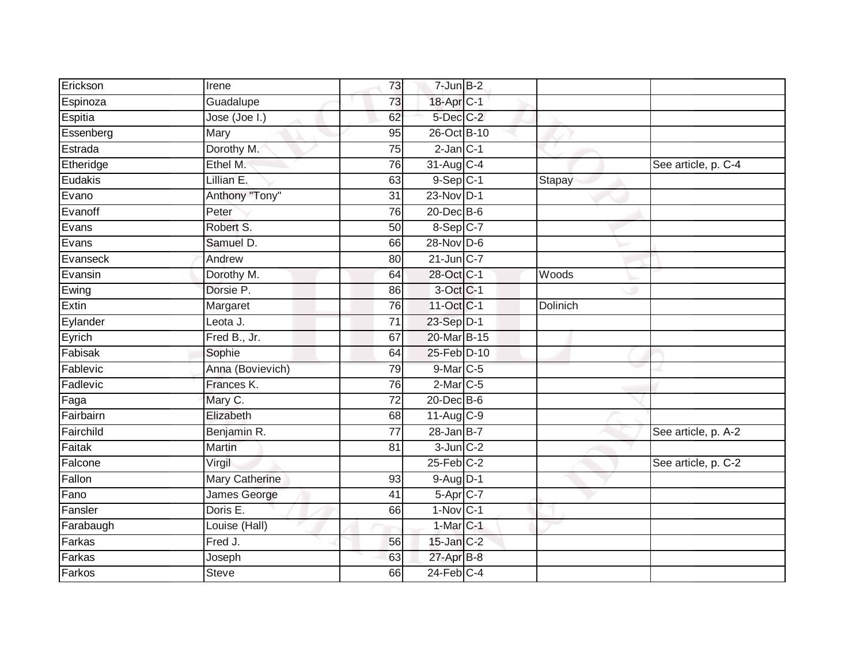| Erickson  | Irene                 | 73              | $7$ -Jun $B-2$    |                 |                     |
|-----------|-----------------------|-----------------|-------------------|-----------------|---------------------|
| Espinoza  | Guadalupe             | 73              | 18-Apr C-1        |                 |                     |
| Espitia   | Jose (Joe I.)         | 62              | 5-Dec C-2         |                 |                     |
| Essenberg | Mary                  | 95              | 26-Oct B-10       |                 |                     |
| Estrada   | Dorothy M.            | $\overline{75}$ | $2$ -Jan $C-1$    |                 |                     |
| Etheridge | Ethel M.              | 76              | $31-Aug$ C-4      |                 | See article, p. C-4 |
| Eudakis   | Lillian E.            | 63              | $9-Sep$ $C-1$     | Stapay          |                     |
| Evano     | Anthony "Tony"        | 31              | 23-Nov D-1        |                 |                     |
| Evanoff   | Peter                 | 76              | $20$ -Dec $B$ -6  |                 |                     |
| Evans     | Robert S.             | 50              | 8-Sep C-7         |                 |                     |
| Evans     | Samuel D.             | 66              | $28-Nov$ D-6      |                 |                     |
| Evanseck  | Andrew                | 80              | $21$ -Jun $C-7$   |                 |                     |
| Evansin   | Dorothy M.            | 64              | 28-Oct C-1        | Woods           |                     |
| Ewing     | Dorsie P.             | 86              | 3-Oct C-1         |                 |                     |
| Extin     | Margaret              | 76              | 11-Oct C-1        | <b>Dolinich</b> |                     |
| Eylander  | Leota J.              | 71              | 23-Sep D-1        |                 |                     |
| Eyrich    | Fred B., Jr.          | 67              | 20-Mar B-15       |                 |                     |
| Fabisak   | Sophie                | 64              | 25-Feb D-10       |                 |                     |
| Fablevic  | Anna (Bovievich)      | 79              | $9$ -Mar $C$ -5   |                 |                     |
| Fadlevic  | Frances K.            | 76              | $2$ -Mar $C$ -5   |                 |                     |
| Faga      | Mary C.               | 72              | 20-Dec B-6        |                 |                     |
| Fairbairn | Elizabeth             | 68              | 11-Aug C-9        |                 |                     |
| Fairchild | Benjamin R.           | $\overline{77}$ | $28 - Jan$ B-7    |                 | See article, p. A-2 |
| Faitak    | <b>Martin</b>         | 81              | $3$ -Jun $C-2$    |                 |                     |
| Falcone   | Virgil                |                 | $25$ -Feb $ C-2 $ |                 | See article, p. C-2 |
| Fallon    | <b>Mary Catherine</b> | 93              | $9-Aug$ $D-1$     |                 |                     |
| Fano      | James George          | 41              | $5-Apr$ $C-7$     |                 |                     |
| Fansler   | Doris E.              | 66              | $1-Nov$ C-1       |                 |                     |
| Farabaugh | Louise (Hall)         |                 | $1-MarC-1$        |                 |                     |
| Farkas    | Fred J.               | 56              | 15-Jan C-2        |                 |                     |
| Farkas    | Joseph                | 63              | 27-Apr B-8        |                 |                     |
| Farkos    | <b>Steve</b>          | 66              | $24$ -Feb $C-4$   |                 |                     |
|           |                       |                 |                   |                 |                     |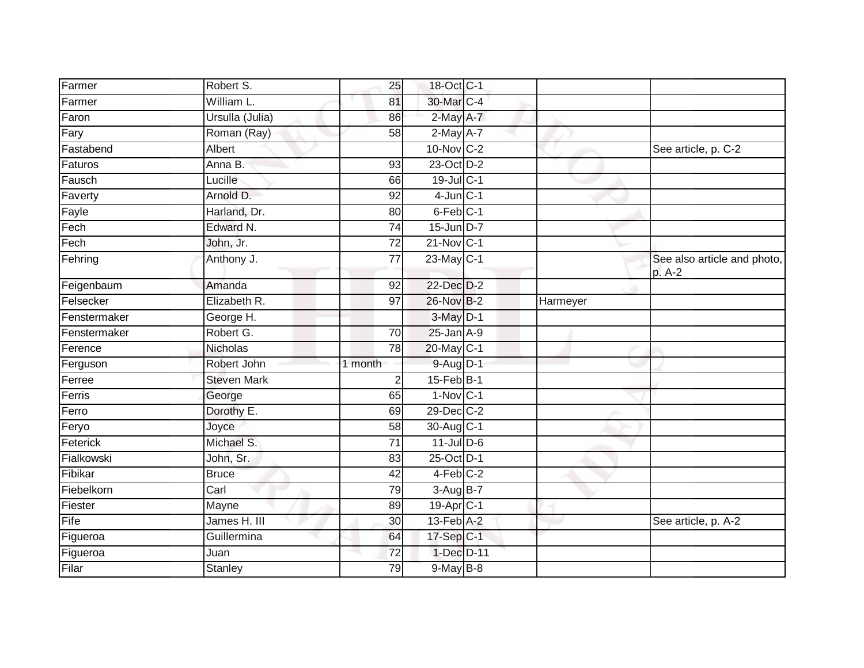| Farmer       | Robert S.          | 25              | 18-Oct C-1              |          |                                       |
|--------------|--------------------|-----------------|-------------------------|----------|---------------------------------------|
| Farmer       | William L.         | 81              | 30-Mar C-4              |          |                                       |
| Faron        | Ursulla (Julia)    | 86              | 2-May A-7               |          |                                       |
| Fary         | Roman (Ray)        | 58              | $2$ -May $A-7$          |          |                                       |
| Fastabend    | Albert             |                 | $10$ -Nov $C-2$         |          | See article, p. C-2                   |
| Faturos      | Anna B.            | 93              | 23-Oct D-2              |          |                                       |
| Fausch       | Lucille            | 66              | 19-Jul C-1              |          |                                       |
| Faverty      | Arnold D.          | 92              | $4$ -Jun $C-1$          |          |                                       |
| Fayle        | Harland, Dr.       | 80              | 6-Feb C-1               |          |                                       |
| Fech         | Edward N.          | $\overline{74}$ | 15-Jun D-7              |          |                                       |
| Fech         | John, Jr.          | $\overline{72}$ | $21-Nov$ <sub>C-1</sub> |          |                                       |
| Fehring      | Anthony J.         | 77              | 23-May C-1              |          | See also article and photo,<br>p. A-2 |
| Feigenbaum   | Amanda             | $\overline{92}$ | 22-Dec D-2              |          |                                       |
| Felsecker    | Elizabeth R.       | 97              | 26-Nov B-2              | Harmeyer |                                       |
| Fenstermaker | George H.          |                 | $3-May$ D-1             |          |                                       |
| Fenstermaker | Robert G.          | 70              | $25 - Jan$ A-9          |          |                                       |
| Ference      | Nicholas           | $\overline{78}$ | 20-May C-1              |          |                                       |
| Ferguson     | Robert John        | 1 month         | 9-Aug D-1               |          |                                       |
| Ferree       | <b>Steven Mark</b> | $\overline{2}$  | $15$ -Feb $ B-1 $       |          |                                       |
| Ferris       | George             | 65              | $1-Nov C-1$             |          |                                       |
| Ferro        | Dorothy E.         | 69              | 29-Dec C-2              |          |                                       |
| Feryo        | Joyce              | 58              | 30-Aug C-1              |          |                                       |
| Feterick     | Michael S.         | 71              | $11$ -Jul D-6           |          |                                       |
| Fialkowski   | John, Sr.          | 83              | 25-Oct D-1              |          |                                       |
| Fibikar      | <b>Bruce</b>       | 42              | $4-Feb$ $C-2$           |          |                                       |
| Fiebelkorn   | Carl               | 79              | $3-AugB-7$              |          |                                       |
| Fiester      | Mayne              | 89              | 19-Apr C-1              |          |                                       |
| Fife         | James H. III       | 30              | 13-Feb A-2              |          | See article, p. A-2                   |
| Figueroa     | Guillermina        | 64              | 17-Sep C-1              |          |                                       |
| Figueroa     | Juan               | 72              | 1-Dec D-11              |          |                                       |
| Filar        | Stanley            | 79              | 9-May B-8               |          |                                       |
|              |                    |                 |                         |          |                                       |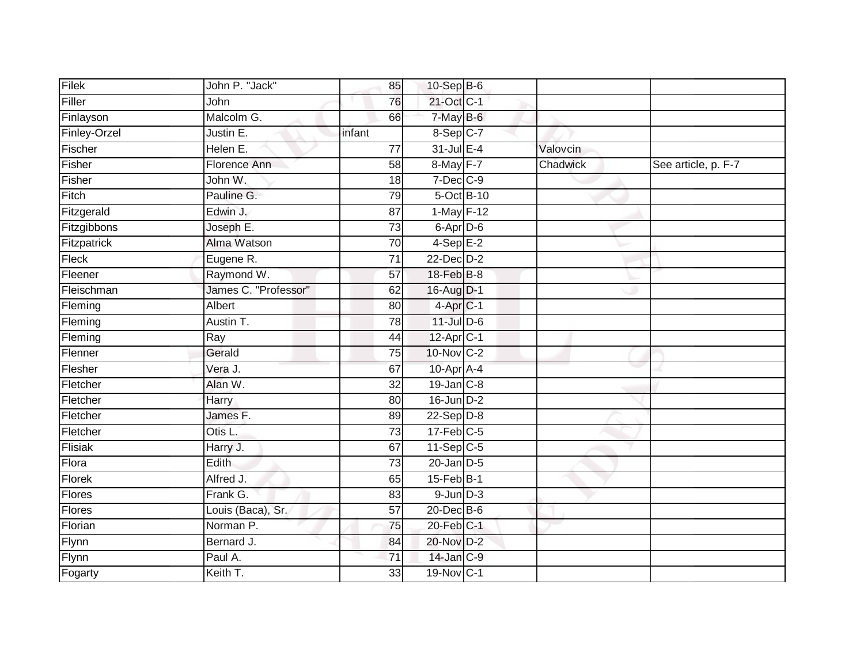| Filek        | John P. "Jack"       | 85              | $10-Sep$ B-6          |          |                     |
|--------------|----------------------|-----------------|-----------------------|----------|---------------------|
| Filler       | John                 | 76              | 21-Oct C-1            |          |                     |
| Finlayson    | Malcolm G.           | 66              | 7-May B-6             |          |                     |
| Finley-Orzel | Justin E.            | infant          | 8-Sep C-7             |          |                     |
| Fischer      | Helen E.             | $\overline{77}$ | 31-Jul E-4            | Valovcin |                     |
| Fisher       | Florence Ann         | 58              | 8-May F-7             | Chadwick | See article, p. F-7 |
| Fisher       | John W.              | 18              | $7$ -Dec $C$ -9       |          |                     |
| Fitch        | Pauline G.           | 79              | 5-Oct B-10            |          |                     |
| Fitzgerald   | Edwin J.             | 87              | $1$ -May $F-12$       |          |                     |
| Fitzgibbons  | Joseph E.            | 73              | 6-Apr D-6             |          |                     |
| Fitzpatrick  | Alma Watson          | 70              | $4-Sep$ E-2           |          |                     |
| Fleck        | Eugene R.            | $\overline{71}$ | $22$ -Dec $D-2$       |          |                     |
| Fleener      | Raymond W.           | 57              | $18$ -Feb $B$ -8      |          |                     |
| Fleischman   | James C. "Professor" | 62              | 16-Aug D-1            |          |                     |
| Fleming      | Albert               | $\overline{80}$ | 4-Apr C-1             |          |                     |
| Fleming      | Austin T.            | 78              | 11-Jul D-6            |          |                     |
| Fleming      | Ray                  | $\overline{44}$ | 12-Apr <sub>C-1</sub> |          |                     |
| Flenner      | Gerald               | 75              | 10-Nov C-2            |          |                     |
| Flesher      | Vera J.              | 67              | 10-Apr A-4            |          |                     |
| Fletcher     | Alan W.              | $\overline{32}$ | $19$ -Jan $C-8$       |          |                     |
| Fletcher     | Harry                | 80              | $16$ -Jun $D-2$       |          |                     |
| Fletcher     | James F.             | 89              | $22-Sep D-8$          |          |                     |
| Fletcher     | Otis L.              | 73              | $17$ -Feb $C-5$       |          |                     |
| Flisiak      | Harry J.             | 67              | $11-Sep$ C-5          |          |                     |
| Flora        | Edith                | 73              | $20$ -Jan $D-5$       |          |                     |
| Florek       | Alfred J.            | 65              | $15$ -Feb $ B-1 $     |          |                     |
| Flores       | Frank G.             | 83              | $9$ -Jun $D-3$        |          |                     |
| Flores       | Louis (Baca), Sr.    | 57              | $20$ -Dec $B-6$       |          |                     |
| Florian      | Norman P.            | 75              | 20-Feb C-1            |          |                     |
| Flynn        | Bernard J.           | 84              | 20-Nov D-2            |          |                     |
| Flynn        | Paul A.              | 71              | 14-Jan C-9            |          |                     |
| Fogarty      | Keith T.             | 33              | 19-Nov C-1            |          |                     |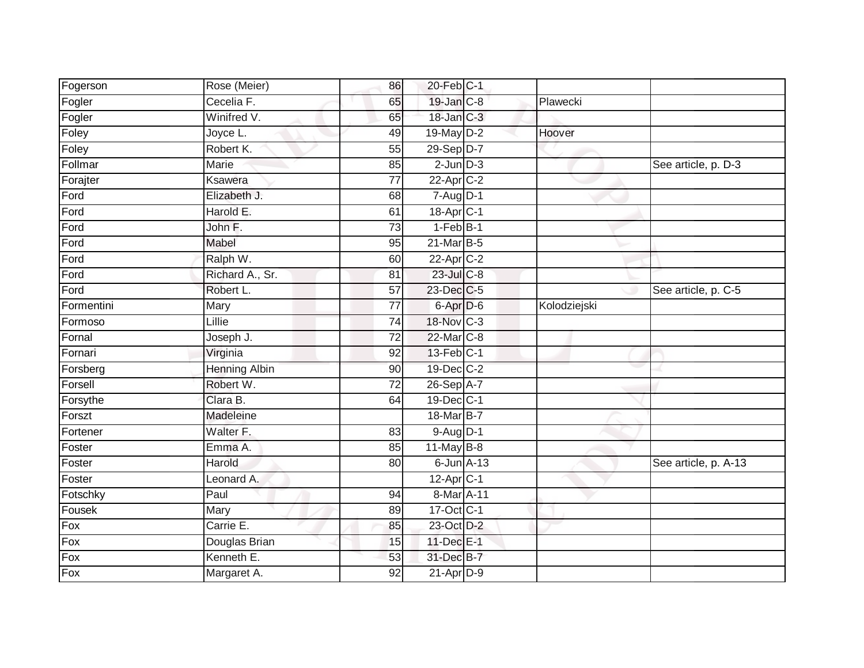| Fogerson   | Rose (Meier)         | 86              | 20-Feb C-1            |              |                      |
|------------|----------------------|-----------------|-----------------------|--------------|----------------------|
| Fogler     | Cecelia F.           | 65              | 19-Jan C-8            | Plawecki     |                      |
| Fogler     | Winifred V.          | 65              | 18-Jan C-3            |              |                      |
| Foley      | Joyce L.             | 49              | 19-May D-2            | Hoover       |                      |
| Foley      | Robert K.            | 55              | 29-Sep D-7            |              |                      |
| Follmar    | Marie                | 85              | $2$ -Jun $D-3$        |              | See article, p. D-3  |
| Forajter   | Ksawera              | $\overline{77}$ | $22$ -Apr $C-2$       |              |                      |
| Ford       | Elizabeth J.         | 68              | $7 - Aug$ $D-1$       |              |                      |
| Ford       | Harold E.            | 61              | 18-Apr <sub>C-1</sub> |              |                      |
| Ford       | John F.              | $\overline{73}$ | $1-FebB-1$            |              |                      |
| Ford       | Mabel                | 95              | 21-Mar B-5            |              |                      |
| Ford       | Ralph W.             | 60              | 22-Apr C-2            |              |                      |
| Ford       | Richard A., Sr.      | 81              | 23-Jul C-8            |              |                      |
| Ford       | Robert L.            | 57              | 23-Dec C-5            |              | See article, p. C-5  |
| Formentini | Mary                 | $\overline{77}$ | 6-Apr D-6             | Kolodziejski |                      |
| Formoso    | Lillie               | 74              | 18-Nov C-3            |              |                      |
| Fornal     | Joseph J.            | 72              | 22-Mar C-8            |              |                      |
| Fornari    | Virginia             | 92              | 13-Feb C-1            |              |                      |
| Forsberg   | <b>Henning Albin</b> | 90              | 19-Dec C-2            |              |                      |
| Forsell    | Robert W.            | 72              | 26-Sep A-7            |              |                      |
| Forsythe   | Clara B.             | 64              | 19-Dec C-1            |              |                      |
| Forszt     | Madeleine            |                 | 18-Mar B-7            |              |                      |
| Fortener   | Walter F.            | 83              | 9-Aug D-1             |              |                      |
| Foster     | Emma A.              | 85              | $11$ -May B-8         |              |                      |
| Foster     | Harold               | 80              | $6$ -Jun $A$ -13      |              | See article, p. A-13 |
| Foster     | Leonard A.           |                 | $12$ -Apr $C-1$       |              |                      |
| Fotschky   | Paul                 | 94              | 8-Mar A-11            |              |                      |
| Fousek     | Mary                 | 89              | 17-Oct C-1            |              |                      |
| Fox        | Carrie E.            | 85              | 23-Oct D-2            |              |                      |
| Fox        | Douglas Brian        | 15              | 11-Dec E-1            |              |                      |
| Fox        | Kenneth E.           | 53              | 31-Dec B-7            |              |                      |
| Fox        | Margaret A.          | $\overline{92}$ | $21-AprD-9$           |              |                      |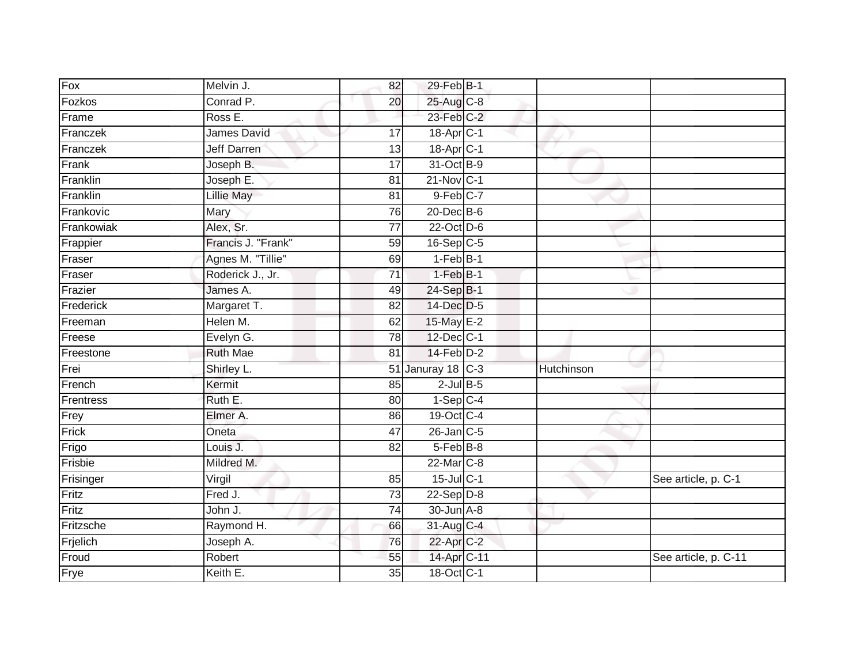| Fox        | Melvin J.          | 82              | 29-Feb B-1              |            |                      |
|------------|--------------------|-----------------|-------------------------|------------|----------------------|
| Fozkos     | Conrad P.          | 20              | 25-Aug C-8              |            |                      |
| Frame      | Ross E.            |                 | $23$ -Feb $C-2$         |            |                      |
| Franczek   | James David        | 17              | 18-Apr <sub>C-1</sub>   |            |                      |
| Franczek   | <b>Jeff Darren</b> | $\overline{13}$ | 18-Apr C-1              |            |                      |
| Frank      | Joseph B.          | 17              | 31-Oct B-9              |            |                      |
| Franklin   | Joseph E.          | 81              | $21-Nov$ <sub>C-1</sub> |            |                      |
| Franklin   | Lillie May         | 81              | $9$ -Feb $C-7$          |            |                      |
| Frankovic  | Mary               | 76              | 20-Dec B-6              |            |                      |
| Frankowiak | Alex, Sr.          | $\overline{77}$ | $22$ -Oct $D-6$         |            |                      |
| Frappier   | Francis J. "Frank" | 59              | $16-Sep$ C-5            |            |                      |
| Fraser     | Agnes M. "Tillie"  | 69              | $1-Feb$ B-1             |            |                      |
| Fraser     | Roderick J., Jr.   | 71              | $1-Feb B-1$             |            |                      |
| Frazier    | James A.           | 49              | 24-Sep B-1              |            |                      |
| Frederick  | Margaret T.        | 82              | 14-Dec D-5              |            |                      |
| Freeman    | Helen M.           | 62              | 15-May E-2              |            |                      |
| Freese     | Evelyn G.          | $\overline{78}$ | 12-Dec C-1              |            |                      |
| Freestone  | <b>Ruth Mae</b>    | 81              | $14$ -Feb $D-2$         |            |                      |
| Frei       | Shirley L.         | 51              | Januray 18 C-3          | Hutchinson |                      |
| French     | Kermit             | 85              | $2$ -Jul B-5            |            |                      |
| Frentress  | Ruth E.            | 80              | $1-SepC-4$              |            |                      |
| Frey       | Elmer A.           | 86              | 19-Oct C-4              |            |                      |
| Frick      | Oneta              | 47              | 26-Jan C-5              |            |                      |
| Frigo      | Louis J.           | 82              | $5-FebB-8$              |            |                      |
| Frisbie    | Mildred M.         |                 | 22-Mar C-8              |            |                      |
| Frisinger  | Virgil             | 85              | $15$ -Jul C-1           |            | See article, p. C-1  |
| Fritz      | Fred J.            | 73              | $22-Sep$ D-8            |            |                      |
| Fritz      | John J.            | 74              | $30$ -Jun $A - 8$       |            |                      |
| Fritzsche  | Raymond H.         | 66              | 31-Aug C-4              |            |                      |
| Frjelich   | Joseph A.          | 76              | 22-Apr C-2              |            |                      |
| Froud      | Robert             | 55              | 14-Apr C-11             |            | See article, p. C-11 |
| Frye       | Keith E.           | $\overline{35}$ | 18-Oct C-1              |            |                      |
|            |                    |                 |                         |            |                      |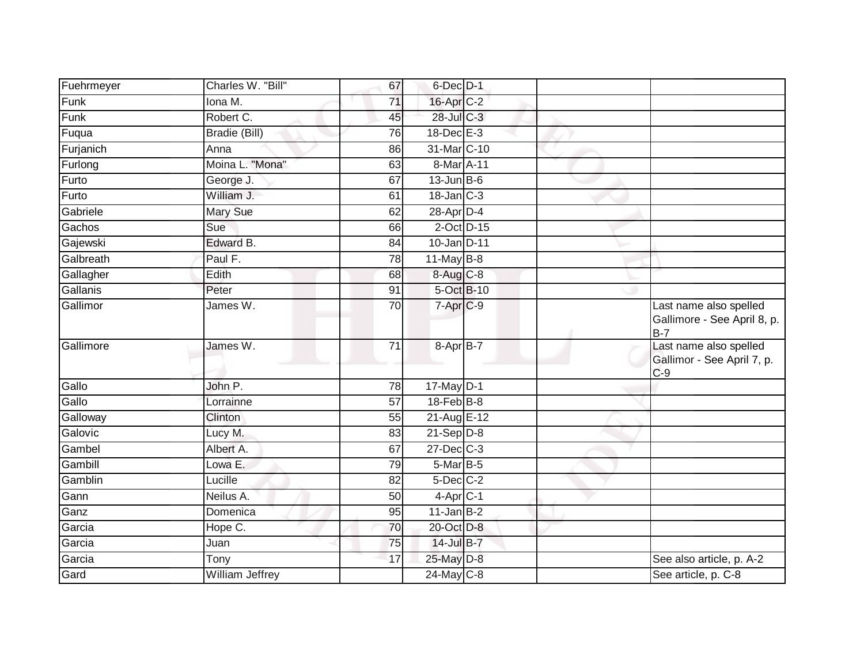| Fuehrmeyer | Charles W. "Bill"       | 67              | $6$ -Dec $D-1$           |                                                                |
|------------|-------------------------|-----------------|--------------------------|----------------------------------------------------------------|
| Funk       | Iona M.                 | 71              | 16-Apr C-2               |                                                                |
| Funk       | Robert C.               | 45              | 28-Jul C-3               |                                                                |
| Fuqua      | Bradie (Bill)           | 76              | $18$ -Dec $E-3$          |                                                                |
| Furjanich  | Anna                    | 86              | 31-Mar C-10              |                                                                |
| Furlong    | Moina L. "Mona"         | 63              | 8-Mar A-11               |                                                                |
| Furto      | George J.               | 67              | $13$ -Jun $B$ -6         |                                                                |
| Furto      | William J.              | 61              | $18$ -Jan $C-3$          |                                                                |
| Gabriele   | <b>Mary Sue</b>         | 62              | 28-Apr D-4               |                                                                |
| Gachos     | Sue                     | 66              | $2$ -Oct $D-15$          |                                                                |
| Gajewski   | Edward B.               | 84              | 10-Jan D-11              |                                                                |
| Galbreath  | Paul F.                 | 78              | $11$ -May B-8            |                                                                |
| Gallagher  | Edith                   | 68              | $8 - Aug$ <sub>C-8</sub> |                                                                |
| Gallanis   | Peter                   | 91              | 5-Oct B-10               |                                                                |
| Gallimor   | James W.                | $\overline{70}$ | 7-Apr <sub>C-9</sub>     | Last name also spelled<br>Gallimore - See April 8, p.<br>$B-7$ |
| Gallimore  | James W.                | $\overline{71}$ | 8-Apr B-7                | Last name also spelled<br>Gallimor - See April 7, p.<br>$C-9$  |
| Gallo      | John P.                 | $\overline{78}$ | $17$ -May $D-1$          |                                                                |
| Gallo      | Lorrainne               | 57              | $18$ -Feb $B$ -8         |                                                                |
| Galloway   | Clinton                 | 55              | 21-Aug E-12              |                                                                |
| Galovic    | Lucy M.                 | 83              | $21-Sep D-8$             |                                                                |
| Gambel     | Albert A.               | 67              | $27 - Dec$ C-3           |                                                                |
| Gambill    | Lowa E.                 | 79              | $5$ -Mar $B$ -5          |                                                                |
| Gamblin    | Lucille                 | 82              | $5$ -Dec $C$ -2          |                                                                |
| Gann       | Neilus $\overline{A}$ . | 50              | $4$ -Apr $C-1$           |                                                                |
| Ganz       | Domenica                | 95              | $11$ -Jan $B-2$          |                                                                |
| Garcia     | Hope C.                 | 70              | 20-Oct D-8               |                                                                |
| Garcia     | Juan                    | 75              | 14-Jul B-7               |                                                                |
| Garcia     | Tony                    | 17              | 25-May D-8               | See also article, p. A-2                                       |
| Gard       | <b>William Jeffrey</b>  |                 | $24$ -May C-8            | See article, p. C-8                                            |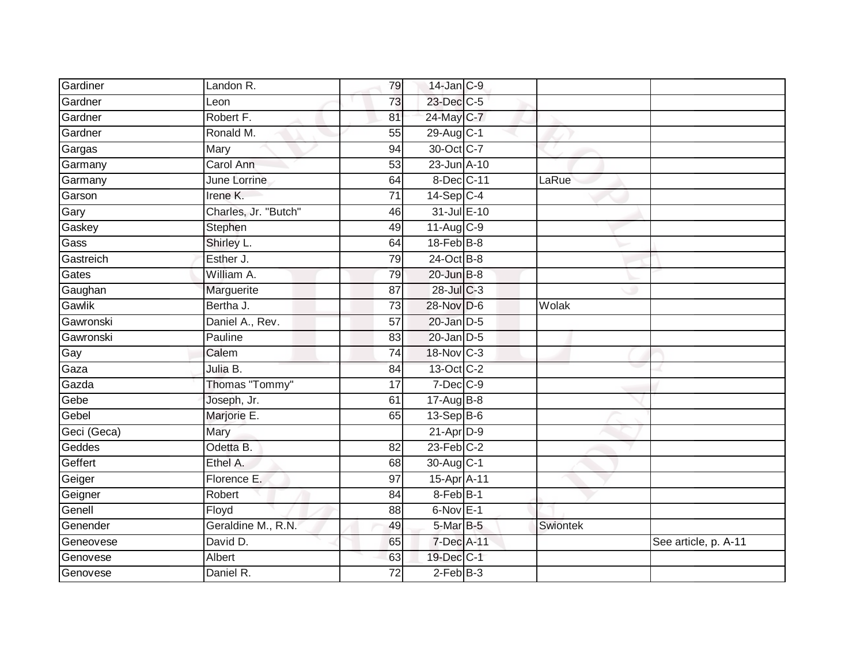| Gardiner    | Landon R.            | 79              | 14-Jan C-9       |          |                      |
|-------------|----------------------|-----------------|------------------|----------|----------------------|
| Gardner     | Leon                 | 73              | 23-Dec C-5       |          |                      |
| Gardner     | Robert F.            | 81              | 24-May C-7       |          |                      |
| Gardner     | Ronald M.            | 55              | 29-Aug C-1       |          |                      |
| Gargas      | Mary                 | 94              | 30-Oct C-7       |          |                      |
| Garmany     | Carol Ann            | 53              | 23-Jun A-10      |          |                      |
| Garmany     | June Lorrine         | 64              | 8-Dec C-11       | LaRue    |                      |
| Garson      | Irene K.             | 71              | $14-Sep$ C-4     |          |                      |
| Gary        | Charles, Jr. "Butch" | 46              | 31-Jul E-10      |          |                      |
| Gaskey      | Stephen              | 49              | 11-Aug C-9       |          |                      |
| Gass        | Shirley L.           | 64              | $18$ -Feb $B$ -8 |          |                      |
| Gastreich   | Esther J.            | 79              | 24-Oct B-8       |          |                      |
| Gates       | William A.           | 79              | $20$ -Jun $B-8$  |          |                      |
| Gaughan     | Marguerite           | 87              | 28-Jul C-3       |          |                      |
| Gawlik      | Bertha J.            | 73              | 28-Nov D-6       | Wolak    |                      |
| Gawronski   | Daniel A., Rev.      | 57              | $20$ -Jan $D-5$  |          |                      |
| Gawronski   | Pauline              | 83              | $20$ -Jan $D-5$  |          |                      |
| Gay         | Calem                | 74              | 18-Nov C-3       |          |                      |
| Gaza        | Julia B.             | 84              | 13-Oct C-2       |          |                      |
| Gazda       | Thomas "Tommy"       | 17              | $7$ -Dec $C-9$   |          |                      |
| Gebe        | Joseph, Jr.          | 61              | 17-Aug B-8       |          |                      |
| Gebel       | Marjorie E.          | 65              | $13-Sep$ B-6     |          |                      |
| Geci (Geca) | Mary                 |                 | $21$ -Apr $D-9$  |          |                      |
| Geddes      | Odetta B.            | 82              | $23$ -Feb $C-2$  |          |                      |
| Geffert     | Ethel A.             | 68              | 30-Aug C-1       |          |                      |
| Geiger      | Florence E.          | 97              | 15-Apr A-11      |          |                      |
| Geigner     | Robert               | 84              | 8-Feb B-1        |          |                      |
| Genell      | Floyd                | 88              | $6$ -Nov $E-1$   |          |                      |
| Genender    | Geraldine M., R.N.   | 49              | 5-Mar B-5        | Swiontek |                      |
| Geneovese   | David D.             | 65              | 7-Dec A-11       |          | See article, p. A-11 |
| Genovese    | Albert               | 63              | 19-Dec C-1       |          |                      |
| Genovese    | Daniel R.            | $\overline{72}$ | $2$ -Feb $B-3$   |          |                      |
|             |                      |                 |                  |          |                      |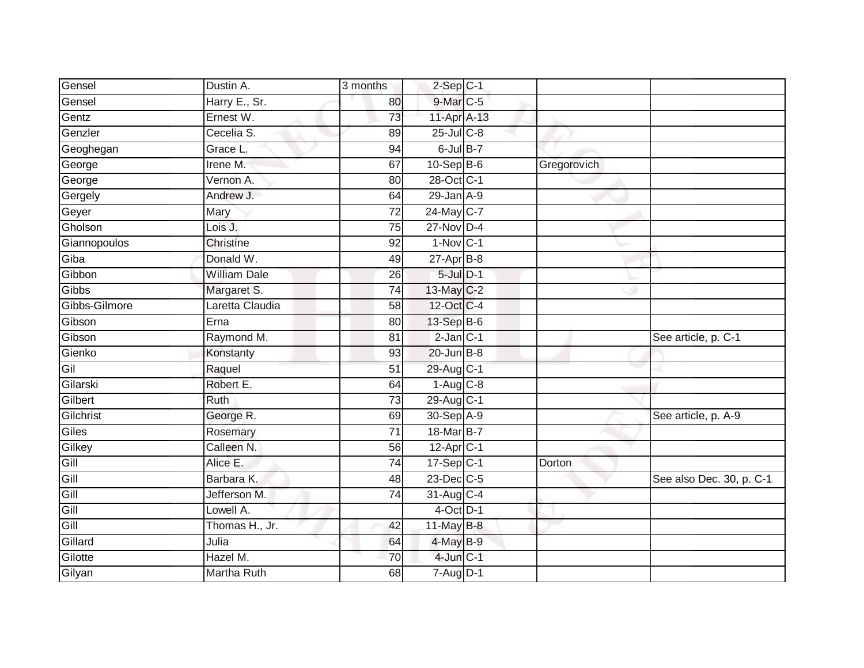| Gensel        | Dustin A.           | 3 months        | $2-Sep$ C-1              |               |                          |
|---------------|---------------------|-----------------|--------------------------|---------------|--------------------------|
| Gensel        | Harry E., Sr.       | 80              | 9-Mar C-5                |               |                          |
| Gentz         | Ernest W.           | 73              | 11-Apr A-13              |               |                          |
| Genzler       | Cecelia S.          | 89              | 25-Jul C-8               |               |                          |
| Geoghegan     | Grace L.            | 94              | $6$ -Jul $B-7$           |               |                          |
| George        | Irene M.            | 67              | $10-SepB-6$              | Gregorovich   |                          |
| George        | Vernon A.           | 80              | 28-Oct C-1               |               |                          |
| Gergely       | Andrew J.           | 64              | $29$ -Jan $A-9$          |               |                          |
| Geyer         | Mary                | $\overline{72}$ | 24-May C-7               |               |                          |
| Gholson       | Lois J.             | 75              | $27$ -Nov D-4            |               |                          |
| Giannopoulos  | Christine           | 92              | $1-Nov$ C-1              |               |                          |
| Giba          | Donald W.           | 49              | $27$ -Apr $B-8$          |               |                          |
| Gibbon        | <b>William Dale</b> | 26              | $5$ -Jul $D-1$           |               |                          |
| Gibbs         | Margaret S.         | 74              | 13-May C-2               |               |                          |
| Gibbs-Gilmore | Laretta Claudia     | 58              | 12-Oct C-4               |               |                          |
| Gibson        | Erna                | 80              | 13-Sep B-6               |               |                          |
| Gibson        | Raymond M.          | $\overline{81}$ | $2$ -Jan $C-1$           |               | See article, p. C-1      |
| Gienko        | Konstanty           | 93              | $20$ -Jun $B-8$          |               |                          |
| Gil           | Raquel              | 51              | 29-Aug C-1               |               |                          |
| Gilarski      | Robert E.           | 64              | $1-Aug$ $C-8$            |               |                          |
| Gilbert       | Ruth                | 73              | 29-Aug C-1               |               |                          |
| Gilchrist     | George R.           | 69              | 30-Sep A-9               |               | See article, p. A-9      |
| Giles         | Rosemary            | 71              | 18-Mar B-7               |               |                          |
| Gilkey        | Calleen N.          | 56              | $12-AprCT$               |               |                          |
| Gill          | Alice E.            | 74              | $17-SepC-1$              | <b>Dorton</b> |                          |
| Gill          | Barbara K.          | 48              | $23$ -Dec $C-5$          |               | See also Dec. 30, p. C-1 |
| Gill          | Jefferson M.        | 74              | 31-Aug C-4               |               |                          |
| Gill          | Lowell A.           |                 | $4$ -Oct $D-1$           |               |                          |
| Gill          | Thomas H., Jr.      | 42              | 11-May B-8               |               |                          |
| Gillard       | Julia               | 64              | 4-May B-9                |               |                          |
| Gilotte       | Hazel M.            | 70              | $4$ -Jun $C-1$           |               |                          |
| Gilyan        | <b>Martha Ruth</b>  | 68              | $7 - \overline{Aug}$ D-1 |               |                          |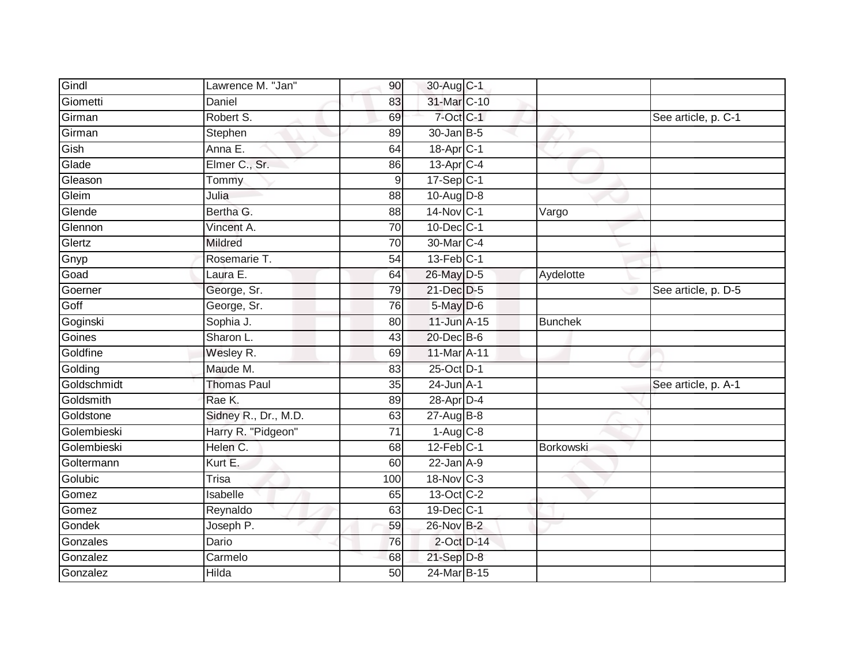| Gindl       | Lawrence M. "Jan"    | 90              | 30-Aug C-1             |                  |                     |
|-------------|----------------------|-----------------|------------------------|------------------|---------------------|
| Giometti    | Daniel               | 83              | 31-Mar C-10            |                  |                     |
| Girman      | Robert S.            | 69              | 7-Oct C-1              |                  | See article, p. C-1 |
| Girman      | Stephen              | 89              | $30 - Jan$ B-5         |                  |                     |
| Gish        | Anna E.              | 64              | 18-Apr <sub>C-1</sub>  |                  |                     |
| Glade       | Elmer C., Sr.        | 86              | 13-Apr C-4             |                  |                     |
| Gleason     | Tommy                | 9               | $17-Sep$ C-1           |                  |                     |
| Gleim       | Julia                | 88              | 10-Aug D-8             |                  |                     |
| Glende      | Bertha G.            | 88              | 14-Nov C-1             | Vargo            |                     |
| Glennon     | Vincent A.           | $\overline{70}$ | 10-Dec C-1             |                  |                     |
| Glertz      | <b>Mildred</b>       | 70              | 30-Mar C-4             |                  |                     |
| Gnyp        | Rosemarie T.         | 54              | $13$ -Feb $ C-1 $      |                  |                     |
| Goad        | Laura E.             | 64              | 26-May D-5             | Aydelotte        |                     |
| Goerner     | George, Sr.          | 79              | 21-Dec D-5             |                  | See article, p. D-5 |
| Goff        | George, Sr.          | 76              | 5-May D-6              |                  |                     |
| Goginski    | Sophia J.            | 80              | $11$ -Jun $A-15$       | <b>Bunchek</b>   |                     |
| Goines      | Sharon L.            | $\overline{43}$ | 20-Dec B-6             |                  |                     |
| Goldfine    | Wesley R.            | 69              | 11-Mar A-11            |                  |                     |
| Golding     | Maude M.             | 83              | 25-Oct D-1             |                  |                     |
| Goldschmidt | <b>Thomas Paul</b>   | 35              | $24$ -Jun $A-1$        |                  | See article, p. A-1 |
| Goldsmith   | Rae K.               | 89              | 28-Apr D-4             |                  |                     |
| Goldstone   | Sidney R., Dr., M.D. | 63              | 27-Aug B-8             |                  |                     |
| Golembieski | Harry R. "Pidgeon"   | 71              | $1-Aug$ <sub>C-8</sub> |                  |                     |
| Golembieski | Helen C.             | 68              | $12$ -Feb $C-1$        | <b>Borkowski</b> |                     |
| Goltermann  | Kurt E.              | 60              | $22$ -Jan $A-9$        |                  |                     |
| Golubic     | Trisa                | 100             | 18-Nov C-3             |                  |                     |
| Gomez       | Isabelle             | 65              | 13-Oct C-2             |                  |                     |
| Gomez       | Reynaldo             | 63              | $19$ -Dec $ C-1 $      |                  |                     |
| Gondek      | Joseph P.            | 59              | 26-Nov B-2             |                  |                     |
| Gonzales    | Dario                | 76              | $2$ -Oct $D-14$        |                  |                     |
| Gonzalez    | Carmelo              | 68              | 21-Sep D-8             |                  |                     |
| Gonzalez    | Hilda                | 50              | 24-Mar B-15            |                  |                     |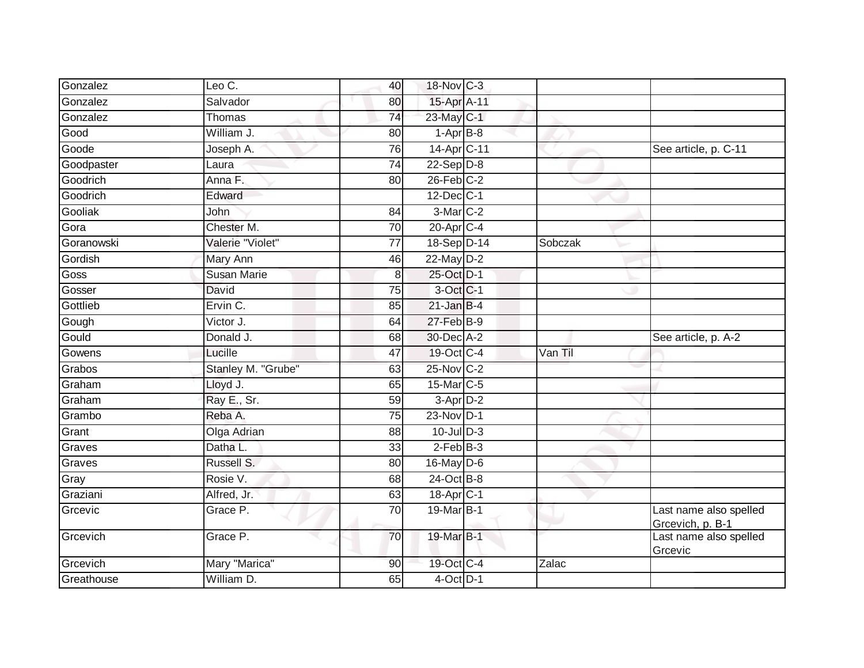| Gonzalez   | Leo C.             | 40              | 18-Nov C-3             |         |                                            |
|------------|--------------------|-----------------|------------------------|---------|--------------------------------------------|
| Gonzalez   | Salvador           | 80              | 15-Apr A-11            |         |                                            |
| Gonzalez   | Thomas             | $\overline{74}$ | 23-May C-1             |         |                                            |
| Good       | William J.         | 80              | $1-Apr$ B-8            |         |                                            |
| Goode      | Joseph A.          | 76              | 14-Apr C-11            |         | See article, p. C-11                       |
| Goodpaster | Laura              | $\overline{74}$ | $22-Sep D-8$           |         |                                            |
| Goodrich   | Anna F.            | 80              | $26$ -Feb $C-2$        |         |                                            |
| Goodrich   | Edward             |                 | $12$ -Dec $ C-1 $      |         |                                            |
| Gooliak    | John               | 84              | 3-Mar C-2              |         |                                            |
| Gora       | Chester M.         | $\overline{70}$ | 20-Apr C-4             |         |                                            |
| Goranowski | Valerie "Violet"   | 77              | 18-Sep D-14            | Sobczak |                                            |
| Gordish    | Mary Ann           | 46              | 22-May D-2             |         |                                            |
| Goss       | <b>Susan Marie</b> | 8               | 25-Oct D-1             |         |                                            |
| Gosser     | David              | 75              | 3-Oct C-1              |         |                                            |
| Gottlieb   | Ervin C.           | 85              | $21$ -Jan B-4          |         |                                            |
| Gough      | Victor J.          | 64              | 27-Feb B-9             |         |                                            |
| Gould      | Donald J.          | 68              | 30-Dec A-2             |         | See article, p. A-2                        |
| Gowens     | Lucille            | 47              | 19-Oct C-4             | Van Til |                                            |
| Grabos     | Stanley M. "Grube" | 63              | 25-Nov C-2             |         |                                            |
| Graham     | Lloyd J.           | 65              | 15-Mar C-5             |         |                                            |
| Graham     | Ray E., Sr.        | 59              | 3-Apr D-2              |         |                                            |
| Grambo     | Reba A.            | $\overline{75}$ | 23-Nov D-1             |         |                                            |
| Grant      | Olga Adrian        | 88              | $10$ -Jul $D-3$        |         |                                            |
| Graves     | Datha L.           | 33              | $2$ -Feb $B-3$         |         |                                            |
| Graves     | Russell S.         | 80              | $16$ -May $D-6$        |         |                                            |
| Gray       | Rosie V.           | 68              | 24-Oct B-8             |         |                                            |
| Graziani   | Alfred, Jr.        | 63              | 18-Apr <sub>IC-1</sub> |         |                                            |
| Grcevic    | Grace P.           | 70              | 19-Mar B-1             |         | Last name also spelled<br>Grcevich, p. B-1 |
| Grcevich   | Grace P.           | 70              | 19-Mar B-1             |         | Last name also spelled<br>Grcevic          |
| Grcevich   | Mary "Marica"      | 90              | 19-Oct C-4             | Zalac   |                                            |
| Greathouse | William D.         | 65              | $4$ -Oct $D-1$         |         |                                            |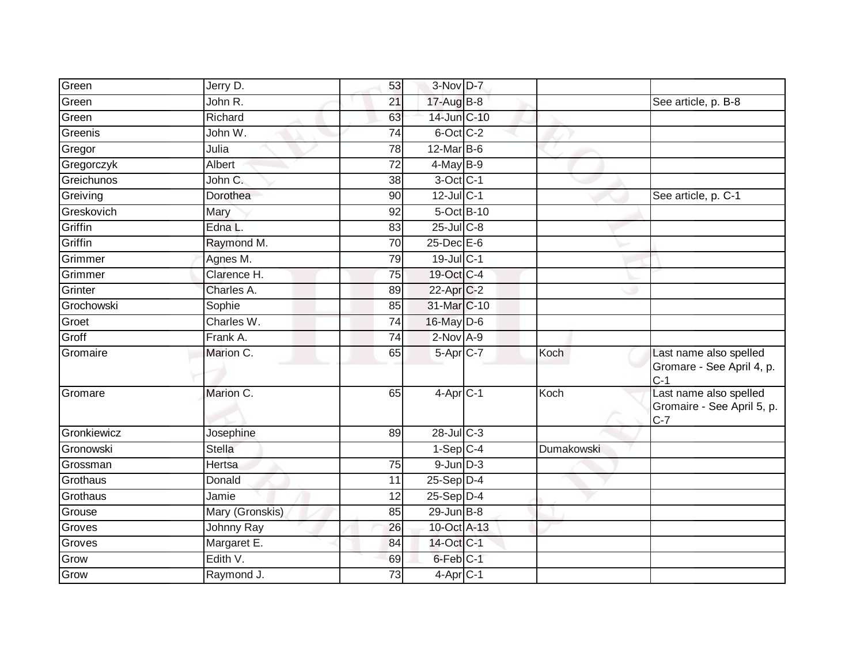| Green       | Jerry D.        | 53              | $3-Nov$ D-7              |            |                                                      |
|-------------|-----------------|-----------------|--------------------------|------------|------------------------------------------------------|
| Green       | John R.         | 21              | 17-Aug B-8               |            | See article, p. B-8                                  |
| Green       | Richard         | 63              | 14-Jun C-10              |            |                                                      |
| Greenis     | John W.         | 74              | 6-Oct C-2                |            |                                                      |
| Gregor      | Julia           | 78              | $12$ -Mar $B$ -6         |            |                                                      |
| Gregorczyk  | Albert          | $\overline{72}$ | 4-May B-9                |            |                                                      |
| Greichunos  | John C.         | 38              | 3-Oct C-1                |            |                                                      |
| Greiving    | Dorothea        | 90              | $12$ -Jul C-1            |            | See article, p. C-1                                  |
| Greskovich  | Mary            | 92              | 5-Oct B-10               |            |                                                      |
| Griffin     | Edna L.         | 83              | $25$ -Jul $C-8$          |            |                                                      |
| Griffin     | Raymond M.      | 70              | 25-Dec E-6               |            |                                                      |
| Grimmer     | Agnes M.        | 79              | 19-Jul C-1               |            |                                                      |
| Grimmer     | Clarence H.     | 75              | 19-Oct C-4               |            |                                                      |
| Grinter     | Charles A.      | 89              | 22-Apr C-2               |            |                                                      |
| Grochowski  | Sophie          | 85              | 31-Mar C-10              |            |                                                      |
| Groet       | Charles W.      | 74              | 16-May D-6               |            |                                                      |
| Groff       | Frank A.        | 74              | $2$ -Nov $A-9$           |            |                                                      |
| Gromaire    | Marion C.       | 65              | 5-Apr C-7                | Koch       | Last name also spelled                               |
|             |                 |                 |                          |            | Gromare - See April 4, p.<br>$C-1$                   |
| Gromare     | Marion C.       | 65              | $4-Apr$ $C-1$            | Koch       | Last name also spelled<br>Gromaire - See April 5, p. |
|             |                 |                 |                          |            | $C-7$                                                |
| Gronkiewicz | Josephine       | 89              | 28-Jul C-3               |            |                                                      |
| Gronowski   | <b>Stella</b>   |                 | $1-Sep$ C-4              | Dumakowski |                                                      |
| Grossman    | Hertsa          | $\overline{75}$ | $9$ -Jun $D-3$           |            |                                                      |
| Grothaus    | Donald          | 11              | 25-Sep D-4               |            |                                                      |
| Grothaus    | Jamie           | 12              | $25-Sep D-4$             |            |                                                      |
| Grouse      | Mary (Gronskis) | 85              | $29$ -Jun $B-8$          |            |                                                      |
| Groves      | Johnny Ray      | 26              | 10-Oct A-13              |            |                                                      |
| Groves      | Margaret E.     | 84              | 14-Oct C-1               |            |                                                      |
| Grow        | Edith V.        | 69              | 6-Feb C-1                |            |                                                      |
| Grow        | Raymond J.      | $\overline{73}$ | $4 - Apr$ <sub>C-1</sub> |            |                                                      |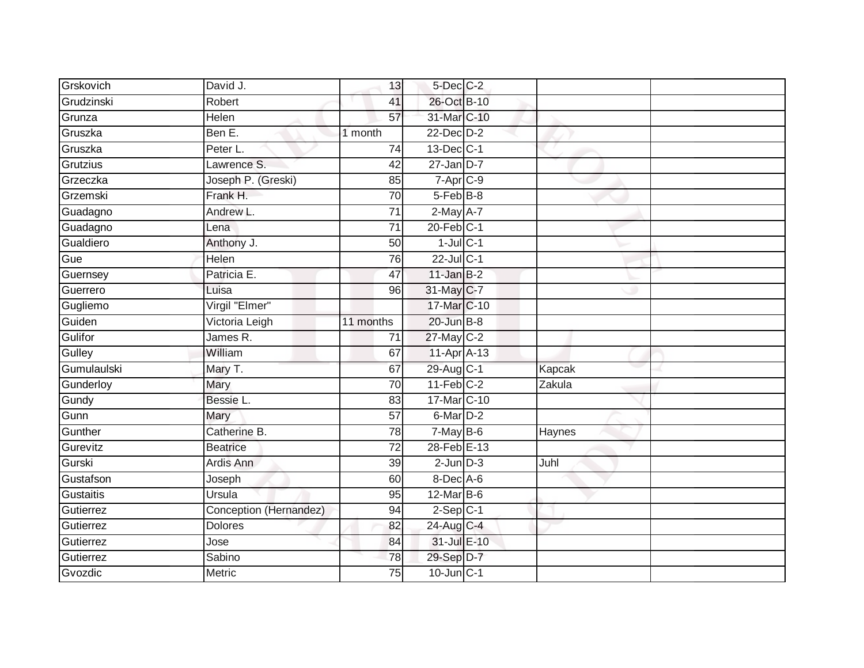| Grskovich   | David J.               | 13              | 5-Dec C-2               |        |  |
|-------------|------------------------|-----------------|-------------------------|--------|--|
| Grudzinski  | Robert                 | 41              | 26-Oct B-10             |        |  |
| Grunza      | Helen                  | $\overline{57}$ | 31-Mar C-10             |        |  |
| Gruszka     | Ben E.                 | 1 month         | $22$ -Dec $D-2$         |        |  |
| Gruszka     | Peter L.               | $\overline{74}$ | 13-Dec C-1              |        |  |
| Grutzius    | Lawrence S.            | 42              | $27$ -Jan D-7           |        |  |
| Grzeczka    | Joseph P. (Greski)     | 85              | $7-Apr$ <sub>C-9</sub>  |        |  |
| Grzemski    | Frank H.               | 70              | 5-Feb <sup>B-8</sup>    |        |  |
| Guadagno    | Andrew L.              | $\overline{71}$ | $2-May$ A-7             |        |  |
| Guadagno    | Lena                   | 71              | $20$ -Feb $C-1$         |        |  |
| Gualdiero   | Anthony J.             | 50              | $1$ -Jul $C-1$          |        |  |
| Gue         | Helen                  | 76              | 22-Jul C-1              |        |  |
| Guernsey    | Patricia E.            | 47              | $11$ -Jan $B-2$         |        |  |
| Guerrero    | Luisa                  | 96              | 31-May C-7              |        |  |
| Gugliemo    | Virgil "Elmer"         |                 | 17-Mar C-10             |        |  |
| Guiden      | Victoria Leigh         | 11 months       | 20-Jun B-8              |        |  |
| Gulifor     | James R.               | 71              | 27-May C-2              |        |  |
| Gulley      | William                | 67              | 11-Apr A-13             |        |  |
| Gumulaulski | Mary T.                | 67              | 29-Aug C-1              | Kapcak |  |
| Gunderloy   | Mary                   | $\overline{70}$ | $11-Feb$ <sub>C-2</sub> | Zakula |  |
| Gundy       | Bessie L.              | 83              | 17-Mar C-10             |        |  |
| Gunn        | Mary                   | $\overline{57}$ | $6$ -Mar $D-2$          |        |  |
| Gunther     | Catherine B.           | 78              | $7$ -May B-6            | Haynes |  |
| Gurevitz    | <b>Beatrice</b>        | 72              | 28-Feb E-13             |        |  |
| Gurski      | Ardis Ann              | 39              | $2$ -Jun $D-3$          | Juhl   |  |
| Gustafson   | Joseph                 | 60              | 8-Dec A-6               |        |  |
| Gustaitis   | Ursula                 | 95              | $12$ -Mar B-6           |        |  |
| Gutierrez   | Conception (Hernandez) | 94              | $2-Sep C-1$             |        |  |
| Gutierrez   | <b>Dolores</b>         | 82              | 24-Aug C-4              |        |  |
| Gutierrez   | Jose                   | 84              | 31-Jul E-10             |        |  |
| Gutierrez   | Sabino                 | $\overline{78}$ | 29-Sep D-7              |        |  |
| Gvozdic     | Metric                 | $\overline{75}$ | $10$ -Jun $C-1$         |        |  |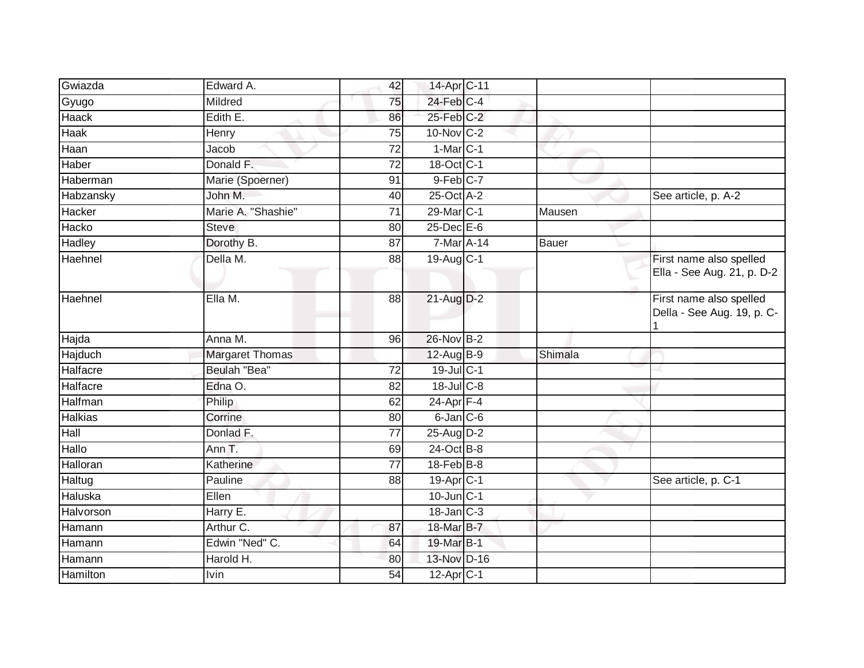| Gwiazda        | Edward A.              | 42              | 14-Apr C-11             |              |                                                       |
|----------------|------------------------|-----------------|-------------------------|--------------|-------------------------------------------------------|
| Gyugo          | Mildred                | 75              | $24$ -Feb $C-4$         |              |                                                       |
| <b>Haack</b>   | Edith E.               | 86              | 25-Feb C-2              |              |                                                       |
| <b>Haak</b>    | Henry                  | 75              | $10$ -Nov $ C-2 $       |              |                                                       |
| Haan           | Jacob                  | 72              | $1-Mar$ <sub>C-1</sub>  |              |                                                       |
| Haber          | Donald F.              | 72              | 18-Oct C-1              |              |                                                       |
| Haberman       | Marie (Spoerner)       | 91              | $9$ -Feb $C$ -7         |              |                                                       |
| Habzansky      | John M.                | 40              | 25-Oct A-2              |              | See article, p. A-2                                   |
| Hacker         | Marie A. "Shashie"     | 71              | 29-Mar C-1              | Mausen       |                                                       |
| Hacko          | <b>Steve</b>           | 80              | $25$ -Dec $E$ -6        |              |                                                       |
| <b>Hadley</b>  | Dorothy B.             | 87              | 7-Mar A-14              | <b>Bauer</b> |                                                       |
| Haehnel        | Della M.               | 88              | 19-Aug C-1              |              | First name also spelled<br>Ella - See Aug. 21, p. D-2 |
| Haehnel        | Ella M.                | 88              | $21$ -Aug $D-2$         |              | First name also spelled<br>Della - See Aug. 19, p. C- |
| Hajda          | Anna M.                | 96              | 26-Nov B-2              |              |                                                       |
| Hajduch        | <b>Margaret Thomas</b> |                 | 12-Aug B-9              | Shimala      |                                                       |
| Halfacre       | Beulah "Bea"           | 72              | 19-Jul C-1              |              |                                                       |
| Halfacre       | Edna O.                | $\overline{82}$ | 18-Jul C-8              |              |                                                       |
| Halfman        | Philip                 | 62              | $24-Apr$ F-4            |              |                                                       |
| <b>Halkias</b> | Corrine                | 80              | $6$ -Jan $ C$ -6        |              |                                                       |
| Hall           | Donlad F.              | 77              | 25-Aug D-2              |              |                                                       |
| Hallo          | Ann T.                 | 69              | $24$ -Oct B-8           |              |                                                       |
| Halloran       | Katherine              | $\overline{77}$ | $18$ -Feb $B$ -8        |              |                                                       |
| Haltug         | Pauline                | 88              | 19-Apr C-1              |              | See article, p. C-1                                   |
| Haluska        | Ellen                  |                 | $10$ -Jun $C-1$         |              |                                                       |
| Halvorson      | Harry E.               |                 | $18$ -Jan $C-3$         |              |                                                       |
| Hamann         | Arthur C.              | 87              | 18-Mar B-7              |              |                                                       |
| Hamann         | Edwin "Ned" C.         | 64              | 19-Mar B-1              |              |                                                       |
| Hamann         | Harold H.              | 80              | 13-Nov D-16             |              |                                                       |
| Hamilton       | <b>Ivin</b>            | $\overline{54}$ | $12-Apr$ <sub>C-1</sub> |              |                                                       |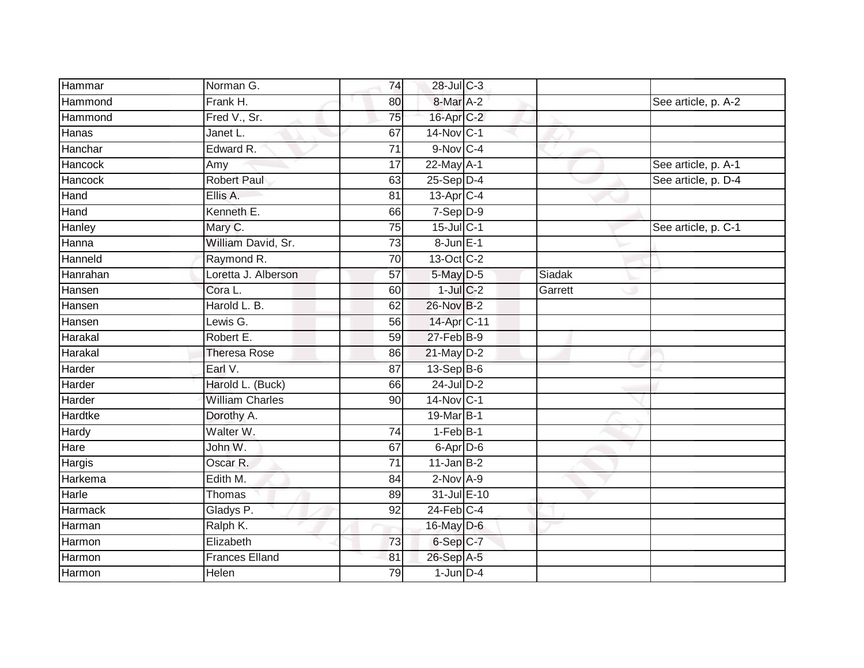| Hammar         | Norman G.              | 74              | 28-Jul C-3              |         |                     |
|----------------|------------------------|-----------------|-------------------------|---------|---------------------|
| Hammond        | Frank H.               | 80              | 8-Mar A-2               |         | See article, p. A-2 |
| Hammond        | Fred V., Sr.           | 75              | $16$ -Apr $C-2$         |         |                     |
| Hanas          | Janet L.               | 67              | 14-Nov C-1              |         |                     |
| Hanchar        | Edward R.              | $\overline{71}$ | $9-Nov$ C-4             |         |                     |
| Hancock        | Amy                    | $\overline{17}$ | 22-May A-1              |         | See article, p. A-1 |
| Hancock        | <b>Robert Paul</b>     | 63              | $25-Sep$ D-4            |         | See article, p. D-4 |
| Hand           | Ellis A.               | 81              | $13-Apr$ <sub>C-4</sub> |         |                     |
| Hand           | Kenneth E.             | 66              | $7-Sep$ $D-9$           |         |                     |
| Hanley         | Mary C.                | $\overline{75}$ | $15$ -Jul C-1           |         | See article, p. C-1 |
| Hanna          | William David, Sr.     | 73              | 8-Jun E-1               |         |                     |
| Hanneld        | Raymond R.             | 70              | 13-Oct C-2              |         |                     |
| Hanrahan       | Loretta J. Alberson    | 57              | 5-May D-5               | Siadak  |                     |
| Hansen         | Cora L.                | 60              | $1$ -Jul $C-2$          | Garrett |                     |
| Hansen         | Harold L. B.           | 62              | 26-Nov B-2              |         |                     |
| Hansen         | Lewis G.               | 56              | 14-Apr C-11             |         |                     |
| Harakal        | Robert E.              | 59              | $27$ -Feb $B-9$         |         |                     |
| Harakal        | <b>Theresa Rose</b>    | 86              | $21$ -May $D-2$         |         |                     |
| Harder         | Earl V.                | 87              | 13-Sep B-6              |         |                     |
| Harder         | Harold L. (Buck)       | 66              | 24-Jul D-2              |         |                     |
| Harder         | <b>William Charles</b> | 90              | 14-Nov C-1              |         |                     |
| <b>Hardtke</b> | Dorothy A.             |                 | 19-Mar B-1              |         |                     |
| Hardy          | Walter W.              | 74              | $1-FebB-1$              |         |                     |
| Hare           | John W.                | 67              | 6-Apr D-6               |         |                     |
| Hargis         | Oscar R.               | 71              | $11$ -Jan B-2           |         |                     |
| Harkema        | Edith M.               | 84              | $2$ -Nov $A-9$          |         |                     |
| Harle          | Thomas                 | 89              | 31-Jul E-10             |         |                     |
| <b>Harmack</b> | Gladys P.              | 92              | $24$ -Feb $C-4$         |         |                     |
| Harman         | Ralph K.               |                 | 16-May D-6              |         |                     |
| Harmon         | Elizabeth              | 73              | 6-Sep C-7               |         |                     |
| Harmon         | <b>Frances Elland</b>  | 81              | 26-Sep A-5              |         |                     |
| Harmon         | <b>Helen</b>           | 79              | $1$ -Jun $D-4$          |         |                     |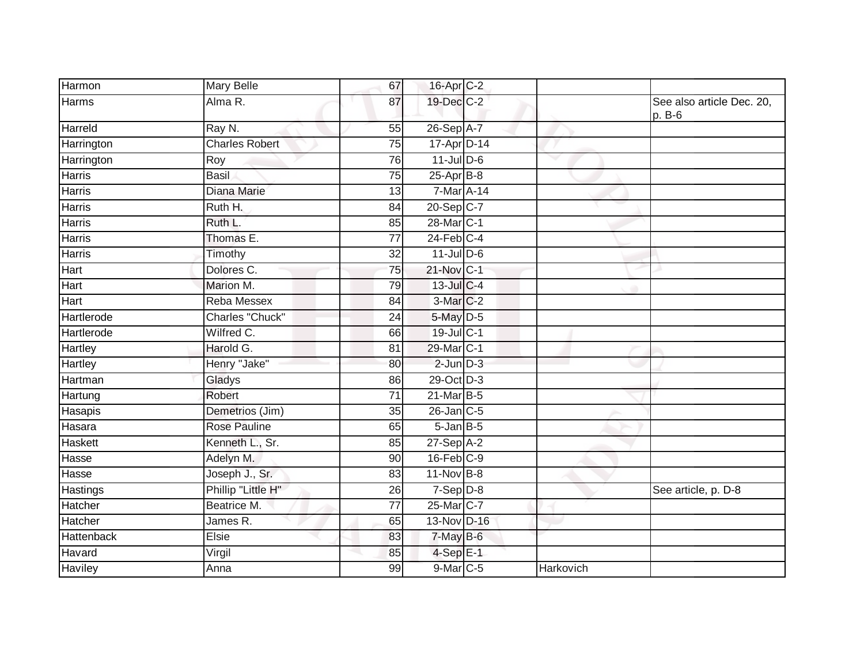| Harmon         | <b>Mary Belle</b>     | 67              | 16-Apr C-2              |           |                                       |
|----------------|-----------------------|-----------------|-------------------------|-----------|---------------------------------------|
| <b>Harms</b>   | Alma R.               | 87              | 19-Dec C-2              |           | See also article Dec. 20,<br>$p. B-6$ |
| Harreld        | Ray N.                | 55              | 26-Sep A-7              |           |                                       |
| Harrington     | <b>Charles Robert</b> | 75              | 17-Apr D-14             |           |                                       |
| Harrington     | Roy                   | 76              | $11$ -JulD-6            | v         |                                       |
| <b>Harris</b>  | <b>Basil</b>          | $\overline{75}$ | $25$ -Apr $B$ -8        |           |                                       |
| <b>Harris</b>  | Diana Marie           | 13              | 7-Mar A-14              |           |                                       |
| Harris         | Ruth H.               | 84              | 20-Sep C-7              |           |                                       |
| <b>Harris</b>  | Ruth L.               | 85              | 28-Mar C-1              |           |                                       |
| <b>Harris</b>  | Thomas E.             | 77              | $24$ -Feb $C-4$         |           |                                       |
| <b>Harris</b>  | Timothy               | 32              | $11$ -Jul D-6           |           |                                       |
| Hart           | Dolores C.            | $\overline{75}$ | $21-Nov$ <sub>C-1</sub> |           |                                       |
| Hart           | Marion M.             | 79              | 13-Jul C-4              |           |                                       |
| Hart           | Reba Messex           | 84              | $3-Mar$ C-2             |           |                                       |
| Hartlerode     | Charles "Chuck"       | 24              | 5-May D-5               |           |                                       |
| Hartlerode     | Wilfred C.            | 66              | 19-Jul C-1              |           |                                       |
| Hartley        | Harold G.             | 81              | 29-Mar C-1              |           |                                       |
| Hartley        | Henry "Jake"          | 80              | $2$ -Jun $D-3$          |           |                                       |
| Hartman        | Gladys                | 86              | 29-Oct D-3              |           |                                       |
| Hartung        | Robert                | 71              | $21$ -Mar $B-5$         |           |                                       |
| Hasapis        | Demetrios (Jim)       | 35              | 26-Jan C-5              |           |                                       |
| Hasara         | <b>Rose Pauline</b>   | 65              | $5 - Jan$ $B - 5$       |           |                                       |
| Haskett        | Kenneth L., Sr.       | 85              | 27-Sep A-2              |           |                                       |
| Hasse          | Adelyn M.             | 90              | $16$ -Feb $C-9$         |           |                                       |
| Hasse          | Joseph J., Sr.        | 83              | $11-Nov$ B-8            |           |                                       |
| Hastings       | Phillip "Little H"    | 26              | $7-Sep$ $D-8$           |           | See article, p. D-8                   |
| Hatcher        | Beatrice M.           | $\overline{77}$ | 25-Mar C-7              |           |                                       |
| Hatcher        | James R.              | 65              | 13-Nov D-16             |           |                                       |
| Hattenback     | Elsie                 | 83              | $7$ -May $B$ -6         |           |                                       |
| Havard         | Virgil                | 85              | $4-SepE-1$              |           |                                       |
| <b>Haviley</b> | Anna                  | 99              | $9$ -Mar $C$ -5         | Harkovich |                                       |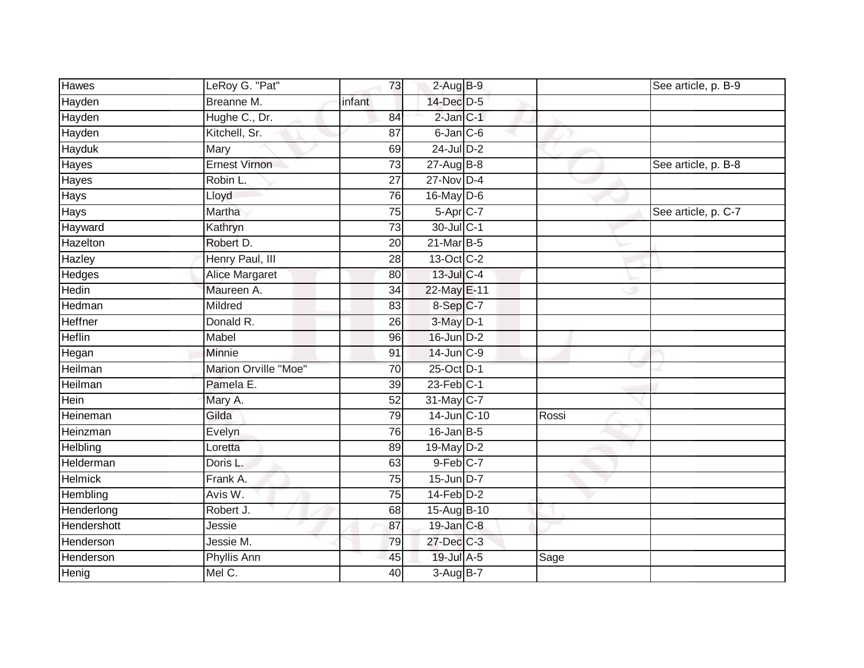| <b>Hawes</b>  | LeRoy G. "Pat"        | 73              | $2-AugB-9$             | See article, p. B-9 |
|---------------|-----------------------|-----------------|------------------------|---------------------|
| Hayden        | Breanne M.            | infant          | 14-Dec D-5             |                     |
| Hayden        | Hughe C., Dr.         | 84              | $2$ -Jan $C-1$         |                     |
| Hayden        | Kitchell, Sr.         | 87              | 6-Jan C-6              |                     |
| <b>Hayduk</b> | Mary                  | 69              | $24$ -Jul $D-2$        |                     |
| Hayes         | <b>Ernest Virnon</b>  | $\overline{73}$ | 27-Aug B-8             | See article, p. B-8 |
| Hayes         | Robin L.              | 27              | $27$ -Nov $D-4$        |                     |
| Hays          | Lloyd                 | 76              | 16-May D-6             |                     |
| <b>Hays</b>   | Martha                | $\overline{75}$ | 5-Apr C-7              | See article, p. C-7 |
| Hayward       | Kathryn               | 73              | 30-Jul C-1             |                     |
| Hazelton      | Robert D.             | 20              | 21-Mar B-5             |                     |
| Hazley        | Henry Paul, III       | $\overline{28}$ | 13-Oct C-2             |                     |
| Hedges        | <b>Alice Margaret</b> | 80              | 13-Jul C-4             |                     |
| Hedin         | Maureen A.            | $\overline{34}$ | 22-May E-11            |                     |
| Hedman        | Mildred               | $\overline{83}$ | 8-Sep C-7              |                     |
| Heffner       | Donald R.             | 26              | 3-May D-1              |                     |
| <b>Heflin</b> | Mabel                 | 96              | $16$ -Jun $D-2$        |                     |
| Hegan         | Minnie                | 91              | 14-Jun C-9             |                     |
| Heilman       | Marion Orville "Moe"  | 70              | 25-Oct D-1             |                     |
| Heilman       | Pamela E.             | 39              | $23$ -Feb $ C-1 $      |                     |
| Hein          | Mary A.               | 52              | 31-May C-7             |                     |
| Heineman      | Gilda                 | 79              | 14-Jun C-10            | Rossi               |
| Heinzman      | Evelyn                | 76              | 16-Jan B-5             |                     |
| Helbling      | Loretta               | 89              | 19-May D-2             |                     |
| Helderman     | Doris L.              | 63              | $9-Feb$ <sub>C-7</sub> |                     |
| Helmick       | Frank A.              | 75              | $15$ -Jun D-7          |                     |
| Hembling      | Avis W.               | 75              | $14$ -Feb $D-2$        |                     |
| Henderlong    | Robert J.             | 68              | 15-Aug B-10            |                     |
| Hendershott   | Jessie                | 87              | $19$ -Jan $C-8$        |                     |
| Henderson     | Jessie M.             | 79              | 27-Dec C-3             |                     |
| Henderson     | Phyllis Ann           | 45              | 19-Jul A-5             | Sage                |
| Henig         | Mel C.                | 40              | 3-Aug B-7              |                     |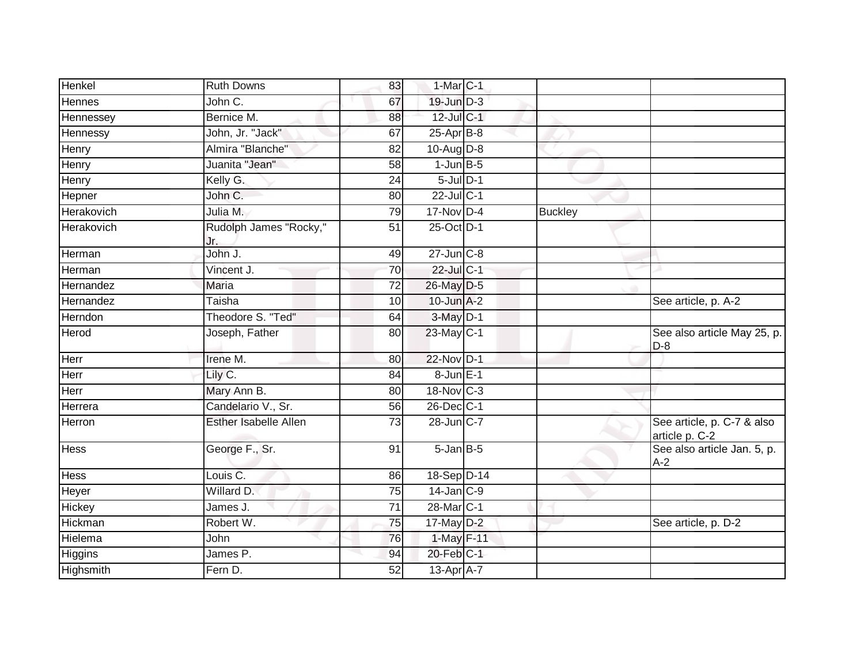| Henkel        | <b>Ruth Downs</b>             | 83              | $1-MarC-1$            |                |                                              |
|---------------|-------------------------------|-----------------|-----------------------|----------------|----------------------------------------------|
| <b>Hennes</b> | John C.                       | 67              | $19$ -Jun $D-3$       |                |                                              |
| Hennessey     | Bernice M.                    | 88              | $12$ -Jul C-1         |                |                                              |
| Hennessy      | John, Jr. "Jack"              | 67              | $25$ -Apr $B$ -8      |                |                                              |
| Henry         | Almira "Blanche"              | $\overline{82}$ | $10-Aug$ $D-8$        |                |                                              |
| Henry         | Juanita "Jean"                | 58              | $1$ -Jun $B-5$        |                |                                              |
| Henry         | Kelly G.                      | 24              | $5$ -Jul $D-1$        |                |                                              |
| Hepner        | John C.                       | 80              | 22-Jul C-1            |                |                                              |
| Herakovich    | Julia M.                      | 79              | $17$ -Nov $D-4$       | <b>Buckley</b> |                                              |
| Herakovich    | Rudolph James "Rocky,"<br>Jr. | $\overline{51}$ | 25-Oct D-1            |                |                                              |
| Herman        | John J.                       | 49              | $27$ -Jun $C-8$       |                |                                              |
| Herman        | Vincent J.                    | $\overline{70}$ | 22-Jul C-1            |                |                                              |
| Hernandez     | Maria                         | 72              | 26-May D-5            |                |                                              |
| Hernandez     | Taisha                        | 10              | $10$ -Jun $A-2$       |                | See article, p. A-2                          |
| Herndon       | Theodore S. "Ted"             | 64              | $3-May$ D-1           |                |                                              |
| Herod         | Joseph, Father                | 80              | $23$ -May C-1         |                | See also article May 25, p.<br>$D-8$         |
| Herr          | Irene M.                      | 80              | 22-Nov D-1            |                |                                              |
| Herr          | Lily C.                       | 84              | $8$ -Jun $E-1$        |                |                                              |
| Herr          | Mary Ann B.                   | 80              | 18-Nov C-3            |                |                                              |
| Herrera       | Candelario V., Sr.            | 56              | 26-Dec C-1            |                |                                              |
| Herron        | Esther Isabelle Allen         | 73              | 28-Jun C-7            |                | See article, p. C-7 & also<br>article p. C-2 |
| <b>Hess</b>   | George F., Sr.                | 91              | $5 - Jan$ $B - 5$     |                | See also article Jan. 5, p.<br>$A-2$         |
| <b>Hess</b>   | Louis C.                      | 86              | 18-Sep D-14           |                |                                              |
| Heyer         | Willard D.                    | $\overline{75}$ | $14$ -Jan $C-9$       |                |                                              |
| Hickey        | James J.                      | 71              | 28-Mar <sub>C-1</sub> |                |                                              |
| Hickman       | Robert W.                     | 75              | $17$ -May $D-2$       |                | See article, p. D-2                          |
| Hielema       | John                          | 76              | 1-May F-11            |                |                                              |
| Higgins       | James P.                      | 94              | 20-Feb C-1            |                |                                              |
| Highsmith     | Fern D.                       | 52              | 13-Apr A-7            |                |                                              |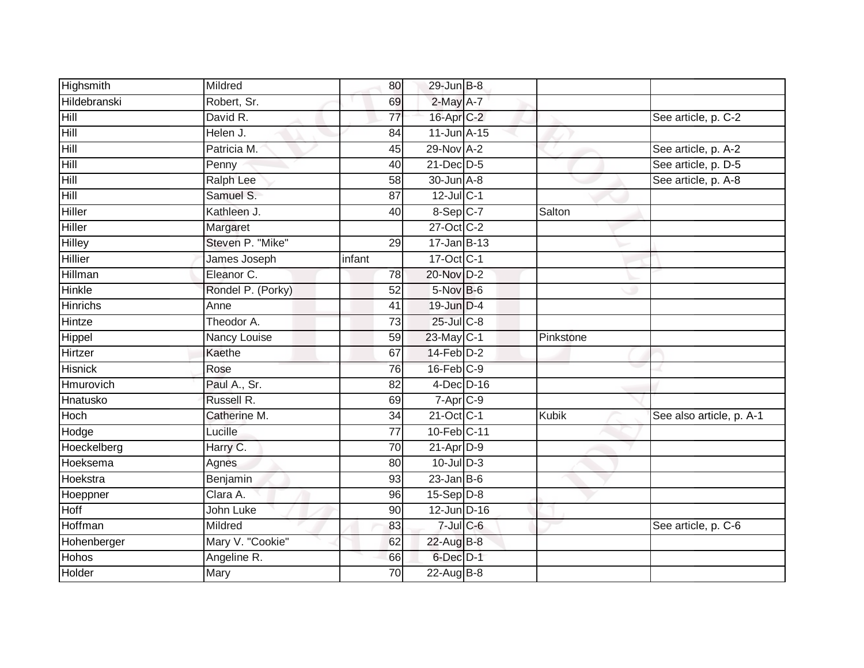| Highsmith       | Mildred           | 80              | 29-Jun B-8        |           |                          |
|-----------------|-------------------|-----------------|-------------------|-----------|--------------------------|
| Hildebranski    | Robert, Sr.       | 69              | $2$ -May $A-7$    |           |                          |
| Hill            | David R.          | 77              | 16-Apr C-2        |           | See article, p. C-2      |
| Hill            | Helen J.          | 84              | $11$ -Jun $A$ -15 |           |                          |
| Hill            | Patricia M.       | 45              | 29-Nov A-2        |           | See article, p. A-2      |
| Hill            | Penny             | 40              | 21-Dec D-5        |           | See article, p. D-5      |
| Hill            | <b>Ralph Lee</b>  | 58              | 30-Jun A-8        |           | See article, p. A-8      |
| Hill            | Samuel S.         | 87              | 12-Jul C-1        |           |                          |
| Hiller          | Kathleen J.       | 40              | 8-Sep C-7         | Salton    |                          |
| Hiller          | Margaret          |                 | 27-Oct C-2        |           |                          |
| Hilley          | Steven P. "Mike"  | 29              | $17 - Jan$ B-13   |           |                          |
| Hillier         | James Joseph      | infant          | 17-Oct C-1        |           |                          |
| Hillman         | Eleanor C.        | 78              | 20-Nov D-2        |           |                          |
| Hinkle          | Rondel P. (Porky) | 52              | $5-NovB-6$        |           |                          |
| <b>Hinrichs</b> | Anne              | 41              | 19-Jun D-4        |           |                          |
| Hintze          | Theodor A.        | 73              | $25$ -Jul $C-8$   |           |                          |
| Hippel          | Nancy Louise      | 59              | 23-May C-1        | Pinkstone |                          |
| Hirtzer         | Kaethe            | 67              | $14$ -Feb $D-2$   |           |                          |
| <b>Hisnick</b>  | Rose              | 76              | $16$ -Feb $ C-9 $ |           |                          |
| Hmurovich       | Paul A., Sr.      | 82              | $4$ -Dec $D-16$   |           |                          |
| Hnatusko        | Russell R.        | 69              | $7 - Apr$ $C-9$   |           |                          |
| Hoch            | Catherine M.      | 34              | 21-Oct C-1        | Kubik     | See also article, p. A-1 |
| Hodge           | Lucille           | $\overline{77}$ | 10-Feb C-11       |           |                          |
| Hoeckelberg     | Harry C.          | 70              | $21-Apr$ D-9      |           |                          |
| Hoeksema        | Agnes             | 80              | $10$ -Jul $D-3$   |           |                          |
| Hoekstra        | Benjamin          | 93              | $23$ -Jan B-6     |           |                          |
| Hoeppner        | Clara A.          | 96              | 15-Sep D-8        |           |                          |
| Hoff            | John Luke         | 90              | $12$ -Jun $D-16$  |           |                          |
| Hoffman         | Mildred           | 83              | $7$ -Jul $C$ -6   |           | See article, p. C-6      |
| Hohenberger     | Mary V. "Cookie"  | 62              | 22-Aug B-8        |           |                          |
| Hohos           | Angeline R.       | 66              | $6$ -Dec $D-1$    |           |                          |
| Holder          | <b>Mary</b>       | $\overline{70}$ | $22$ -Aug B-8     |           |                          |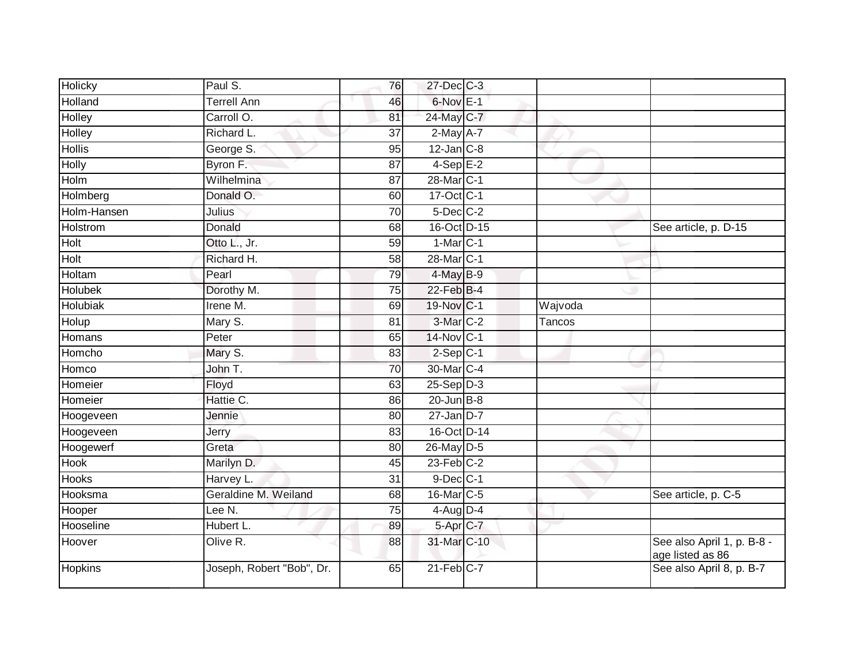| Holicky         | Paul S.                   | 76              | 27-Dec C-3       |         |                                                |
|-----------------|---------------------------|-----------------|------------------|---------|------------------------------------------------|
| Holland         | <b>Terrell Ann</b>        | 46              | $6$ -Nov $E-1$   |         |                                                |
| <b>Holley</b>   | Carroll O.                | 81              | 24-May C-7       |         |                                                |
| Holley          | Richard L.                | 37              | $2$ -May $A-7$   |         |                                                |
| <b>Hollis</b>   | George S.                 | 95              | $12$ -Jan $C-8$  |         |                                                |
| <b>Holly</b>    | Byron F.                  | 87              | $4-Sep$ E-2      |         |                                                |
| Holm            | Wilhelmina                | 87              | 28-Mar C-1       |         |                                                |
| Holmberg        | Donald O.                 | 60              | 17-Oct C-1       |         |                                                |
| Holm-Hansen     | Julius                    | 70              | 5-Dec C-2        |         |                                                |
| Holstrom        | Donald                    | 68              | 16-Oct D-15      |         | See article, p. D-15                           |
| Holt            | Otto L., Jr.              | 59              | $1-MarC-1$       |         |                                                |
| Holt            | Richard H.                | 58              | 28-Mar C-1       |         |                                                |
| Holtam          | Pearl                     | 79              | 4-May B-9        |         |                                                |
| Holubek         | Dorothy M.                | $\overline{75}$ | 22-Feb B-4       |         |                                                |
| <b>Holubiak</b> | Irene M.                  | 69              | 19-Nov C-1       | Wajvoda |                                                |
| Holup           | Mary S.                   | 81              | 3-Mar C-2        | Tancos  |                                                |
| <b>Homans</b>   | Peter                     | 65              | 14-Nov C-1       |         |                                                |
| Homcho          | Mary S.                   | 83              | $2-Sep C-1$      |         |                                                |
| Homco           | John T.                   | 70              | 30-Mar C-4       |         |                                                |
| Homeier         | Floyd                     | 63              | $25-Sep$ $D-3$   |         |                                                |
| Homeier         | Hattie C.                 | 86              | $20$ -Jun $B-8$  |         |                                                |
| Hoogeveen       | Jennie                    | 80              | $27$ -Jan D-7    |         |                                                |
| Hoogeveen       | Jerry                     | 83              | 16-Oct D-14      |         |                                                |
| Hoogewerf       | Greta                     | 80              | 26-May D-5       |         |                                                |
| Hook            | Marilyn D.                | 45              | $23$ -Feb $C-2$  |         |                                                |
| <b>Hooks</b>    | Harvey L.                 | 31              | $9$ -Dec $C-1$   |         |                                                |
| Hooksma         | Geraldine M. Weiland      | 68              | 16-Mar C-5       |         | See article, p. C-5                            |
| Hooper          | Lee N.                    | 75              | $4$ -Aug $D-4$   |         |                                                |
| Hooseline       | Hubert L.                 | 89              | 5-Apr C-7        |         |                                                |
| Hoover          | Olive R.                  | 88              | 31-Mar C-10      |         | See also April 1, p. B-8 -<br>age listed as 86 |
| <b>Hopkins</b>  | Joseph, Robert "Bob", Dr. | 65              | $21$ -Feb $C$ -7 |         | See also April 8, p. B-7                       |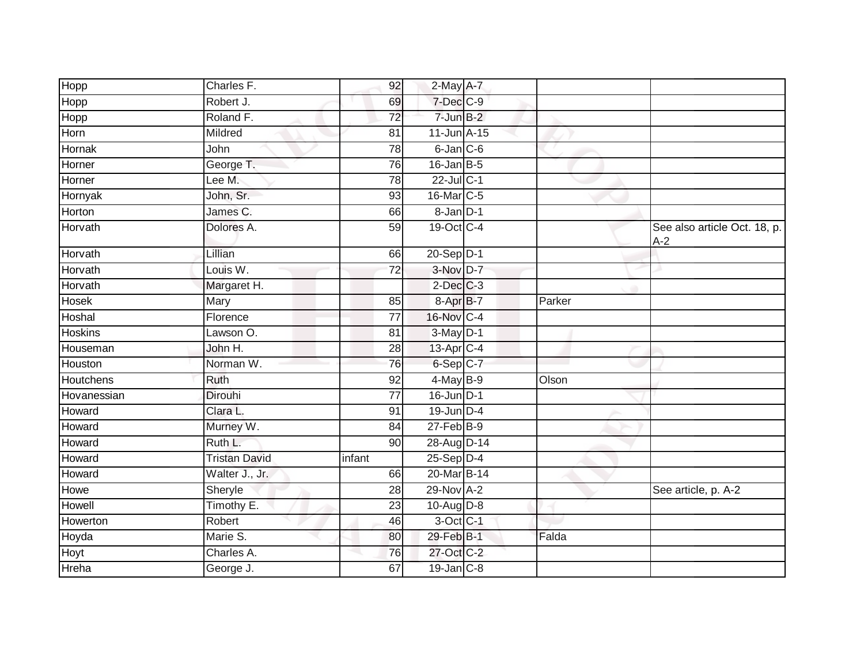| Hopp           | Charles F.           | 92              | 2-May A-7        |        |                                       |
|----------------|----------------------|-----------------|------------------|--------|---------------------------------------|
| Hopp           | Robert J.            | 69              | 7-Dec C-9        |        |                                       |
| Hopp           | Roland F.            | 72              | $7$ -Jun $B-2$   |        |                                       |
| Horn           | Mildred              | 81              | $11$ -Jun $A-15$ |        |                                       |
| Hornak         | John                 | $\overline{78}$ | $6$ -Jan $C$ -6  |        |                                       |
| Horner         | George T.            | 76              | $16$ -Jan B-5    |        |                                       |
| Horner         | Lee M.               | 78              | 22-Jul C-1       |        |                                       |
| Hornyak        | John, Sr.            | 93              | 16-Mar C-5       |        |                                       |
| Horton         | James C.             | 66              | 8-Jan D-1        |        |                                       |
| Horvath        | Dolores A.           | $\overline{59}$ | 19-Oct C-4       |        | See also article Oct. 18, p.<br>$A-2$ |
| Horvath        | Lillian              | 66              | 20-Sep D-1       |        |                                       |
| Horvath        | Louis W.             | $\overline{72}$ | 3-Nov D-7        |        |                                       |
| Horvath        | Margaret H.          |                 | $2$ -Dec $C-3$   |        |                                       |
| <b>Hosek</b>   | Mary                 | 85              | $8 - AprB - 7$   | Parker |                                       |
| <b>Hoshal</b>  | Florence             | 77              | 16-Nov C-4       |        |                                       |
| <b>Hoskins</b> | Lawson O.            | 81              | $3-May$ D-1      |        |                                       |
| Houseman       | John H.              | $\overline{28}$ | 13-Apr C-4       |        |                                       |
| Houston        | Norman W.            | 76              | 6-Sep C-7        |        |                                       |
| Houtchens      | Ruth                 | 92              | 4-May B-9        | Olson  |                                       |
| Hovanessian    | <b>Dirouhi</b>       | $\overline{77}$ | 16-Jun D-1       |        |                                       |
| Howard         | Clara L.             | 91              | 19-Jun D-4       |        |                                       |
| Howard         | Murney W.            | 84              | 27-Feb B-9       |        |                                       |
| Howard         | Ruth L.              | 90              | 28-Aug D-14      |        |                                       |
| Howard         | <b>Tristan David</b> | infant          | $25-Sep$ $D-4$   |        |                                       |
| Howard         | Walter J., Jr.       | 66              | 20-Mar B-14      |        |                                       |
| Howe           | Sheryle              | 28              | 29-Nov A-2       |        | See article, p. A-2                   |
| Howell         | Timothy E.           | 23              | $10-Auq$ D-8     |        |                                       |
| Howerton       | Robert               | 46              | 3-Oct C-1        |        |                                       |
| Hoyda          | Marie S.             | 80              | 29-Feb B-1       | Falda  |                                       |
| Hoyt           | Charles A.           | 76              | 27-Oct C-2       |        |                                       |
| Hreha          | George J.            | 67              | $19$ -Jan $C-8$  |        |                                       |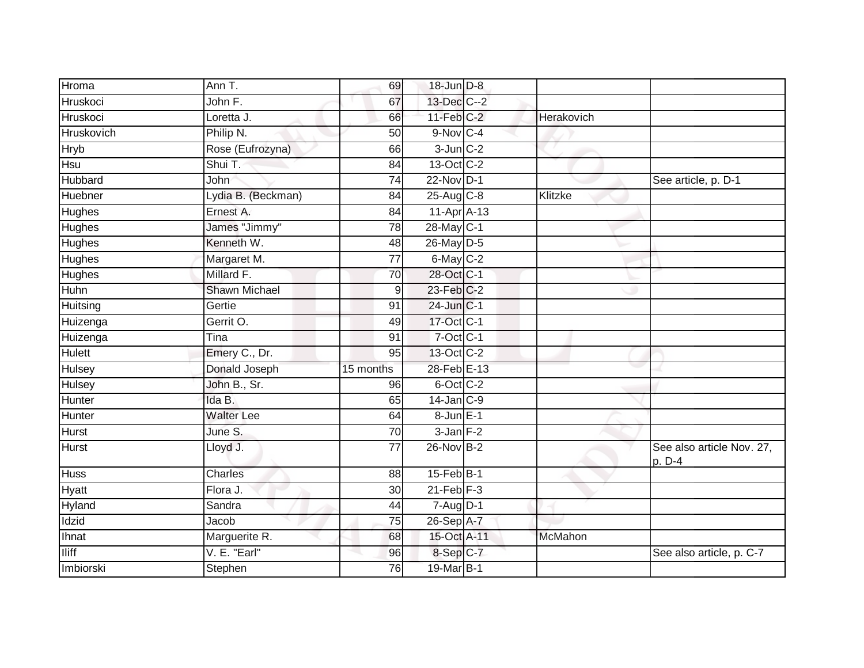| Hroma         | Ann T.               | 69              | 18-Jun D-8              |                |                                     |
|---------------|----------------------|-----------------|-------------------------|----------------|-------------------------------------|
| Hruskoci      | John F.              | 67              | 13-Dec C--2             |                |                                     |
| Hruskoci      | Loretta J.           | 66              | $11$ -Feb $C-2$         | Herakovich     |                                     |
| Hruskovich    | Philip N.            | 50              | 9-Nov C-4               |                |                                     |
| <b>Hryb</b>   | Rose (Eufrozyna)     | 66              | $3$ -Jun $C-2$          |                |                                     |
| Hsu           | Shui T.              | 84              | 13-Oct C-2              |                |                                     |
| Hubbard       | John                 | 74              | 22-Nov D-1              |                | See article, p. D-1                 |
| Huebner       | Lydia B. (Beckman)   | 84              | $25-Aug$ <sub>C-8</sub> | Klitzke        |                                     |
| Hughes        | Ernest A.            | 84              | 11-Apr A-13             |                |                                     |
| <b>Hughes</b> | James "Jimmy"        | 78              | 28-May C-1              |                |                                     |
| Hughes        | Kenneth W.           | 48              | 26-May D-5              |                |                                     |
| Hughes        | Margaret M.          | 77              | $6$ -May $C-2$          |                |                                     |
| <b>Hughes</b> | Millard F.           | 70              | 28-Oct C-1              |                |                                     |
| Huhn          | <b>Shawn Michael</b> | $\mathsf 9$     | $23$ -Feb $C-2$         |                |                                     |
| Huitsing      | Gertie               | 91              | $24$ -Jun $C-1$         |                |                                     |
| Huizenga      | Gerrit O.            | 49              | 17-Oct C-1              |                |                                     |
| Huizenga      | Tina                 | 91              | $7$ -Oct $C-1$          |                |                                     |
| Hulett        | Emery C., Dr.        | 95              | 13-Oct C-2              |                |                                     |
| <b>Hulsey</b> | Donald Joseph        | 15 months       | 28-Feb E-13             |                |                                     |
| <b>Hulsey</b> | John B., Sr.         | 96              | 6-Oct C-2               |                |                                     |
| Hunter        | Ida B.               | 65              | $14$ -Jan $ C-9 $       |                |                                     |
| Hunter        | <b>Walter Lee</b>    | 64              | 8-Jun E-1               |                |                                     |
| <b>Hurst</b>  | June S.              | 70              | $3$ -Jan $F-2$          |                |                                     |
| <b>Hurst</b>  | Lloyd J.             | $\overline{77}$ | $26$ -Nov $B-2$         |                | See also article Nov. 27,<br>p. D-4 |
| <b>Huss</b>   | Charles              | 88              | 15-Feb B-1              |                |                                     |
| Hyatt         | Flora J.             | 30              | $21$ -Feb $F-3$         |                |                                     |
| <b>Hyland</b> | Sandra               | 44              | $7 - Aug$ $D-1$         |                |                                     |
| Idzid         | Jacob                | 75              | 26-Sep A-7              |                |                                     |
| Ihnat         | Marguerite R.        | 68              | 15-Oct A-11             | <b>McMahon</b> |                                     |
| <b>Iliff</b>  | V. E. "Earl"         | 96              | 8-Sep C-7               |                | See also article, p. C-7            |
| Imbiorski     | Stephen              | 76              | 19-Mar B-1              |                |                                     |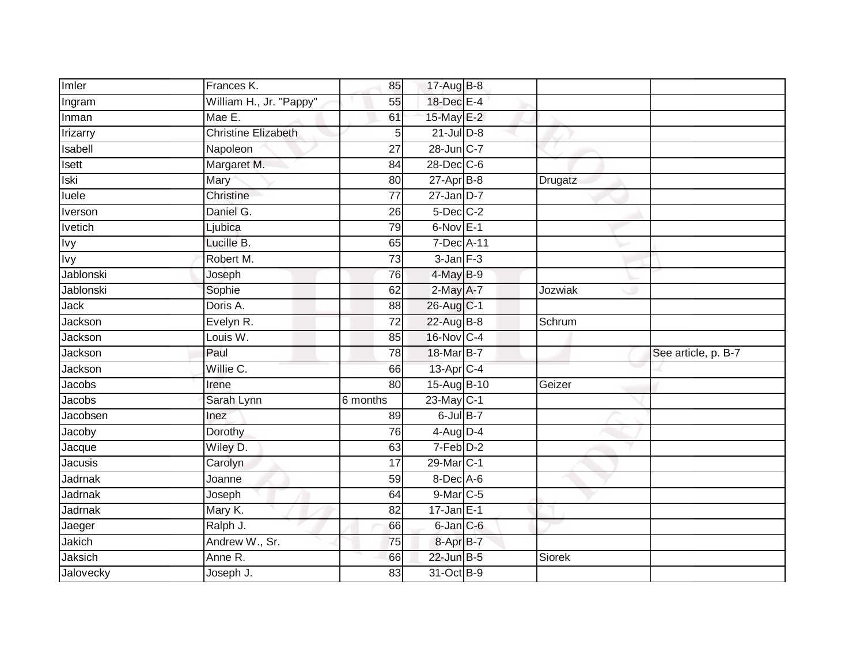| Imler                | Frances K.                 | 85                    | 17-Aug B-8               |         |                     |
|----------------------|----------------------------|-----------------------|--------------------------|---------|---------------------|
| Ingram               | William H., Jr. "Pappy"    | 55                    | 18-Dec E-4               |         |                     |
| Inman                | Mae E.                     | 61                    | 15-May E-2               |         |                     |
| <b>Irizarry</b>      | <b>Christine Elizabeth</b> | 5                     | $21$ -Jul $D-8$          |         |                     |
| Isabell              | Napoleon                   | $\overline{27}$       | 28-Jun C-7               |         |                     |
| Isett                | Margaret M.                | 84                    | $28$ -Dec $C$ -6         |         |                     |
| <b>Iski</b>          | Mary                       | 80                    | $27$ -Apr $B-8$          | Drugatz |                     |
| luele                | Christine                  | 77                    | $27 - Jan$ $D-7$         |         |                     |
| <b>Iverson</b>       | Daniel G.                  | 26                    | $5$ -Dec $C$ -2          |         |                     |
| <b>Ivetich</b>       | Ljubica                    | 79                    | $6$ -Nov $E-1$           |         |                     |
| <b>Ivy</b>           | Lucille B.                 | 65                    | 7-Dec A-11               |         |                     |
| <b>Ivy</b>           | Robert M.                  | 73                    | $3$ -Jan $F-3$           |         |                     |
| Jablonski            | Joseph                     | 76                    | 4-May B-9                |         |                     |
| Jablonski            | Sophie                     | 62                    | 2-May A-7                | Jozwiak |                     |
| Jack                 | Doris A.                   | $\overline{88}$       | 26-Aug C-1               |         |                     |
| Jackson              | Evelyn R.                  | 72                    | 22-Aug B-8               | Schrum  |                     |
|                      |                            |                       |                          |         |                     |
| Jackson              | Louis W.                   | 85                    | 16-Nov C-4               |         |                     |
| Jackson              | Paul                       | 78                    | 18-Mar B-7               |         | See article, p. B-7 |
| Jackson              | Willie C.                  | 66                    | 13-Apr C-4               |         |                     |
| Jacobs               | Irene                      | 80                    | 15-Aug B-10              | Geizer  |                     |
| Jacobs               | Sarah Lynn                 | 6 months              | $23$ -May C-1            |         |                     |
| Jacobsen             | Inez                       | 89                    | $6$ -Jul $B-7$           |         |                     |
| Jacoby               | Dorothy                    | 76                    | $4$ -Aug $D-4$           |         |                     |
| Jacque               | Wiley D.                   | 63                    | $7-Feb$ $D-2$            |         |                     |
| <b>Jacusis</b>       | Carolyn                    | 17                    | 29-Mar <sub>IC-1</sub>   |         |                     |
| Jadrnak              | Joanne                     | 59                    | $8$ -Dec $A$ -6          |         |                     |
| Jadrnak              | Joseph                     | 64                    | 9-Mar C-5                |         |                     |
| Jadrnak              | Mary K.                    | 82                    | $17$ -Jan $E-1$          |         |                     |
| Jaeger               | Ralph J.                   | 66                    | 6-Jan C-6                |         |                     |
| Jakich               | Andrew W., Sr.             | 75                    | 8-Apr B-7                |         |                     |
| Jaksich<br>Jalovecky | Anne R.<br>Joseph J.       | 66<br>$\overline{83}$ | 22-Jun B-5<br>31-Oct B-9 | Siorek  |                     |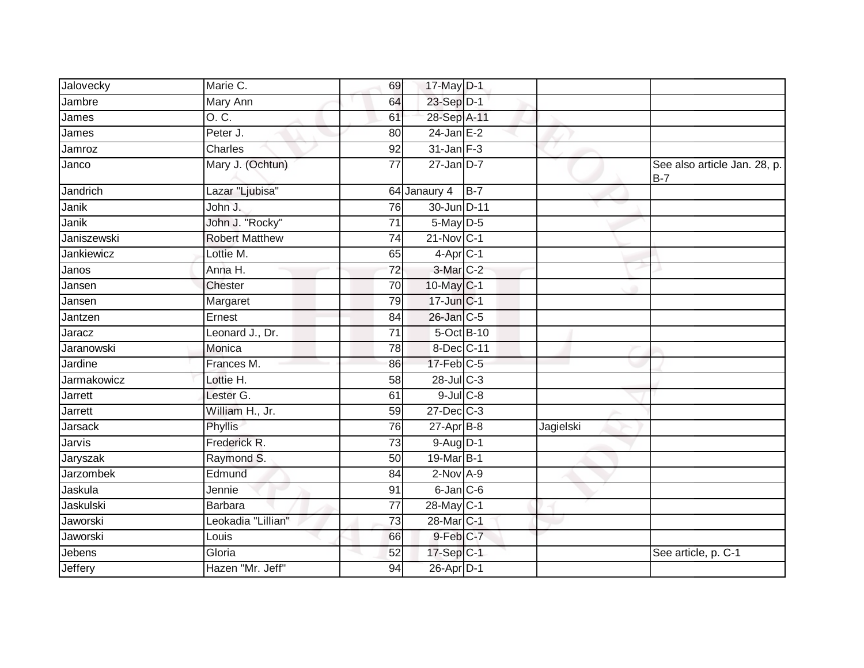| Jalovecky        | Marie C.              | 69<br>17-May D-1                         |                 |           |                                       |
|------------------|-----------------------|------------------------------------------|-----------------|-----------|---------------------------------------|
| Jambre           | Mary Ann              | 23-Sep D-1<br>64                         |                 |           |                                       |
| James            | 0. C.                 | 28-Sep A-11<br>61                        |                 |           |                                       |
| James            | Peter J.              | $24$ -Jan E-2<br>80                      |                 |           |                                       |
| Jamroz           | <b>Charles</b>        | $31$ -Jan $F-3$<br>$\overline{92}$       |                 |           |                                       |
| Janco            | Mary J. (Ochtun)      | $27$ -Jan D-7<br>77                      |                 |           | See also article Jan. 28, p.<br>$B-7$ |
| Jandrich         | Lazar "Ljubisa"       | 64 Janaury 4                             | $B-7$           |           |                                       |
| <b>Janik</b>     | John J.               | 30-Jun D-11<br>76                        |                 |           |                                       |
| Janik            | John J. "Rocky"       | 5-May D-5<br>71                          |                 |           |                                       |
| Janiszewski      | <b>Robert Matthew</b> | $21-Nov$ <sub>C-1</sub><br>74            |                 |           |                                       |
| Jankiewicz       | Lottie M.             | $4-Apr$ C-1<br>65                        |                 |           |                                       |
| Janos            | Anna H.               | 3-Mar C-2<br>$\overline{72}$             |                 |           |                                       |
| Jansen           | Chester               | 10-May C-1<br>70                         |                 |           |                                       |
| Jansen           | Margaret              | 17-Jun C-1<br>79                         |                 |           |                                       |
| Jantzen          | Ernest                | 26-Jan C-5<br>84                         |                 |           |                                       |
| Jaracz           | Leonard J., Dr.       | $\overline{71}$                          | 5-Oct B-10      |           |                                       |
| Jaranowski       | Monica                | 78                                       | 8-Dec C-11      |           |                                       |
| Jardine          | Frances M.            | $17$ -Feb $C-5$<br>86                    |                 |           |                                       |
| Jarmakowicz      | Lottie H.             | $28$ -Jul C-3<br>58                      |                 |           |                                       |
| Jarrett          | Lester G.             | 61                                       | $9$ -Jul $C$ -8 |           |                                       |
| Jarrett          | William H., Jr.       | 27-Dec C-3<br>59                         |                 |           |                                       |
| Jarsack          | Phyllis               | 76<br>$27$ -Apr $B$ -8                   |                 | Jagielski |                                       |
| Jarvis           | Frederick R.          | 9-Aug D-1<br>73                          |                 |           |                                       |
| Jaryszak         | Raymond S.            | 19-Mar B-1<br>50                         |                 |           |                                       |
| <b>Jarzombek</b> | Edmund                | $2$ -Nov $A-9$<br>84                     |                 |           |                                       |
| Jaskula          | Jennie                | $6$ -Jan $C$ -6<br>91                    |                 |           |                                       |
| Jaskulski        | <b>Barbara</b>        | 28-May C-1<br>$\overline{77}$            |                 |           |                                       |
| Jaworski         | Leokadia "Lillian"    | $\overline{73}$<br>28-Mar <sub>C-1</sub> |                 |           |                                       |
| Jaworski         | Louis                 | $9$ -Feb $C$ -7<br>66                    |                 |           |                                       |
| Jebens           | Gloria                | 17-Sep C-1<br>52                         |                 |           | See article, p. C-1                   |
| Jeffery          | Hazen "Mr. Jeff"      | 26-Apr D-1<br>94                         |                 |           |                                       |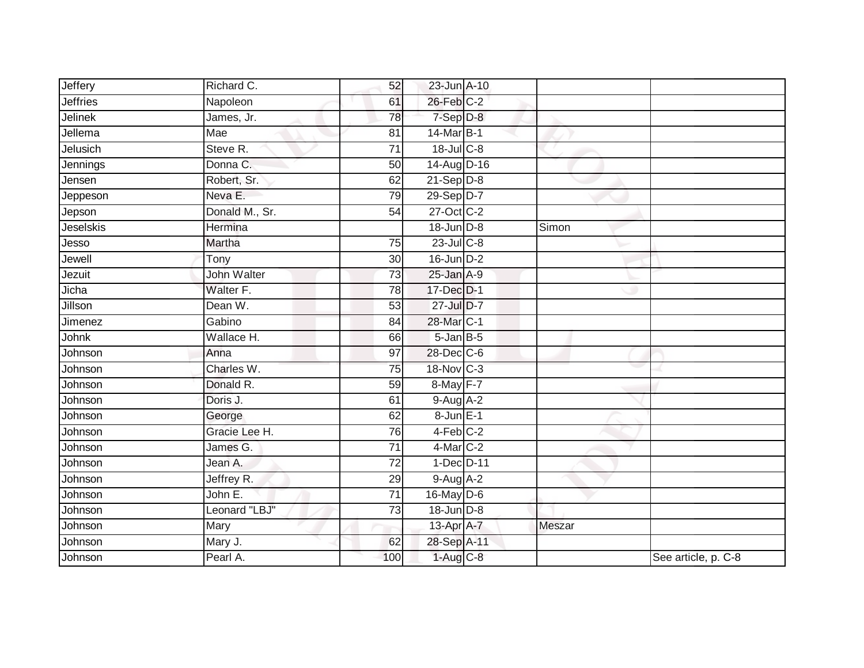| Jeffery         | Richard C.         | 52              | 23-Jun A-10       |        |                     |
|-----------------|--------------------|-----------------|-------------------|--------|---------------------|
| <b>Jeffries</b> | Napoleon           | 61              | 26-Feb C-2        |        |                     |
| Jelinek         | James, Jr.         | 78              | 7-Sep D-8         |        |                     |
| Jellema         | Mae                | 81              | 14-Mar B-1        |        |                     |
| Jelusich        | Steve R.           | $\overline{71}$ | 18-Jul C-8        |        |                     |
| Jennings        | Donna C.           | 50              | 14-Aug D-16       |        |                     |
| Jensen          | Robert, Sr.        | 62              | $21-Sep D-8$      |        |                     |
| Jeppeson        | Neva E.            | 79              | 29-Sep D-7        |        |                     |
| Jepson          | Donald M., Sr.     | 54              | 27-Oct C-2        |        |                     |
| Jeselskis       | Hermina            |                 | 18-Jun D-8        | Simon  |                     |
| Jesso           | Martha             | 75              | $23$ -Jul C-8     |        |                     |
| Jewell          | Tony               | 30              | $16$ -Jun $D-2$   |        |                     |
| Jezuit          | <b>John Walter</b> | 73              | $25$ -Jan $A-9$   |        |                     |
| Jicha           | Walter F.          | 78              | 17-Dec D-1        |        |                     |
| Jillson         | Dean W.            | 53              | 27-Jul D-7        |        |                     |
| Jimenez         | Gabino             | 84              | 28-Mar C-1        |        |                     |
| <b>Johnk</b>    | Wallace H.         | 66              | $5 - Jan$ $B - 5$ |        |                     |
| Johnson         | Anna               | 97              | $28$ -Dec $C$ -6  |        |                     |
| Johnson         | Charles W.         | 75              | 18-Nov C-3        |        |                     |
| Johnson         | Donald R.          | 59              | 8-May F-7         |        |                     |
| Johnson         | Doris J.           | 61              | $9-Aug$ A-2       |        |                     |
| Johnson         | George             | 62              | 8-Jun E-1         |        |                     |
| Johnson         | Gracie Lee H.      | 76              | $4-Feb$ $C-2$     |        |                     |
| Johnson         | James G.           | 71              | 4-Mar C-2         |        |                     |
| Johnson         | Jean A.            | 72              | 1-Dec D-11        |        |                     |
| Johnson         | Jeffrey R.         | 29              | $9-Aug$ $A-2$     |        |                     |
| Johnson         | John E.            | 71              | 16-May D-6        |        |                     |
| Johnson         | Leonard "LBJ"      | $\overline{73}$ | 18-Jun D-8        |        |                     |
| Johnson         | Mary               |                 | 13-Apr A-7        | Meszar |                     |
| Johnson         | Mary J.            | 62              | 28-Sep A-11       |        |                     |
| Johnson         | Pearl A.           | 100             | $1-Aug$ $C-8$     |        | See article, p. C-8 |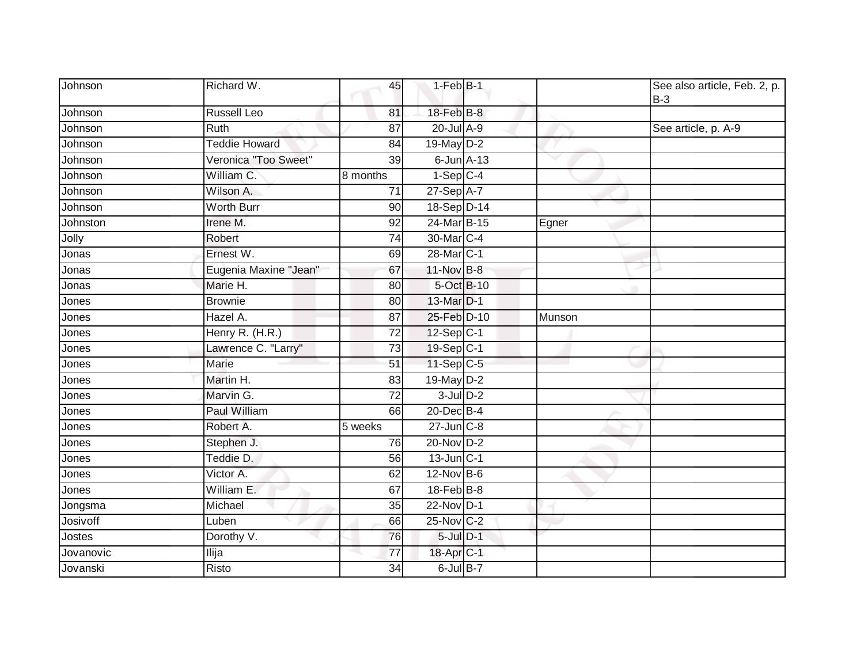| Johnson   | Richard W.            | 45              | $1-Feb$ B-1            |        | See also article, Feb. 2, p.<br>$B-3$ |
|-----------|-----------------------|-----------------|------------------------|--------|---------------------------------------|
| Johnson   | <b>Russell Leo</b>    | 81              | 18-Feb B-8             |        |                                       |
| Johnson   | <b>Ruth</b>           | 87              | 20-Jul A-9             |        | See article, p. A-9                   |
| Johnson   | <b>Teddie Howard</b>  | 84              | 19-May D-2             |        |                                       |
| Johnson   | Veronica "Too Sweet"  | 39              | $6$ -Jun $A-13$        |        |                                       |
| Johnson   | William C.            | 8 months        | $1-Sep$ C-4            |        |                                       |
| Johnson   | Wilson A.             | 71              | $27-Sep$ A-7           |        |                                       |
| Johnson   | <b>Worth Burr</b>     | $\overline{90}$ | 18-Sep D-14            |        |                                       |
| Johnston  | Irene M.              | 92              | 24-Mar B-15            | Egner  |                                       |
| Jolly     | Robert                | 74              | 30-Mar <sub>IC-4</sub> |        |                                       |
| Jonas     | Ernest W.             | 69              | 28-Mar <sub>IC-1</sub> |        |                                       |
| Jonas     | Eugenia Maxine "Jean" | 67              | 11-Nov B-8             |        |                                       |
| Jonas     | Marie H.              | 80              | 5-Oct B-10             |        |                                       |
| Jones     | <b>Brownie</b>        | 80              | 13-Mar D-1             |        |                                       |
| Jones     | Hazel A.              | 87              | 25-Feb D-10            | Munson |                                       |
| Jones     | Henry R. (H.R.)       | 72              | 12-Sep C-1             |        |                                       |
| Jones     | Lawrence C. "Larry"   | 73              | 19-Sep C-1             |        |                                       |
| Jones     | Marie                 | $\overline{51}$ | 11-Sep C-5             |        |                                       |
| Jones     | Martin H.             | 83              | 19-May D-2             |        |                                       |
| Jones     | Marvin G.             | $\overline{72}$ | $3$ -Jul $D-2$         |        |                                       |
| Jones     | Paul William          | 66              | 20-Dec B-4             |        |                                       |
| Jones     | Robert A.             | 5 weeks         | $27$ -Jun $C-8$        |        |                                       |
| Jones     | Stephen J.            | 76              | 20-Nov D-2             |        |                                       |
| Jones     | Teddie D.             | 56              | $13$ -Jun $ C-1 $      |        |                                       |
| Jones     | Victor A.             | 62              | $12$ -Nov $B-6$        |        |                                       |
| Jones     | William E.            | 67              | 18-Feb B-8             |        |                                       |
| Jongsma   | Michael               | 35              | $22$ -Nov D-1          |        |                                       |
| Josivoff  | Luben                 | 66              | 25-Nov C-2             |        |                                       |
| Jostes    | Dorothy V.            | 76              | $5$ -Jul $D-1$         |        |                                       |
| Jovanovic | Ilija                 | 77              | 18-Apr <sub>C-1</sub>  |        |                                       |
| Jovanski  | Risto                 | 34              | 6-Jul B-7              |        |                                       |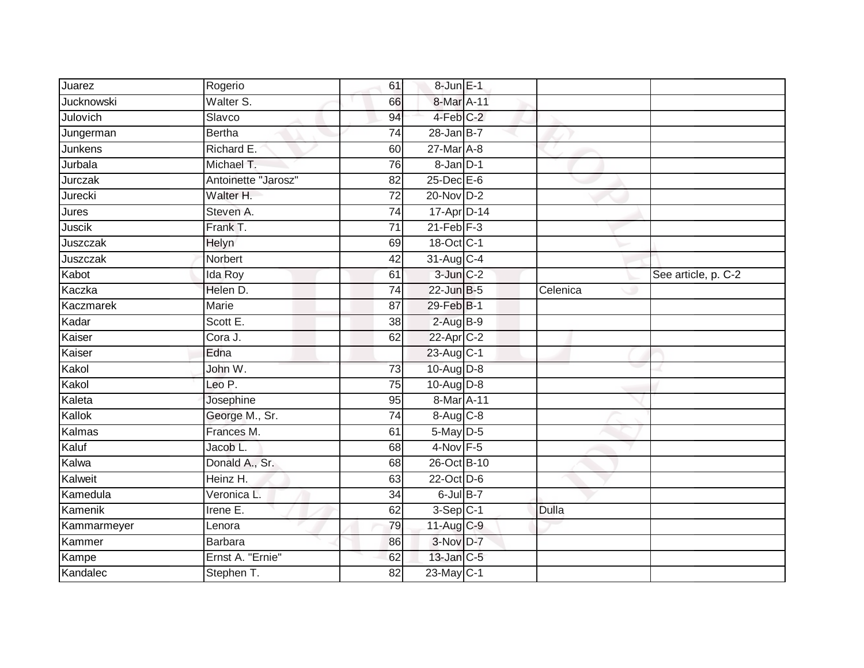| Juarez      | Rogerio             | 61              | 8-Jun E-1       |          |                     |
|-------------|---------------------|-----------------|-----------------|----------|---------------------|
| Jucknowski  | Walter S.           | 66              | 8-Mar A-11      |          |                     |
| Julovich    | Slavco              | 94              | 4-Feb C-2       |          |                     |
| Jungerman   | Bertha              | 74              | $28$ -Jan B-7   |          |                     |
| Junkens     | Richard E.          | 60              | $27$ -Mar $A-8$ |          |                     |
| Jurbala     | Michael T.          | 76              | $8 - Jan$ $D-1$ |          |                     |
| Jurczak     | Antoinette "Jarosz" | 82              | 25-Dec E-6      |          |                     |
| Jurecki     | Walter H.           | 72              | 20-Nov D-2      |          |                     |
| Jures       | Steven A.           | 74              | 17-Apr D-14     |          |                     |
| Juscik      | Frank T.            | $\overline{71}$ | $21$ -Feb $F-3$ |          |                     |
| Juszczak    | Helyn               | 69              | 18-Oct C-1      |          |                     |
| Juszczak    | Norbert             | 42              | 31-Aug C-4      |          |                     |
| Kabot       | Ida Roy             | 61              | $3$ -Jun $C-2$  |          | See article, p. C-2 |
| Kaczka      | Helen D.            | 74              | 22-Jun B-5      | Celenica |                     |
| Kaczmarek   | <b>Marie</b>        | $\overline{87}$ | 29-Feb B-1      |          |                     |
| Kadar       | Scott E.            | 38              | $2-AugB-9$      |          |                     |
| Kaiser      | Cora J.             | 62              | 22-Apr C-2      |          |                     |
| Kaiser      | Edna                |                 | 23-Aug C-1      |          |                     |
| Kakol       | John W.             | 73              | 10-Aug D-8      |          |                     |
| Kakol       | Leo P.              | 75              | $10-Aug$ $D-8$  |          |                     |
| Kaleta      | Josephine           | 95              | 8-Mar A-11      |          |                     |
| Kallok      | George M., Sr.      | $\overline{74}$ | 8-Aug C-8       |          |                     |
| Kalmas      | Frances M.          | 61              | 5-May D-5       |          |                     |
| Kaluf       | Jacob L.            | 68              | $4-Nov$ F-5     |          |                     |
| Kalwa       | Donald A., Sr.      | 68              | 26-Oct B-10     |          |                     |
| Kalweit     | Heinz H.            | 63              | 22-Oct D-6      |          |                     |
| Kamedula    | Veronica L.         | $\overline{34}$ | $6$ -Jul $B-7$  |          |                     |
| Kamenik     | Irene $E$ .         | 62              | $3-Sep C-1$     | Dulla    |                     |
| Kammarmeyer | Lenora              | 79              | $11-Aug$ $C-9$  |          |                     |
| Kammer      | <b>Barbara</b>      | 86              | 3-Nov D-7       |          |                     |
| Kampe       | Ernst A. "Ernie"    | 62              | 13-Jan C-5      |          |                     |
| Kandalec    | Stephen T.          | $\overline{82}$ | $23$ -May C-1   |          |                     |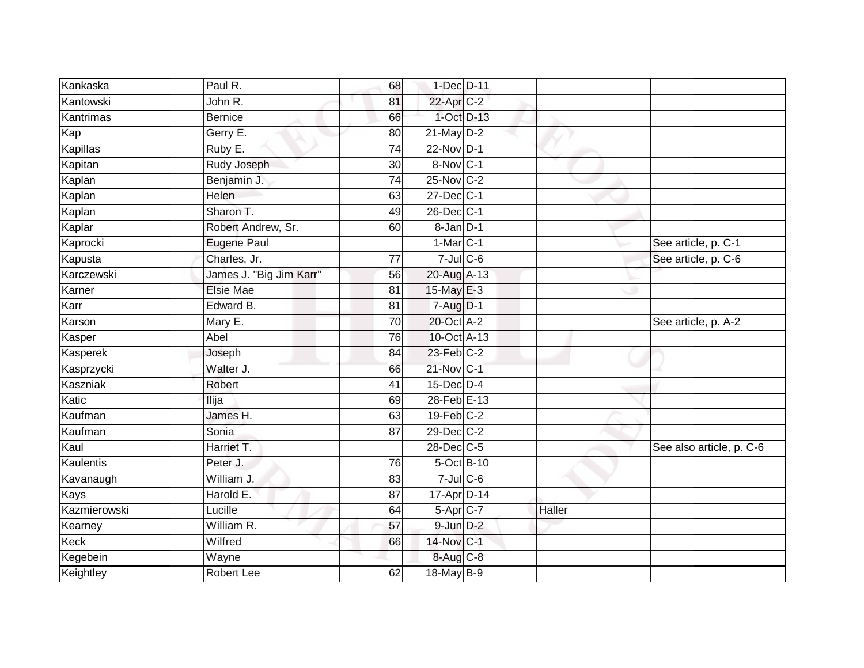| Paul R.                 | 68              |  |                                                                                                                                                                                                                                                                                                                                                                                                                                                                                                  |                          |
|-------------------------|-----------------|--|--------------------------------------------------------------------------------------------------------------------------------------------------------------------------------------------------------------------------------------------------------------------------------------------------------------------------------------------------------------------------------------------------------------------------------------------------------------------------------------------------|--------------------------|
| John R.                 | 81              |  |                                                                                                                                                                                                                                                                                                                                                                                                                                                                                                  |                          |
| <b>Bernice</b>          | 66              |  |                                                                                                                                                                                                                                                                                                                                                                                                                                                                                                  |                          |
| Gerry E.                | 80              |  |                                                                                                                                                                                                                                                                                                                                                                                                                                                                                                  |                          |
| Ruby E.                 | $\overline{74}$ |  |                                                                                                                                                                                                                                                                                                                                                                                                                                                                                                  |                          |
| Rudy Joseph             | 30              |  |                                                                                                                                                                                                                                                                                                                                                                                                                                                                                                  |                          |
| Benjamin J.             | $\overline{74}$ |  |                                                                                                                                                                                                                                                                                                                                                                                                                                                                                                  |                          |
| Helen                   | 63              |  |                                                                                                                                                                                                                                                                                                                                                                                                                                                                                                  |                          |
| Sharon T.               | 49              |  |                                                                                                                                                                                                                                                                                                                                                                                                                                                                                                  |                          |
| Robert Andrew, Sr.      | 60              |  |                                                                                                                                                                                                                                                                                                                                                                                                                                                                                                  |                          |
| Eugene Paul             |                 |  |                                                                                                                                                                                                                                                                                                                                                                                                                                                                                                  | See article, p. C-1      |
| Charles, Jr.            | $\overline{77}$ |  |                                                                                                                                                                                                                                                                                                                                                                                                                                                                                                  | See article, p. C-6      |
| James J. "Big Jim Karr" | 56              |  |                                                                                                                                                                                                                                                                                                                                                                                                                                                                                                  |                          |
| <b>Elsie Mae</b>        | 81              |  |                                                                                                                                                                                                                                                                                                                                                                                                                                                                                                  |                          |
| Edward B.               | $\overline{81}$ |  |                                                                                                                                                                                                                                                                                                                                                                                                                                                                                                  |                          |
| Mary E.                 | 70              |  |                                                                                                                                                                                                                                                                                                                                                                                                                                                                                                  | See article, p. A-2      |
| Abel                    | 76              |  |                                                                                                                                                                                                                                                                                                                                                                                                                                                                                                  |                          |
| Joseph                  | 84              |  |                                                                                                                                                                                                                                                                                                                                                                                                                                                                                                  |                          |
| Walter J.               | 66              |  |                                                                                                                                                                                                                                                                                                                                                                                                                                                                                                  |                          |
| Robert                  | 41              |  |                                                                                                                                                                                                                                                                                                                                                                                                                                                                                                  |                          |
| Ilija                   | 69              |  |                                                                                                                                                                                                                                                                                                                                                                                                                                                                                                  |                          |
| James H.                | 63              |  |                                                                                                                                                                                                                                                                                                                                                                                                                                                                                                  |                          |
| Sonia                   | 87              |  |                                                                                                                                                                                                                                                                                                                                                                                                                                                                                                  |                          |
| Harriet T.              |                 |  |                                                                                                                                                                                                                                                                                                                                                                                                                                                                                                  | See also article, p. C-6 |
| Peter J.                | 76              |  |                                                                                                                                                                                                                                                                                                                                                                                                                                                                                                  |                          |
| William J.              | 83              |  |                                                                                                                                                                                                                                                                                                                                                                                                                                                                                                  |                          |
| Harold E.               | 87              |  |                                                                                                                                                                                                                                                                                                                                                                                                                                                                                                  |                          |
| Lucille                 | 64              |  | Haller                                                                                                                                                                                                                                                                                                                                                                                                                                                                                           |                          |
| William R.              | 57              |  |                                                                                                                                                                                                                                                                                                                                                                                                                                                                                                  |                          |
| Wilfred                 | 66              |  |                                                                                                                                                                                                                                                                                                                                                                                                                                                                                                  |                          |
| Wayne                   |                 |  |                                                                                                                                                                                                                                                                                                                                                                                                                                                                                                  |                          |
| <b>Robert Lee</b>       | 62              |  |                                                                                                                                                                                                                                                                                                                                                                                                                                                                                                  |                          |
|                         |                 |  | 1-Dec D-11<br>22-Apr C-2<br>1-Oct D-13<br>$21$ -May $D-2$<br>22-Nov D-1<br>8-Nov C-1<br>25-Nov C-2<br>27-Dec C-1<br>26-Dec C-1<br>8-Jan D-1<br>$1-MarC-1$<br>$7$ -Jul $C$ -6<br>20-Aug A-13<br>15-May E-3<br>$7 - Aug$ $D-1$<br>20-Oct A-2<br>10-Oct A-13<br>23-Feb C-2<br>21-Nov C-1<br>$15$ -Dec $D-4$<br>28-Feb E-13<br>$19$ -Feb $C-2$<br>29-Dec C-2<br>28-Dec C-5<br>$5-Oct$ B-10<br>$7$ -Jul $C$ -6<br>17-Apr D-14<br>5-Apr C-7<br>$9$ -Jun $D-2$<br>14-Nov C-1<br>8-Aug C-8<br>18-May B-9 |                          |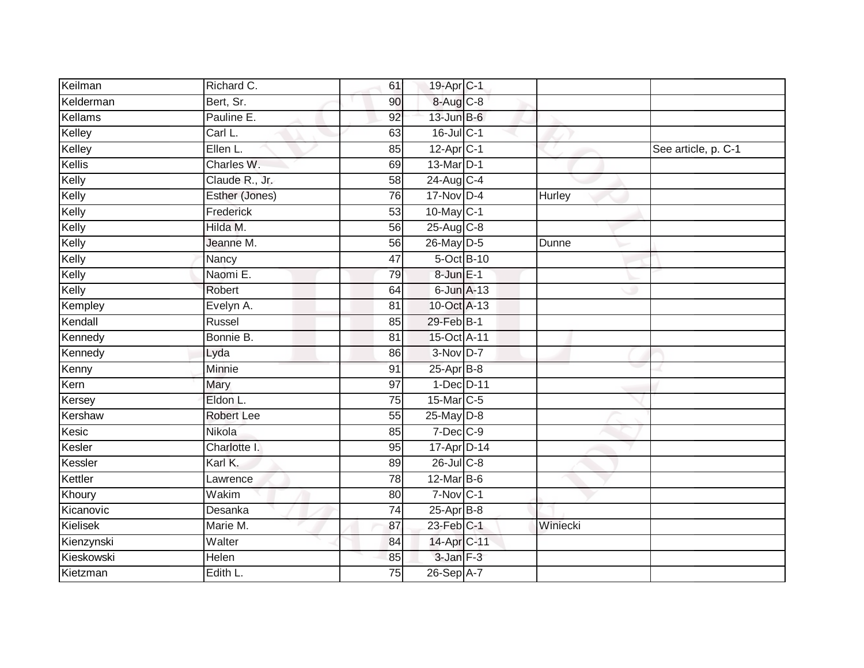| Keilman    | Richard C.        | 61              | 19-Apr <sub>C-1</sub>   |               |                     |
|------------|-------------------|-----------------|-------------------------|---------------|---------------------|
| Kelderman  | Bert, Sr.         | 90              | 8-Aug C-8               |               |                     |
| Kellams    | Pauline E.        | 92              | 13-Jun B-6              |               |                     |
| Kelley     | Carl L.           | 63              | 16-Jul C-1              |               |                     |
| Kelley     | Ellen L.          | 85              | $12-Apr$ <sub>C-1</sub> |               | See article, p. C-1 |
| Kellis     | Charles W.        | 69              | 13-Mar D-1              |               |                     |
| Kelly      | Claude R., Jr.    | 58              | 24-Aug C-4              |               |                     |
| Kelly      | Esther (Jones)    | 76              | 17-Nov D-4              | <b>Hurley</b> |                     |
| Kelly      | Frederick         | 53              | 10-May C-1              |               |                     |
| Kelly      | Hilda M.          | 56              | 25-Aug C-8              |               |                     |
| Kelly      | Jeanne M.         | 56              | 26-May D-5              | Dunne         |                     |
| Kelly      | Nancy             | 47              | 5-Oct B-10              |               |                     |
| Kelly      | Naomi E.          | 79              | 8-Jun E-1               |               |                     |
| Kelly      | Robert            | 64              | $6$ -Jun $A-13$         |               |                     |
| Kempley    | Evelyn A.         | 81              | 10-Oct A-13             |               |                     |
| Kendall    | Russel            | 85              | 29-Feb B-1              |               |                     |
| Kennedy    | Bonnie B.         | $\overline{81}$ | 15-Oct A-11             |               |                     |
| Kennedy    | Lyda              | 86              | 3-Nov D-7               |               |                     |
| Kenny      | Minnie            | 91              | $25$ -Apr $B$ -8        |               |                     |
| Kern       | Mary              | 97              | 1-Dec D-11              |               |                     |
| Kersey     | Eldon L.          | 75              | 15-Mar C-5              |               |                     |
| Kershaw    | <b>Robert Lee</b> | 55              | 25-May D-8              |               |                     |
| Kesic      | Nikola            | 85              | 7-Dec C-9               |               |                     |
| Kesler     | Charlotte I.      | 95              | 17-Apr D-14             |               |                     |
| Kessler    | Karl K.           | 89              | 26-Jul C-8              |               |                     |
| Kettler    | Lawrence          | 78              | $12$ -Mar B-6           |               |                     |
| Khoury     | Wakim             | 80              | $7-Nov$ C-1             |               |                     |
| Kicanovic  | Desanka           | 74              | $25$ -Apr $B$ -8        |               |                     |
| Kielisek   | Marie M.          | 87              | 23-Feb C-1              | Winiecki      |                     |
| Kienzynski | Walter            | 84              | 14-Apr C-11             |               |                     |
| Kieskowski | Helen             | 85              | $3$ -Jan $F-3$          |               |                     |
| Kietzman   | Edith L.          | $\overline{75}$ | $26-Sep$ A-7            |               |                     |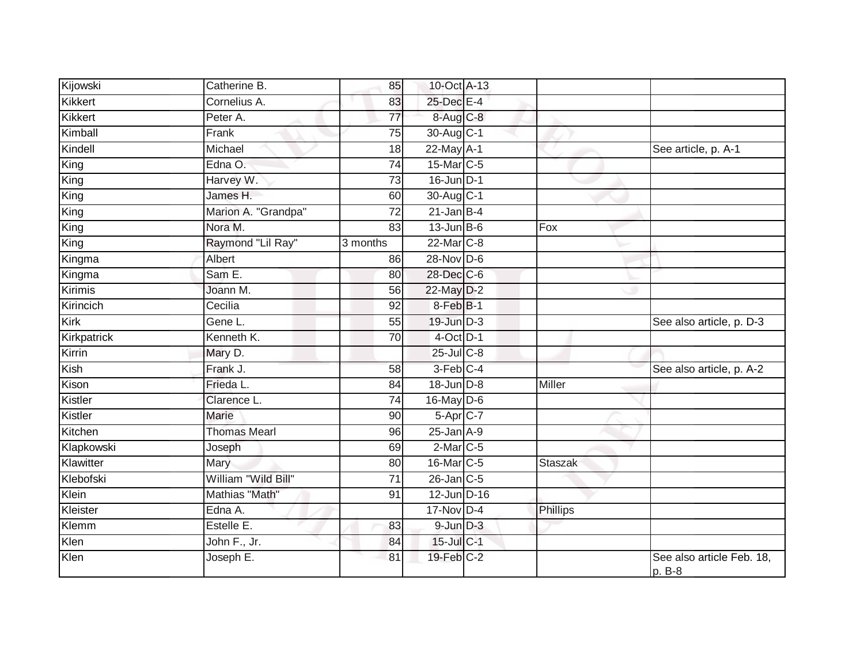| Kijowski       | Catherine B.        | 85              | 10-Oct A-13     |               |                                     |
|----------------|---------------------|-----------------|-----------------|---------------|-------------------------------------|
| <b>Kikkert</b> | Cornelius A.        | 83              | 25-Dec E-4      |               |                                     |
| Kikkert        | Peter A.            | 77              | 8-Aug C-8       |               |                                     |
| Kimball        | Frank               | 75              | 30-Aug C-1      |               |                                     |
| Kindell        | Michael             | $\overline{18}$ | $22$ -May $A-1$ |               | See article, p. A-1                 |
| King           | Edna O.             | 74              | 15-Mar C-5      |               |                                     |
| King           | Harvey W.           | 73              | $16$ -Jun $D-1$ |               |                                     |
| King           | James H.            | 60              | 30-Aug C-1      |               |                                     |
| King           | Marion A. "Grandpa" | 72              | $21$ -Jan B-4   |               |                                     |
| King           | Nora M.             | 83              | $13$ -Jun B-6   | Fox           |                                     |
| King           | Raymond "Lil Ray"   | 3 months        | 22-Mar C-8      |               |                                     |
| Kingma         | Albert              | 86              | 28-Nov D-6      |               |                                     |
| Kingma         | Sam E.              | 80              | 28-Dec C-6      |               |                                     |
| <b>Kirimis</b> | Joann M.            | 56              | 22-May D-2      |               |                                     |
| Kirincich      | Cecilia             | 92              | 8-Feb B-1       |               |                                     |
| Kirk           | Gene L.             | 55              | $19$ -Jun $D-3$ |               | See also article, p. D-3            |
| Kirkpatrick    | Kenneth K.          | 70              | $4$ -Oct $D-1$  |               |                                     |
| Kirrin         | Mary D.             |                 | 25-Jul C-8      |               |                                     |
| Kish           | Frank J.            | 58              | 3-Feb C-4       |               | See also article, p. A-2            |
| Kison          | Frieda L.           | 84              | 18-Jun D-8      | <b>Miller</b> |                                     |
| Kistler        | Clarence L.         | 74              | $16$ -May D-6   |               |                                     |
| Kistler        | <b>Marie</b>        | 90              | 5-Apr C-7       |               |                                     |
| Kitchen        | <b>Thomas Mearl</b> | 96              | $25$ -Jan $A-9$ |               |                                     |
| Klapkowski     | Joseph              | 69              | $2$ -Mar $C$ -5 |               |                                     |
| Klawitter      | Mary                | 80              | 16-Mar C-5      | Staszak       |                                     |
| Klebofski      | William "Wild Bill" | 71              | $26$ -Jan $C-5$ |               |                                     |
| Klein          | Mathias "Math"      | 91              | $12$ -Jun D-16  |               |                                     |
| Kleister       | Edna A.             |                 | $17-Nov$ D-4    | Phillips      |                                     |
| Klemm          | Estelle E.          | 83              | $9$ -Jun $D-3$  |               |                                     |
| Klen           | John F., Jr.        | 84              | 15-Jul C-1      |               |                                     |
| Klen           | Joseph E.           | 81              | 19-Feb C-2      |               | See also article Feb. 18,<br>p. B-8 |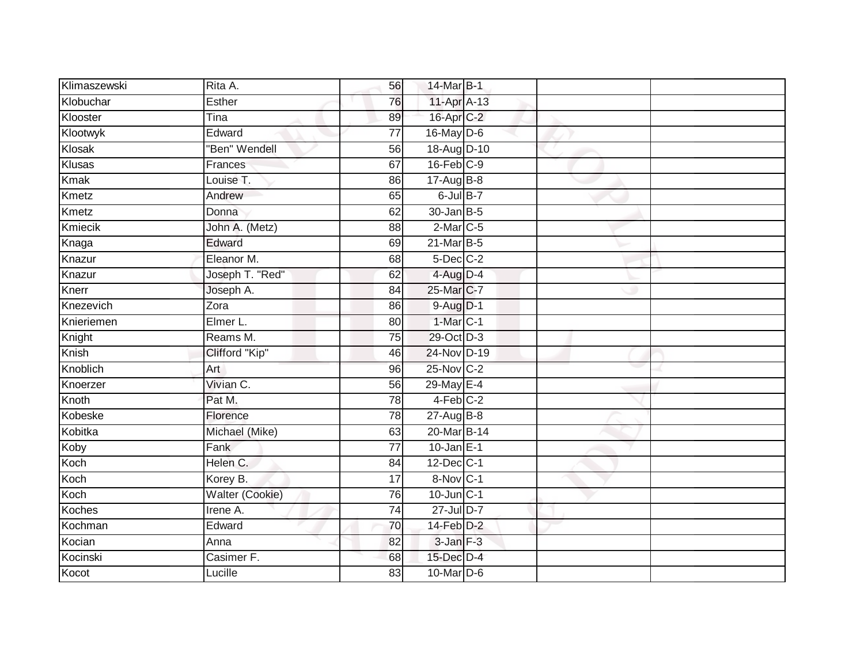| Klimaszewski  | Rita A.                | 56              | 14-Mar B-1       |  |  |
|---------------|------------------------|-----------------|------------------|--|--|
| Klobuchar     | Esther                 | 76              | 11-Apr A-13      |  |  |
| Klooster      | Tina                   | 89              | 16-Apr C-2       |  |  |
| Klootwyk      | Edward                 | $\overline{77}$ | 16-May D-6       |  |  |
| Klosak        | "Ben" Wendell          | $\overline{56}$ | 18-Aug D-10      |  |  |
| Klusas        | Frances                | 67              | $16$ -Feb $C-9$  |  |  |
| <b>Kmak</b>   | Louise T.              | 86              | $17-AugB-8$      |  |  |
| Kmetz         | Andrew                 | 65              | $6$ -Jul $B-7$   |  |  |
| Kmetz         | Donna                  | 62              | $30 - Jan$ $B-5$ |  |  |
| Kmiecik       | John A. (Metz)         | 88              | $2$ -Mar $C$ -5  |  |  |
| Knaga         | Edward                 | 69              | $21$ -Mar $B-5$  |  |  |
| Knazur        | Eleanor M.             | 68              | $5$ -Dec $C$ -2  |  |  |
| Knazur        | Joseph T. "Red"        | 62              | 4-Aug D-4        |  |  |
| Knerr         | Joseph A.              | 84              | 25-Mar C-7       |  |  |
| Knezevich     | Zora                   | 86              | $9-Aug$ $D-1$    |  |  |
| Knieriemen    | Elmer L.               | 80              | $1$ -Mar $ C-1 $ |  |  |
| Knight        | Reams M.               | 75              | 29-Oct D-3       |  |  |
| Knish         | Clifford "Kip"         | 46              | 24-Nov D-19      |  |  |
| Knoblich      | Art                    | 96              | 25-Nov C-2       |  |  |
| Knoerzer      | Vivian C.              | 56              | 29-May E-4       |  |  |
| Knoth         | Pat M.                 | 78              | 4-Feb C-2        |  |  |
| Kobeske       | Florence               | 78              | $27 - Aug$ B-8   |  |  |
| Kobitka       | Michael (Mike)         | 63              | 20-Mar B-14      |  |  |
| Koby          | Fank                   | $\overline{77}$ | $10$ -Jan E-1    |  |  |
| Koch          | Helen C.               | 84              | 12-Dec C-1       |  |  |
| Koch          | Korey B.               | 17              | 8-Nov C-1        |  |  |
| Koch          | <b>Walter (Cookie)</b> | 76              | $10$ -Jun $C-1$  |  |  |
| <b>Koches</b> | Irene A.               | 74              | 27-Jul D-7       |  |  |
| Kochman       | Edward                 | 70              | $14$ -Feb $D-2$  |  |  |
| Kocian        | Anna                   | 82              | 3-Jan F-3        |  |  |
| Kocinski      | Casimer F.             | 68              | 15-Dec D-4       |  |  |
| Kocot         | Lucille                | 83              | 10-Mar D-6       |  |  |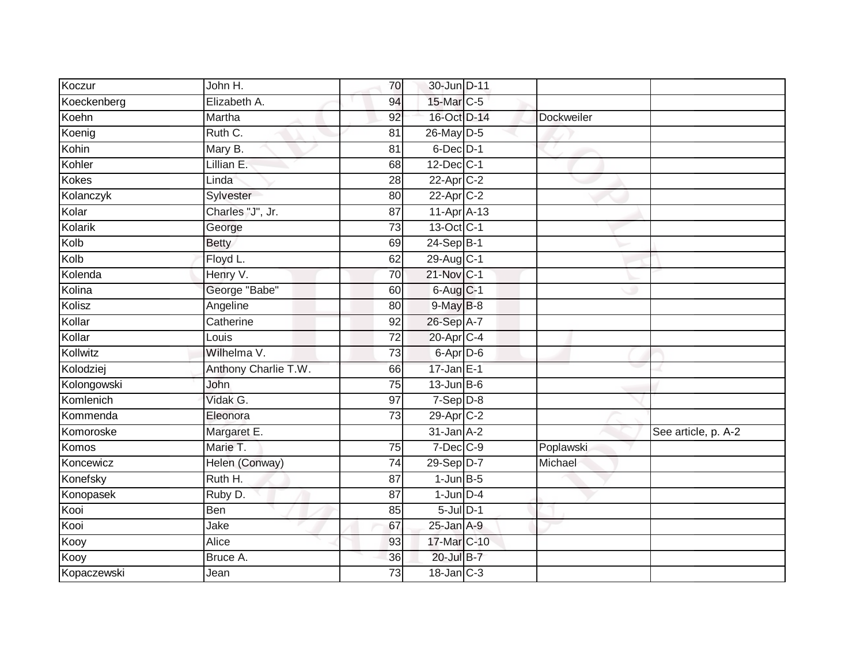| Linda                |                                                                       |                                                     |                                                                                                                                                                                                                                                                                                                                                                                                                                                                                                                                   |                     |
|----------------------|-----------------------------------------------------------------------|-----------------------------------------------------|-----------------------------------------------------------------------------------------------------------------------------------------------------------------------------------------------------------------------------------------------------------------------------------------------------------------------------------------------------------------------------------------------------------------------------------------------------------------------------------------------------------------------------------|---------------------|
| Sylvester            | 80                                                                    |                                                     |                                                                                                                                                                                                                                                                                                                                                                                                                                                                                                                                   |                     |
| Charles "J", Jr.     | 87                                                                    |                                                     |                                                                                                                                                                                                                                                                                                                                                                                                                                                                                                                                   |                     |
| George               | $\overline{73}$                                                       |                                                     |                                                                                                                                                                                                                                                                                                                                                                                                                                                                                                                                   |                     |
| <b>Betty</b>         | 69                                                                    |                                                     |                                                                                                                                                                                                                                                                                                                                                                                                                                                                                                                                   |                     |
| Floyd L.             | 62                                                                    |                                                     |                                                                                                                                                                                                                                                                                                                                                                                                                                                                                                                                   |                     |
| Henry V.             | 70                                                                    |                                                     |                                                                                                                                                                                                                                                                                                                                                                                                                                                                                                                                   |                     |
| George "Babe"        | 60                                                                    |                                                     |                                                                                                                                                                                                                                                                                                                                                                                                                                                                                                                                   |                     |
| Angeline             | 80                                                                    |                                                     |                                                                                                                                                                                                                                                                                                                                                                                                                                                                                                                                   |                     |
| Catherine            | 92                                                                    |                                                     |                                                                                                                                                                                                                                                                                                                                                                                                                                                                                                                                   |                     |
| Louis                | $\overline{72}$                                                       |                                                     |                                                                                                                                                                                                                                                                                                                                                                                                                                                                                                                                   |                     |
| Wilhelma V.          | $\overline{73}$                                                       |                                                     |                                                                                                                                                                                                                                                                                                                                                                                                                                                                                                                                   |                     |
| Anthony Charlie T.W. | 66                                                                    |                                                     |                                                                                                                                                                                                                                                                                                                                                                                                                                                                                                                                   |                     |
| John                 | 75                                                                    |                                                     |                                                                                                                                                                                                                                                                                                                                                                                                                                                                                                                                   |                     |
| Vidak G.             | 97                                                                    |                                                     |                                                                                                                                                                                                                                                                                                                                                                                                                                                                                                                                   |                     |
| Eleonora             | $\overline{73}$                                                       |                                                     |                                                                                                                                                                                                                                                                                                                                                                                                                                                                                                                                   |                     |
| Margaret E.          |                                                                       |                                                     |                                                                                                                                                                                                                                                                                                                                                                                                                                                                                                                                   | See article, p. A-2 |
| Marie T.             | $\overline{75}$                                                       |                                                     | Poplawski                                                                                                                                                                                                                                                                                                                                                                                                                                                                                                                         |                     |
| Helen (Conway)       | $\overline{74}$                                                       |                                                     | Michael                                                                                                                                                                                                                                                                                                                                                                                                                                                                                                                           |                     |
| Ruth H.              | 87                                                                    |                                                     |                                                                                                                                                                                                                                                                                                                                                                                                                                                                                                                                   |                     |
| Ruby D.              | 87                                                                    |                                                     |                                                                                                                                                                                                                                                                                                                                                                                                                                                                                                                                   |                     |
| Ben                  | 85                                                                    |                                                     |                                                                                                                                                                                                                                                                                                                                                                                                                                                                                                                                   |                     |
| Jake                 | 67                                                                    |                                                     |                                                                                                                                                                                                                                                                                                                                                                                                                                                                                                                                   |                     |
| Alice                | 93                                                                    |                                                     |                                                                                                                                                                                                                                                                                                                                                                                                                                                                                                                                   |                     |
| Bruce A.             | 36                                                                    |                                                     |                                                                                                                                                                                                                                                                                                                                                                                                                                                                                                                                   |                     |
| Jean                 | 73                                                                    |                                                     |                                                                                                                                                                                                                                                                                                                                                                                                                                                                                                                                   |                     |
|                      | John H.<br>Elizabeth A.<br>Martha<br>Ruth C.<br>Mary B.<br>Lillian E. | 70<br>94<br>92<br>81<br>$\overline{81}$<br>68<br>28 | 30-Jun D-11<br>15-Mar C-5<br>16-Oct D-14<br>26-May D-5<br>6-Dec D-1<br>12-Dec C-1<br>$22$ -Apr $C-2$<br>22-Apr C-2<br>11-Apr A-13<br>13-Oct C-1<br>$24-SepB-1$<br>29-Aug C-1<br>$21$ -Nov $ C-1 $<br>$6$ -Aug $C$ -1<br>$9$ -May $B$ -8<br>26-Sep A-7<br>20-Apr C-4<br>$6 - Apr$ $D-6$<br>$17$ -Jan E-1<br>$13$ -Jun $B$ -6<br>$7-Sep$ $D-8$<br>29-Apr C-2<br>$31$ -Jan $A-2$<br>$7$ -Dec $C-9$<br>29-Sep D-7<br>$1$ -Jun $B-5$<br>$1$ -Jun $D-4$<br>$5$ -Jul $D-1$<br>$25$ -Jan $A-9$<br>17-Mar C-10<br>20-Jul B-7<br>18-Jan C-3 | Dockweiler          |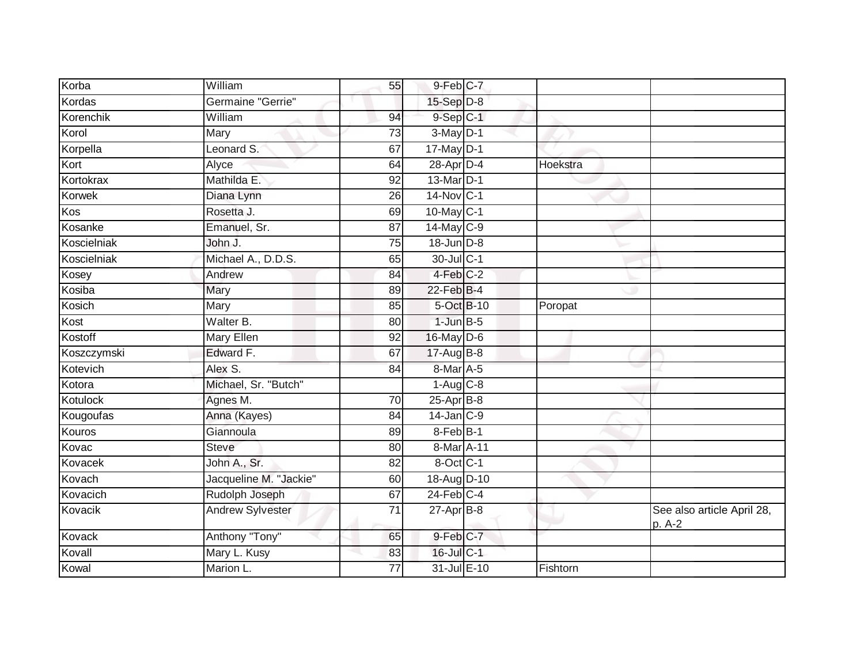| Korba         | William                 | 55              | 9-Feb C-7        |          |                                      |
|---------------|-------------------------|-----------------|------------------|----------|--------------------------------------|
| Kordas        | Germaine "Gerrie"       |                 | 15-Sep D-8       |          |                                      |
| Korenchik     | William                 | 94              | $9-Sep$ $C-1$    |          |                                      |
| Korol         | Mary                    | 73              | $3-May$ D-1      |          |                                      |
| Korpella      | Leonard S.              | 67              | $17$ -May $D-1$  |          |                                      |
| Kort          | Alyce                   | 64              | 28-Apr D-4       | Hoekstra |                                      |
| Kortokrax     | Mathilda E.             | 92              | 13-Mar D-1       |          |                                      |
| <b>Korwek</b> | Diana Lynn              | 26              | 14-Nov C-1       |          |                                      |
| Kos           | Rosetta J.              | 69              | 10-May C-1       |          |                                      |
| Kosanke       | Emanuel, Sr.            | $\overline{87}$ | 14-May C-9       |          |                                      |
| Koscielniak   | John J.                 | $\overline{75}$ | 18-Jun D-8       |          |                                      |
| Koscielniak   | Michael A., D.D.S.      | 65              | 30-Jul C-1       |          |                                      |
| Kosey         | Andrew                  | 84              | 4-Feb C-2        |          |                                      |
| Kosiba        | Mary                    | 89              | 22-Feb B-4       |          |                                      |
| Kosich        | Mary                    | 85              | 5-Oct B-10       | Poropat  |                                      |
| Kost          | Walter B.               | 80              | $1$ -Jun $B-5$   |          |                                      |
| Kostoff       | Mary Ellen              | 92              | 16-May D-6       |          |                                      |
| Koszczymski   | Edward F.               | 67              | $17$ -Aug $B$ -8 |          |                                      |
| Kotevich      | Alex S.                 | 84              | 8-Mar A-5        |          |                                      |
| Kotora        | Michael, Sr. "Butch"    |                 | $1-Aug$ $C-8$    |          |                                      |
| Kotulock      | Agnes M.                | 70              | $25-Apr$ B-8     |          |                                      |
| Kougoufas     | Anna (Kayes)            | $\overline{84}$ | $14$ -Jan $C-9$  |          |                                      |
| Kouros        | Giannoula               | 89              | $8$ -Feb $B-1$   |          |                                      |
| Kovac         | <b>Steve</b>            | 80              | 8-Mar A-11       |          |                                      |
| Kovacek       | John A., Sr.            | 82              | 8-Oct C-1        |          |                                      |
| Kovach        | Jacqueline M. "Jackie"  | 60              | 18-Aug D-10      |          |                                      |
| Kovacich      | Rudolph Joseph          | 67              | $24$ -Feb $C-4$  |          |                                      |
| Kovacik       | <b>Andrew Sylvester</b> | 71              | $27$ -Apr $B$ -8 |          | See also article April 28,<br>p. A-2 |
| Kovack        | Anthony "Tony"          | 65              | $9$ -Feb $C-7$   |          |                                      |
| Kovall        | Mary L. Kusy            | 83              | 16-Jul C-1       |          |                                      |
| Kowal         | Marion L.               | 77              | 31-Jul E-10      | Fishtorn |                                      |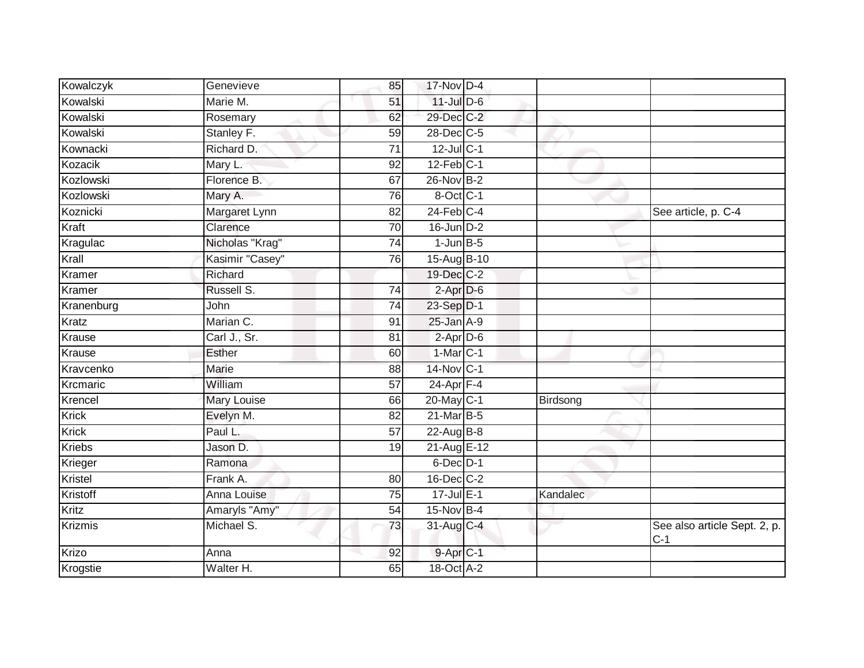| Kowalczyk      | Genevieve          | 85              | 17-Nov D-4            |          |                                       |
|----------------|--------------------|-----------------|-----------------------|----------|---------------------------------------|
| Kowalski       | Marie M.           | 51              | $11$ -Jul D-6         |          |                                       |
| Kowalski       | Rosemary           | 62              | 29-Dec C-2            |          |                                       |
| Kowalski       | Stanley F.         | 59              | 28-Dec C-5            |          |                                       |
| Kownacki       | Richard D.         | $\overline{71}$ | 12-Jul C-1            |          |                                       |
| Kozacik        | Mary L.            | 92              | $12$ -Feb $C-1$       |          |                                       |
| Kozlowski      | Florence B.        | 67              | 26-Nov B-2            |          |                                       |
| Kozlowski      | Mary A.            | 76              | 8-Oct C-1             |          |                                       |
| Koznicki       | Margaret Lynn      | 82              | $24$ -Feb $C-4$       |          | See article, p. C-4                   |
| Kraft          | Clarence           | $\overline{70}$ | $16$ -Jun $D-2$       |          |                                       |
| Kragulac       | Nicholas "Krag"    | $\overline{74}$ | $1$ -Jun $B-5$        |          |                                       |
| Krall          | Kasimir "Casey"    | 76              | 15-Aug B-10           |          |                                       |
| Kramer         | Richard            |                 | 19-Dec C-2            |          |                                       |
| Kramer         | Russell S.         | $\overline{74}$ | $2-Apr\overline{D-6}$ |          |                                       |
| Kranenburg     | John               | $\overline{74}$ | 23-Sep D-1            |          |                                       |
| Kratz          | Marian C.          | 91              | $25$ -Jan $A-9$       |          |                                       |
| Krause         | Carl J., Sr.       | 81              | $2-AprD-6$            |          |                                       |
| Krause         | Esther             | 60              | $1-Mar$ $C-1$         |          |                                       |
| Kravcenko      | <b>Marie</b>       | 88              | 14-Nov C-1            |          |                                       |
| Krcmaric       | William            | $\overline{57}$ | $24$ -Apr $F-4$       |          |                                       |
| Krencel        | Mary Louise        | 66              | 20-May C-1            | Birdsong |                                       |
| <b>Krick</b>   | Evelyn M.          | $\overline{82}$ | 21-Mar B-5            |          |                                       |
| <b>Krick</b>   | Paul L.            | 57              | 22-Aug $B-8$          |          |                                       |
| <b>Kriebs</b>  | Jason D.           | 19              | 21-Aug E-12           |          |                                       |
| Krieger        | Ramona             |                 | $6$ -Dec $D-1$        |          |                                       |
| Kristel        | Frank A.           | 80              | 16-Dec C-2            |          |                                       |
| Kristoff       | <b>Anna Louise</b> | $\overline{75}$ | $17$ -Jul $E-1$       | Kandalec |                                       |
| Kritz          | Amaryls "Amy"      | 54              | 15-Nov B-4            |          |                                       |
| <b>Krizmis</b> | Michael S.         | 73              | 31-Aug C-4            |          | See also article Sept. 2, p.<br>$C-1$ |
| Krizo          | Anna               | 92              | 9-Apr C-1             |          |                                       |
| Krogstie       | Walter H.          | 65              | 18-Oct A-2            |          |                                       |
|                |                    |                 |                       |          |                                       |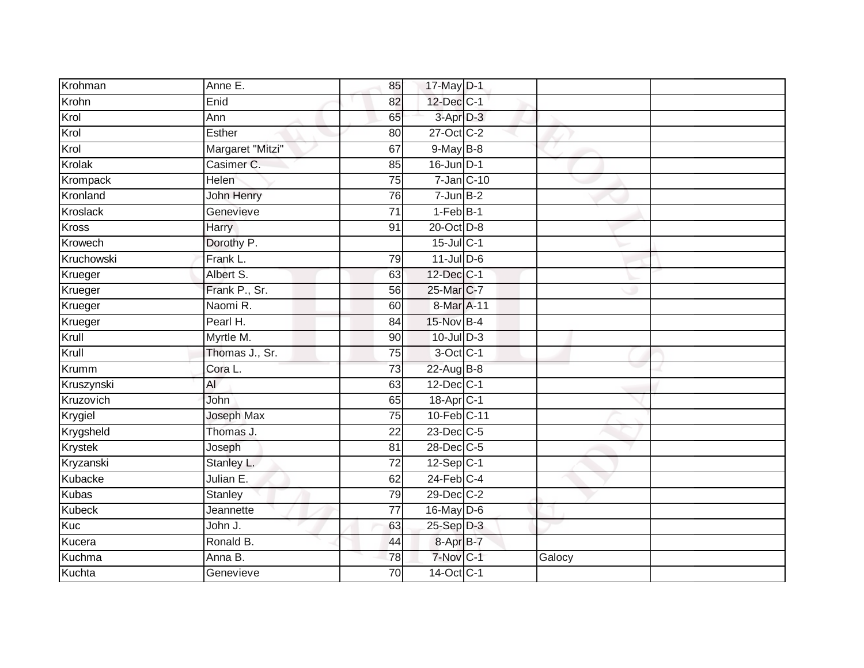| Krohman       | Anne E.           | 85              | 17-May D-1            |        |  |
|---------------|-------------------|-----------------|-----------------------|--------|--|
| Krohn         | Enid              | 82              | 12-Dec C-1            |        |  |
| Krol          | Ann               | 65              | 3-Apr D-3             |        |  |
| Krol          | Esther            | 80              | 27-Oct C-2            |        |  |
| Krol          | Margaret "Mitzi"  | 67              | 9-May B-8             |        |  |
| Krolak        | Casimer C.        | 85              | $16$ -Jun D-1         |        |  |
| Krompack      | Helen             | $\overline{75}$ | $7$ -Jan $ C-10 $     |        |  |
| Kronland      | John Henry        | 76              | $7 - Jun$ B-2         |        |  |
| Kroslack      | Genevieve         | $\overline{71}$ | $1-FebB-1$            |        |  |
| Kross         | <b>Harry</b>      | 91              | 20-Oct D-8            |        |  |
| Krowech       | Dorothy P.        |                 | $15$ -Jul C-1         |        |  |
| Kruchowski    | Frank L.          | 79              | $11$ -Jul D-6         |        |  |
| Krueger       | Albert S.         | 63              | $12$ -Dec $C-1$       |        |  |
| Krueger       | Frank P., Sr.     | 56              | 25-Mar C-7            |        |  |
| Krueger       | Naomi R.          | 60              | 8-Mar A-11            |        |  |
| Krueger       | Pearl H.          | 84              | 15-Nov B-4            |        |  |
| Krull         | Myrtle M.         | $\overline{90}$ | $10$ -Jul $D-3$       |        |  |
| Krull         | Thomas J., Sr.    | 75              | $3$ -Oct C-1          |        |  |
| <b>Krumm</b>  | Cora L.           | 73              | 22-Aug B-8            |        |  |
| Kruszynski    | AI                | 63              | 12-Dec C-1            |        |  |
| Kruzovich     | John              | 65              | 18-Apr <sub>C-1</sub> |        |  |
| Krygiel       | <b>Joseph Max</b> | 75              | 10-Feb C-11           |        |  |
| Krygsheld     | Thomas J.         | 22              | 23-Dec C-5            |        |  |
| Krystek       | Joseph            | 81              | 28-Dec C-5            |        |  |
| Kryzanski     | Stanley L.        | 72              | $12$ -Sep C-1         |        |  |
| Kubacke       | Julian E.         | 62              | $24$ -Feb $C-4$       |        |  |
| <b>Kubas</b>  | <b>Stanley</b>    | 79              | 29-Dec C-2            |        |  |
| <b>Kubeck</b> | Jeannette         | $\overline{77}$ | $16$ -May D-6         |        |  |
| Kuc           | John J.           | 63              | 25-Sep D-3            |        |  |
| Kucera        | Ronald B.         | 44              | 8-Apr B-7             |        |  |
| Kuchma        | Anna B.           | 78              | $7-Nov$ C-1           | Galocy |  |
| Kuchta        | Genevieve         | $\overline{70}$ | 14-Oct C-1            |        |  |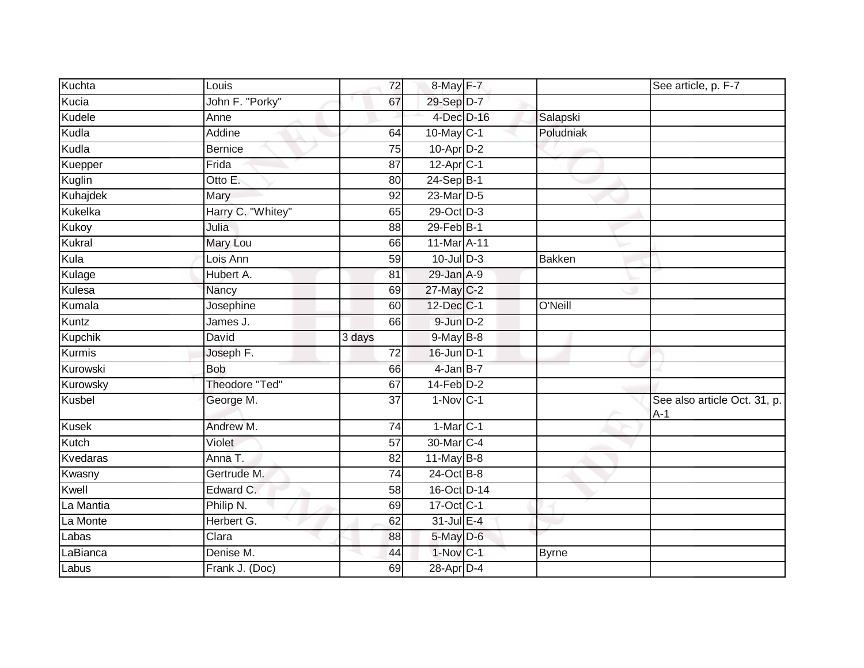| Kuchta         | Louis                 | 72              | 8-May F-7                    |               | See article, p. F-7                   |
|----------------|-----------------------|-----------------|------------------------------|---------------|---------------------------------------|
| Kucia          | John F. "Porky"       | 67              | 29-Sep D-7                   |               |                                       |
| Kudele         | Anne                  |                 | 4-Dec D-16                   | Salapski      |                                       |
| Kudla          | Addine                | 64              | 10-May C-1                   | Poludniak     |                                       |
| Kudla          | <b>Bernice</b>        | $\overline{75}$ | $10$ -Apr $D-2$              |               |                                       |
| Kuepper        | Frida                 | 87              | $12-Apr$ <sub>C-1</sub>      |               |                                       |
| Kuglin         | Otto E.               | 80              | 24-Sep B-1                   |               |                                       |
| Kuhajdek       | Mary                  | 92              | 23-Mar D-5                   |               |                                       |
| Kukelka        | Harry C. "Whitey"     | 65              | 29-Oct D-3                   |               |                                       |
| Kukoy          | Julia                 | 88              | $29$ -Feb $B-1$              |               |                                       |
| Kukral         | Mary Lou              | 66              | $11$ -Mar $\overline{A}$ -11 |               |                                       |
| Kula           | Lois Ann              | 59              | $10$ -Jul $D-3$              | <b>Bakken</b> |                                       |
| Kulage         | Hubert A.             | 81              | $29$ -Jan $A-9$              |               |                                       |
| Kulesa         | Nancy                 | 69              | 27-May C-2                   |               |                                       |
| Kumala         | Josephine             | 60              | 12-Dec C-1                   | O'Neill       |                                       |
| Kuntz          | James J.              | 66              | 9-Jun D-2                    |               |                                       |
| <b>Kupchik</b> | <b>David</b>          | 3 days          | $9$ -May $B$ -8              |               |                                       |
| Kurmis         | Joseph F.             | 72              | $16$ -Jun $D-1$              |               |                                       |
| Kurowski       | <b>Bob</b>            | 66              | $4$ -Jan B-7                 |               |                                       |
| Kurowsky       | <b>Theodore "Ted"</b> | 67              | $14$ -Feb $D-2$              |               |                                       |
| Kusbel         | George M.             | $\overline{37}$ | $1-Nov C-1$                  |               | See also article Oct. 31, p.<br>$A-1$ |
| <b>Kusek</b>   | Andrew M.             | 74              | $1-Mar$ C-1                  |               |                                       |
| Kutch          | Violet                | $\overline{57}$ | 30-Mar C-4                   |               |                                       |
| Kvedaras       | Anna T.               | 82              | $11$ -May $B-8$              |               |                                       |
| Kwasny         | Gertrude M.           | 74              | 24-Oct B-8                   |               |                                       |
| Kwell          | Edward C.             | 58              | 16-Oct D-14                  |               |                                       |
| La Mantia      | Philip N.             | 69              | 17-Oct C-1                   |               |                                       |
| La Monte       | Herbert G.            | 62              | 31-Jul E-4                   |               |                                       |
| Labas          | Clara                 | 88              | 5-May D-6                    |               |                                       |
| LaBianca       | Denise M.             | 44              | $1-Nov$ C-1                  | <b>Byrne</b>  |                                       |
| Labus          | Frank J. (Doc)        | 69              | 28-Apr D-4                   |               |                                       |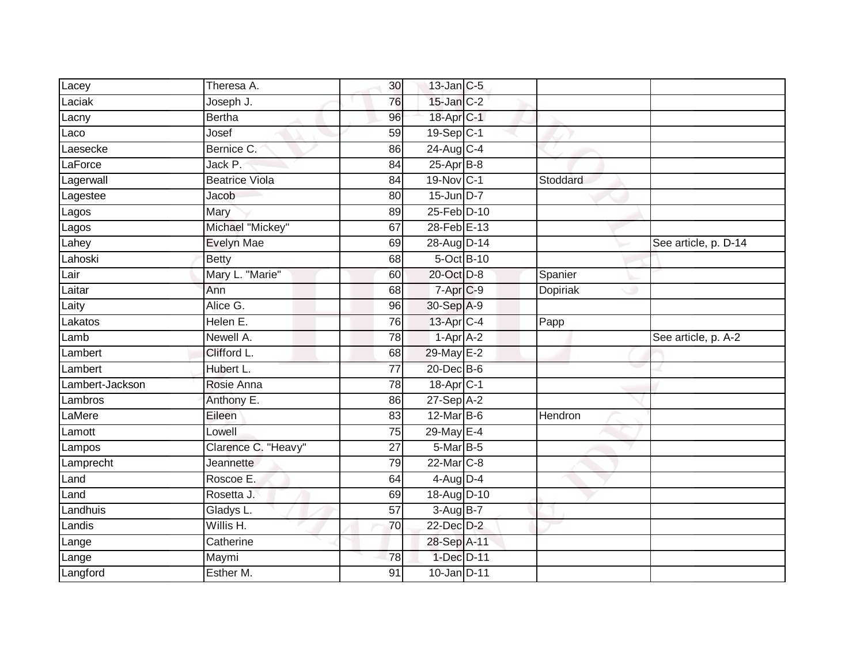| Lacey             | Theresa A.            | 30 <sup>°</sup> | $13$ -Jan $C-5$           |          |                      |
|-------------------|-----------------------|-----------------|---------------------------|----------|----------------------|
| Laciak            | Joseph J.             | 76              | $15$ -Jan $C-2$           |          |                      |
| Lacny             | <b>Bertha</b>         | 96              | 18-Apr C-1                |          |                      |
| Laco              | Josef                 | 59              | $19-Sep$ <sub>C-1</sub>   |          |                      |
| Laesecke          | Bernice C.            | 86              | $24$ -Aug C-4             |          |                      |
| LaForce           | Jack P.               | 84              | $25-AprB-8$               |          |                      |
| Lagerwall         | <b>Beatrice Viola</b> | 84              | 19-Nov C-1                | Stoddard |                      |
| Lagestee          | Jacob                 | 80              | 15-Jun D-7                |          |                      |
| Lagos             | Mary                  | 89              | 25-Feb D-10               |          |                      |
| Lagos             | Michael "Mickey"      | 67              | 28-Feb E-13               |          |                      |
| Lahey             | Evelyn Mae            | 69              | 28-Aug D-14               |          | See article, p. D-14 |
| Lahoski           | <b>Betty</b>          | 68              | 5-Oct B-10                |          |                      |
| Lair              | Mary L. "Marie"       | 60              | 20-Oct D-8                | Spanier  |                      |
| Laitar            | Ann                   | 68              | 7-Apr <sub>C-9</sub>      | Dopiriak |                      |
| Laity             | Alice G.              | 96              | 30-Sep A-9                |          |                      |
| Lakatos           | Helen E.              | 76              | 13-Apr C-4                | Papp     |                      |
|                   |                       |                 |                           |          |                      |
| Lamb              | Newell A.             | $\overline{78}$ | $1-AprA-2$                |          | See article, p. A-2  |
| Lambert           | Clifford L.           | 68              | 29-May E-2                |          |                      |
| Lambert           | Hubert L.             | $\overline{77}$ | 20-Dec B-6                |          |                      |
| Lambert-Jackson   | Rosie Anna            | $\overline{78}$ | 18-Apr <sub>C-1</sub>     |          |                      |
| Lambros           | Anthony E.            | 86              | $27-Sep$ A-2              |          |                      |
| LaMere            | Eileen                | 83              | 12-Mar B-6                | Hendron  |                      |
| Lamott            | Lowell                | 75              | 29-May E-4                |          |                      |
| Lampos            | Clarence C. "Heavy"   | 27              | 5-Mar B-5                 |          |                      |
| Lamprecht         | <b>Jeannette</b>      | 79              | $22$ -Mar $C-8$           |          |                      |
| Land              | Roscoe E.             | 64              | $4$ -Aug $D-4$            |          |                      |
| Land              | Rosetta J.            | 69              | 18-Aug D-10               |          |                      |
| Landhuis          | Gladys L.             | 57              | $3-Aug$ $B-7$             |          |                      |
| Landis            | Willis H.             | 70              | 22-Dec D-2                |          |                      |
| Lange             | Catherine             |                 | 28-Sep A-11               |          |                      |
| Lange<br>Langford | Maymi<br>Esther M.    | 78              | 1-Dec D-11<br>10-Jan D-11 |          |                      |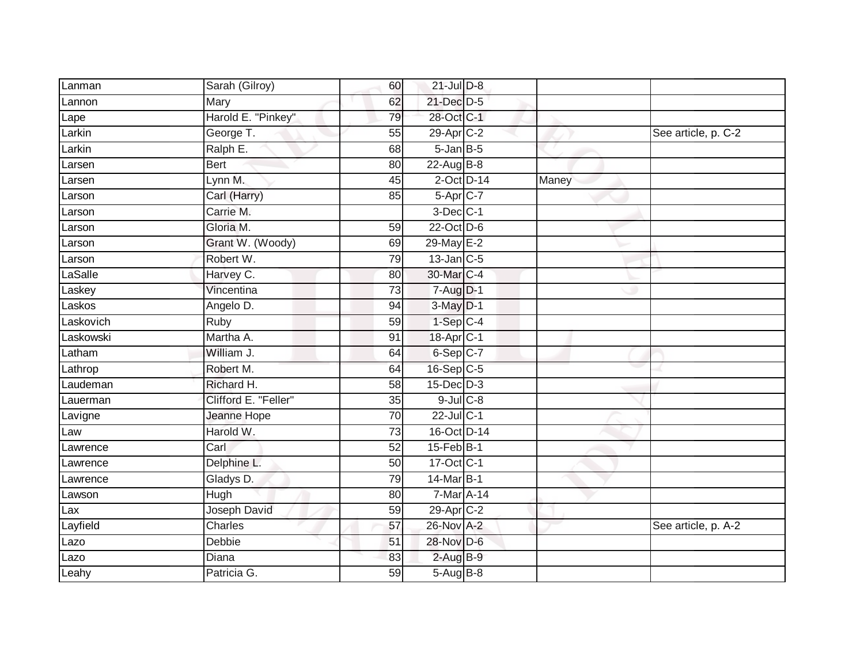| Lanman    | Sarah (Gilroy)       | 60              | $21$ -Jul $D-8$ |       |                     |
|-----------|----------------------|-----------------|-----------------|-------|---------------------|
| Lannon    | Mary                 | 62              | 21-Dec D-5      |       |                     |
| Lape      | Harold E. "Pinkey"   | 79              | 28-Oct C-1      |       |                     |
| Larkin    | George T.            | 55              | 29-Apr C-2      |       | See article, p. C-2 |
| $L$ arkin | Ralph E.             | 68              | $5$ -Jan $B$ -5 |       |                     |
| Larsen    | <b>Bert</b>          | 80              | 22-Aug B-8      |       |                     |
| Larsen    | Lynn M.              | 45              | $2$ -Oct $D-14$ | Maney |                     |
| Larson    | Carl (Harry)         | 85              | 5-Apr C-7       |       |                     |
| Larson    | Carrie M.            |                 | $3$ -Dec $C-1$  |       |                     |
| Larson    | Gloria M.            | 59              | 22-Oct D-6      |       |                     |
| Larson    | Grant W. (Woody)     | 69              | 29-May E-2      |       |                     |
| _arson    | Robert W.            | 79              | $13$ -Jan $C-5$ |       |                     |
| LaSalle   | Harvey C.            | 80              | 30-Mar C-4      |       |                     |
| Laskey    | Vincentina           | 73              | $7 - Aug$ $D-1$ |       |                     |
| Laskos    | Angelo D.            | 94              | $3-May$ $D-1$   |       |                     |
| Laskovich | Ruby                 | 59              | $1-Sep$ $C-4$   |       |                     |
| Laskowski | Martha A.            | 91              | 18-Apr C-1      |       |                     |
| Latham    | William J.           | 64              | 6-Sep C-7       |       |                     |
| Lathrop   | Robert M.            | 64              | 16-Sep C-5      |       |                     |
| Laudeman  | Richard H.           | 58              | $15$ -Dec $D-3$ |       |                     |
| Lauerman  | Clifford E. "Feller" | 35              | $9$ -Jul $C$ -8 |       |                     |
| Lavigne   | Jeanne Hope          | $\overline{70}$ | 22-Jul C-1      |       |                     |
| Law       | Harold W.            | 73              | 16-Oct D-14     |       |                     |
| Lawrence  | Carl                 | 52              | $15$ -Feb $B-1$ |       |                     |
| Lawrence  | Delphine L.          | 50              | 17-Oct C-1      |       |                     |
| Lawrence  | Gladys D.            | 79              | 14-Mar B-1      |       |                     |
| Lawson    | Hugh                 | 80              | 7-Mar A-14      |       |                     |
| Lax       | Joseph David         | 59              | 29-Apr C-2      |       |                     |
| Layfield  | Charles              | 57              | 26-Nov A-2      |       | See article, p. A-2 |
| Lazo      | Debbie               | 51              | 28-Nov D-6      |       |                     |
| Lazo      | Diana                | 83              | $2$ -Aug $B-9$  |       |                     |
| Leahy     | Patricia G.          | $\overline{59}$ | 5-Aug B-8       |       |                     |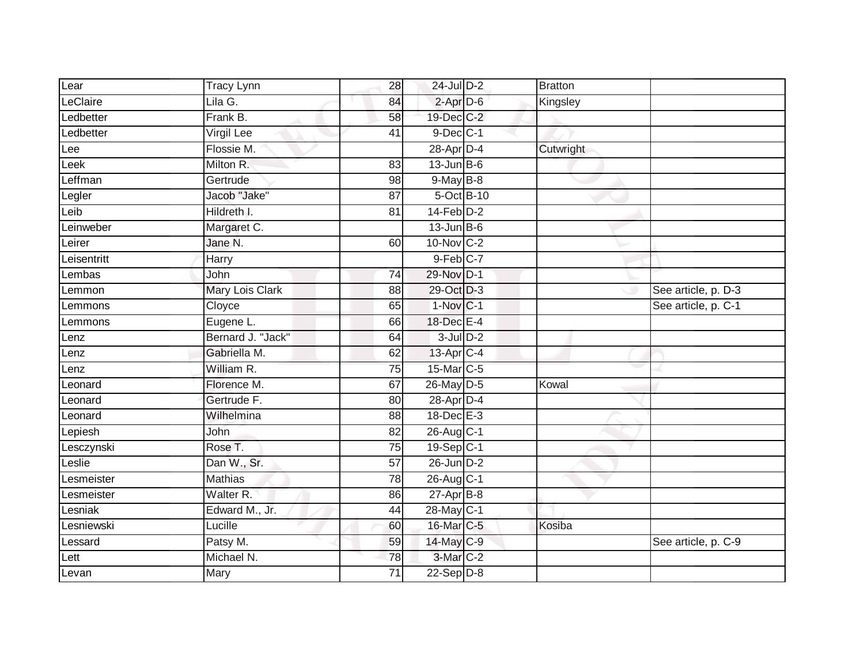| Lear        | <b>Tracy Lynn</b>      | 28              | $24$ -Jul $D-2$         | <b>Bratton</b> |                     |
|-------------|------------------------|-----------------|-------------------------|----------------|---------------------|
| LeClaire    | Lila G.                | 84              | $2$ -Apr $D-6$          | Kingsley       |                     |
| Ledbetter   | Frank B.               | 58              | 19-Dec C-2              |                |                     |
| Ledbetter   | Virgil Lee             | 41              | $9$ -Dec $C-1$          |                |                     |
| Lee         | Flossie M.             |                 | 28-Apr D-4              | Cutwright      |                     |
| Leek        | Milton R.              | 83              | $13$ -Jun $B$ -6        |                |                     |
| _effman     | Gertrude               | 98              | $9$ -May $B-8$          |                |                     |
| Legler      | Jacob "Jake"           | 87              | 5-Oct B-10              |                |                     |
| Leib        | Hildreth I.            | 81              | $14$ -Feb $D-2$         |                |                     |
| Leinweber   | Margaret C.            |                 | $13$ -Jun $B$ -6        |                |                     |
| Leirer      | Jane N.                | 60              | 10-Nov C-2              |                |                     |
| Leisentritt | Harry                  |                 | $9$ -Feb $C-7$          |                |                     |
| Lembas      | John                   | $\overline{74}$ | 29-Nov D-1              |                |                     |
| Lemmon      | <b>Mary Lois Clark</b> | 88              | 29-Oct D-3              |                | See article, p. D-3 |
| Lemmons     | Cloyce                 | 65              | $1-Nov C-1$             |                | See article, p. C-1 |
| Lemmons     | Eugene L.              | 66              | 18-Dec E-4              |                |                     |
| Lenz        | Bernard J. "Jack"      | 64              | $3$ -Jul $D-2$          |                |                     |
| Lenz        | Gabriella M.           | 62              | 13-Apr C-4              |                |                     |
| Lenz        | William R.             | 75              | 15-Mar C-5              |                |                     |
| Leonard     | Florence M.            | 67              | 26-May D-5              | Kowal          |                     |
| Leonard     | Gertrude F.            | 80              | 28-Apr D-4              |                |                     |
| Leonard     | Wilhelmina             | $\overline{88}$ | $18$ -Dec $E-3$         |                |                     |
| Lepiesh     | John                   | 82              | 26-Aug C-1              |                |                     |
| Lesczynski  | Rose T.                | 75              | $19-Sep$ <sub>C-1</sub> |                |                     |
| $e$ slie    | Dan W., Sr.            | 57              | 26-Jun D-2              |                |                     |
| Lesmeister  | <b>Mathias</b>         | 78              | 26-Aug C-1              |                |                     |
| Lesmeister  | Walter R.              | 86              | $27 - Apr$ B-8          |                |                     |
| _esniak     | Edward M., Jr.         | 44              | 28-May C-1              |                |                     |
| Lesniewski  | Lucille                | 60              | 16-Mar C-5              | Kosiba         |                     |
| Lessard     | Patsy M.               | 59              | 14-May C-9              |                | See article, p. C-9 |
| Lett        | Michael N.             | 78              | 3-Mar C-2               |                |                     |
| Levan       | Mary                   | $\overline{71}$ | $22-Sep D-8$            |                |                     |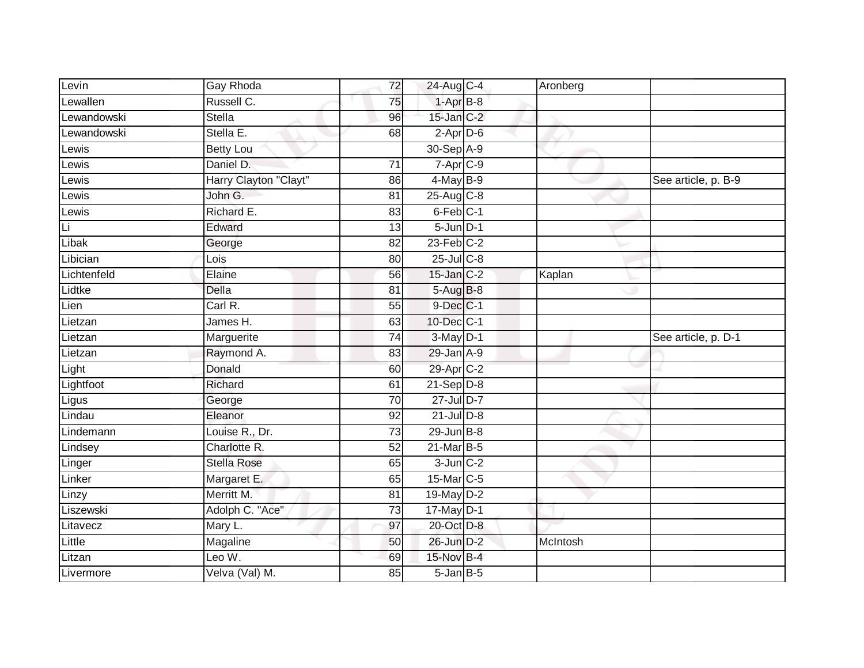| Levin       | Gay Rhoda                | 72              | 24-Aug C-4                      | Aronberg |                     |
|-------------|--------------------------|-----------------|---------------------------------|----------|---------------------|
| Lewallen    | Russell C.               | 75              | $1-AprB-8$                      |          |                     |
| Lewandowski | <b>Stella</b>            | 96              | $15$ -Jan $C-2$                 |          |                     |
| _ewandowski | Stella E.                | 68              | $2$ -Apr $D$ -6                 |          |                     |
| Lewis       | <b>Betty Lou</b>         |                 | 30-Sep A-9                      |          |                     |
| Lewis       | Daniel D.                | $\overline{71}$ | $7 - \overline{Apr}$ C-9        |          |                     |
| _ewis       | Harry Clayton "Clayt"    | 86              | $4$ -May B-9                    |          | See article, p. B-9 |
| Lewis       | John G.                  | 81              | 25-Aug C-8                      |          |                     |
| Lewis       | Richard E.               | 83              | 6-Feb <sup>C-1</sup>            |          |                     |
| Li          | Edward                   | 13              | $5 - Jun$ $D-1$                 |          |                     |
| Libak       | George                   | 82              | $23$ -Feb $C-2$                 |          |                     |
| Libician    | Lois                     | 80              | $25$ -Jul C-8                   |          |                     |
| Lichtenfeld | Elaine                   | 56              | 15-Jan C-2                      | Kaplan   |                     |
| Lidtke      | Della                    | 81              | $5-Aug$ B-8                     |          |                     |
| Lien        | Carl R.                  | 55              | 9-Dec C-1                       |          |                     |
| Lietzan     | James H.                 | 63              | 10-Dec C-1                      |          |                     |
|             |                          |                 |                                 |          |                     |
| Lietzan     | Marguerite               | 74              | $3-May$ $D-1$                   |          | See article, p. D-1 |
| Lietzan     | Raymond A.               | 83              | 29-Jan A-9                      |          |                     |
| Light       | Donald                   | 60              | 29-Apr C-2                      |          |                     |
| Lightfoot   | Richard                  | 61              | $21-Sep D-8$                    |          |                     |
| Ligus       | George                   | $\overline{70}$ | 27-Jul D-7                      |          |                     |
| Lindau      | Eleanor                  | 92              | $21$ -Jul $D-8$                 |          |                     |
| Lindemann   | Louise R., Dr.           | 73              | $29$ -Jun $B-8$                 |          |                     |
| Lindsey     | Charlotte R.             | 52              | 21-Mar B-5                      |          |                     |
| Linger      | <b>Stella Rose</b>       | 65              | $3$ -Jun $C-2$                  |          |                     |
| Linker      | Margaret E.              | 65              | 15-Mar C-5                      |          |                     |
| Linzy       | Merritt M.               | $\overline{81}$ | 19-May D-2                      |          |                     |
| Liszewski   | Adolph C. "Ace"          | 73              | $17$ -May D-1                   |          |                     |
| Litavecz    | Mary L.                  | 97              | 20-Oct D-8                      |          |                     |
| Little      | Magaline                 | 50              | 26-Jun D-2                      | McIntosh |                     |
| Litzan      | Leo W.<br>Velva (Val) M. | 69              | 15-Nov B-4<br>$5 - Jan$ $B - 5$ |          |                     |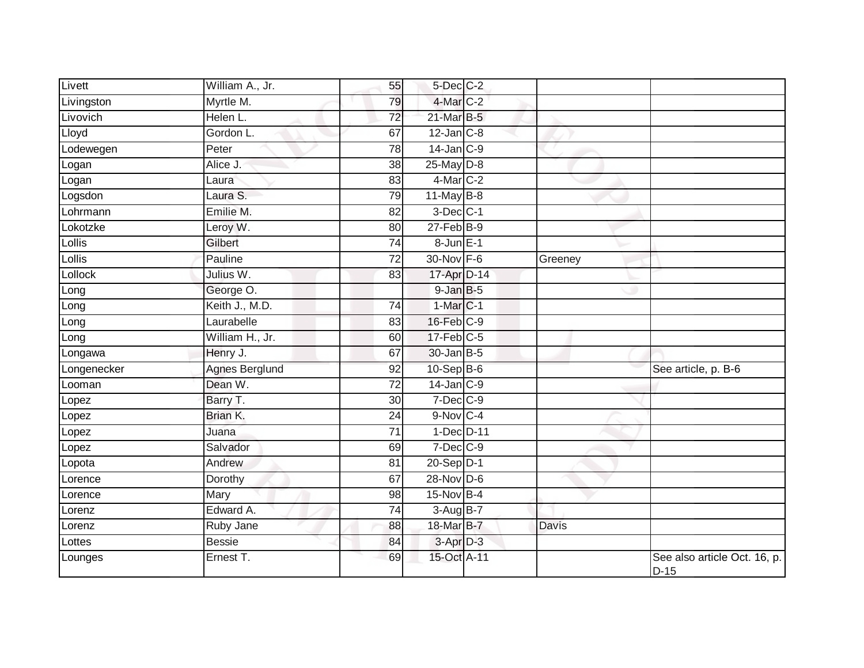| Livett      | William A., Jr.       | 55              | $5$ -Dec $C$ -2 |              |                                        |
|-------------|-----------------------|-----------------|-----------------|--------------|----------------------------------------|
| Livingston  | Myrtle M.             | 79              | 4-Mar C-2       |              |                                        |
| Livovich    | Helen L.              | 72              | 21-Mar B-5      |              |                                        |
| Lloyd       | Gordon L.             | 67              | $12$ -Jan $C-8$ |              |                                        |
| Lodewegen   | Peter                 | 78              | $14$ -Jan $C-9$ |              |                                        |
| Logan       | Alice J.              | 38              | $25$ -May $D-8$ |              |                                        |
| Logan       | Laura                 | 83              | $4$ -Mar $C-2$  |              |                                        |
| Logsdon     | Laura S.              | 79              | $11$ -May B-8   |              |                                        |
| Lohrmann    | Emilie M.             | 82              | $3$ -Dec $C-1$  |              |                                        |
| Lokotzke    | Leroy W.              | 80              | $27$ -Feb $B-9$ |              |                                        |
| Lollis      | Gilbert               | 74              | 8-Jun E-1       |              |                                        |
| Lollis      | Pauline               | 72              | $30$ -Nov $F-6$ | Greeney      |                                        |
| Lollock     | Julius W.             | 83              | 17-Apr D-14     |              |                                        |
| Long        | George O.             |                 | $9$ -Jan $B$ -5 |              |                                        |
| Long        | Keith J., M.D.        | $\overline{74}$ | $1-MarC-1$      |              |                                        |
| Long        | Laurabelle            | 83              | $16$ -Feb $C-9$ |              |                                        |
| Long        | William H., Jr.       | 60              | $17$ -Feb $C-5$ |              |                                        |
| Longawa     | Henry J.              | 67              | $30$ -Jan $B-5$ |              |                                        |
| Longenecker | <b>Agnes Berglund</b> | 92              | 10-Sep B-6      |              | See article, p. B-6                    |
| Looman      | Dean W.               | $\overline{72}$ | $14$ -Jan $C-9$ |              |                                        |
| Lopez       | Barry T.              | 30              | $7-Dec$ $C-9$   |              |                                        |
| Lopez       | Brian K.              | $\overline{24}$ | $9-Nov$ C-4     |              |                                        |
| Lopez       | Juana                 | 71              | 1-Dec D-11      |              |                                        |
| Lopez       | Salvador              | 69              | $7$ -Dec $C-9$  |              |                                        |
| Lopota      | Andrew                | 81              | $20-Sep$ $D-1$  |              |                                        |
| Lorence     | Dorothy               | 67              | 28-Nov D-6      |              |                                        |
| Lorence     | <b>Mary</b>           | 98              | $15-Nov$ B-4    |              |                                        |
| Lorenz      | Edward A.             | 74              | $3-Aug$ B-7     |              |                                        |
| Lorenz      | Ruby Jane             | 88              | 18-Mar B-7      | <b>Davis</b> |                                        |
| Lottes      | <b>Bessie</b>         | 84              | $3-Apr$ $D-3$   |              |                                        |
| Lounges     | Ernest T.             | 69              | 15-Oct A-11     |              | See also article Oct. 16, p.<br>$D-15$ |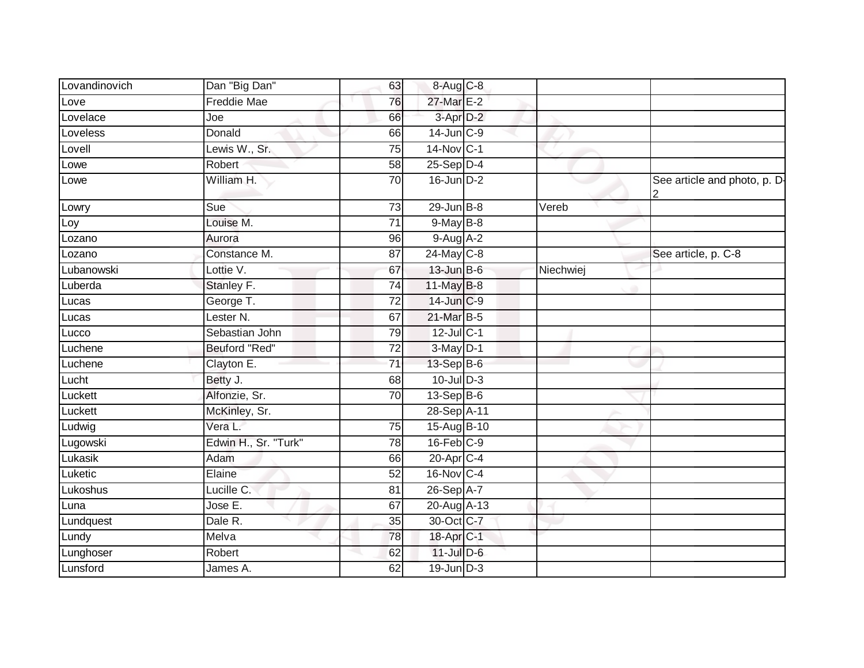| Lovandinovich | Dan "Big Dan"        | 63              | 8-Aug C-8             |           |                              |
|---------------|----------------------|-----------------|-----------------------|-----------|------------------------------|
| Love          | <b>Freddie Mae</b>   | 76              | 27-Mar E-2            |           |                              |
| Lovelace      | Joe                  | 66              | 3-Apr D-2             |           |                              |
| Loveless      | Donald               | 66              | $14$ -Jun $C-9$       |           |                              |
| Lovell        | Lewis W., Sr.        | $\overline{75}$ | 14-Nov C-1            |           |                              |
| Lowe          | Robert               | 58              | $25-Sep$ $D-4$        |           |                              |
| Lowe          | William H.           | 70              | $16$ -Jun $D-2$       |           | See article and photo, p. D- |
| Lowry         | Sue                  | 73              | $29$ -Jun $B - 8$     | Vereb     |                              |
| Loy           | Louise M.            | 71              | $9$ -May $B$ -8       |           |                              |
| Lozano        | Aurora               | 96              | $9-AugA-2$            |           |                              |
| Lozano        | Constance M.         | 87              | $24$ -May C-8         |           | See article, p. C-8          |
| Lubanowski    | Lottie $\sqrt{ }$ .  | 67              | $13$ -Jun $B$ -6      | Niechwiej |                              |
| Luberda       | Stanley F.           | $\overline{74}$ | 11-May B-8            |           |                              |
| Lucas         | George T.            | 72              | 14-Jun C-9            |           |                              |
| Lucas         | Lester N.            | 67              | 21-Mar B-5            |           |                              |
| Lucco         | Sebastian John       | 79              | 12-Jul C-1            |           |                              |
| Luchene       | Beuford "Red"        | 72              | $3-May$ $D-1$         |           |                              |
| Luchene       | Clayton E.           | $\overline{71}$ | 13-Sep B-6            |           |                              |
| Lucht         | Betty J.             | 68              | $10$ -JulD-3          |           |                              |
| Luckett       | Alfonzie, Sr.        | 70              | $13-Sep$ B-6          |           |                              |
| Luckett       | McKinley, Sr.        |                 | 28-Sep A-11           |           |                              |
| Ludwig        | Vera L.              | 75              | 15-Aug B-10           |           |                              |
| Lugowski      | Edwin H., Sr. "Turk" | 78              | $16$ -Feb $C-9$       |           |                              |
| Lukasik       | Adam                 | 66              | 20-Apr C-4            |           |                              |
| Luketic       | Elaine               | 52              | 16-Nov C-4            |           |                              |
| Lukoshus      | Lucille C.           | 81              | 26-Sep A-7            |           |                              |
| Luna          | Jose E.              | 67              | 20-Aug A-13           |           |                              |
| Lundquest     | Dale R.              | 35              | 30-Oct C-7            |           |                              |
| Lundy         | Melva                | 78              | 18-Apr <sub>C-1</sub> |           |                              |
| Lunghoser     | Robert               | 62              | $11$ -Jul $D-6$       |           |                              |
| Lunsford      | James A.             | 62              | $19$ -Jun $D-3$       |           |                              |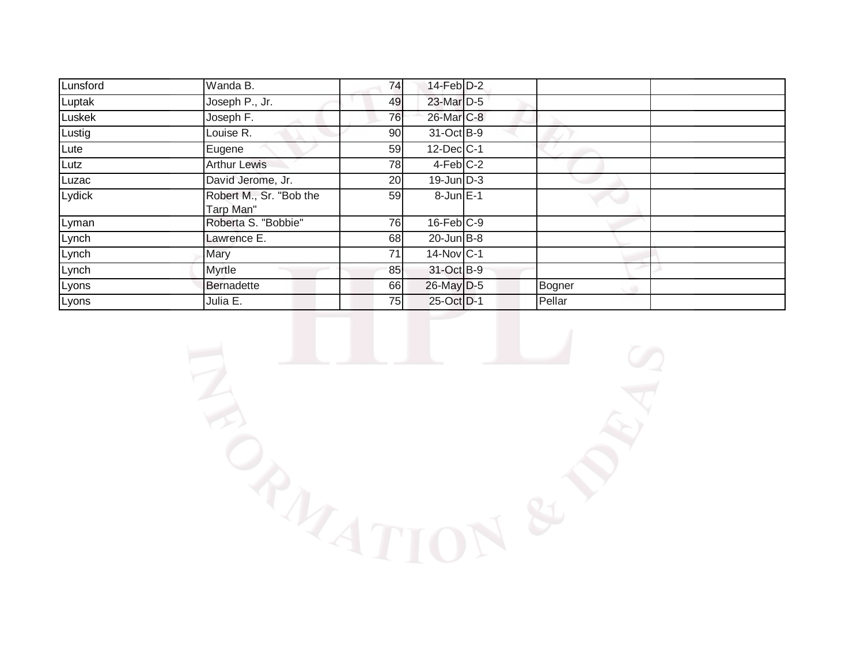| Lunsford | Wanda B.                             | 74 | $14$ -Feb $D-2$   |        |  |
|----------|--------------------------------------|----|-------------------|--------|--|
| Luptak   | Joseph P., Jr.                       | 49 | 23-Mar D-5        |        |  |
| Luskek   | Joseph F.                            | 76 | 26-Mar C-8        |        |  |
| Lustig   | Louise R.                            | 90 | $31-Oct$ B-9      |        |  |
| Lute     | Eugene                               | 59 | $12$ -Dec $ C-1 $ |        |  |
| Lutz     | <b>Arthur Lewis</b>                  | 78 | $4$ -Feb $C-2$    |        |  |
| Luzac    | David Jerome, Jr.                    | 20 | $19$ -Jun $D-3$   |        |  |
| Lydick   | Robert M., Sr. "Bob the<br>Tarp Man" | 59 | $8$ -Jun $E-1$    |        |  |
| Lyman    | Roberta S. "Bobbie"                  | 76 | $16$ -Feb $ C-9 $ |        |  |
| Lynch    | Lawrence E.                          | 68 | $20$ -Jun $B - 8$ |        |  |
| Lynch    | Mary                                 | 71 | 14-Nov C-1        |        |  |
| Lynch    | <b>Myrtle</b>                        | 85 | 31-Oct B-9        |        |  |
| Lyons    | Bernadette                           | 66 | $26$ -May $D-5$   | Bogner |  |
| Lyons    | Julia E.                             | 75 | 25-Oct D-1        | Pellar |  |

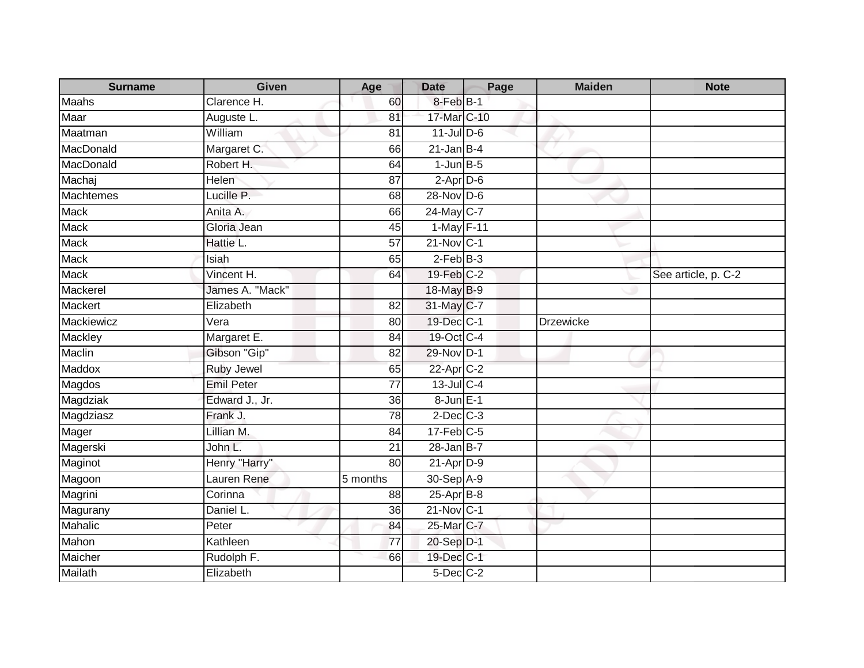| <b>Surname</b>   | <b>Given</b>      | Age             | <b>Date</b>           | Page | <b>Maiden</b>    | <b>Note</b>         |
|------------------|-------------------|-----------------|-----------------------|------|------------------|---------------------|
| <b>Maahs</b>     | Clarence H.       | 60              | 8-Feb <sup>B-1</sup>  |      |                  |                     |
| Maar             | Auguste L.        | 81              | 17-Mar C-10           |      |                  |                     |
| Maatman          | William           | 81              | $11$ -Jul $D-6$       |      |                  |                     |
| MacDonald        | Margaret C.       | 66              | $21$ -Jan B-4         |      |                  |                     |
| MacDonald        | Robert H.         | 64              | $1-JunB-5$            |      |                  |                     |
| Machaj           | Helen             | 87              | $2-AprD-6$            |      |                  |                     |
| <b>Machtemes</b> | Lucille P.        | 68              | 28-Nov D-6            |      |                  |                     |
| <b>Mack</b>      | Anita A.          | 66              | 24-May C-7            |      |                  |                     |
| <b>Mack</b>      | Gloria Jean       | 45              | $1-May$ F-11          |      |                  |                     |
| <b>Mack</b>      | Hattie L.         | $\overline{57}$ | $21-Nov$ C-1          |      |                  |                     |
| <b>Mack</b>      | Isiah             | 65              | $2$ -Feb $B-3$        |      |                  |                     |
| Mack             | Vincent H.        | 64              | 19-Feb C-2            |      |                  | See article, p. C-2 |
| Mackerel         | James A. "Mack"   |                 | 18-May B-9            |      |                  |                     |
| Mackert          | Elizabeth         | 82              | 31-May C-7            |      |                  |                     |
| Mackiewicz       | $\bar{v}$ era     | 80              | 19-Dec C-1            |      | <b>Drzewicke</b> |                     |
| <b>Mackley</b>   | Margaret E.       | 84              | 19-Oct C-4            |      |                  |                     |
| Maclin           | Gibson "Gip"      | 82              | 29-Nov D-1            |      |                  |                     |
| Maddox           | <b>Ruby Jewel</b> | 65              | 22-Apr <sub>C-2</sub> |      |                  |                     |
| Magdos           | <b>Emil Peter</b> | $\overline{77}$ | 13-Jul C-4            |      |                  |                     |
| Magdziak         | Edward J., Jr.    | 36              | 8-Jun E-1             |      |                  |                     |
| Magdziasz        | Frank J.          | 78              | $2$ -Dec $C-3$        |      |                  |                     |
| Mager            | Lillian M.        | 84              | $17$ -Feb $C-5$       |      |                  |                     |
| Magerski         | John L.           | 21              | $28 - Jan$ $B-7$      |      |                  |                     |
| Maginot          | Henry "Harry"     | 80              | $21-AprD-9$           |      |                  |                     |
| Magoon           | Lauren Rene       | 5 months        | 30-Sep A-9            |      |                  |                     |
| Magrini          | Corinna           | 88              | $25-Apr$ B-8          |      |                  |                     |
| Magurany         | Daniel L.         | 36              | $21-Nov$ C-1          |      |                  |                     |
| Mahalic          | Peter             | 84              | 25-Mar C-7            |      |                  |                     |
| Mahon            | Kathleen          | 77              | 20-Sep D-1            |      |                  |                     |
| Maicher          | Rudolph F.        | 66              | 19-Dec C-1            |      |                  |                     |
| Mailath          | Elizabeth         |                 | 5-Dec C-2             |      |                  |                     |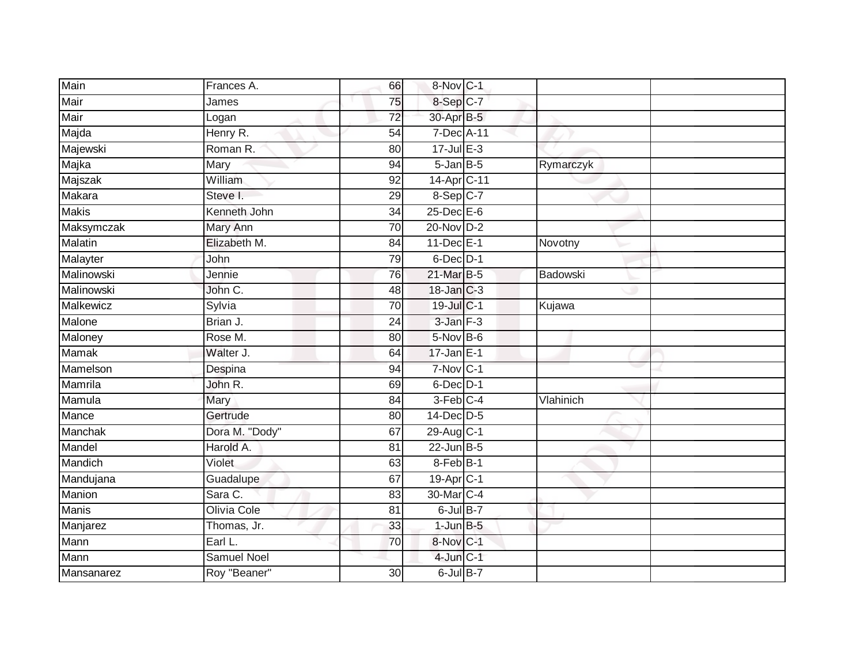| Main             | Frances A.         | 66              | 8-Nov C-1               |           |  |
|------------------|--------------------|-----------------|-------------------------|-----------|--|
| Mair             | James              | 75              | 8-Sep C-7               |           |  |
| Mair             | Logan              | $\overline{72}$ | 30-Apr B-5              |           |  |
| Majda            | Henry R.           | 54              | 7-Dec A-11              |           |  |
| Majewski         | Roman R.           | $\overline{80}$ | $17 -$ Jul $E - 3$      |           |  |
| Majka            | Mary               | 94              | $5 - JanB - 5$          | Rymarczyk |  |
| Majszak          | William            | 92              | 14-Apr C-11             |           |  |
| Makara           | Steve I.           | 29              | 8-Sep C-7               |           |  |
| <b>Makis</b>     | Kenneth John       | 34              | $25$ -Dec $E$ -6        |           |  |
| Maksymczak       | Mary Ann           | $\overline{70}$ | 20-Nov D-2              |           |  |
| Malatin          | Elizabeth M.       | 84              | 11-Dec E-1              | Novotny   |  |
| Malayter         | John               | 79              | 6-Dec D-1               |           |  |
| Malinowski       | Jennie             | 76              | 21-Mar B-5              | Badowski  |  |
| Malinowski       | John C.            | 48              | 18-Jan C-3              |           |  |
| <b>Malkewicz</b> | Sylvia             | $\overline{70}$ | 19-Jul C-1              | Kujawa    |  |
| Malone           | Brian J.           | 24              | $3$ -Jan $F-3$          |           |  |
| Maloney          | Rose M.            | $\overline{80}$ | 5-Nov B-6               |           |  |
| <b>Mamak</b>     | Walter J.          | 64              | $17$ -Jan E-1           |           |  |
| Mamelson         | Despina            | 94              | 7-Nov C-1               |           |  |
| Mamrila          | John R.            | 69              | $6$ -Dec $D-1$          |           |  |
| Mamula           | Mary               | 84              | 3-Feb C-4               | Vlahinich |  |
| Mance            | Gertrude           | 80              | 14-Dec D-5              |           |  |
| Manchak          | Dora M. "Dody"     | 67              | 29-Aug C-1              |           |  |
| Mandel           | Harold A.          | 81              | $22$ -Jun B-5           |           |  |
| Mandich          | Violet             | 63              | 8-Feb B-1               |           |  |
| Mandujana        | Guadalupe          | 67              | $19-Apr$ <sub>C-1</sub> |           |  |
| Manion           | Sara C.            | 83              | 30-Mar C-4              |           |  |
| <b>Manis</b>     | Olivia Cole        | 81              | $6$ -Jul $B$ -7         |           |  |
| Manjarez         | Thomas, Jr.        | 33              | $1$ -Jun $B-5$          |           |  |
| Mann             | Earl L.            | 70              | 8-Nov C-1               |           |  |
| Mann             | <b>Samuel Noel</b> |                 | $4$ -Jun $C-1$          |           |  |
| Mansanarez       | Roy "Beaner"       | 30              | $6$ -Jul $B-7$          |           |  |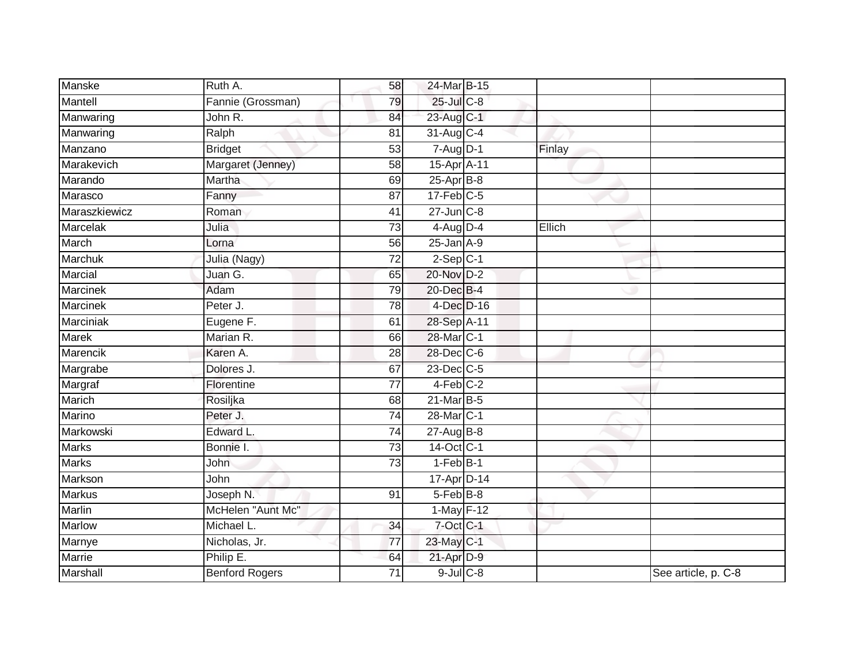| Manske          | Ruth A.               | 58              | 24-Mar B-15      |        |                     |
|-----------------|-----------------------|-----------------|------------------|--------|---------------------|
| Mantell         | Fannie (Grossman)     | 79              | $25$ -Jul $C$ -8 |        |                     |
| Manwaring       | John R.               | 84              | 23-Aug C-1       |        |                     |
| Manwaring       | Ralph                 | 81              | 31-Aug C-4       |        |                     |
| Manzano         | <b>Bridget</b>        | 53              | $7 - Aug$ $D-1$  | Finlay |                     |
| Marakevich      | Margaret (Jenney)     | 58              | 15-Apr A-11      |        |                     |
| Marando         | Martha                | 69              | $25$ -Apr $B$ -8 |        |                     |
| Marasco         | Fanny                 | 87              | $17$ -Feb $C-5$  |        |                     |
| Maraszkiewicz   | Roman                 | 41              | $27 - Jun$ $C-8$ |        |                     |
| Marcelak        | Julia                 | $\overline{73}$ | 4-Aug D-4        | Ellich |                     |
| March           | Lorna                 | 56              | $25$ -Jan $A-9$  |        |                     |
| Marchuk         | Julia (Nagy)          | $\overline{72}$ | $2-Sep$ C-1      |        |                     |
| Marcial         | Juan G.               | 65              | 20-Nov D-2       |        |                     |
| <b>Marcinek</b> | Adam                  | 79              | 20-Dec B-4       |        |                     |
| <b>Marcinek</b> | Peter J.              | 78              | 4-Dec D-16       |        |                     |
| Marciniak       | Eugene F.             | 61              | 28-Sep A-11      |        |                     |
| <b>Marek</b>    | Marian R.             | 66              | 28-Mar C-1       |        |                     |
| Marencik        | Karen A.              | 28              | 28-Dec C-6       |        |                     |
| Margrabe        | Dolores J.            | 67              | 23-Dec C-5       |        |                     |
| Margraf         | Florentine            | $\overline{77}$ | $4-Feb$ $C-2$    |        |                     |
| Marich          | Rosiljka              | 68              | 21-Mar B-5       |        |                     |
| Marino          | Peter J.              | $\overline{74}$ | 28-Mar C-1       |        |                     |
| Markowski       | Edward L.             | 74              | 27-Aug B-8       |        |                     |
| <b>Marks</b>    | Bonnie I.             | 73              | 14-Oct C-1       |        |                     |
| <b>Marks</b>    | John                  | 73              | $1-FebB-1$       |        |                     |
| Markson         | John                  |                 | 17-Apr D-14      |        |                     |
| <b>Markus</b>   | Joseph N.             | 91              | 5-Feb B-8        |        |                     |
| <b>Marlin</b>   | McHelen "Aunt Mc"     |                 | $1-May$ $F-12$   |        |                     |
| Marlow          | Michael L.            | 34              | $7$ -Oct $C-1$   |        |                     |
| Marnye          | Nicholas, Jr.         | 77              | 23-May C-1       |        |                     |
| Marrie          | Philip E.             | 64              | 21-Apr D-9       |        |                     |
| Marshall        | <b>Benford Rogers</b> | $\overline{71}$ | $9$ -Jul $C$ -8  |        | See article, p. C-8 |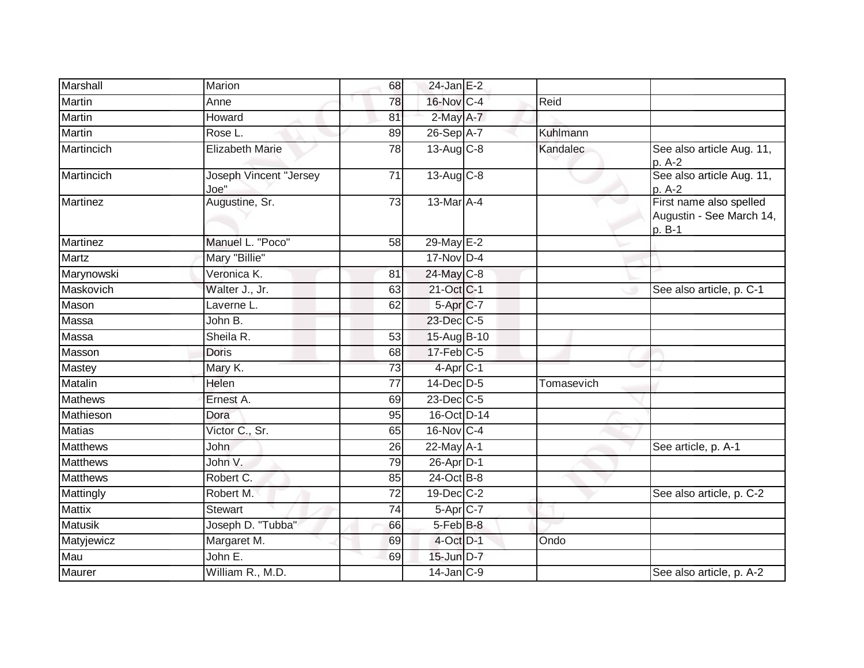| Marshall        | Marion                         | 68              | $24$ -Jan E-2         |            |                                                               |
|-----------------|--------------------------------|-----------------|-----------------------|------------|---------------------------------------------------------------|
| Martin          | Anne                           | 78              | 16-Nov C-4            | Reid       |                                                               |
| Martin          | Howard                         | 81              | $2$ -May $A-7$        |            |                                                               |
| <b>Martin</b>   | Rose L.                        | 89              | 26-Sep A-7            | Kuhlmann   |                                                               |
| Martincich      | <b>Elizabeth Marie</b>         | 78              | $13-Aug$ $C-8$        | Kandalec   | See also article Aug. 11,<br>p. A-2                           |
| Martincich      | Joseph Vincent "Jersey<br>Joe" | 71              | $13-Aug$ $C-8$        |            | See also article Aug. 11,<br>p. A-2                           |
| <b>Martinez</b> | Augustine, Sr.                 | 73              | 13-Mar A-4            |            | First name also spelled<br>Augustin - See March 14,<br>p. B-1 |
| <b>Martinez</b> | Manuel L. "Poco"               | 58              | $29$ -May $E-2$       |            |                                                               |
| Martz           | Mary "Billie"                  |                 | $17$ -Nov D-4         |            |                                                               |
| Marynowski      | Veronica K.                    | 81              | 24-May C-8            |            |                                                               |
| Maskovich       | Walter J., Jr.                 | 63              | 21-Oct C-1            |            | See also article, p. C-1                                      |
| Mason           | Laverne L.                     | 62              | 5-Apr <sub>IC-7</sub> |            |                                                               |
| Massa           | John B.                        |                 | 23-Dec C-5            |            |                                                               |
| Massa           | Sheila R.                      | 53              | 15-Aug B-10           |            |                                                               |
| Masson          | Doris                          | 68              | $17$ -Feb $C-5$       |            |                                                               |
| Mastey          | Mary K.                        | 73              | 4-Apr <sub>C-1</sub>  |            |                                                               |
| Matalin         | Helen                          | $\overline{77}$ | 14-Dec D-5            | Tomasevich |                                                               |
| <b>Mathews</b>  | Ernest A.                      | 69              | $23$ -Dec $C-5$       |            |                                                               |
| Mathieson       | Dora                           | 95              | 16-Oct D-14           |            |                                                               |
| <b>Matias</b>   | Victor C., Sr.                 | 65              | 16-Nov C-4            |            |                                                               |
| <b>Matthews</b> | John                           | 26              | 22-May A-1            |            | See article, p. A-1                                           |
| <b>Matthews</b> | John V.                        | 79              | 26-Apr D-1            |            |                                                               |
| <b>Matthews</b> | Robert C.                      | 85              | 24-Oct B-8            |            |                                                               |
| Mattingly       | Robert M.                      | $\overline{72}$ | 19-Dec C-2            |            | See also article, p. C-2                                      |
| <b>Mattix</b>   | Stewart                        | 74              | $5-AprC-7$            |            |                                                               |
| <b>Matusik</b>  | Joseph D. "Tubba"              | 66              | 5-Feb <sup>B-8</sup>  |            |                                                               |
| Matyjewicz      | Margaret M.                    | 69              | 4-Oct D-1             | Ondo       |                                                               |
| Mau             | John E.                        | 69              | 15-Jun D-7            |            |                                                               |
| Maurer          | William R., M.D.               |                 | $14$ -Jan $C-9$       |            | See also article, p. A-2                                      |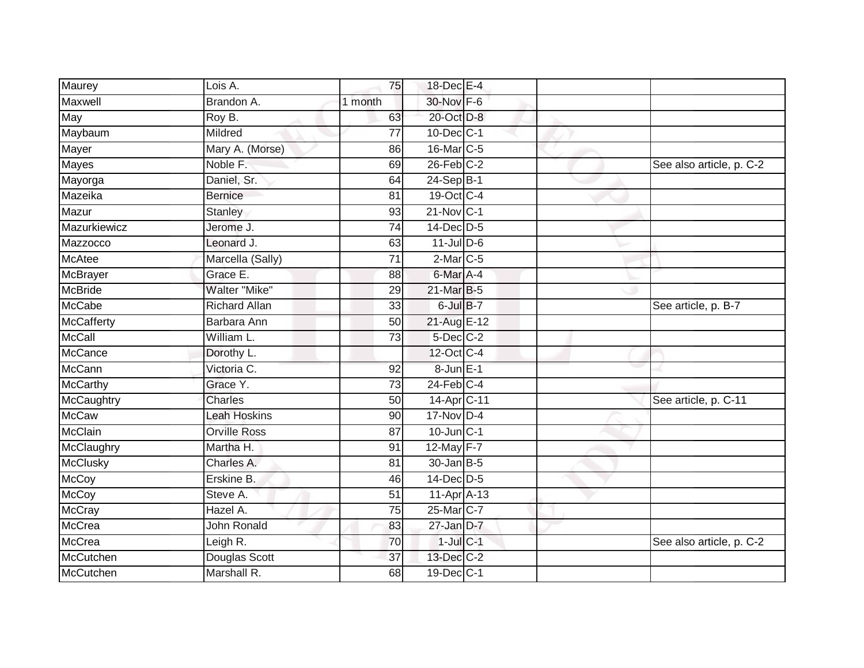| Maurey            | Lois A.              | 75              | 18-Dec E-4        |                          |
|-------------------|----------------------|-----------------|-------------------|--------------------------|
| Maxwell           | Brandon A.           | 1 month         | 30-Nov F-6        |                          |
| May               | Roy B.               | 63              | 20-Oct D-8        |                          |
| Maybaum           | Mildred              | 77              | $10$ -Dec $ C-1 $ |                          |
| Mayer             | Mary A. (Morse)      | 86              | 16-Mar C-5        |                          |
| <b>Mayes</b>      | Noble F.             | 69              | $26$ -Feb $C-2$   | See also article, p. C-2 |
| Mayorga           | Daniel, Sr.          | 64              | $24-Sep B-1$      |                          |
| Mazeika           | <b>Bernice</b>       | 81              | 19-Oct C-4        |                          |
| Mazur             | Stanley              | 93              | $21$ -Nov $ C-1 $ |                          |
| Mazurkiewicz      | Jerome J.            | $\overline{74}$ | 14-Dec D-5        |                          |
| Mazzocco          | Leonard J.           | 63              | $11$ -Jul D-6     |                          |
| <b>McAtee</b>     | Marcella (Sally)     | $\overline{71}$ | $2$ -Mar $C$ -5   |                          |
| McBrayer          | Grace E.             | 88              | 6-Mar A-4         |                          |
| <b>McBride</b>    | Walter "Mike"        | 29              | 21-Mar B-5        |                          |
| <b>McCabe</b>     | <b>Richard Allan</b> | $\overline{33}$ | 6-Jul B-7         | See article, p. B-7      |
| <b>McCafferty</b> | Barbara Ann          | 50              | 21-Aug E-12       |                          |
| <b>McCall</b>     | William L.           | $\overline{73}$ | $5$ -Dec $C$ -2   |                          |
| <b>McCance</b>    | Dorothy L.           |                 | 12-Oct C-4        |                          |
| <b>McCann</b>     | Victoria C.          | 92              | 8-Jun E-1         |                          |
| <b>McCarthy</b>   | Grace Y.             | 73              | $24$ -Feb $C-4$   |                          |
| McCaughtry        | <b>Charles</b>       | 50              | 14-Apr C-11       | See article, p. C-11     |
| <b>McCaw</b>      | <b>Leah Hoskins</b>  | 90              | $17$ -Nov D-4     |                          |
| McClain           | <b>Orville Ross</b>  | 87              | $10$ -Jun $C-1$   |                          |
| McClaughry        | Martha H.            | 91              | 12-May F-7        |                          |
| <b>McClusky</b>   | Charles A.           | 81              | $30$ -Jan $ B-5 $ |                          |
| <b>McCoy</b>      | Erskine B.           | 46              | 14-Dec D-5        |                          |
| <b>McCoy</b>      | Steve A.             | 51              | 11-Apr A-13       |                          |
| <b>McCray</b>     | Hazel A.             | 75              | 25-Mar C-7        |                          |
| McCrea            | John Ronald          | 83              | $27$ -Jan $D-7$   |                          |
| <b>McCrea</b>     | Leigh R.             | 70              | $1$ -Jul $C-1$    | See also article, p. C-2 |
| McCutchen         | Douglas Scott        | 37              | $13$ -Dec $C-2$   |                          |
| McCutchen         | Marshall R.          | 68              | 19-Dec C-1        |                          |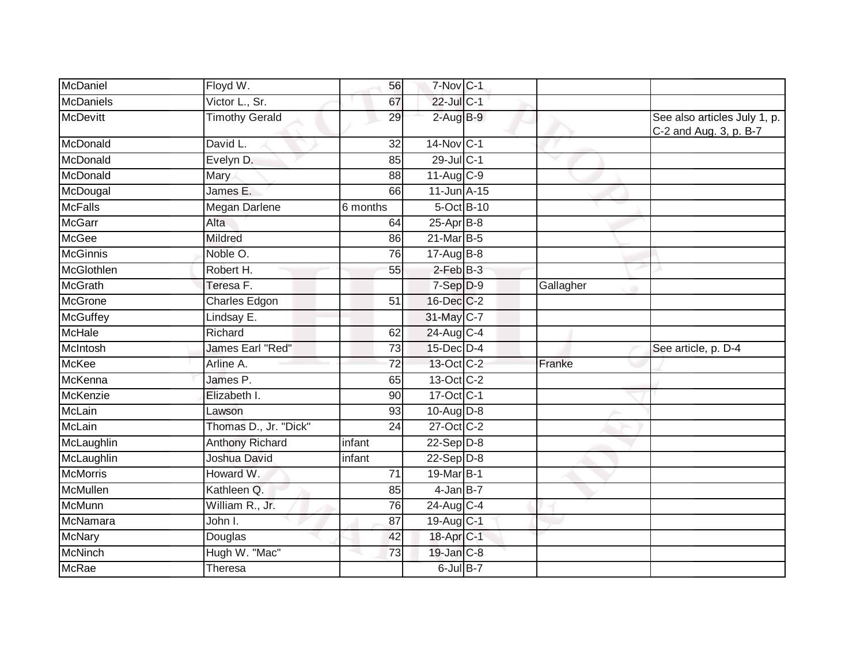| McDaniel         | Floyd W.               | 56              | 7-Nov C-1               |            |           |                                                        |
|------------------|------------------------|-----------------|-------------------------|------------|-----------|--------------------------------------------------------|
| <b>McDaniels</b> | Victor L., Sr.         | 67              | $22$ -Jul C-1           |            |           |                                                        |
| <b>McDevitt</b>  | <b>Timothy Gerald</b>  | 29              | $2$ -Aug $B-9$          |            |           | See also articles July 1, p.<br>C-2 and Aug. 3, p. B-7 |
| McDonald         | David L.               | 32              | 14-Nov C-1              |            |           |                                                        |
| McDonald         | Evelyn D.              | 85              | 29-Jul C-1              |            |           |                                                        |
| McDonald         | Mary                   | 88              | $11-Auq$ <sub>C-9</sub> |            |           |                                                        |
| McDougal         | James E.               | 66              | 11-Jun A-15             |            |           |                                                        |
| <b>McFalls</b>   | <b>Megan Darlene</b>   | 6 months        |                         | 5-Oct B-10 |           |                                                        |
| <b>McGarr</b>    | Alta                   | 64              | $25$ -Apr $B$ -8        |            |           |                                                        |
| <b>McGee</b>     | Mildred                | 86              | 21-Mar B-5              |            |           |                                                        |
| <b>McGinnis</b>  | Noble O.               | 76              | $17$ -AugB-8            |            |           |                                                        |
| McGlothlen       | Robert H.              | 55              | $2$ -Feb $B-3$          |            |           |                                                        |
| <b>McGrath</b>   | Teresa F.              |                 | 7-Sep D-9               |            | Gallagher |                                                        |
| <b>McGrone</b>   | <b>Charles Edgon</b>   | 51              | 16-Dec C-2              |            |           |                                                        |
| <b>McGuffey</b>  | Lindsay E.             |                 | 31-May C-7              |            |           |                                                        |
| McHale           | Richard                | 62              | 24-Aug C-4              |            |           |                                                        |
| McIntosh         | James Earl "Red"       | 73              | 15-Dec D-4              |            |           | See article, p. D-4                                    |
| <b>McKee</b>     | Arline A.              | 72              | 13-Oct C-2              |            | Franke    |                                                        |
| McKenna          | James P.               | 65              | $13-Oct$ <sub>C-2</sub> |            |           |                                                        |
| McKenzie         | Elizabeth I.           | 90              | 17-Oct C-1              |            |           |                                                        |
| <b>McLain</b>    | Lawson                 | 93              | $10-Au\overline{g}D-8$  |            |           |                                                        |
| McLain           | Thomas D., Jr. "Dick"  | 24              | 27-Oct C-2              |            |           |                                                        |
| McLaughlin       | <b>Anthony Richard</b> | infant          | $22-Sep D-8$            |            |           |                                                        |
| McLaughlin       | Joshua David           | infant          | $22 - Sep/D-8$          |            |           |                                                        |
| <b>McMorris</b>  | Howard W.              | $\overline{71}$ | 19-Mar B-1              |            |           |                                                        |
| McMullen         | Kathleen Q.            | 85              | $4$ -Jan B-7            |            |           |                                                        |
| <b>McMunn</b>    | William R., Jr.        | 76              | 24-Aug C-4              |            |           |                                                        |
| McNamara         | John I.                | 87              | 19-Aug C-1              |            |           |                                                        |
| <b>McNary</b>    | Douglas                | 42              | 18-Apr <sub>C-1</sub>   |            |           |                                                        |
| <b>McNinch</b>   | Hugh W. "Mac"          | 73              | 19-Jan C-8              |            |           |                                                        |
| McRae            | Theresa                |                 | 6-Jul B-7               |            |           |                                                        |
|                  |                        |                 |                         |            |           |                                                        |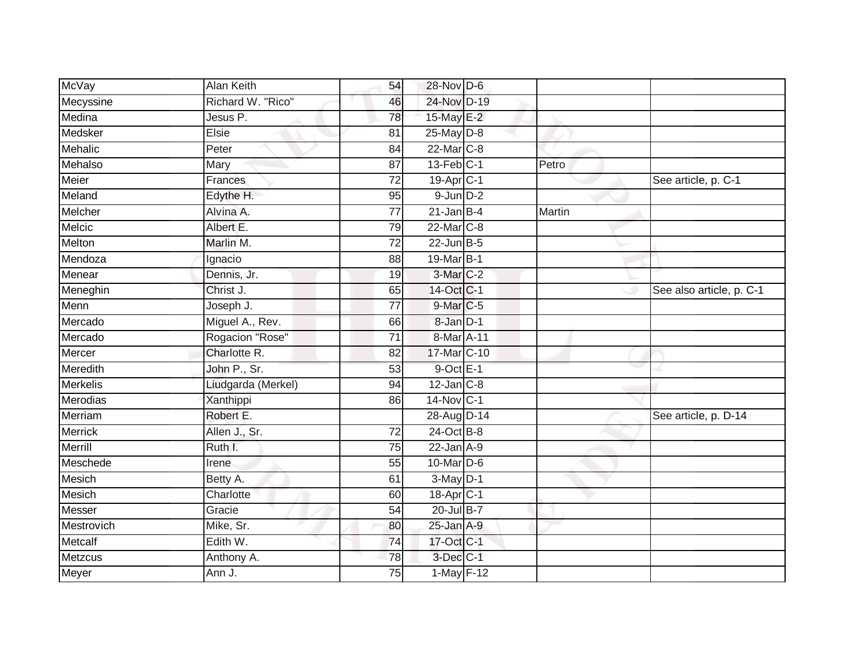| McVay           | Alan Keith         | 54              | 28-Nov D-6             |        |                          |
|-----------------|--------------------|-----------------|------------------------|--------|--------------------------|
| Mecyssine       | Richard W. "Rico"  | 46              | 24-Nov D-19            |        |                          |
| Medina          | Jesus P.           | 78              | 15-May $E-2$           |        |                          |
| Medsker         | Elsie              | 81              | $25$ -May $D-8$        |        |                          |
| Mehalic         | Peter              | 84              | 22-Mar C-8             |        |                          |
| Mehalso         | Mary               | 87              | $13$ -Feb $ C-1 $      | Petro  |                          |
| Meier           | Frances            | 72              | 19-Apr <sub>IC-1</sub> |        | See article, p. C-1      |
| Meland          | Edythe H.          | 95              | $9$ -Jun $D-2$         |        |                          |
| Melcher         | Alvina A.          | 77              | $21$ -Jan B-4          | Martin |                          |
| Melcic          | Albert E.          | 79              | 22-Mar C-8             |        |                          |
| Melton          | Marlin M.          | $\overline{72}$ | $22$ -Jun $B-5$        |        |                          |
| Mendoza         | Ignacio            | 88              | 19-Mar B-1             |        |                          |
| Menear          | Dennis, Jr.        | 19              | $3-Mar$ $C-2$          |        |                          |
| Meneghin        | Christ J.          | 65              | 14-Oct C-1             |        | See also article, p. C-1 |
| Menn            | Joseph J.          | $\overline{77}$ | 9-Mar C-5              |        |                          |
| Mercado         | Miguel A., Rev.    | 66              | 8-Jan D-1              |        |                          |
| Mercado         | Rogacion "Rose"    | $\overline{71}$ | 8-Mar A-11             |        |                          |
| Mercer          | Charlotte R.       | 82              | 17-Mar C-10            |        |                          |
| Meredith        | John P., Sr.       | 53              | $9$ -Oct $E-1$         |        |                          |
| <b>Merkelis</b> | Liudgarda (Merkel) | 94              | $12$ -Jan $C-8$        |        |                          |
| Merodias        | Xanthippi          | 86              | 14-Nov C-1             |        |                          |
| Merriam         | Robert E.          |                 | 28-Aug D-14            |        | See article, p. D-14     |
| <b>Merrick</b>  | Allen J., Sr.      | 72              | 24-Oct B-8             |        |                          |
| Merrill         | Ruth I.            | 75              | $22$ -Jan $A-9$        |        |                          |
| Meschede        | Irene              | 55              | 10-Mar D-6             |        |                          |
| Mesich          | Betty A.           | 61              | $3-May$ D-1            |        |                          |
| Mesich          | Charlotte          | 60              | 18-Apr <sub>IC-1</sub> |        |                          |
| Messer          | Gracie             | 54              | 20-Jul B-7             |        |                          |
| Mestrovich      | Mike, Sr.          | 80              | $25$ -Jan $A-9$        |        |                          |
| Metcalf         | Edith W.           | 74              | 17-Oct C-1             |        |                          |
| <b>Metzcus</b>  | Anthony A.         | 78              | 3-Dec C-1              |        |                          |
| Meyer           | Ann J.             | $\overline{75}$ | 1-May F-12             |        |                          |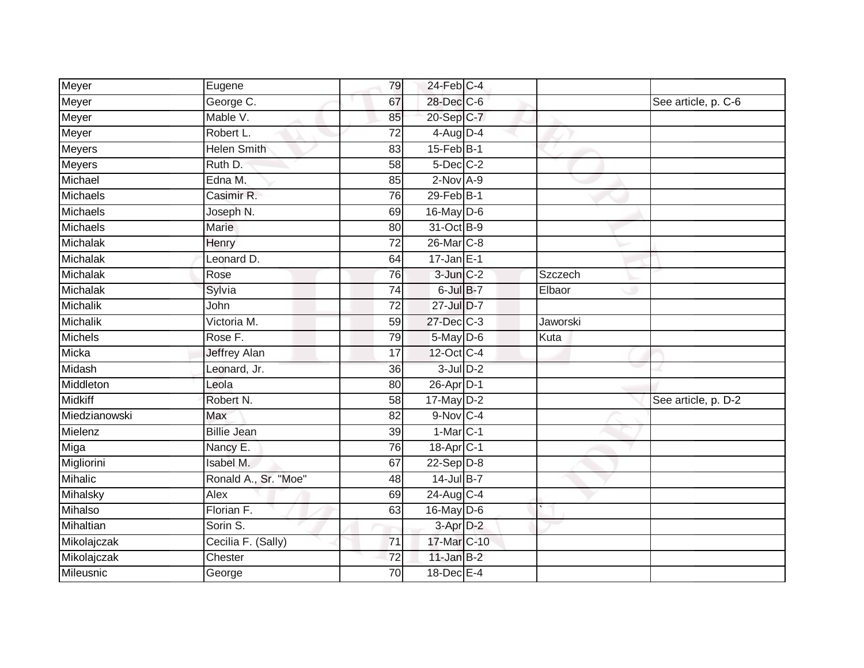| Meyer            | Eugene               | 79              | 24-Feb C-4            |          |                     |
|------------------|----------------------|-----------------|-----------------------|----------|---------------------|
| Meyer            | George C.            | 67              | 28-Dec C-6            |          | See article, p. C-6 |
| Meyer            | Mable V.             | 85              | 20-Sep C-7            |          |                     |
| Meyer            | Robert L.            | 72              | $4$ -Aug D-4          |          |                     |
| Meyers           | <b>Helen Smith</b>   | $\overline{83}$ | $15$ -Feb $B$ -1      |          |                     |
| Meyers           | Ruth D.              | 58              | $5$ -Dec $C$ -2       |          |                     |
| Michael          | Edna M.              | 85              | $2$ -Nov $A-9$        |          |                     |
| Michaels         | Casimir R.           | 76              | $29$ -Feb $B-1$       |          |                     |
| Michaels         | Joseph N.            | 69              | $16$ -May $D-6$       |          |                     |
| Michaels         | Marie                | 80              | 31-Oct B-9            |          |                     |
| Michalak         | Henry                | 72              | 26-Mar C-8            |          |                     |
| Michalak         | Leonard D.           | 64              | $17 - Jan$ E-1        |          |                     |
| Michalak         | Rose                 | 76              | $3$ -Jun $C-2$        | Szczech  |                     |
| Michalak         | Sylvia               | 74              | 6-Jul B-7             | Elbaor   |                     |
| Michalik         | John                 | $\overline{72}$ | 27-Jul D-7            |          |                     |
| Michalik         | Victoria M.          | 59              | 27-Dec C-3            | Jaworski |                     |
| Michels          | Rose F.              | 79              | 5-May D-6             | Kuta     |                     |
| Micka            | <b>Jeffrey Alan</b>  | 17              | 12-Oct C-4            |          |                     |
| Midash           | Leonard, Jr.         | 36              | $3$ -Jul $D-2$        |          |                     |
| Middleton        | Leola                | 80              | $26$ -Apr $D-1$       |          |                     |
| <b>Midkiff</b>   | Robert N.            | 58              | $17$ -May $D-2$       |          | See article, p. D-2 |
| Miedzianowski    | Max                  | 82              | 9-Nov C-4             |          |                     |
| Mielenz          | <b>Billie Jean</b>   | 39              | $1-MarC-1$            |          |                     |
| Miga             | Nancy E.             | 76              | 18-Apr <sub>C-1</sub> |          |                     |
| Migliorini       | <b>Isabel M.</b>     | 67              | $22-Sep$ D-8          |          |                     |
| <b>Mihalic</b>   | Ronald A., Sr. "Moe" | 48              | $14$ -Jul B-7         |          |                     |
| Mihalsky         | Alex                 | 69              | 24-Aug C-4            |          |                     |
| Mihalso          | Florian F.           | 63              | 16-May $D-6$          |          |                     |
| Mihaltian        | Sorin S.             |                 | 3-Apr D-2             |          |                     |
| Mikolajczak      | Cecilia F. (Sally)   | $\overline{71}$ | 17-Mar C-10           |          |                     |
| Mikolajczak      | Chester              | 72              | $11$ -Jan B-2         |          |                     |
| <b>Mileusnic</b> | George               | $\overline{70}$ | 18-Dec E-4            |          |                     |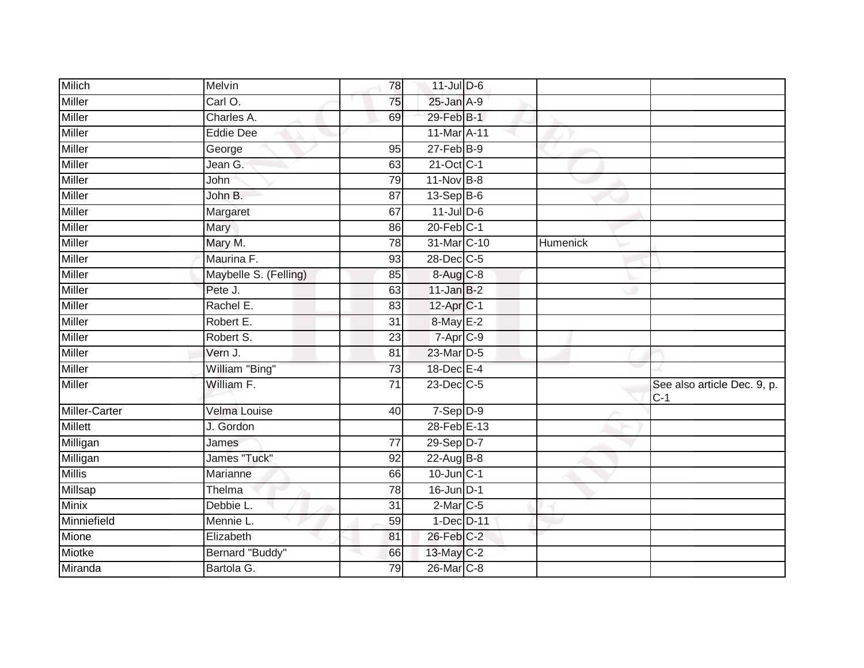| <b>Milich</b> | Melvin                | 78              | $11$ -Jul D-6         |          |                                      |
|---------------|-----------------------|-----------------|-----------------------|----------|--------------------------------------|
|               |                       |                 |                       |          |                                      |
| <b>Miller</b> | Carl O.               | 75              | $25$ -Jan $A-9$       |          |                                      |
| <b>Miller</b> | Charles A.            | 69              | 29-Feb <sup>B-1</sup> |          |                                      |
| Miller        | <b>Eddie Dee</b>      |                 | 11-Mar A-11           |          |                                      |
| <b>Miller</b> | George                | 95              | $27 - Feb$ $B-9$      |          |                                      |
| <b>Miller</b> | Jean G.               | 63              | 21-Oct C-1            |          |                                      |
| Miller        | John                  | 79              | 11-Nov B-8            |          |                                      |
| Miller        | John B.               | 87              | $13-Sep$ B-6          |          |                                      |
| Miller        | Margaret              | 67              | $11$ -JulD-6          |          |                                      |
| <b>Miller</b> | Mary                  | 86              | $20$ -Feb $C-1$       |          |                                      |
| Miller        | Mary M.               | $\overline{78}$ | 31-Mar C-10           | Humenick |                                      |
| Miller        | Maurina F.            | 93              | 28-Dec C-5            |          |                                      |
| Miller        | Maybelle S. (Felling) | 85              | 8-Aug C-8             |          |                                      |
| Miller        | Pete J.               | 63              | $11$ -Jan B-2         |          |                                      |
| <b>Miller</b> | Rachel E.             | 83              | 12-Apr <sub>C-1</sub> |          |                                      |
| Miller        | Robert E.             | 31              | 8-May E-2             |          |                                      |
| <b>Miller</b> | Robert S.             | 23              | 7-Apr C-9             |          |                                      |
| Miller        | Vern J.               | 81              | 23-Mar D-5            |          |                                      |
| Miller        | William "Bing"        | 73              | 18-Dec E-4            |          |                                      |
| <b>Miller</b> | William F.            | $\overline{71}$ | 23-Dec C-5            |          | See also article Dec. 9, p.<br>$C-1$ |
| Miller-Carter | Velma Louise          | 40              | $7-Sep$ D-9           |          |                                      |
| Millett       | J. Gordon             |                 | 28-Feb E-13           |          |                                      |
| Milligan      | James                 | 77              | 29-Sep D-7            |          |                                      |
| Milligan      | James "Tuck"          | 92              | 22-Aug B-8            |          |                                      |
| <b>Millis</b> | Marianne              | 66              | $10$ -Jun $C-1$       |          |                                      |
| Millsap       | Thelma                | 78              | $16$ -Jun $D-1$       |          |                                      |
| <b>Minix</b>  | Debbie L.             | 31              | $2$ -Mar $C$ -5       |          |                                      |
| Minniefield   | Mennie L.             | 59              | 1-Dec D-11            |          |                                      |
| Mione         | Elizabeth             | 81              | 26-Feb C-2            |          |                                      |
| Miotke        | Bernard "Buddy"       | 66              | 13-May C-2            |          |                                      |
| Miranda       | Bartola G.            | 79              | 26-Mar C-8            |          |                                      |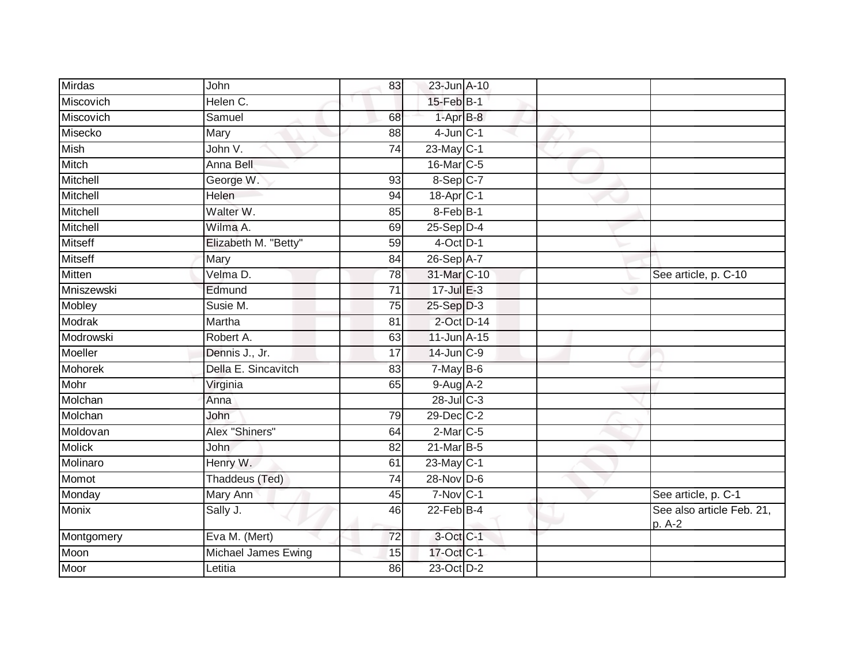| Mirdas         | John                 | 83              | 23-Jun A-10           |  |                                     |
|----------------|----------------------|-----------------|-----------------------|--|-------------------------------------|
| Miscovich      | Helen C.             |                 | 15-Feb B-1            |  |                                     |
| Miscovich      | Samuel               | 68              | $1-AprB-8$            |  |                                     |
| Misecko        | Mary                 | 88              | $4$ -Jun $C-1$        |  |                                     |
| Mish           | John V.              | $\overline{74}$ | $23$ -May C-1         |  |                                     |
| Mitch          | Anna Bell            |                 | 16-Mar C-5            |  |                                     |
| Mitchell       | George W.            | 93              | 8-Sep C-7             |  |                                     |
| Mitchell       | <b>Helen</b>         | 94              | 18-Apr <sub>C-1</sub> |  |                                     |
| Mitchell       | Walter W.            | 85              | 8-Feb B-1             |  |                                     |
| Mitchell       | Wilma A.             | 69              | $25-$ Sep $D-4$       |  |                                     |
| <b>Mitseff</b> | Elizabeth M. "Betty" | 59              | $4$ -Oct D-1          |  |                                     |
| <b>Mitseff</b> | Mary                 | 84              | 26-Sep A-7            |  |                                     |
| <b>Mitten</b>  | Velma D.             | 78              | 31-Mar C-10           |  | See article, p. C-10                |
| Mniszewski     | Edmund               | $\overline{71}$ | 17-Jul E-3            |  |                                     |
| Mobley         | Susie M.             | $\overline{75}$ | $25-Sep$ D-3          |  |                                     |
| <b>Modrak</b>  | Martha               | 81              | 2-Oct D-14            |  |                                     |
| Modrowski      | Robert A.            | 63              | 11-Jun A-15           |  |                                     |
| Moeller        | Dennis J., Jr.       | 17              | $14$ -Jun $C-9$       |  |                                     |
| Mohorek        | Della E. Sincavitch  | 83              | $7$ -May $B$ -6       |  |                                     |
| Mohr           | Virginia             | 65              | $9-Aug$ A-2           |  |                                     |
| Molchan        | Anna                 |                 | 28-Jul C-3            |  |                                     |
| Molchan        | John                 | 79              | 29-Dec C-2            |  |                                     |
| Moldovan       | Alex "Shiners"       | 64              | $2$ -Mar $C$ -5       |  |                                     |
| <b>Molick</b>  | John                 | 82              | 21-Mar B-5            |  |                                     |
| Molinaro       | Henry W.             | 61              | $23$ -May C-1         |  |                                     |
| Momot          | Thaddeus (Ted)       | 74              | $28-Nov$ D-6          |  |                                     |
| Monday         | <b>Mary Ann</b>      | 45              | $7-Nov$ C-1           |  | See article, p. C-1                 |
| <b>Monix</b>   | Sally J.             | 46              | $22$ -Feb $B-4$       |  | See also article Feb. 21,<br>p. A-2 |
| Montgomery     | Eva M. (Mert)        | $\overline{72}$ | 3-Oct C-1             |  |                                     |
| Moon           | Michael James Ewing  | 15              | 17-Oct C-1            |  |                                     |
| Moor           | Letitia              | 86              | 23-Oct D-2            |  |                                     |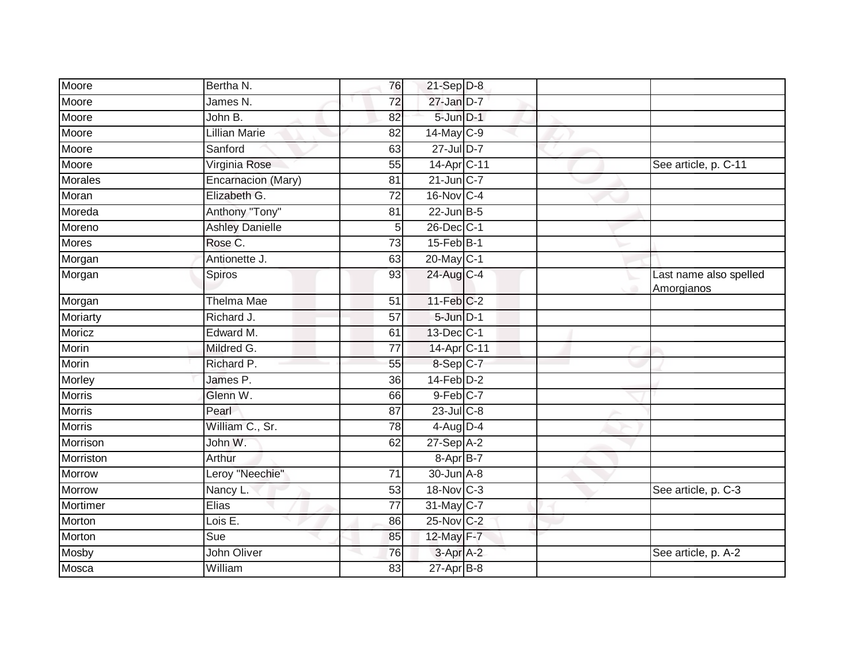| Moore          | Bertha N.              | 76              | $21-Sep$ D-8     |  |                                      |
|----------------|------------------------|-----------------|------------------|--|--------------------------------------|
| Moore          | James N.               | $\overline{72}$ | 27-Jan D-7       |  |                                      |
| Moore          | John B.                | 82              | 5-Jun D-1        |  |                                      |
| Moore          | Lillian Marie          | 82              | 14-May C-9       |  |                                      |
| Moore          | Sanford                | 63              | 27-Jul D-7       |  |                                      |
| Moore          | Virginia Rose          | 55              | 14-Apr C-11      |  | See article, p. C-11                 |
| <b>Morales</b> | Encarnacion (Mary)     | 81              | $21$ -Jun $C-7$  |  |                                      |
| Moran          | Elizabeth G.           | 72              | 16-Nov C-4       |  |                                      |
| Moreda         | Anthony "Tony"         | 81              | $22$ -Jun $B-5$  |  |                                      |
| Moreno         | <b>Ashley Danielle</b> | 5               | 26-Dec C-1       |  |                                      |
| Mores          | Rose C.                | 73              | $15$ -Feb $B-1$  |  |                                      |
| Morgan         | Antionette J.          | 63              | 20-May C-1       |  |                                      |
| Morgan         | Spiros                 | 93              | 24-Aug C-4       |  | Last name also spelled<br>Amorgianos |
| Morgan         | Thelma Mae             | 51              | $11$ -Feb $C-2$  |  |                                      |
| Moriarty       | Richard J.             | $\overline{57}$ | 5-Jun D-1        |  |                                      |
| Moricz         | Edward M.              | 61              | 13-Dec C-1       |  |                                      |
| Morin          | Mildred G.             | 77              | 14-Apr C-11      |  |                                      |
| Morin          | Richard P.             | 55              | 8-Sep C-7        |  |                                      |
| Morley         | James P.               | 36              | $14$ -Feb $D-2$  |  |                                      |
| <b>Morris</b>  | Glenn W.               | 66              | $9$ -Feb $C$ -7  |  |                                      |
| <b>Morris</b>  | Pearl                  | 87              | $23$ -Jul C-8    |  |                                      |
| <b>Morris</b>  | William C., Sr.        | 78              | $4$ -Aug D-4     |  |                                      |
| Morrison       | John W.                | 62              | $27-Sep$ A-2     |  |                                      |
| Morriston      | Arthur                 |                 | 8-Apr B-7        |  |                                      |
| Morrow         | Leroy "Neechie"        | 71              | 30-Jun A-8       |  |                                      |
| Morrow         | Nancy L.               | 53              | 18-Nov C-3       |  | See article, p. C-3                  |
| Mortimer       | <b>Elias</b>           | $\overline{77}$ | 31-May C-7       |  |                                      |
| Morton         | Lois E.                | 86              | 25-Nov C-2       |  |                                      |
| Morton         | Sue                    | 85              | 12-May F-7       |  |                                      |
| Mosby          | John Oliver            | 76              | 3-Apr A-2        |  | See article, p. A-2                  |
| Mosca          | William                | 83              | $27$ -Apr $B$ -8 |  |                                      |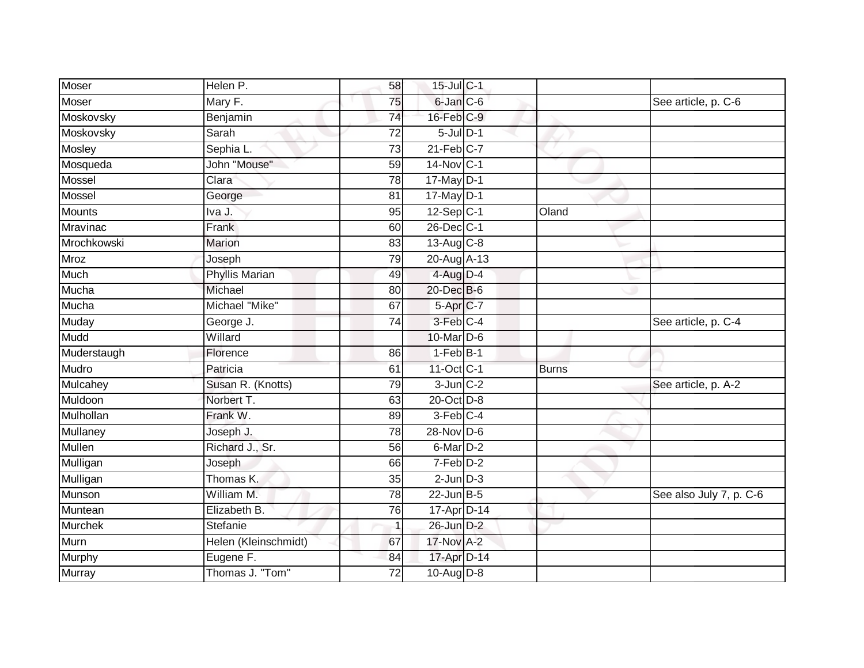| <b>Moser</b>    | Helen P.             | 58              | 15-Jul C-1      |              |                         |
|-----------------|----------------------|-----------------|-----------------|--------------|-------------------------|
| Moser           | Mary F.              | 75              | 6-Jan C-6       |              | See article, p. C-6     |
| Moskovsky       | Benjamin             | 74              | 16-Feb C-9      |              |                         |
| Moskovsky       | Sarah                | 72              | $5$ -Jul $D-1$  |              |                         |
| <b>Mosley</b>   | Sephia L.            | $\overline{73}$ | $21$ -Feb $C-7$ |              |                         |
| Mosqueda        | John "Mouse"         | 59              | $14$ -Nov C-1   |              |                         |
| Mossel          | Clara                | 78              | $17$ -May D-1   |              |                         |
| Mossel          | George               | 81              | 17-May D-1      |              |                         |
| Mounts          | Iva J.               | 95              | $12-Sep$ C-1    | Oland        |                         |
| <b>Mravinac</b> | Frank                | 60              | 26-Dec C-1      |              |                         |
| Mrochkowski     | Marion               | 83              | 13-Aug C-8      |              |                         |
| <b>Mroz</b>     | Joseph               | 79              | 20-Aug A-13     |              |                         |
| Much            | Phyllis Marian       | 49              | 4-Aug D-4       |              |                         |
| Mucha           | Michael              | 80              | 20-Dec B-6      |              |                         |
| Mucha           | Michael "Mike"       | 67              | 5-Apr C-7       |              |                         |
| Muday           | George J.            | 74              | 3-Feb C-4       |              | See article, p. C-4     |
| Mudd            | Willard              |                 | 10-Mar D-6      |              |                         |
| Muderstaugh     | Florence             | 86              | $1-Feb$ B-1     |              |                         |
| Mudro           | Patricia             | 61              | 11-Oct C-1      | <b>Burns</b> |                         |
| Mulcahey        | Susan R. (Knotts)    | 79              | $3$ -Jun $C-2$  |              | See article, p. A-2     |
| Muldoon         | Norbert T.           | 63              | 20-Oct D-8      |              |                         |
| Mulhollan       | Frank W.             | 89              | 3-Feb C-4       |              |                         |
| Mullaney        | Joseph J.            | 78              | 28-Nov D-6      |              |                         |
| <b>Mullen</b>   | Richard J., Sr.      | 56              | $6$ -Mar $D-2$  |              |                         |
| Mulligan        | Joseph               | 66              | 7-Feb D-2       |              |                         |
| Mulligan        | Thomas K.            | 35              | $2$ -Jun $D-3$  |              |                         |
| Munson          | William M.           | 78              | $22$ -Jun B-5   |              | See also July 7, p. C-6 |
| Muntean         | Elizabeth B.         | 76              | 17-Apr D-14     |              |                         |
| Murchek         | Stefanie             | 1               | 26-Jun D-2      |              |                         |
| Murn            | Helen (Kleinschmidt) | 67              | 17-Nov A-2      |              |                         |
| Murphy          | Eugene F.            | 84              | 17-Apr D-14     |              |                         |
| <b>Murray</b>   | Thomas J. "Tom"      | $\overline{72}$ | 10-Aug D-8      |              |                         |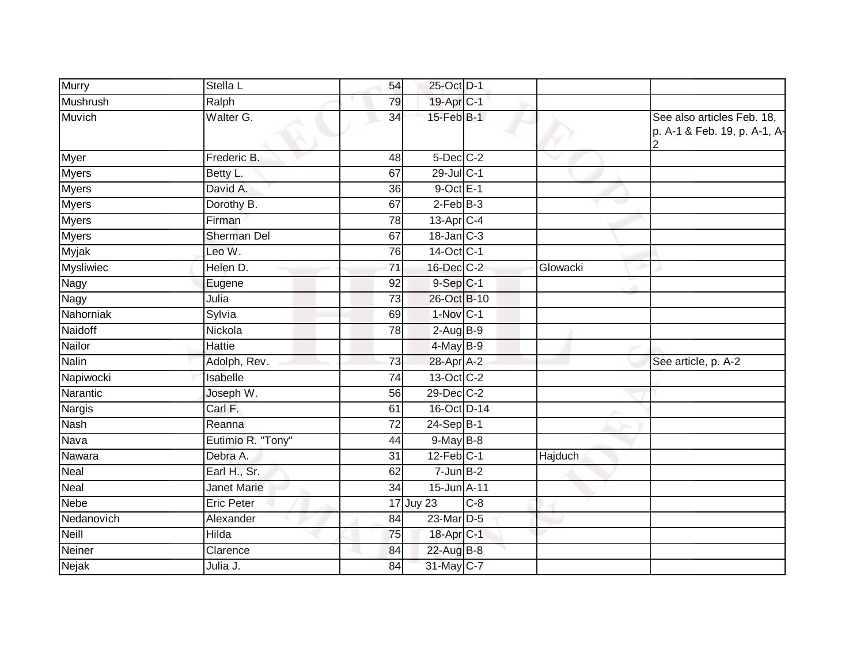| Murry            | Stella L           | 54              | 25-Oct D-1            |       |          |                                                            |
|------------------|--------------------|-----------------|-----------------------|-------|----------|------------------------------------------------------------|
| Mushrush         | Ralph              | 79              | 19-Apr <sub>C-1</sub> |       |          |                                                            |
| <b>Muvich</b>    | Walter G.          | 34              | $15$ -Feb $B-1$       |       |          | See also articles Feb. 18,<br>p. A-1 & Feb. 19, p. A-1, A- |
| <b>Myer</b>      | Frederic B.        | 48              | 5-Dec C-2             |       |          |                                                            |
| <b>Myers</b>     | Betty L.           | 67              | 29-Jul C-1            |       |          |                                                            |
| <b>Myers</b>     | David A.           | 36              | $9$ -Oct $E-1$        |       |          |                                                            |
| <b>Myers</b>     | Dorothy B.         | 67              | $2-FebB-3$            |       |          | e e                                                        |
| <b>Myers</b>     | Firman             | 78              | 13-Apr C-4            |       |          |                                                            |
| <b>Myers</b>     | <b>Sherman Del</b> | 67              | 18-Jan C-3            |       |          |                                                            |
| Myjak            | Leo W.             | 76              | $14-Oct$ C-1          |       |          |                                                            |
| <b>Mysliwiec</b> | Helen D.           | $\overline{71}$ | 16-Dec C-2            |       | Glowacki |                                                            |
| Nagy             | Eugene             | 92              | $9-Sep$ C-1           |       |          |                                                            |
| Nagy             | Julia              | 73              | 26-Oct B-10           |       |          |                                                            |
| Nahorniak        | Sylvia             | 69              | 1-Nov C-1             |       |          |                                                            |
| Naidoff          | Nickola            | 78              | $2-AugB-9$            |       |          |                                                            |
| Nailor           | Hattie             |                 | $4$ -May B-9          |       |          |                                                            |
| Nalin            | Adolph, Rev.       | 73              | 28-Apr A-2            |       |          | See article, p. A-2                                        |
| Napiwocki        | Isabelle           | 74              | 13-Oct C-2            |       |          |                                                            |
| Narantic         | Joseph W.          | 56              | 29-Dec C-2            |       |          |                                                            |
| <b>Nargis</b>    | Carl F.            | 61              | 16-Oct D-14           |       |          |                                                            |
| <b>Nash</b>      | Reanna             | $\overline{72}$ | $24-SepB-1$           |       |          |                                                            |
| Nava             | Eutimio R. "Tony"  | 44              | $9$ -May $B$ -8       |       |          |                                                            |
| Nawara           | Debra A.           | $\overline{31}$ | $12$ -Feb $ C-1 $     |       | Hajduch  |                                                            |
| Neal             | Earl H., Sr.       | 62              | $7 - Jun$ B-2         |       |          |                                                            |
| Neal             | <b>Janet Marie</b> | 34              | 15-Jun A-11           |       |          |                                                            |
| <b>Nebe</b>      | <b>Eric Peter</b>  |                 | 17 Juy 23             | $C-8$ |          |                                                            |
| Nedanovich       | Alexander          | 84              | 23-Mar D-5            |       |          |                                                            |
| Neill            | Hilda              | 75              | 18-Apr C-1            |       |          |                                                            |
| Neiner           | Clarence           | 84              | 22-Aug B-8            |       |          |                                                            |
| Nejak            | Julia J.           | 84              | 31-May C-7            |       |          |                                                            |
|                  |                    |                 |                       |       |          |                                                            |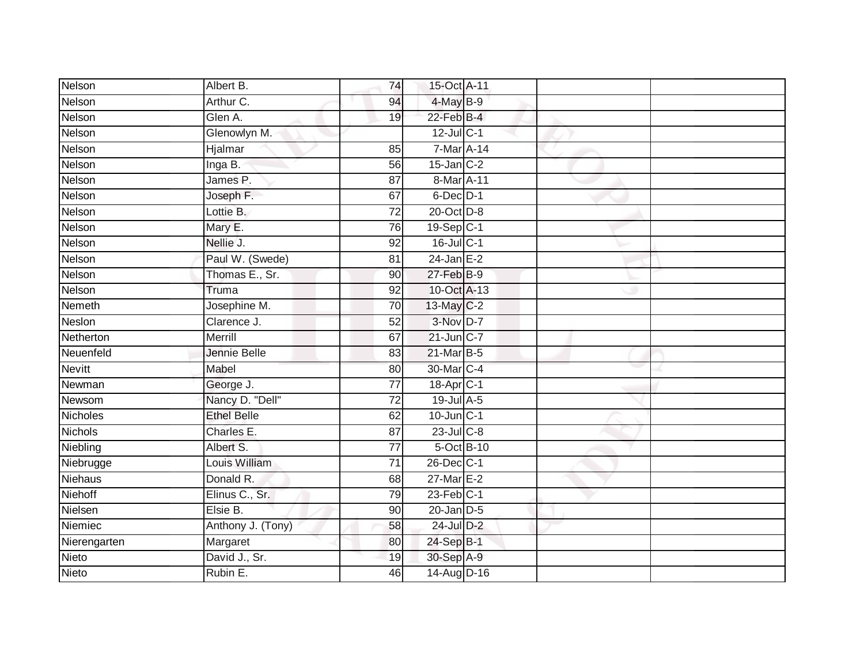| Nelson          | Albert B.          | 74              | 15-Oct A-11           |  |  |
|-----------------|--------------------|-----------------|-----------------------|--|--|
| Nelson          | Arthur C.          | 94              | 4-May B-9             |  |  |
| Nelson          | Glen A.            | 19              | $22$ -Feb $B-4$       |  |  |
| Nelson          | Glenowlyn M.       |                 | $12$ -Jul C-1         |  |  |
| Nelson          | Hjalmar            | 85              | $7$ -Mar $A$ -14      |  |  |
| Nelson          | Inga B.            | 56              | $15$ -Jan $C-2$       |  |  |
| Nelson          | James P.           | 87              | 8-Mar A-11            |  |  |
| Nelson          | Joseph F.          | 67              | $6$ -Dec $D-1$        |  |  |
| Nelson          | Lottie B.          | $\overline{72}$ | 20-Oct D-8            |  |  |
| Nelson          | Mary E.            | 76              | 19-Sep C-1            |  |  |
| Nelson          | Nellie J.          | 92              | $16$ -Jul C-1         |  |  |
| Nelson          | Paul W. (Swede)    | 81              | $24$ -Jan E-2         |  |  |
| Nelson          | Thomas E., Sr.     | 90              | 27-Feb B-9            |  |  |
| Nelson          | Truma              | 92              | 10-Oct A-13           |  |  |
| Nemeth          | Josephine M.       | 70              | 13-May C-2            |  |  |
| Neslon          | Clarence J.        | 52              | 3-Nov D-7             |  |  |
| Netherton       | Merrill            | 67              | 21-Jun C-7            |  |  |
| Neuenfeld       | Jennie Belle       | 83              | 21-Mar B-5            |  |  |
| <b>Nevitt</b>   | Mabel              | 80              | 30-Mar C-4            |  |  |
| Newman          | George J.          | 77              | 18-Apr <sub>C-1</sub> |  |  |
| Newsom          | Nancy D. "Dell"    | $\overline{72}$ | $19$ -Jul $A-5$       |  |  |
| <b>Nicholes</b> | <b>Ethel Belle</b> | 62              | $10$ -Jun $C-1$       |  |  |
| <b>Nichols</b>  | Charles E.         | 87              | $23$ -Jul C-8         |  |  |
| Niebling        | Albert S.          | 77              | 5-Oct B-10            |  |  |
| Niebrugge       | Louis William      | $\overline{71}$ | 26-Dec C-1            |  |  |
| Niehaus         | Donald R.          | 68              | $27$ -Mar $E-2$       |  |  |
| Niehoff         | Elinus C., Sr.     | 79              | $23$ -Feb $ C-1 $     |  |  |
| Nielsen         | Elsie B.           | 90              | $20$ -Jan $D-5$       |  |  |
| Niemiec         | Anthony J. (Tony)  | 58              | 24-Jul D-2            |  |  |
| Nierengarten    | Margaret           | 80              | 24-Sep B-1            |  |  |
| Nieto           | David J., Sr.      | 19              | 30-Sep A-9            |  |  |
| Nieto           | Rubin E.           | 46              | 14-Aug D-16           |  |  |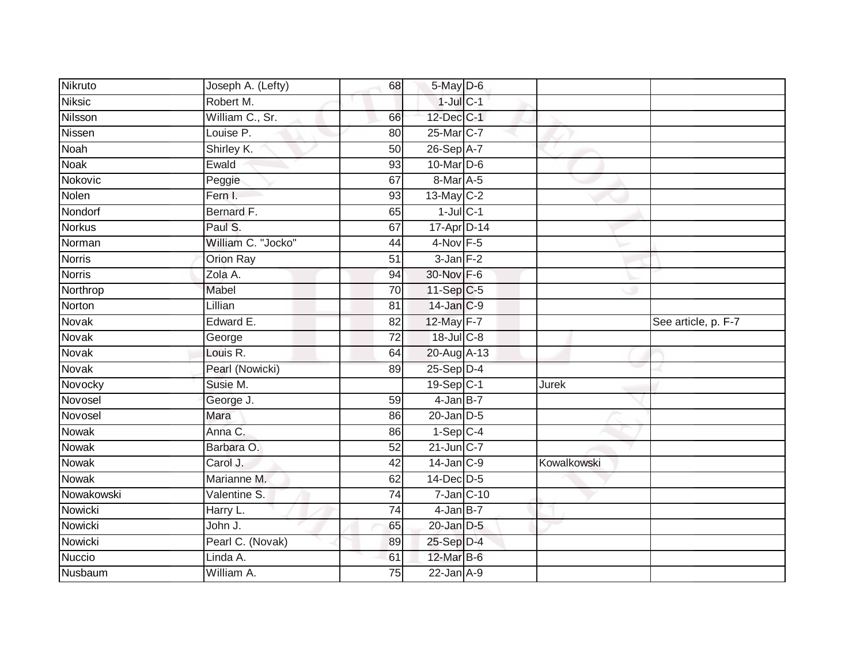| Nikruto       | Joseph A. (Lefty)  | 68              | 5-May D-6       |             |                     |
|---------------|--------------------|-----------------|-----------------|-------------|---------------------|
| <b>Niksic</b> | Robert M.          |                 | $1$ -Jul $C-1$  |             |                     |
| Nilsson       | William C., Sr.    | 66              | 12-Dec C-1      |             |                     |
| Nissen        | Louise P.          | 80              | 25-Mar C-7      |             |                     |
| <b>Noah</b>   | Shirley K.         | 50              | 26-Sep A-7      |             |                     |
| Noak          | Ewald              | 93              | 10-Mar D-6      |             |                     |
| Nokovic       | Peggie             | 67              | 8-Mar A-5       |             |                     |
| Nolen         | Fern I.            | 93              | 13-May C-2      |             |                     |
| Nondorf       | Bernard F.         | 65              | $1$ -Jul $C-1$  |             |                     |
| <b>Norkus</b> | Paul S.            | 67              | 17-Apr D-14     |             |                     |
| Norman        | William C. "Jocko" | 44              | $4$ -Nov $F-5$  |             |                     |
| <b>Norris</b> | Orion Ray          | 51              | $3$ -Jan $F-2$  |             |                     |
| <b>Norris</b> | Zola A.            | 94              | 30-Nov F-6      |             |                     |
| Northrop      | <b>Mabel</b>       | 70              | 11-Sep C-5      |             |                     |
| Norton        | Lillian            | $\overline{81}$ | 14-Jan C-9      |             |                     |
| Novak         | Edward E.          | 82              | 12-May F-7      |             | See article, p. F-7 |
| Novak         | George             | 72              | $18$ -Jul C-8   |             |                     |
| Novak         | Louis R.           | 64              | 20-Aug A-13     |             |                     |
| Novak         | Pearl (Nowicki)    | 89              | 25-Sep D-4      |             |                     |
| Novocky       | Susie M.           |                 | 19-Sep C-1      | Jurek       |                     |
| Novosel       | George J.          | 59              | $4$ -Jan B-7    |             |                     |
| Novosel       | Mara               | 86              | $20$ -Jan $D-5$ |             |                     |
| Nowak         | Anna C.            | 86              | $1-Sep$ C-4     |             |                     |
| Nowak         | Barbara O.         | $\overline{52}$ | $21$ -Jun $C-7$ |             |                     |
| Nowak         | Carol J.           | 42              | $14$ -Jan C-9   | Kowalkowski |                     |
| Nowak         | Marianne M.        | 62              | 14-Dec D-5      |             |                     |
| Nowakowski    | Valentine S.       | $\overline{74}$ | 7-Jan C-10      |             |                     |
| Nowicki       | Harry L.           | 74              | $4$ -Jan $B$ -7 |             |                     |
| Nowicki       | John J.            | 65              | $20$ -Jan $D-5$ |             |                     |
| Nowicki       | Pearl C. (Novak)   | 89              | 25-Sep D-4      |             |                     |
| Nuccio        | Linda A.           | 61              | 12-Mar B-6      |             |                     |
| Nusbaum       | William A.         | $\overline{75}$ | $22$ -Jan $A-9$ |             |                     |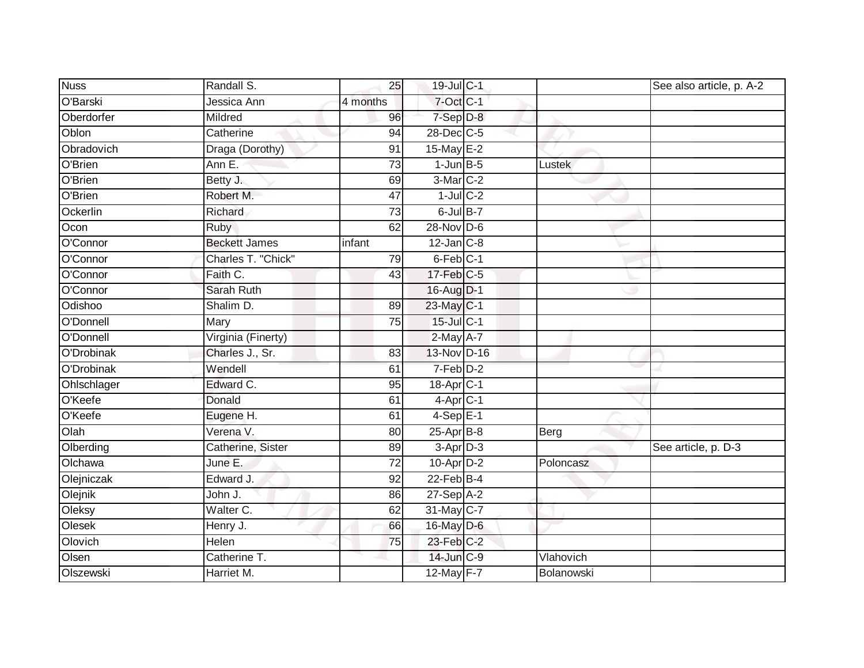| <b>Nuss</b> | Randall S.           | 25              | 19-Jul C-1            |            | See also article, p. A-2 |
|-------------|----------------------|-----------------|-----------------------|------------|--------------------------|
| O'Barski    | Jessica Ann          | 4 months        | 7-Oct C-1             |            |                          |
| Oberdorfer  | Mildred              | $\overline{96}$ | 7-Sep D-8             |            |                          |
| Oblon       | Catherine            | 94              | 28-Dec C-5            |            |                          |
| Obradovich  | Draga (Dorothy)      | $\overline{91}$ | 15-May $E-2$          |            |                          |
| O'Brien     | Ann E.               | $\overline{73}$ | $1$ -Jun $B-5$        | Lustek     |                          |
| O'Brien     | Betty J.             | 69              | 3-Mar C-2             |            |                          |
| O'Brien     | Robert M.            | $\overline{47}$ | $1$ -Jul $C-2$        |            |                          |
| Ockerlin    | Richard              | $\overline{73}$ | $6$ -Jul $B$ -7       |            |                          |
| Ocon        | <b>Ruby</b>          | 62              | $28-Nov$ D-6          |            |                          |
| O'Connor    | <b>Beckett James</b> | infant          | $12$ -Jan $C-8$       |            |                          |
| O'Connor    | Charles T. "Chick"   | 79              | 6-Feb <sup>C-1</sup>  |            |                          |
| O'Connor    | Faith C.             | 43              | $17$ -Feb $C-5$       |            |                          |
| O'Connor    | <b>Sarah Ruth</b>    |                 | 16-Aug D-1            |            |                          |
| Odishoo     | Shalim D.            | 89              | 23-May C-1            |            |                          |
| O'Donnell   | Mary                 | 75              | 15-Jul C-1            |            |                          |
| O'Donnell   | Virginia (Finerty)   |                 | $2-May$ A-7           |            |                          |
| O'Drobinak  | Charles J., Sr.      | 83              | 13-Nov D-16           |            |                          |
| O'Drobinak  | Wendell              | 61              | 7-Feb D-2             |            |                          |
| Ohlschlager | Edward C.            | 95              | 18-Apr <sub>C-1</sub> |            |                          |
| O'Keefe     | Donald               | 61              | $4$ -Apr $C-1$        |            |                          |
| O'Keefe     | Eugene H.            | 61              | $4-Sep$ E-1           |            |                          |
| Olah        | Verena V.            | 80              | $25-AprB-8$           | Berg       |                          |
| Olberding   | Catherine, Sister    | 89              | $3-Apr2$              |            | See article, p. D-3      |
| Olchawa     | June E.              | 72              | 10-Apr D-2            | Poloncasz  |                          |
| Olejniczak  | Edward J.            | $\overline{92}$ | $22$ -Feb $B-4$       |            |                          |
| Olejnik     | John J.              | 86              | $27-Sep$ A-2          |            |                          |
| Oleksy      | Walter C.            | 62              | 31-May C-7            |            |                          |
| Olesek      | Henry J.             | 66              | 16-May D-6            |            |                          |
| Olovich     | Helen                | 75              | $23$ -Feb $C-2$       |            |                          |
| Olsen       | Catherine T.         |                 | $14$ -Jun $C-9$       | Vlahovich  |                          |
| Olszewski   | Harriet M.           |                 | 12-May F-7            | Bolanowski |                          |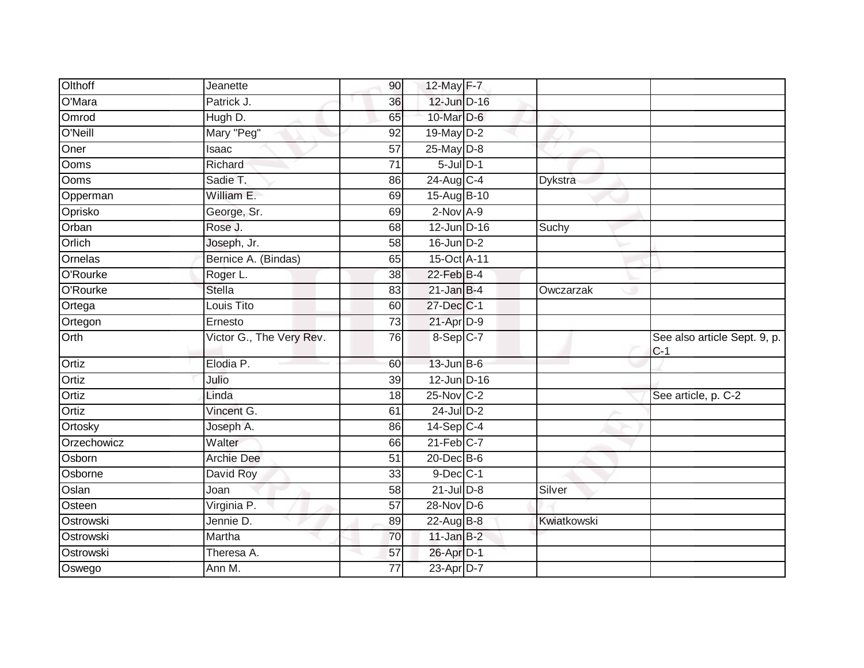|             |                          |                 |                  | 12-May F-7 |                |                                       |
|-------------|--------------------------|-----------------|------------------|------------|----------------|---------------------------------------|
| O'Mara      | Patrick J.               | 36              | 12-Jun D-16      |            |                |                                       |
| Omrod       | Hugh D.                  | 65              | 10-Mar D-6       |            |                |                                       |
| O'Neill     | Mary "Peg"               | 92              | 19-May D-2       |            |                |                                       |
| Oner        | Isaac                    | $\overline{57}$ | $25$ -May $D-8$  |            |                |                                       |
| Ooms        | Richard                  | 71              | $5$ -Jul $D-1$   |            |                |                                       |
| Ooms        | Sadie T.                 | 86              | 24-Aug C-4       |            | <b>Dykstra</b> |                                       |
| Opperman    | William E.               | 69              | 15-Aug B-10      |            |                |                                       |
| Oprisko     | George, Sr.              | 69              | $2$ -Nov $A-9$   |            |                |                                       |
| Orban       | Rose J.                  | 68              | $12$ -Jun D-16   |            | Suchy          |                                       |
| Orlich      | Joseph, Jr.              | 58              | $16$ -Jun $D-2$  |            |                |                                       |
| Ornelas     | Bernice A. (Bindas)      | 65              | 15-Oct A-11      |            |                |                                       |
| O'Rourke    | Roger L.                 | 38              | $22$ -Feb $B-4$  |            |                |                                       |
| O'Rourke    | <b>Stella</b>            | 83              | $21$ -Jan B-4    |            | Owczarzak      |                                       |
| Ortega      | Louis Tito               | 60              | 27-Dec C-1       |            |                |                                       |
| Ortegon     | Ernesto                  | 73              | $21$ -Apr $D-9$  |            |                |                                       |
| Orth        | Victor G., The Very Rev. | 76              | 8-Sep C-7        |            |                | See also article Sept. 9, p.<br>$C-1$ |
| Ortiz       | Elodia P.                | 60              | $13$ -Jun $B$ -6 |            |                |                                       |
| Ortiz       | Julio                    | 39              | $12$ -Jun D-16   |            |                |                                       |
| Ortiz       | Linda                    | 18              | 25-Nov C-2       |            |                | See article, p. C-2                   |
| Ortiz       | Vincent G.               | 61              | 24-Jul D-2       |            |                |                                       |
| Ortosky     | Joseph A.                | 86              | $14-Sep$ C-4     |            |                |                                       |
| Orzechowicz | Walter                   | 66              | $21$ -Feb $C-7$  |            |                |                                       |
| Osborn      | Archie Dee               | 51              | 20-Dec B-6       |            |                |                                       |
| Osborne     | David Roy                | 33              | $9$ -Dec $C-1$   |            |                |                                       |
| Oslan       | Joan                     | 58              | $21$ -Jul $D-8$  |            | Silver         |                                       |
| Osteen      | Virginia P.              | $\overline{57}$ | 28-Nov D-6       |            |                |                                       |
| Ostrowski   | Jennie D.                | 89              | 22-Aug B-8       |            | Kwiatkowski    |                                       |
| Ostrowski   | Martha                   | 70              | $11$ -Jan $B-2$  |            |                |                                       |
| Ostrowski   | Theresa A.               | 57              | 26-Apr D-1       |            |                |                                       |
| Oswego      | Ann M.                   | 77              | 23-Apr D-7       |            |                |                                       |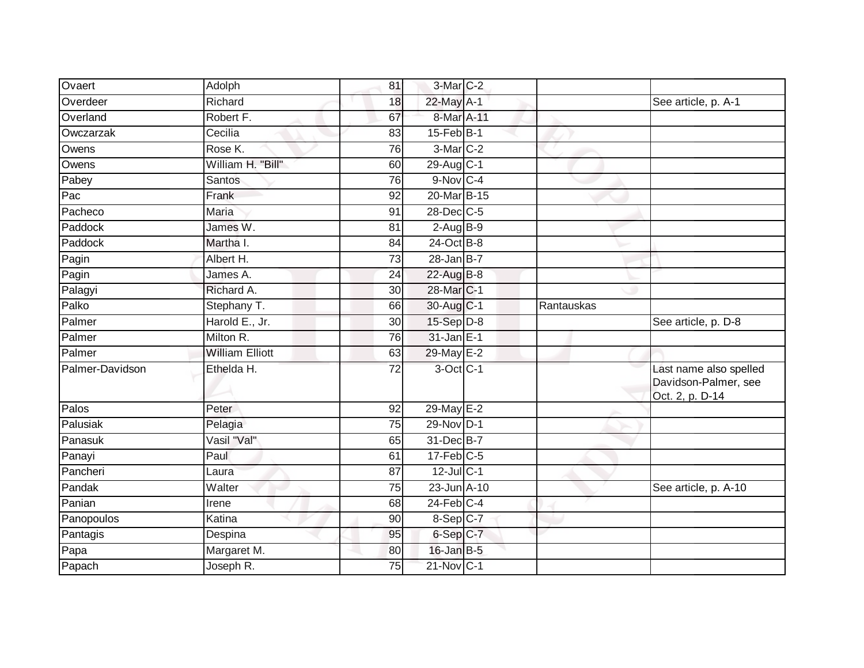| Ovaert          | Adolph                 | 81 | 3-Mar C-2              |            |                                                                   |
|-----------------|------------------------|----|------------------------|------------|-------------------------------------------------------------------|
| Overdeer        | Richard                | 18 | 22-May A-1             |            | See article, p. A-1                                               |
| Overland        | Robert F.              | 67 | 8-Mar A-11             |            |                                                                   |
| Owczarzak       | Cecilia                | 83 | $15$ -Feb $B-1$        |            |                                                                   |
| Owens           | Rose K.                | 76 | 3-Mar C-2              |            |                                                                   |
| Owens           | William H. "Bill"      | 60 | $29$ -Aug C-1          |            |                                                                   |
| Pabey           | Santos                 | 76 | $9-Nov$ <sub>C-4</sub> |            |                                                                   |
| Pac             | Frank                  | 92 | 20-Mar B-15            |            |                                                                   |
| Pacheco         | <b>Maria</b>           | 91 | $28$ -Dec $C$ -5       |            |                                                                   |
| Paddock         | James W.               | 81 | $2$ -Aug B-9           |            |                                                                   |
| Paddock         | Martha I.              | 84 | $24$ -Oct B-8          |            |                                                                   |
| Pagin           | Albert H.              | 73 | $28$ -Jan B-7          |            |                                                                   |
| Pagin           | James A.               | 24 | 22-Aug B-8             |            |                                                                   |
| Palagyi         | Richard A.             | 30 | 28-Mar C-1             |            |                                                                   |
| Palko           | Stephany T.            | 66 | 30-Aug C-1             | Rantauskas |                                                                   |
| Palmer          | Harold E., Jr.         | 30 | 15-Sep D-8             |            | See article, p. D-8                                               |
| Palmer          | Milton R.              | 76 | 31-Jan E-1             |            |                                                                   |
| Palmer          | <b>William Elliott</b> | 63 | 29-May E-2             |            |                                                                   |
| Palmer-Davidson | Ethelda H.             | 72 | 3-Oct C-1              |            | Last name also spelled<br>Davidson-Palmer, see<br>Oct. 2, p. D-14 |
| Palos           | Peter                  | 92 | 29-May E-2             |            |                                                                   |
| Palusiak        | Pelagia                | 75 | 29-Nov D-1             |            |                                                                   |
| Panasuk         | Vasil "Val"            | 65 | 31-Dec B-7             |            |                                                                   |
| Panayi          | Paul                   | 61 | $17$ -Feb $C-5$        |            |                                                                   |
| Pancheri        | Laura                  | 87 | $12$ -Jul C-1          |            |                                                                   |
| Pandak          | Walter                 | 75 | 23-Jun A-10            |            | See article, p. A-10                                              |
| Panian          | Irene                  | 68 | $24$ -Feb $C-4$        |            |                                                                   |
| Panopoulos      | Katina                 | 90 | $8-Sep$ C-7            |            |                                                                   |
| Pantagis        | Despina                | 95 | 6-Sep C-7              |            |                                                                   |
| Papa            | Margaret M.            | 80 | $16$ -Jan B-5          |            |                                                                   |
| Papach          | Joseph R.              | 75 | 21-Nov C-1             |            |                                                                   |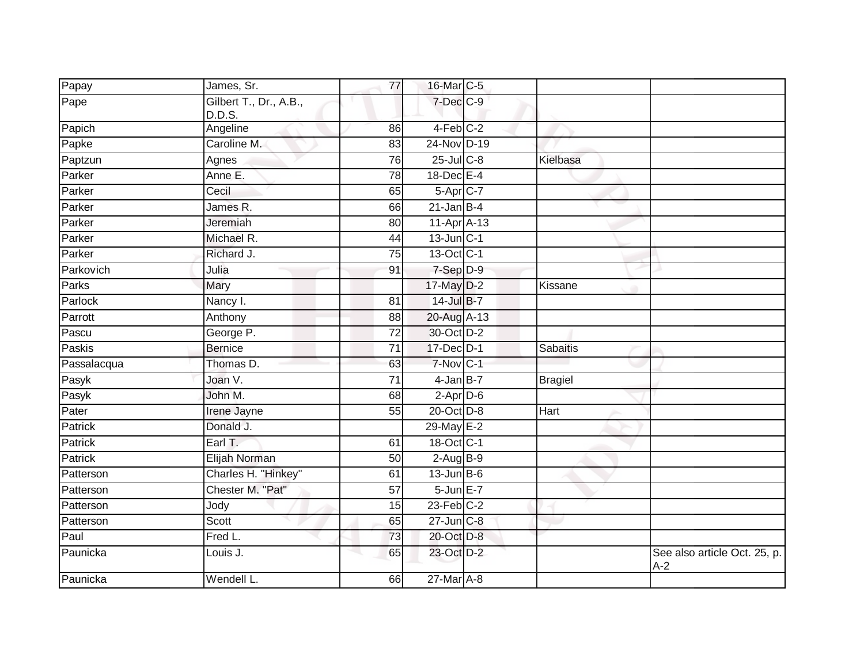| Papay          | James, Sr.                       | 77              | 16-Mar C-5        |                 |                                       |
|----------------|----------------------------------|-----------------|-------------------|-----------------|---------------------------------------|
| Pape           | Gilbert T., Dr., A.B.,<br>D.D.S. |                 | $7$ -Dec $C$ -9   |                 |                                       |
| Papich         | Angeline                         | 86              | 4-Feb C-2         |                 |                                       |
| Papke          | Caroline M.                      | 83              | 24-Nov D-19       |                 |                                       |
| Paptzun        | Agnes                            | 76              | $25$ -Jul $C$ -8  | Kielbasa        |                                       |
| Parker         | Anne E.                          | 78              | 18-Dec E-4        |                 |                                       |
| Parker         | Cecil                            | 65              | 5-Apr C-7         |                 |                                       |
| Parker         | James <sub>R.</sub>              | 66              | $21$ -Jan B-4     |                 |                                       |
| Parker         | Jeremiah                         | 80              | $11-AprA-13$      |                 |                                       |
| Parker         | Michael R.                       | 44              | $13$ -Jun $ C-1 $ |                 |                                       |
| Parker         | Richard J.                       | 75              | 13-Oct C-1        |                 |                                       |
| Parkovich      | Julia                            | 91              | 7-Sep D-9         |                 |                                       |
| <b>Parks</b>   | Mary                             |                 | 17-May D-2        | Kissane         |                                       |
| Parlock        | Nancy I.                         | 81              | 14-Jul B-7        |                 |                                       |
| Parrott        | Anthony                          | $\overline{88}$ | 20-Aug A-13       |                 |                                       |
| Pascu          | George P.                        | 72              | 30-Oct D-2        |                 |                                       |
| Paskis         | <b>Bernice</b>                   | $\overline{71}$ | 17-Dec D-1        | <b>Sabaitis</b> |                                       |
| Passalacqua    | Thomas D.                        | 63              | 7-Nov C-1         |                 |                                       |
| Pasyk          | Joan V.                          | $\overline{71}$ | $4$ -Jan $B$ -7   | <b>Bragiel</b>  |                                       |
| Pasyk          | John M.                          | 68              | $2$ -Apr $D-6$    |                 |                                       |
| Pater          | Irene Jayne                      | 55              | 20-Oct D-8        | Hart            |                                       |
| Patrick        | Donald J.                        |                 | 29-May E-2        |                 |                                       |
| <b>Patrick</b> | Earl T.                          | 61              | 18-Oct C-1        |                 |                                       |
| Patrick        | Elijah Norman                    | 50              | $2-AugB-9$        |                 |                                       |
| Patterson      | Charles H. "Hinkey"              | 61              | $13$ -Jun $B$ -6  |                 |                                       |
| Patterson      | Chester M. "Pat"                 | 57              | 5-Jun E-7         |                 |                                       |
| Patterson      | Jody                             | 15              | $23$ -Feb $C-2$   |                 |                                       |
| Patterson      | Scott                            | 65              | 27-Jun C-8        |                 |                                       |
| Paul           | Fred L.                          | 73              | 20-Oct D-8        |                 |                                       |
| Paunicka       | Louis J.                         | 65              | 23-Oct D-2        |                 | See also article Oct. 25, p.<br>$A-2$ |
| Paunicka       | Wendell L.                       | 66              | 27-Mar A-8        |                 |                                       |
|                |                                  |                 |                   |                 |                                       |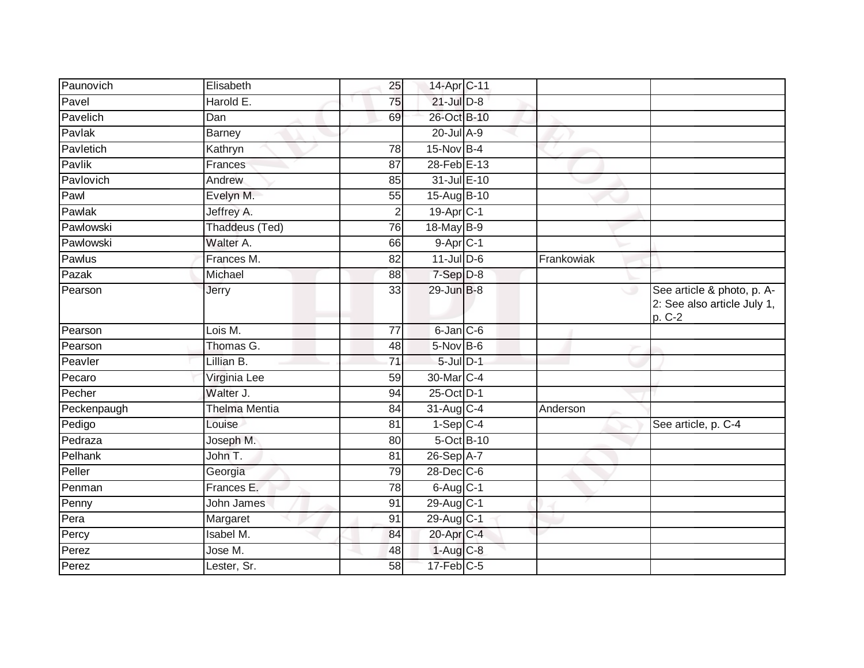| Paunovich   | Elisabeth            | 25              | 14-Apr C-11            |            |                                                                     |
|-------------|----------------------|-----------------|------------------------|------------|---------------------------------------------------------------------|
| Pavel       | Harold E.            | 75              | $21$ -Jul $D-8$        |            |                                                                     |
| Pavelich    | Dan                  | 69              | 26-Oct B-10            |            |                                                                     |
| Pavlak      | <b>Barney</b>        |                 | $20$ -Jul $A-9$        |            |                                                                     |
| Pavletich   | Kathryn              | $\overline{78}$ | $15$ -Nov $B-4$        |            |                                                                     |
| Pavlik      | Frances              | 87              | 28-Feb E-13            |            |                                                                     |
| Pavlovich   | Andrew               | 85              | 31-Jul E-10            |            |                                                                     |
| Pawl        | Evelyn M.            | 55              | 15-Aug B-10            |            |                                                                     |
| Pawlak      | Jeffrey A.           | $\overline{2}$  | $19-Apr$ $C-1$         |            |                                                                     |
| Pawlowski   | Thaddeus (Ted)       | 76              | 18-May B-9             |            |                                                                     |
| Pawlowski   | Walter A.            | 66              | $9-Apr$ <sub>C-1</sub> |            |                                                                     |
| Pawlus      | Frances M.           | 82              | $11$ -JulD-6           | Frankowiak |                                                                     |
| Pazak       | Michael              | 88              | 7-Sep D-8              |            |                                                                     |
| Pearson     | Jerry                | 33              | 29-Jun B-8             |            | See article & photo, p. A-<br>2: See also article July 1,<br>p. C-2 |
| Pearson     | Lois M.              | 77              | $6$ -Jan $C$ -6        |            |                                                                     |
| Pearson     | Thomas G.            | 48              | $5$ -Nov B-6           |            |                                                                     |
| Peavler     | Lillian B.           | $\overline{71}$ | $5$ -Jul $D-1$         |            |                                                                     |
| Pecaro      | Virginia Lee         | 59              | 30-Mar C-4             |            |                                                                     |
| Pecher      | Walter J.            | 94              | 25-Oct D-1             |            |                                                                     |
| Peckenpaugh | <b>Thelma Mentia</b> | 84              | 31-Aug C-4             | Anderson   |                                                                     |
| Pedigo      | Louise               | 81              | $1-Sep C-4$            |            | See article, p. C-4                                                 |
| Pedraza     | Joseph M.            | 80              | 5-Oct B-10             |            |                                                                     |
| Pelhank     | John T.              | $\overline{81}$ | 26-Sep A-7             |            |                                                                     |
| Peller      | Georgia              | 79              | $28$ -Dec $C$ -6       |            |                                                                     |
| Penman      | Frances E.           | 78              | $6$ -Aug $C$ -1        |            |                                                                     |
| Penny       | John James           | 91              | 29-Aug C-1             |            |                                                                     |
| Pera        | Margaret             | 91              | $29$ -Aug C-1          |            |                                                                     |
| Percy       | <b>Isabel M.</b>     | 84              | 20-Apr C-4             |            |                                                                     |
| Perez       | Jose M.              | 48              | 1-Aug C-8              |            |                                                                     |
| Perez       | Lester, Sr.          | 58              | $17$ -Feb $C-5$        |            |                                                                     |
|             |                      |                 |                        |            |                                                                     |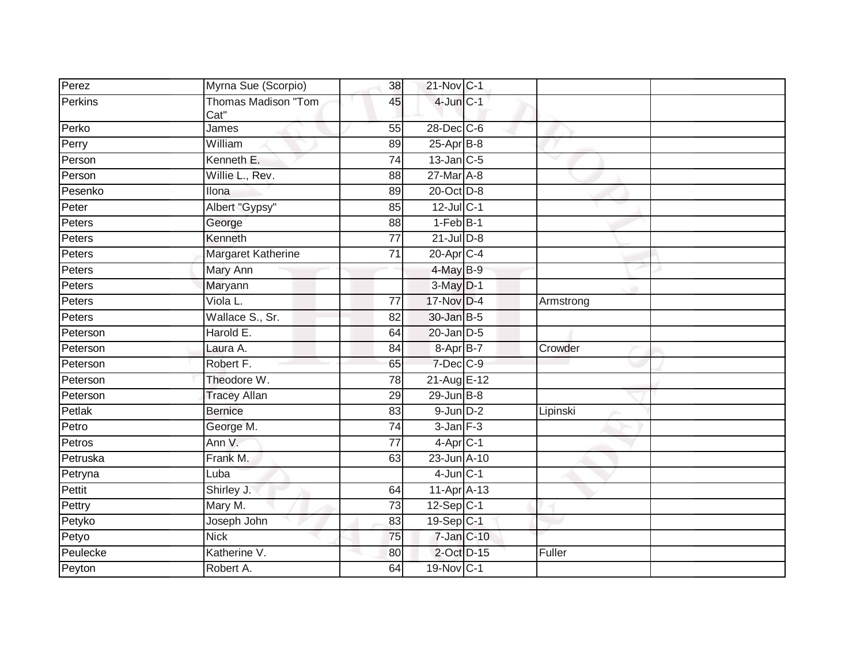| Perez    | Myrna Sue (Scorpio)                | 38              | 21-Nov C-1       |           |  |
|----------|------------------------------------|-----------------|------------------|-----------|--|
| Perkins  | <b>Thomas Madison "Tom</b><br>Cat" | 45              | $4$ -Jun $C-1$   |           |  |
| Perko    | James                              | 55              | 28-Dec C-6       |           |  |
| Perry    | William                            | 89              | $25$ -Apr $B$ -8 |           |  |
| Person   | Kenneth E.                         | 74              | $13$ -Jan $C-5$  |           |  |
| Person   | Willie L., Rev.                    | 88              | 27-Mar A-8       |           |  |
| Pesenko  | Ilona                              | 89              | 20-Oct D-8       |           |  |
| Peter    | Albert "Gypsy"                     | 85              | $12$ -Jul C-1    |           |  |
| Peters   | George                             | 88              | $1-FebB-1$       |           |  |
| Peters   | Kenneth                            | 77              | $21$ -Jul $D-8$  |           |  |
| Peters   | Margaret Katherine                 | $\overline{71}$ | $20$ -Apr $C-4$  |           |  |
| Peters   | Mary Ann                           |                 | $4$ -May B-9     |           |  |
| Peters   | Maryann                            |                 | $3-May$ $D-1$    |           |  |
| Peters   | Viola L.                           | 77              | 17-Nov D-4       | Armstrong |  |
| Peters   | Wallace S., Sr.                    | $\overline{82}$ | 30-Jan B-5       |           |  |
| Peterson | Harold E.                          | 64              | $20$ -Jan $D-5$  |           |  |
| Peterson | Laura A.                           | 84              | 8-Apr B-7        | Crowder   |  |
| Peterson | Robert F.                          | 65              | 7-Dec C-9        |           |  |
| Peterson | Theodore W.                        | $\overline{78}$ | 21-Aug E-12      |           |  |
| Peterson | <b>Tracey Allan</b>                | 29              | $29$ -Jun $B-8$  |           |  |
| Petlak   | <b>Bernice</b>                     | 83              | $9$ -Jun $D-2$   | Lipinski  |  |
| Petro    | George M.                          | 74              | $3$ -Jan $F-3$   |           |  |
| Petros   | Ann V.                             | $\overline{77}$ | $4$ -Apr $C-1$   |           |  |
| Petruska | Frank M.                           | 63              | 23-Jun A-10      |           |  |
| Petryna  | Luba                               |                 | $4$ -Jun $C-1$   |           |  |
| Pettit   | Shirley J.                         | 64              | 11-Apr A-13      |           |  |
| Pettry   | Mary M.                            | 73              | $12-Sep C-1$     |           |  |
| Petyko   | Joseph John                        | 83              | 19-Sep C-1       |           |  |
| Petyo    | <b>Nick</b>                        | 75              | $7$ -Jan $C-10$  |           |  |
| Peulecke | Katherine V.                       | 80              | 2-Oct D-15       | Fuller    |  |
| Peyton   | Robert A.                          | 64              | 19-Nov C-1       |           |  |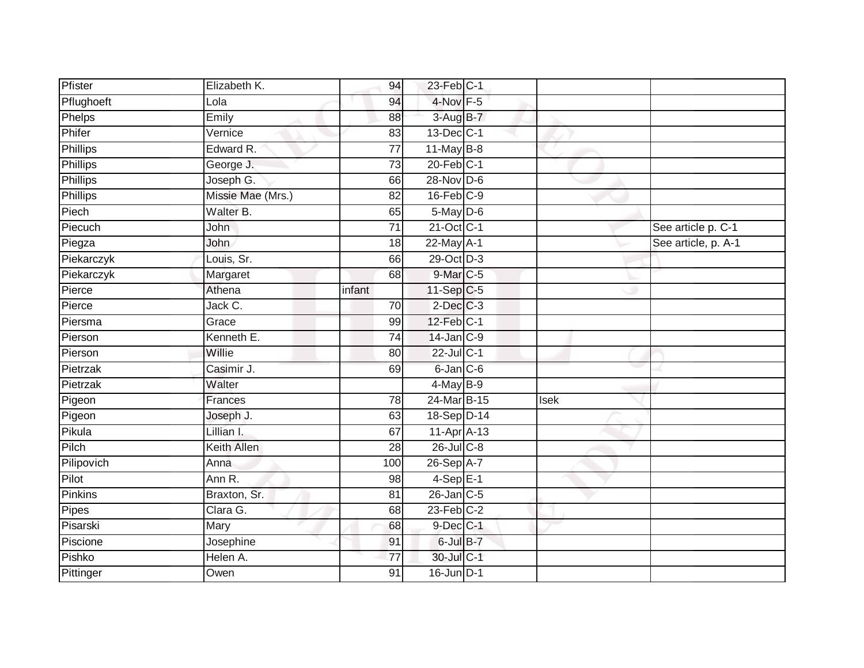| Pfister         | Elizabeth K.       | 94              | 23-Feb C-1      |             |                     |
|-----------------|--------------------|-----------------|-----------------|-------------|---------------------|
| Pflughoeft      | Lola               | 94              | 4-Nov F-5       |             |                     |
| Phelps          | Emily              | 88              | 3-Aug B-7       |             |                     |
| Phifer          | Vernice            | 83              | 13-Dec C-1      |             |                     |
| <b>Phillips</b> | Edward R.          | $\overline{77}$ | $11$ -May B-8   |             |                     |
| <b>Phillips</b> | George J.          | 73              | $20$ -Feb $C-1$ |             |                     |
| Phillips        | Joseph G.          | 66              | $28-Nov$ D-6    |             |                     |
| <b>Phillips</b> | Missie Mae (Mrs.)  | 82              | $16$ -Feb $C-9$ |             |                     |
| Piech           | Walter B.          | 65              | $5$ -May $D$ -6 |             |                     |
| Piecuch         | John               | 71              | 21-Oct C-1      |             | See article p. C-1  |
| Piegza          | John               | 18              | 22-May A-1      |             | See article, p. A-1 |
| Piekarczyk      | Louis, Sr.         | 66              | 29-Oct D-3      |             |                     |
| Piekarczyk      | Margaret           | 68              | $9$ -Mar $C$ -5 |             |                     |
| Pierce          | Athena             | infant          | $11-Sep$ C-5    |             |                     |
| Pierce          | Jack C.            | 70              | $2$ -Dec $C-3$  |             |                     |
| Piersma         | Grace              | 99              | 12-Feb C-1      |             |                     |
| Pierson         | Kenneth E.         | $\overline{74}$ | $14$ -Jan $C-9$ |             |                     |
| Pierson         | Willie             | 80              | 22-Jul C-1      |             |                     |
| Pietrzak        | Casimir J.         | 69              | 6-Jan C-6       |             |                     |
| Pietrzak        | Walter             |                 | $4$ -May B-9    |             |                     |
| Pigeon          | Frances            | 78              | 24-Mar B-15     | <b>Isek</b> |                     |
| Pigeon          | Joseph J.          | 63              | 18-Sep D-14     |             |                     |
| Pikula          | Lillian I.         | 67              | 11-Apr A-13     |             |                     |
| Pilch           | <b>Keith Allen</b> | 28              | 26-Jul C-8      |             |                     |
| Pilipovich      | Anna               | 100             | $26-SepA-7$     |             |                     |
| Pilot           | Ann R.             | 98              | $4-SepE-1$      |             |                     |
| Pinkins         | Braxton, Sr.       | 81              | $26$ -Jan $C-5$ |             |                     |
| Pipes           | Clara G.           | 68              | $23$ -Feb $C-2$ |             |                     |
| Pisarski        | Mary               | 68              | 9-Dec C-1       |             |                     |
| Piscione        | Josephine          | 91              | 6-Jul B-7       |             |                     |
| Pishko          | Helen A.           | $\overline{77}$ | 30-Jul C-1      |             |                     |
| Pittinger       | Owen               | $\overline{91}$ | 16-Jun D-1      |             |                     |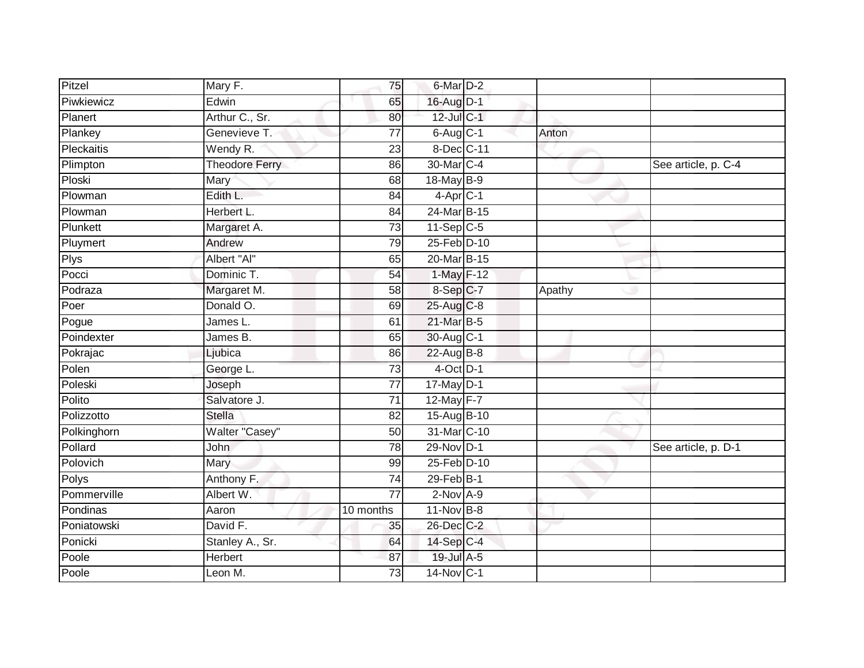| Pitzel            | Mary F.               | 75              | 6-Mar D-2       |        |                     |
|-------------------|-----------------------|-----------------|-----------------|--------|---------------------|
| Piwkiewicz        | Edwin                 | 65              | 16-Aug D-1      |        |                     |
| Planert           | Arthur C., Sr.        | 80              | 12-Jul C-1      |        |                     |
| Plankey           | Genevieve T.          | 77              | $6$ -Aug $C$ -1 | Anton  |                     |
| <b>Pleckaitis</b> | Wendy R.              | $\overline{23}$ | 8-Dec C-11      |        |                     |
| Plimpton          | <b>Theodore Ferry</b> | 86              | 30-Mar C-4      |        | See article, p. C-4 |
| Ploski            | Mary                  | 68              | 18-May B-9      |        |                     |
| Plowman           | Edith L.              | 84              | $4$ -Apr $C-1$  |        |                     |
| Plowman           | Herbert L.            | 84              | 24-Mar B-15     |        |                     |
| Plunkett          | Margaret A.           | $\overline{73}$ | $11-Sep C-5$    |        |                     |
| Pluymert          | Andrew                | 79              | 25-Feb D-10     |        |                     |
| Plys              | Albert "Al"           | 65              | 20-Mar B-15     |        |                     |
| Pocci             | Dominic T.            | 54              | 1-May F-12      |        |                     |
| Podraza           | Margaret M.           | 58              | 8-Sep C-7       | Apathy |                     |
| Poer              | Donald O.             | 69              | 25-Aug C-8      |        |                     |
| Pogue             | James L.              | 61              | 21-Mar B-5      |        |                     |
| Poindexter        | James B.              | 65              | 30-Aug C-1      |        |                     |
| Pokrajac          | Ljubica               | 86              | 22-Aug B-8      |        |                     |
| Polen             | George L.             | 73              | 4-Oct D-1       |        |                     |
| Poleski           | Joseph                | 77              | 17-May D-1      |        |                     |
| Polito            | Salvatore J.          | $\overline{71}$ | 12-May F-7      |        |                     |
| Polizzotto        | <b>Stella</b>         | $\overline{82}$ | 15-Aug B-10     |        |                     |
| Polkinghorn       | Walter "Casey"        | $\overline{50}$ | 31-Mar C-10     |        |                     |
| Pollard           | <b>John</b>           | 78              | 29-Nov D-1      |        | See article, p. D-1 |
| Polovich          | Mary                  | 99              | 25-Feb D-10     |        |                     |
| Polys             | Anthony F.            | 74              | $29$ -Feb $B-1$ |        |                     |
| Pommerville       | Albert W.             | $\overline{77}$ | $2-Nov A-9$     |        |                     |
| Pondinas          | Aaron                 | 10 months       | $11$ -Nov B-8   |        |                     |
| Poniatowski       | David F.              | 35              | 26-Dec C-2      |        |                     |
| Ponicki           | Stanley A., Sr.       | 64              | 14-Sep C-4      |        |                     |
| Poole             | Herbert               | 87              | 19-Jul A-5      |        |                     |
| Poole             | Leon M.               | $\overline{73}$ | 14-Nov C-1      |        |                     |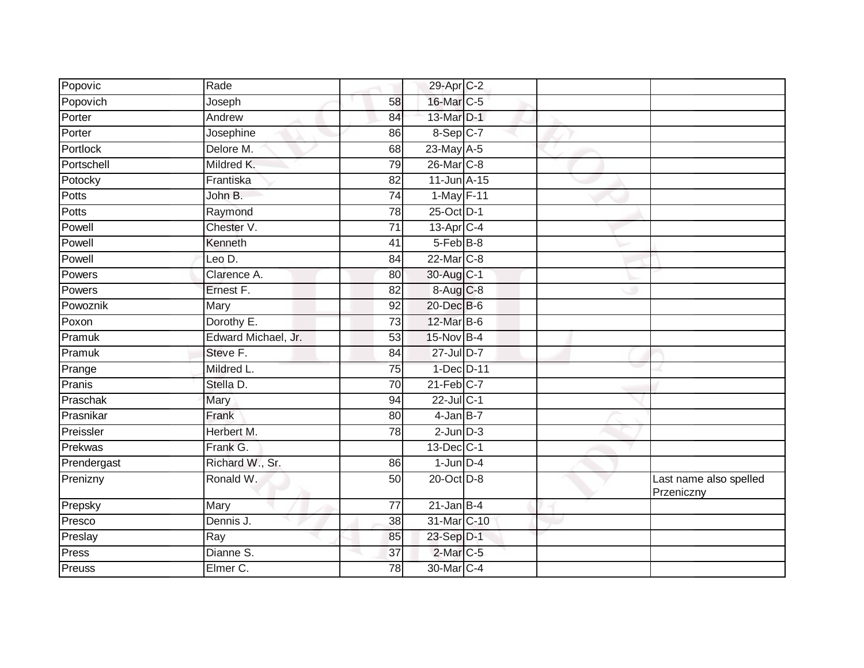| Popovic     | Rade                |                 | 29-Apr C-2      |  |                                      |
|-------------|---------------------|-----------------|-----------------|--|--------------------------------------|
| Popovich    | Joseph              | 58              | 16-Mar C-5      |  |                                      |
| Porter      | Andrew              | 84              | 13-Mar D-1      |  |                                      |
| Porter      | Josephine           | 86              | $8-Sep C-7$     |  |                                      |
| Portlock    | Delore M.           | 68              | 23-May A-5      |  |                                      |
| Portschell  | Mildred K.          | 79              | 26-Mar C-8      |  |                                      |
| Potocky     | Frantiska           | 82              | 11-Jun A-15     |  |                                      |
| Potts       | John B.             | $\overline{74}$ | 1-May F-11      |  |                                      |
| Potts       | Raymond             | 78              | 25-Oct D-1      |  |                                      |
| Powell      | Chester V.          | $\overline{71}$ | $13$ -Apr $C-4$ |  |                                      |
| Powell      | Kenneth             | 41              | 5-Feb B-8       |  |                                      |
| Powell      | Leo D.              | 84              | 22-Mar C-8      |  |                                      |
| Powers      | Clarence A.         | 80              | 30-Aug C-1      |  |                                      |
| Powers      | Ernest F.           | 82              | 8-Aug C-8       |  |                                      |
| Powoznik    | Mary                | 92              | 20-Dec B-6      |  |                                      |
| Poxon       | Dorothy E.          | 73              | 12-Mar B-6      |  |                                      |
| Pramuk      | Edward Michael, Jr. | 53              | 15-Nov B-4      |  |                                      |
| Pramuk      | Steve F.            | 84              | 27-Jul D-7      |  |                                      |
| Prange      | Mildred L.          | 75              | 1-Dec D-11      |  |                                      |
| Pranis      | Stella D.           | 70              | $21$ -Feb $C-7$ |  |                                      |
| Praschak    | Mary                | 94              | 22-Jul C-1      |  |                                      |
| Prasnikar   | Frank               | 80              | $4$ -Jan $B-7$  |  |                                      |
| Preissler   | Herbert M.          | 78              | $2$ -Jun $D-3$  |  |                                      |
| Prekwas     | Frank G.            |                 | 13-Dec C-1      |  |                                      |
| Prendergast | Richard W., Sr.     | 86              | $1$ -Jun $D-4$  |  |                                      |
| Prenizny    | Ronald W.           | 50              | $20$ -Oct $D-8$ |  | Last name also spelled<br>Przeniczny |
| Prepsky     | Mary                | 77              | $21$ -Jan B-4   |  |                                      |
| Presco      | Dennis J.           | 38              | 31-Mar C-10     |  |                                      |
| Preslay     | Ray                 | 85              | 23-Sep D-1      |  |                                      |
| Press       | Dianne S.           | 37              | $2$ -Mar $C$ -5 |  |                                      |
| Preuss      | Elmer C.            | 78              | 30-Mar C-4      |  |                                      |
|             |                     |                 |                 |  |                                      |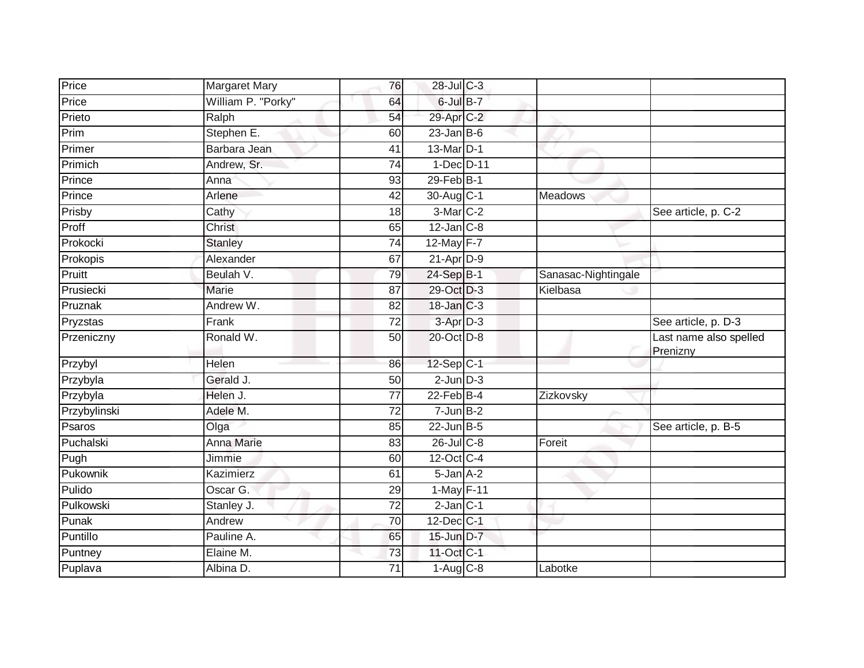| Price        | <b>Margaret Mary</b>    | 76              | 28-Jul C-3           |                     |                                    |
|--------------|-------------------------|-----------------|----------------------|---------------------|------------------------------------|
| Price        | William P. "Porky"      | 64              | $6$ -Jul $B-7$       |                     |                                    |
| Prieto       | Ralph                   | 54              | 29-Apr C-2           |                     |                                    |
| Prim         | Stephen E.              | 60              | $23$ -Jan B-6        |                     |                                    |
| Primer       | Barbara Jean            | 41              | 13-Mar D-1           |                     |                                    |
| Primich      | Andrew, Sr.             | 74              | 1-Dec D-11           |                     |                                    |
| Prince       | Anna                    | 93              | 29-Feb B-1           |                     |                                    |
| Prince       | Arlene                  | 42              | 30-Aug C-1           | Meadows             |                                    |
| Prisby       | Cathy                   | 18              | 3-Mar C-2            |                     | See article, p. C-2                |
| Proff        | <b>Christ</b>           | 65              | $12$ -Jan $C-8$      |                     |                                    |
| Prokocki     | <b>Stanley</b>          | 74              | 12-May F-7           |                     |                                    |
| Prokopis     | Alexander               | 67              | $21-Apr$ D-9         |                     |                                    |
| Pruitt       | Beulah V.               | 79              | $24-Sep$ B-1         | Sanasac-Nightingale |                                    |
| Prusiecki    | <b>Marie</b>            | 87              | 29-Oct D-3           | Kielbasa            |                                    |
| Pruznak      | Andrew W.               | 82              | 18-Jan C-3           |                     |                                    |
| Pryzstas     | Frank                   | 72              | 3-Apr <sub>D-3</sub> |                     | See article, p. D-3                |
| Przeniczny   | Ronald W.               | 50              | 20-Oct D-8           |                     | Last name also spelled<br>Prenizny |
| Przybyl      | Helen                   | 86              | $12-Sep C-1$         |                     |                                    |
| Przybyla     | Gerald J.               | 50              | $2$ -Jun $D-3$       |                     |                                    |
| Przybyla     | Helen J.                | 77              | $22$ -Feb $B-4$      | Zizkovsky           |                                    |
| Przybylinski | Adele M.                | 72              | $7 - Jun$ B-2        |                     |                                    |
| Psaros       | Olga                    | 85              | $22$ -Jun $B-5$      |                     | See article, p. B-5                |
| Puchalski    | <b>Anna Marie</b>       | 83              | $26$ -Jul $C$ -8     | Foreit              |                                    |
| Pugh         | Jimmie                  | 60              | 12-Oct C-4           |                     |                                    |
| Pukownik     | Kazimierz               | 61              | $5 - Jan A-2$        |                     |                                    |
| Pulido       | Oscar G.                | 29              | 1-May F-11           |                     |                                    |
| Pulkowski    | Stanley J.              | $\overline{72}$ | $2$ -Jan $C-1$       |                     |                                    |
| Punak        | Andrew                  | $\overline{70}$ | $12$ -Dec $ C-1 $    |                     |                                    |
| Puntillo     | Pauline A.              | 65              | 15-Jun D-7           |                     |                                    |
| Puntney      | Elaine $\overline{M}$ . | 73              | 11-Oct C-1           |                     |                                    |
| Puplava      | Albina D.               | 71              | $1-Aug$ $C-8$        | Labotke             |                                    |
|              |                         |                 |                      |                     |                                    |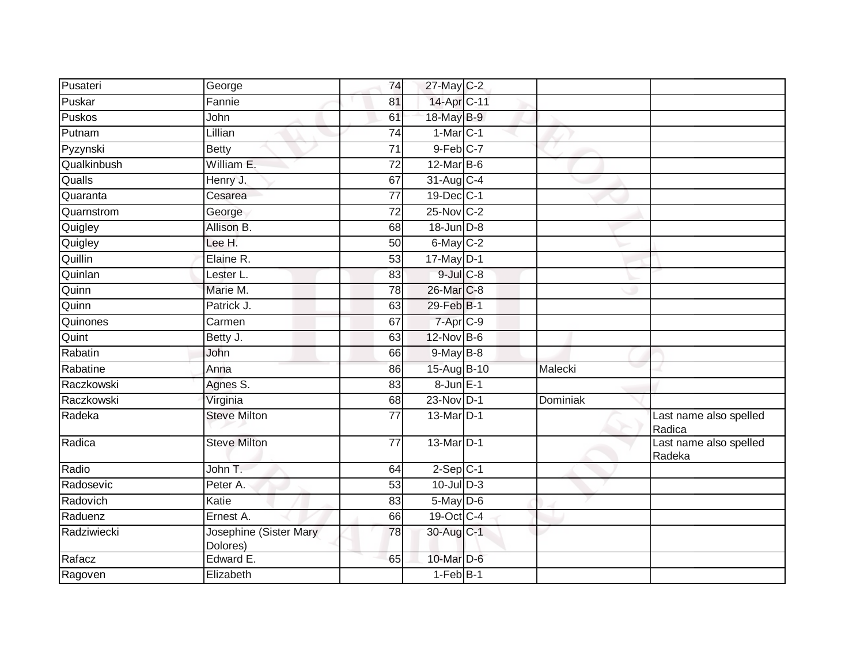| Pusateri      | George                             | 74              | 27-May C-2      |          |                                  |
|---------------|------------------------------------|-----------------|-----------------|----------|----------------------------------|
| Puskar        | Fannie                             | 81              | 14-Apr C-11     |          |                                  |
| <b>Puskos</b> | John                               | 61              | 18-May B-9      |          |                                  |
| Putnam        | Lillian                            | 74              | $1-Mar$ $C-1$   |          |                                  |
| Pyzynski      | <b>Betty</b>                       | $\overline{71}$ | $9$ -Feb $C-7$  |          |                                  |
| Qualkinbush   | William E.                         | 72              | 12-Mar B-6      |          |                                  |
| Qualls        | Henry J.                           | 67              | $31-Aug$ C-4    |          |                                  |
| Quaranta      | Cesarea                            | $\overline{77}$ | 19-Dec C-1      |          |                                  |
| Quarnstrom    | George                             | 72              | 25-Nov C-2      |          |                                  |
| Quigley       | Allison B.                         | 68              | 18-Jun D-8      |          |                                  |
| Quigley       | Lee H.                             | 50              | 6-May C-2       |          |                                  |
| Quillin       | Elaine R.                          | $\overline{53}$ | $17$ -May $D-1$ |          |                                  |
| Quinlan       | Lester L.                          | 83              | $9$ -Jul $C$ -8 |          |                                  |
| Quinn         | Marie M.                           | 78              | 26-Mar C-8      |          |                                  |
| Quinn         | Patrick J.                         | 63              | 29-Feb B-1      |          |                                  |
| Quinones      | Carmen                             | 67              | 7-Apr C-9       |          |                                  |
| Quint         | Betty J.                           | 63              | 12-Nov B-6      |          |                                  |
| Rabatin       | John                               | 66              | 9-May B-8       |          |                                  |
| Rabatine      | Anna                               | 86              | 15-Aug B-10     | Malecki  |                                  |
| Raczkowski    | Agnes S.                           | $\overline{83}$ | 8-Jun E-1       |          |                                  |
| Raczkowski    | Virginia                           | 68              | 23-Nov D-1      | Dominiak |                                  |
| Radeka        | <b>Steve Milton</b>                | 77              | 13-Mar D-1      |          | Last name also spelled<br>Radica |
| Radica        | <b>Steve Milton</b>                | 77              | 13-Mar D-1      |          | Last name also spelled<br>Radeka |
| Radio         | John T.                            | 64              | $2-Sep C-1 $    |          |                                  |
| Radosevic     | Peter A.                           | 53              | $10$ -Jul $D-3$ |          |                                  |
| Radovich      | Katie                              | 83              | $5$ -May $D$ -6 |          |                                  |
| Raduenz       | Ernest A.                          | 66              | 19-Oct C-4      |          |                                  |
| Radziwiecki   | Josephine (Sister Mary<br>Dolores) | 78              | 30-Aug C-1      |          |                                  |
| Rafacz        | Edward E.                          | 65              | 10-Mar D-6      |          |                                  |
| Ragoven       | Elizabeth                          |                 | $1-FebB-1$      |          |                                  |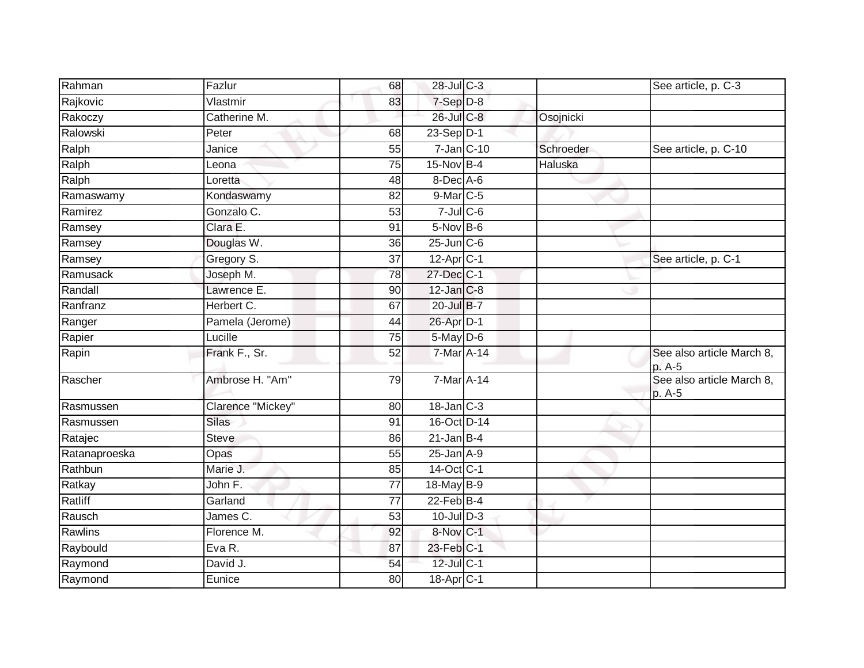| Rahman        | Fazlur            | 68              | 28-Jul C-3         |           | See article, p. C-3                 |
|---------------|-------------------|-----------------|--------------------|-----------|-------------------------------------|
| Rajkovic      | Vlastmir          | 83              | 7-Sep D-8          |           |                                     |
| Rakoczy       | Catherine M.      |                 | $26$ -Jul $C-8$    | Osojnicki |                                     |
| Ralowski      | Peter             | 68              | 23-Sep D-1         |           |                                     |
| Ralph         | Janice            | 55              | $7 - Jan$ $C - 10$ | Schroeder | See article, p. C-10                |
| Ralph         | Leona             | $\overline{75}$ | $15-Nov$ B-4       | Haluska   |                                     |
| Ralph         | Loretta           | 48              | 8-Dec A-6          |           |                                     |
| Ramaswamy     | Kondaswamy        | 82              | $9$ -Mar $C$ -5    |           |                                     |
| Ramirez       | Gonzalo C.        | 53              | $7$ -Jul $C$ -6    |           |                                     |
| Ramsey        | Clara E.          | 91              | $5-Nov$ B-6        |           |                                     |
| Ramsey        | Douglas W.        | 36              | $25$ -Jun $C$ -6   |           |                                     |
| Ramsey        | Gregory S.        | 37              | $12-AprC-1$        |           | See article, p. C-1                 |
| Ramusack      | Joseph M.         | 78              | 27-Dec C-1         |           |                                     |
| Randall       | Lawrence E.       | 90              | $12$ -Jan $C-8$    |           |                                     |
| Ranfranz      | Herbert C.        | 67              | 20-Jul B-7         |           |                                     |
| Ranger        | Pamela (Jerome)   | 44              | 26-Apr D-1         |           |                                     |
| Rapier        | Lucille           | 75              | 5-May D-6          |           |                                     |
| Rapin         | Frank F., Sr.     | 52              | 7-Mar A-14         |           | See also article March 8,<br>p. A-5 |
| Rascher       | Ambrose H. "Am"   | 79              | 7-Mar A-14         |           | See also article March 8,<br>p. A-5 |
| Rasmussen     | Clarence "Mickey" | 80              | $18$ -Jan $C-3$    |           |                                     |
| Rasmussen     | <b>Silas</b>      | 91              | 16-Oct D-14        |           |                                     |
| Ratajec       | <b>Steve</b>      | 86              | $21$ -Jan B-4      |           |                                     |
| Ratanaproeska | Opas              | 55              | $25$ -Jan $A-9$    |           |                                     |
| Rathbun       | Marie J.          | 85              | 14-Oct C-1         |           |                                     |
| Ratkay        | John F.           | 77              | 18-May B-9         |           |                                     |
| Ratliff       | Garland           | 77              | $22$ -Feb $B-4$    |           |                                     |
| Rausch        | James C.          | 53              | $10 -$ Jul $D - 3$ |           |                                     |
| Rawlins       | Florence M.       | 92              | 8-Nov C-1          |           |                                     |
| Raybould      | Eva R.            | 87              | 23-Feb C-1         |           |                                     |
| Raymond       | David J.          | 54              | 12-Jul C-1         |           |                                     |
| Raymond       | Eunice            | 80              | 18-Apr C-1         |           |                                     |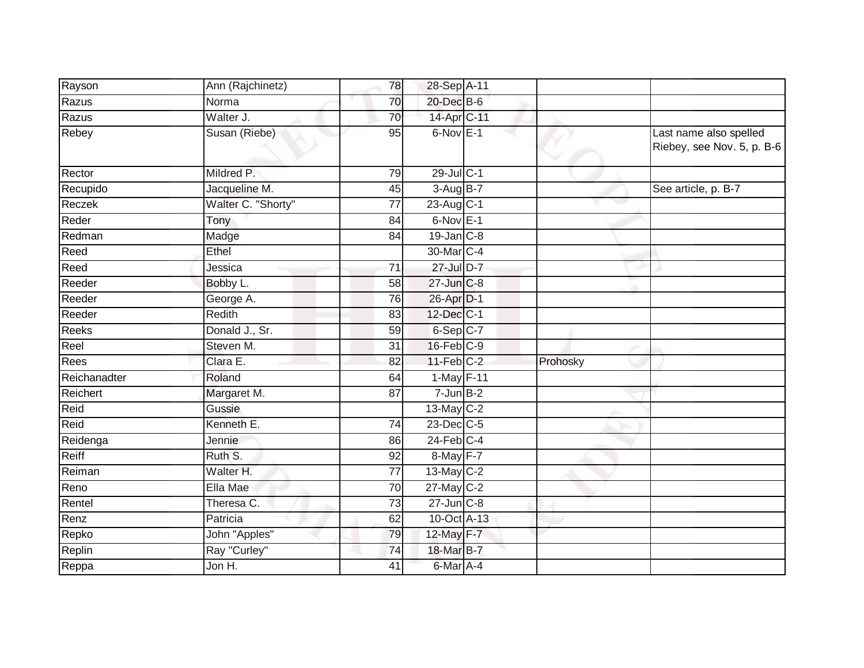| Rayson       | Ann (Rajchinetz)   | 78              | 28-Sep A-11            |          |                                                      |
|--------------|--------------------|-----------------|------------------------|----------|------------------------------------------------------|
| Razus        | Norma              | 70              | 20-Dec B-6             |          |                                                      |
| Razus        | Walter J.          | 70              | 14-Apr C-11            |          |                                                      |
| Rebey        | Susan (Riebe)      | 95              | $6-Nov$ E-1            |          | Last name also spelled<br>Riebey, see Nov. 5, p. B-6 |
| Rector       | Mildred P.         | 79              | 29-Jul C-1             |          |                                                      |
| Recupido     | Jacqueline M.      | 45              | $3-AugB-7$             |          | See article, p. B-7                                  |
| Reczek       | Walter C. "Shorty" | 77              | $23-AugC-1$            | e e      |                                                      |
| Reder        | Tony               | 84              | $6-Nov$ E-1            |          |                                                      |
| Redman       | Madge              | 84              | $19$ -Jan $C-8$        |          |                                                      |
| Reed         | Ethel              |                 | 30-Mar <sub>IC-4</sub> |          |                                                      |
| Reed         | Jessica            | $\overline{71}$ | 27-Jul D-7             |          |                                                      |
| Reeder       | Bobby L.           | 58              | 27-Jun C-8             |          |                                                      |
| Reeder       | George A.          | 76              | 26-Apr D-1             |          |                                                      |
| Reeder       | Redith             | 83              | 12-Dec C-1             |          |                                                      |
| <b>Reeks</b> | Donald J., Sr.     | 59              | $6-Sep$ $C-7$          |          |                                                      |
| Reel         | Steven M.          | $\overline{31}$ | 16-Feb C-9             |          |                                                      |
| Rees         | Clara E.           | $\overline{82}$ | $11$ -Feb $C-2$        | Prohosky |                                                      |
| Reichanadter | Roland             | 64              | 1-May F-11             |          |                                                      |
| Reichert     | Margaret M.        | 87              | $7 - Jun$ B-2          |          |                                                      |
| Reid         | Gussie             |                 | 13-May C-2             |          |                                                      |
| Reid         | Kenneth E.         | 74              | 23-Dec C-5             |          |                                                      |
| Reidenga     | Jennie             | 86              | $24$ -Feb $C-4$        |          |                                                      |
| Reiff        | Ruth S.            | $\overline{92}$ | 8-May F-7              |          |                                                      |
| Reiman       | Walter H.          | 77              | 13-May C-2             |          |                                                      |
| Reno         | Ella Mae           | 70              | 27-May C-2             |          |                                                      |
| Rentel       | Theresa C.         | 73              | $27$ -Jun $C-8$        |          |                                                      |
| Renz         | Patricia           | 62              | 10-Oct A-13            |          |                                                      |
| Repko        | John "Apples"      | 79              | 12-May F-7             |          |                                                      |
| Replin       | Ray "Curley"       | 74              | 18-Mar B-7             |          |                                                      |
| Reppa        | Jon H.             | 41              | $6$ -Mar A-4           |          |                                                      |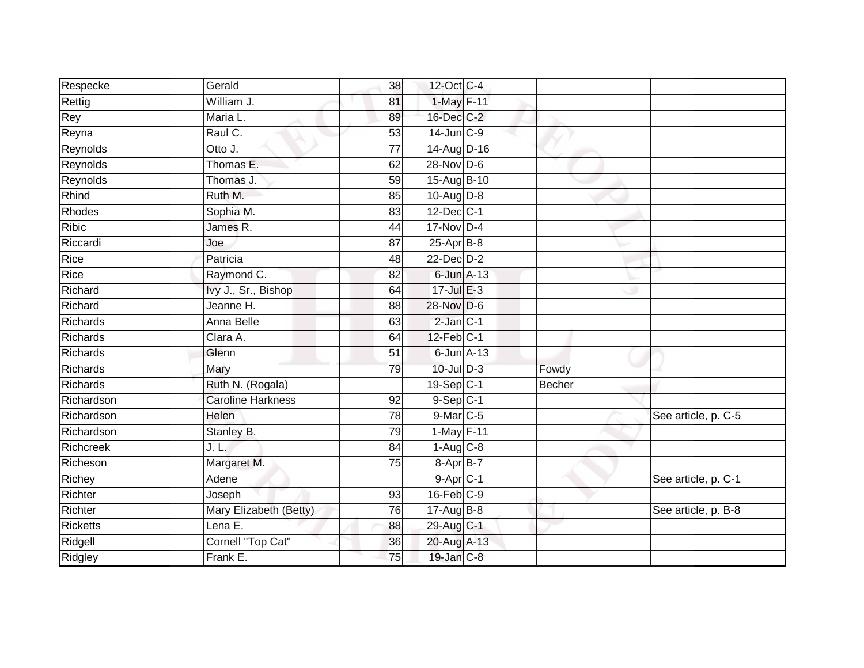| Respecke        | Gerald                   | 38              | 12-Oct C-4              |               |                     |
|-----------------|--------------------------|-----------------|-------------------------|---------------|---------------------|
| Rettig          | William J.               | 81              | 1-May F-11              |               |                     |
| Rey             | Maria L.                 | 89              | 16-Dec C-2              |               |                     |
| Reyna           | Raul C.                  | 53              | 14-Jun C-9              |               |                     |
| Reynolds        | Otto J.                  | $\overline{77}$ | 14-Aug D-16             |               |                     |
| Reynolds        | Thomas E.                | 62              | 28-Nov D-6              |               |                     |
| Reynolds        | Thomas J.                | 59              | 15-Aug B-10             |               |                     |
| Rhind           | Ruth M.                  | 85              | $10-Aug$ $D-8$          |               |                     |
| Rhodes          | Sophia M.                | 83              | $12$ -Dec $ C-1 $       |               |                     |
| <b>Ribic</b>    | James R.                 | $\overline{44}$ | 17-Nov D-4              |               |                     |
| Riccardi        | Joe                      | 87              | $25-Apr$ B-8            |               |                     |
| Rice            | Patricia                 | 48              | $22$ -Dec $D-2$         |               |                     |
| Rice            | Raymond C.               | 82              | 6-Jun A-13              |               |                     |
| Richard         | Ivy J., Sr., Bishop      | 64              | $17 -$ Jul $E - 3$      |               |                     |
| Richard         | Jeanne H.                | 88              | 28-Nov D-6              |               |                     |
| <b>Richards</b> | <b>Anna Belle</b>        | 63              | $2$ -Jan $C-1$          |               |                     |
| <b>Richards</b> | Clara A.                 | 64              | $12$ -Feb $ C-1 $       |               |                     |
| Richards        | Glenn                    | $\overline{51}$ | $6$ -Jun $A-13$         |               |                     |
| <b>Richards</b> | Mary                     | 79              | $10$ -Jul $D-3$         | Fowdy         |                     |
| <b>Richards</b> | Ruth N. (Rogala)         |                 | $19-Sep$ <sub>C-1</sub> | <b>Becher</b> |                     |
| Richardson      | <b>Caroline Harkness</b> | 92              | $9-Sep C-1$             |               |                     |
| Richardson      | Helen                    | 78              | 9-Mar C-5               |               | See article, p. C-5 |
| Richardson      | Stanley B.               | 79              | 1-May F-11              |               |                     |
| Richcreek       | J. L.                    | 84              | $1-Aug$ $C-8$           |               |                     |
| Richeson        | Margaret M.              | 75              | 8-Apr B-7               |               |                     |
| Richey          | Adene                    |                 | $9-Apr$ <sub>C-1</sub>  |               | See article, p. C-1 |
| Richter         | Joseph                   | 93              | $16$ -Feb $C-9$         |               |                     |
| Richter         | Mary Elizabeth (Betty)   | 76              | $17$ -Aug $B$ -8        |               | See article, p. B-8 |
| <b>Ricketts</b> | Lena E.                  | 88              | 29-Aug C-1              |               |                     |
| Ridgell         | Cornell "Top Cat"        | 36              | 20-Aug A-13             |               |                     |
| Ridgley         | Frank E.                 | $\overline{75}$ | 19-Jan C-8              |               |                     |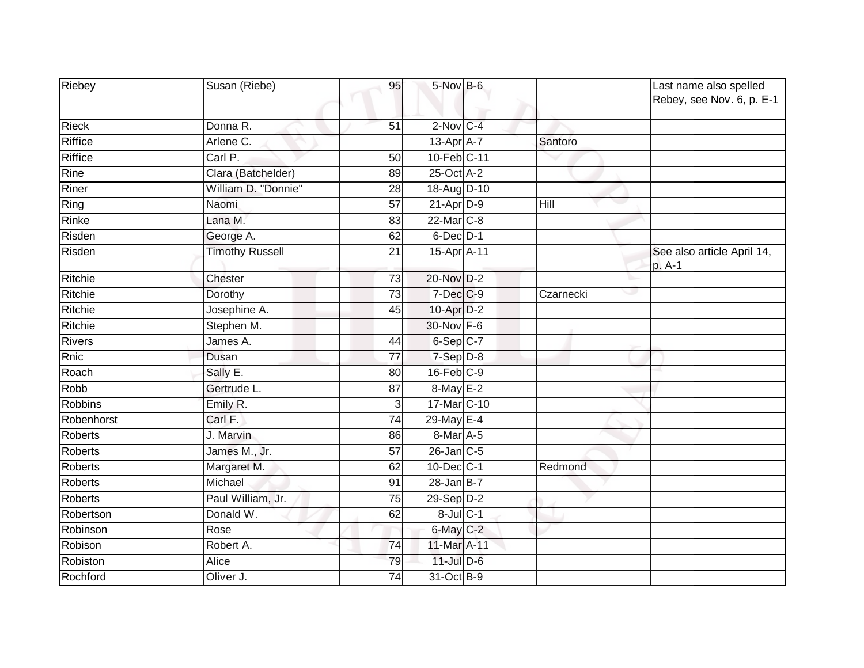| Riebey         | Susan (Riebe)          | 95              | 5-Nov B-6        |           | Last name also spelled<br>Rebey, see Nov. 6, p. E-1 |
|----------------|------------------------|-----------------|------------------|-----------|-----------------------------------------------------|
| <b>Rieck</b>   | Donna R.               | 51              | $2$ -Nov $C-4$   |           |                                                     |
| <b>Riffice</b> | Arlene C.              |                 | $13$ -Apr $A$ -7 | Santoro   |                                                     |
| <b>Riffice</b> | Carl P.                | $\overline{50}$ | 10-Feb C-11      |           |                                                     |
| Rine           | Clara (Batchelder)     | 89              | 25-Oct A-2       |           |                                                     |
| Riner          | William D. "Donnie"    | 28              | 18-Aug D-10      |           |                                                     |
| Ring           | Naomi                  | 57              | $21-AprD-9$      | Hill      |                                                     |
| Rinke          | Lana M.                | 83              | 22-Mar C-8       |           |                                                     |
| Risden         | George A.              | 62              | $6$ -Dec $D-1$   |           |                                                     |
| Risden         | <b>Timothy Russell</b> | 21              | 15-Apr A-11      |           | See also article April 14,<br>p. A-1                |
| Ritchie        | Chester                | 73              | 20-Nov D-2       |           |                                                     |
| Ritchie        | Dorothy                | 73              | 7-Dec C-9        | Czarnecki |                                                     |
| Ritchie        | Josephine A.           | 45              | 10-Apr D-2       |           |                                                     |
| Ritchie        | Stephen M.             |                 | 30-Nov F-6       |           |                                                     |
| <b>Rivers</b>  | James A.               | 44              | $6-Sep$ $C-7$    |           |                                                     |
| <b>Rnic</b>    | Dusan                  | $\overline{77}$ | 7-Sep D-8        |           |                                                     |
| Roach          | Sally E.               | 80              | $16$ -Feb $C-9$  |           |                                                     |
| Robb           | Gertrude L.            | 87              | 8-May E-2        |           |                                                     |
| <b>Robbins</b> | Emily R.               | 3               | 17-Mar C-10      |           |                                                     |
| Robenhorst     | Carl F.                | 74              | 29-May E-4       |           |                                                     |
| Roberts        | J. Marvin              | 86              | 8-Mar A-5        |           |                                                     |
| <b>Roberts</b> | James M., Jr.          | 57              | $26$ -Jan $C$ -5 |           |                                                     |
| <b>Roberts</b> | Margaret M.            | 62              | 10-Dec C-1       | Redmond   |                                                     |
| <b>Roberts</b> | Michael                | 91              | $28$ -Jan B-7    |           |                                                     |
| <b>Roberts</b> | Paul William, Jr.      | 75              | 29-Sep D-2       |           |                                                     |
| Robertson      | Donald W.              | 62              | $8$ -Jul $C-1$   |           |                                                     |
| Robinson       | Rose                   |                 | $6$ -May $C-2$   |           |                                                     |
| Robison        | Robert A.              | 74              | 11-Mar A-11      |           |                                                     |
| Robiston       | Alice                  | 79              | $11$ -Jul $D-6$  |           |                                                     |
| Rochford       | Oliver J.              | 74              | 31-Oct B-9       |           |                                                     |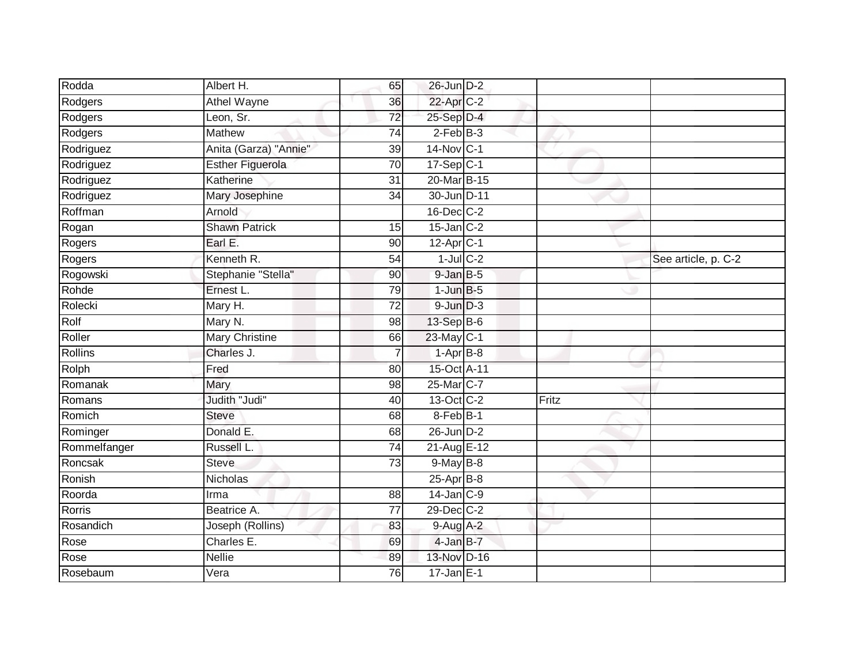| Rodda        | Albert H.               | 65              | 26-Jun D-2              |       |                     |
|--------------|-------------------------|-----------------|-------------------------|-------|---------------------|
| Rodgers      | <b>Athel Wayne</b>      | 36              | 22-Apr C-2              |       |                     |
| Rodgers      | Leon, Sr.               | $\overline{72}$ | 25-Sep D-4              |       |                     |
| Rodgers      | Mathew                  | 74              | $2-FebB-3$              |       |                     |
| Rodriguez    | Anita (Garza) "Annie"   | $\overline{39}$ | 14-Nov C-1              |       |                     |
| Rodriguez    | <b>Esther Figuerola</b> | 70              | $17 - Sep$ C-1          |       |                     |
| Rodriguez    | Katherine               | 31              | 20-Mar B-15             |       |                     |
| Rodriguez    | Mary Josephine          | 34              | 30-Jun D-11             |       |                     |
| Roffman      | Arnold                  |                 | 16-Dec C-2              |       |                     |
| Rogan        | <b>Shawn Patrick</b>    | 15              | $15$ -Jan C-2           |       |                     |
| Rogers       | Earl E.                 | 90              | $12-Apr$ <sub>C-1</sub> |       |                     |
| Rogers       | Kenneth R.              | 54              | $1$ -Jul $C-2$          |       | See article, p. C-2 |
| Rogowski     | Stephanie "Stella"      | 90              | $9$ -Jan $B$ -5         |       |                     |
| Rohde        | Ernest L.               | 79              | $1$ -Jun $B-5$          |       |                     |
| Rolecki      | Mary H.                 | $\overline{72}$ | $9$ -Jun $D-3$          |       |                     |
| Rolf         | Mary N.                 | 98              | 13-Sep B-6              |       |                     |
| Roller       | <b>Mary Christine</b>   | 66              | 23-May C-1              |       |                     |
| Rollins      | Charles J.              | 7               | $1-AprB-8$              |       |                     |
| Rolph        | Fred                    | 80              | 15-Oct A-11             |       |                     |
| Romanak      | Mary                    | 98              | 25-Mar C-7              |       |                     |
| Romans       | Judith "Judi"           | 40              | 13-Oct C-2              | Fritz |                     |
| Romich       | <b>Steve</b>            | 68              | 8-Feb <sup>B-1</sup>    |       |                     |
| Rominger     | Donald E.               | 68              | $26$ -Jun $D-2$         |       |                     |
| Rommelfanger | Russell L.              | 74              | 21-Aug E-12             |       |                     |
| Roncsak      | <b>Steve</b>            | $\overline{73}$ | $9$ -May $B$ -8         |       |                     |
| Ronish       | Nicholas                |                 | $25$ -Apr $B$ -8        |       |                     |
| Roorda       | Irma                    | 88              | $14$ -Jan $C-9$         |       |                     |
| Rorris       | Beatrice A.             | 77              | 29-Dec C-2              |       |                     |
| Rosandich    | Joseph (Rollins)        | 83              | 9-Aug A-2               |       |                     |
| Rose         | Charles E.              | 69              | 4-Jan B-7               |       |                     |
| Rose         | <b>Nellie</b>           | 89              | 13-Nov D-16             |       |                     |
| Rosebaum     | Vera                    | 76              | $17 - Jan \nE-1$        |       |                     |
|              |                         |                 |                         |       |                     |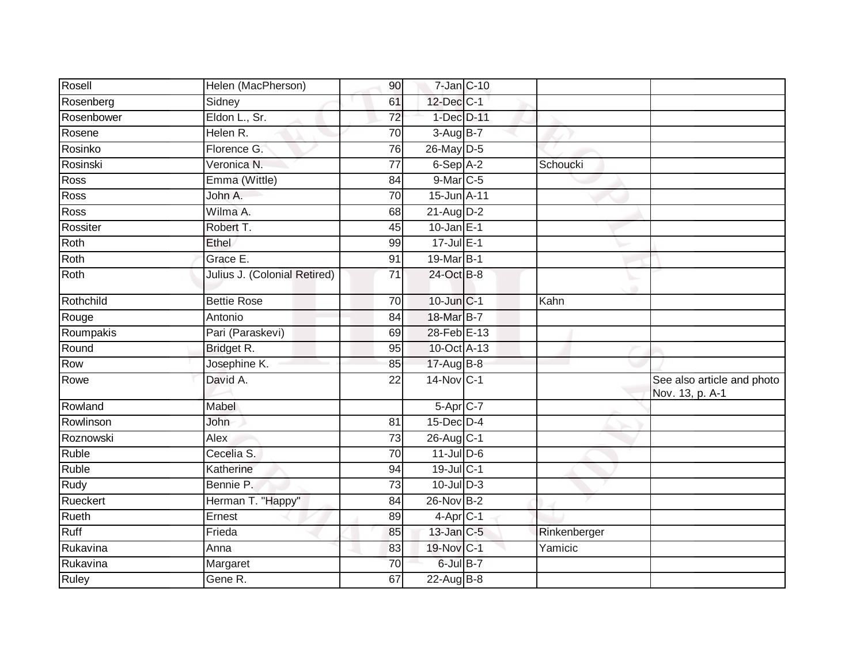| Rosell      | Helen (MacPherson)           | 90              | $7$ -Jan $ C-10 $ |              |                                               |
|-------------|------------------------------|-----------------|-------------------|--------------|-----------------------------------------------|
| Rosenberg   | Sidney                       | 61              | 12-Dec C-1        |              |                                               |
| Rosenbower  | Eldon L., Sr.                | $\overline{72}$ | 1-Dec D-11        |              |                                               |
| Rosene      | Helen R.                     | 70              | $3-Aug$ B-7       |              |                                               |
| Rosinko     | Florence G.                  | $\overline{76}$ | 26-May D-5        |              |                                               |
| Rosinski    | Veronica N.                  | $\overline{77}$ | 6-Sep A-2         | Schoucki     |                                               |
| Ross        | Emma (Wittle)                | 84              | 9-Mar C-5         |              |                                               |
| Ross        | John A.                      | $\overline{70}$ | 15-Jun A-11       |              |                                               |
| Ross        | Wilma A.                     | 68              | $21$ -Aug D-2     |              |                                               |
| Rossiter    | Robert T.                    | 45              | $10$ -Jan E-1     |              |                                               |
| Roth        | Ethel                        | 99              | $17$ -Jul $E-1$   |              |                                               |
| Roth        | Grace E.                     | 91              | 19-Mar B-1        |              |                                               |
| Roth        | Julius J. (Colonial Retired) | 71              | 24-Oct B-8        |              |                                               |
| Rothchild   | <b>Bettie Rose</b>           | 70              | 10-Jun C-1        | Kahn         |                                               |
| Rouge       | Antonio                      | 84              | 18-Mar B-7        |              |                                               |
| Roumpakis   | Pari (Paraskevi)             | 69              | 28-Feb E-13       |              |                                               |
| Round       | Bridget R.                   | 95              | 10-Oct A-13       |              |                                               |
| Row         | Josephine K.                 | 85              | 17-Aug B-8        |              |                                               |
| Rowe        | David A.                     | 22              | 14-Nov C-1        |              | See also article and photo<br>Nov. 13, p. A-1 |
| Rowland     | Mabel                        |                 | $5-Apr$ $C-7$     |              |                                               |
| Rowlinson   | John                         | 81              | 15-Dec D-4        |              |                                               |
| Roznowski   | Alex                         | 73              | 26-Aug C-1        |              |                                               |
| Ruble       | Cecelia S.                   | 70              | $11$ -Jul D-6     |              |                                               |
| Ruble       | Katherine                    | 94              | 19-Jul C-1        |              |                                               |
| <b>Rudy</b> | Bennie P.                    | 73              | $10$ -Jul $D-3$   |              |                                               |
| Rueckert    | Herman T. "Happy"            | 84              | 26-Nov B-2        |              |                                               |
| Rueth       | Ernest                       | 89              | $4$ -Apr $C-1$    |              |                                               |
| Ruff        | Frieda                       | 85              | 13-Jan C-5        | Rinkenberger |                                               |
| Rukavina    | Anna                         | 83              | 19-Nov C-1        | Yamicic      |                                               |
| Rukavina    | Margaret                     | 70              | 6-Jul B-7         |              |                                               |
| Ruley       | Gene R.                      | 67              | 22-Aug $B-8$      |              |                                               |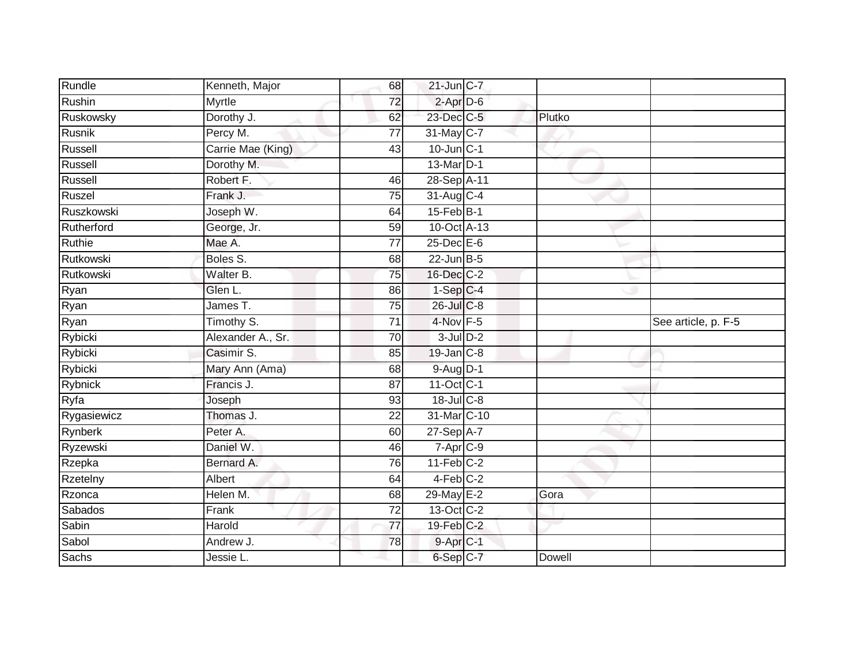| Rundle          | Kenneth, Major    | 68              | $21$ -Jun $C-7$        |        |                     |
|-----------------|-------------------|-----------------|------------------------|--------|---------------------|
| Rushin          | Myrtle            | $\overline{72}$ | $2$ -Apr $D-6$         |        |                     |
| Ruskowsky       | Dorothy J.        | 62              | 23-Dec C-5             | Plutko |                     |
| Rusnik          | Percy M.          | 77              | 31-May C-7             |        |                     |
| Russell         | Carrie Mae (King) | $\overline{43}$ | 10-Jun C-1             |        |                     |
| Russell         | Dorothy M.        |                 | 13-Mar <sub>D-1</sub>  |        |                     |
| Russell         | Robert F.         | 46              | 28-Sep A-11            |        |                     |
| Ruszel          | Frank J.          | $\overline{75}$ | 31-Aug C-4             |        |                     |
| Ruszkowski      | Joseph W.         | 64              | $15$ -Feb $B-1$        |        |                     |
| Rutherford      | George, Jr.       | $\overline{59}$ | 10-Oct A-13            |        |                     |
| Ruthie          | Mae A.            | 77              | 25-Dec E-6             |        |                     |
| Rutkowski       | Boles S.          | 68              | $22$ -Jun $B-5$        |        |                     |
| Rutkowski       | Walter B.         | 75              | 16-Dec C-2             |        |                     |
| Ryan            | Glen L.           | 86              | $1-Sep C-4$            |        |                     |
| Ryan            | James T.          | 75              | 26-Jul C-8             |        |                     |
| Ryan            | Timothy S.        | 71              | 4-Nov F-5              |        | See article, p. F-5 |
| Rybicki         | Alexander A., Sr. | $\overline{70}$ | $3$ -Jul $D-2$         |        |                     |
| Rybicki         | Casimir S.        | 85              | 19-Jan C-8             |        |                     |
| Rybicki         | Mary Ann (Ama)    | 68              | $9-Aug$ D-1            |        |                     |
| <b>Rybnick</b>  | Francis J.        | 87              | 11-Oct C-1             |        |                     |
| Ryfa            | Joseph            | 93              | 18-Jul C-8             |        |                     |
| Rygasiewicz     | Thomas J.         | 22              | 31-Mar C-10            |        |                     |
| Rynberk         | Peter A.          | 60              | 27-Sep A-7             |        |                     |
| Ryzewski        | Daniel W.         | 46              | $7 - Apr$ $C-9$        |        |                     |
| Rzepka          | Bernard A.        | 76              | $11-Feb$ C-2           |        |                     |
| <b>Rzetelny</b> | Albert            | 64              | $4-Feb$ <sub>C-2</sub> |        |                     |
| Rzonca          | Helen M.          | 68              | 29-May E-2             | Gora   |                     |
| Sabados         | Frank             | 72              | 13-Oct C-2             |        |                     |
| Sabin           | Harold            | $\overline{77}$ | $19$ -Feb $C-2$        |        |                     |
| Sabol           | Andrew J.         | 78              | $9$ -Apr $C$ -1        |        |                     |
| <b>Sachs</b>    | Jessie L.         |                 | 6-Sep C-7              | Dowell |                     |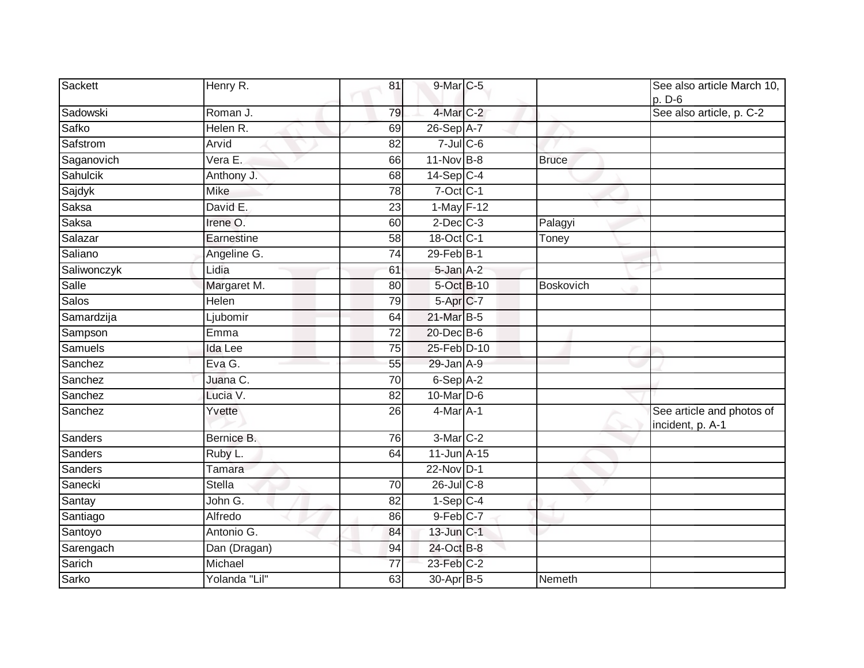| Sackett      | Henry R.      | 81              | 9-Mar C-5            |              | See also article March 10,<br>p. D-6          |
|--------------|---------------|-----------------|----------------------|--------------|-----------------------------------------------|
| Sadowski     | Roman J.      | 79              | 4-Mar C-2            |              | See also article, p. C-2                      |
| Safko        | Helen R.      | 69              | 26-Sep A-7           |              |                                               |
| Safstrom     | Arvid         | 82              | $7 -$ Jul $C - 6$    |              |                                               |
| Saganovich   | Vera E.       | 66              | $11-Nov$ B-8         | <b>Bruce</b> |                                               |
| Sahulcik     | Anthony J.    | 68              | $14-Sep$ C-4         |              |                                               |
| Sajdyk       | <b>Mike</b>   | 78              | $7$ -Oct $C-1$       |              |                                               |
| Saksa        | David E.      | $\overline{23}$ | 1-May F-12           |              |                                               |
| Saksa        | Irene O.      | 60              | $2$ -Dec $C-3$       | Palagyi      |                                               |
| Salazar      | Earnestine    | 58              | 18-Oct C-1           | Toney        |                                               |
| Saliano      | Angeline G.   | 74              | 29-Feb B-1           |              |                                               |
| Saliwonczyk  | Lidia         | 61              | $5$ -Jan $A-2$       |              |                                               |
| Salle        | Margaret M.   | 80              | 5-Oct B-10           | Boskovich    |                                               |
| <b>Salos</b> | Helen         | 79              | 5-Apr C-7            |              |                                               |
| Samardzija   | Ljubomir      | 64              | 21-Mar B-5           |              |                                               |
| Sampson      | Emma          | 72              | 20-Dec B-6           |              |                                               |
| Samuels      | Ida Lee       | 75              | 25-Feb D-10          |              |                                               |
| Sanchez      | Eva G.        | 55              | 29-Jan A-9           |              |                                               |
| Sanchez      | Juana C.      | 70              | $6-$ Sep $A-2$       |              |                                               |
| Sanchez      | Lucia V.      | $\overline{82}$ | $10$ -Mar $D-6$      |              |                                               |
| Sanchez      | Yvette        | 26              | $4$ -Mar $A-1$       |              | See article and photos of<br>incident, p. A-1 |
| Sanders      | Bernice B.    | 76              | 3-Mar <sub>C-2</sub> |              |                                               |
| Sanders      | Ruby L.       | 64              | 11-Jun A-15          |              |                                               |
| Sanders      | <b>Tamara</b> |                 | 22-Nov D-1           |              |                                               |
| Sanecki      | <b>Stella</b> | 70              | 26-Jul C-8           |              |                                               |
| Santay       | John G.       | 82              | $1-Sep$ C-4          |              |                                               |
| Santiago     | Alfredo       | 86              | $9$ -Feb $C$ -7      |              |                                               |
| Santoyo      | Antonio G.    | 84              | 13-Jun C-1           |              |                                               |
| Sarengach    | Dan (Dragan)  | 94              | 24-Oct B-8           |              |                                               |
| Sarich       | Michael       | 77              | 23-Feb C-2           |              |                                               |
| Sarko        | Yolanda "Lil" | 63              | 30-Apr B-5           | Nemeth       |                                               |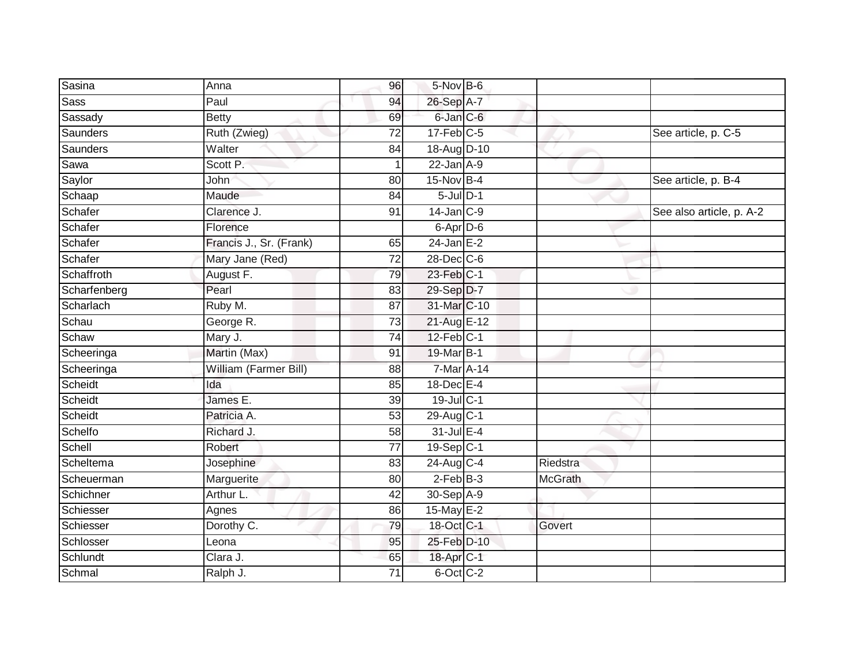| Sasina          | Anna                    | 96              | 5-Nov B-6               |                |                          |
|-----------------|-------------------------|-----------------|-------------------------|----------------|--------------------------|
| <b>Sass</b>     | Paul                    | 94              | 26-Sep A-7              |                |                          |
| Sassady         | <b>Betty</b>            | 69              | 6-Jan C-6               |                |                          |
| <b>Saunders</b> | Ruth (Zwieg)            | $\overline{72}$ | $17$ -Feb $C-5$         |                | See article, p. C-5      |
| <b>Saunders</b> | Walter                  | 84              | 18-Aug D-10             |                |                          |
| Sawa            | Scott P.                | $\mathbf{1}$    | $22$ -Jan $A-9$         |                |                          |
| Saylor          | John                    | 80              | 15-Nov B-4              |                | See article, p. B-4      |
| Schaap          | Maude                   | 84              | $5$ -Jul $D-1$          |                |                          |
| Schafer         | Clarence J.             | 91              | $14$ -Jan $C-9$         |                | See also article, p. A-2 |
| Schafer         | Florence                |                 | $6$ -Apr $D$ -6         |                |                          |
| Schafer         | Francis J., Sr. (Frank) | 65              | $24$ -Jan E-2           |                |                          |
| Schafer         | Mary Jane (Red)         | 72              | $28$ -Dec $ C$ -6       |                |                          |
| Schaffroth      | August F.               | 79              | 23-Feb C-1              |                |                          |
| Scharfenberg    | Pearl                   | 83              | 29-Sep D-7              |                |                          |
| Scharlach       | Ruby M.                 | $\overline{87}$ | 31-Mar C-10             |                |                          |
| Schau           | George R.               | 73              | 21-Aug E-12             |                |                          |
| Schaw           | Mary J.                 | $\overline{74}$ | $12$ -Feb $ C-1 $       |                |                          |
| Scheeringa      | Martin (Max)            | 91              | 19-Mar B-1              |                |                          |
| Scheeringa      | William (Farmer Bill)   | 88              | 7-Mar A-14              |                |                          |
| Scheidt         | Ida                     | 85              | 18-Dec E-4              |                |                          |
| Scheidt         | James E.                | 39              | 19-Jul C-1              |                |                          |
| Scheidt         | Patricia A.             | 53              | 29-Aug C-1              |                |                          |
| Schelfo         | Richard J.              | 58              | 31-Jul E-4              |                |                          |
| Schell          | Robert                  | 77              | $19-Sep$ <sub>C-1</sub> |                |                          |
| Scheltema       | Josephine               | 83              | $24$ -Aug C-4           | Riedstra       |                          |
| Scheuerman      | Marguerite              | 80              | $2$ -Feb $B-3$          | <b>McGrath</b> |                          |
| Schichner       | Arthur L.               | $\overline{42}$ | 30-Sep A-9              |                |                          |
| Schiesser       | Agnes                   | 86              | 15-May $E-2$            |                |                          |
| Schiesser       | Dorothy C.              | 79              | 18-Oct C-1              | Govert         |                          |
| Schlosser       | Leona                   | 95              | 25-Feb D-10             |                |                          |
| Schlundt        | Clara J.                | 65              | 18-Apr <sub>C-1</sub>   |                |                          |
| Schmal          | Ralph J.                | $\overline{71}$ | 6-Oct C-2               |                |                          |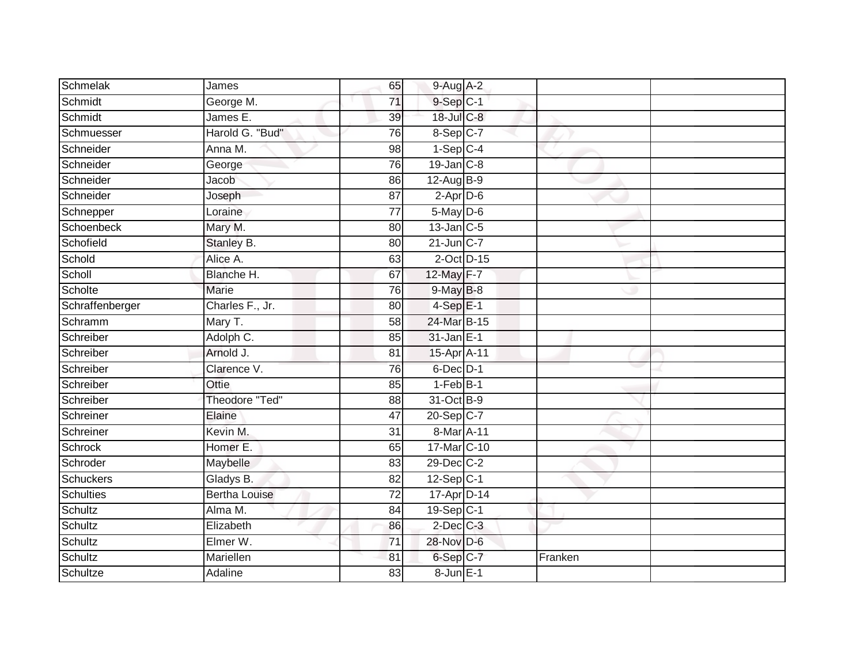| Schmelak         | James                | 65              | $9-Aug$ A-2     |         |  |
|------------------|----------------------|-----------------|-----------------|---------|--|
| Schmidt          | George M.            | 71              | $9-Sep$ $C-1$   |         |  |
| Schmidt          | James E.             | 39              | 18-Jul C-8      |         |  |
| Schmuesser       | Harold G. "Bud"      | 76              | 8-Sep C-7       |         |  |
| Schneider        | Anna M.              | $\overline{98}$ | $1-Sep$ C-4     |         |  |
| Schneider        | George               | 76              | $19$ -Jan $C-8$ |         |  |
| Schneider        | Jacob                | 86              | $12$ -AugB-9    |         |  |
| Schneider        | Joseph               | 87              | $2$ -Apr $D-6$  |         |  |
| Schnepper        | Loraine              | 77              | $5$ -May $D$ -6 |         |  |
| Schoenbeck       | Mary M.              | 80              | $13$ -Jan $C-5$ |         |  |
| Schofield        | Stanley B.           | 80              | $21$ -Jun $C-7$ |         |  |
| Schold           | Alice A.             | 63              | 2-Oct D-15      |         |  |
| Scholl           | Blanche H.           | 67              | 12-May F-7      |         |  |
| Scholte          | Marie                | 76              | $9$ -May $B$ -8 |         |  |
| Schraffenberger  | Charles F., Jr.      | 80              | $4-SepE-1$      |         |  |
| Schramm          | Mary T.              | 58              | 24-Mar B-15     |         |  |
| Schreiber        | Adolph C.            | 85              | $31$ -Jan $E-1$ |         |  |
| Schreiber        | Arnold J.            | 81              | 15-Apr A-11     |         |  |
| Schreiber        | Clarence V.          | 76              | 6-Dec D-1       |         |  |
| Schreiber        | Ottie                | 85              | $1-FebB-1$      |         |  |
| Schreiber        | Theodore "Ted"       | 88              | 31-Oct B-9      |         |  |
| Schreiner        | Elaine               | $\overline{47}$ | $20-Sep C-7$    |         |  |
| Schreiner        | Kevin M.             | 31              | 8-Mar A-11      |         |  |
| Schrock          | Homer E.             | 65              | 17-Mar C-10     |         |  |
| Schroder         | Maybelle             | 83              | 29-Dec C-2      |         |  |
| <b>Schuckers</b> | Gladys B.            | 82              | $12-Sep$ C-1    |         |  |
| Schulties        | <b>Bertha Louise</b> | $\overline{72}$ | 17-Apr D-14     |         |  |
| Schultz          | Alma M.              | 84              | $19-Sep C-1$    |         |  |
| Schultz          | Elizabeth            | 86              | $2$ -Dec $C-3$  |         |  |
| Schultz          | Elmer W.             | 71              | 28-Nov D-6      |         |  |
| Schultz          | Mariellen            | 81              | 6-Sep C-7       | Franken |  |
| Schultze         | Adaline              | 83              | 8-Jun E-1       |         |  |
|                  |                      |                 |                 |         |  |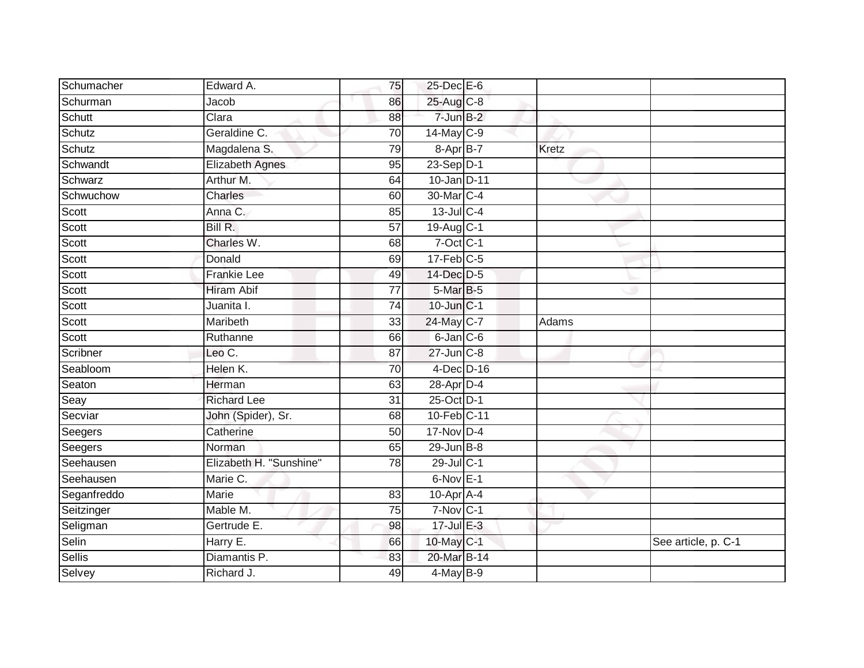| Schumacher  | Edward A.               | 75              | 25-Dec E-6      |              |                     |
|-------------|-------------------------|-----------------|-----------------|--------------|---------------------|
| Schurman    | Jacob                   | 86              | 25-Aug C-8      |              |                     |
| Schutt      | Clara                   | 88              | $7$ -Jun $B-2$  |              |                     |
| Schutz      | Geraldine C.            | 70              | $14$ -May C-9   |              |                     |
| Schutz      | Magdalena S.            | 79              | 8-Apr B-7       | <b>Kretz</b> |                     |
| Schwandt    | <b>Elizabeth Agnes</b>  | 95              | $23-Sep$ D-1    |              |                     |
| Schwarz     | Arthur M.               | 64              | 10-Jan D-11     |              |                     |
| Schwuchow   | Charles                 | 60              | 30-Mar C-4      |              |                     |
| Scott       | Anna C.                 | 85              | $13$ -Jul C-4   |              |                     |
| Scott       | Bill R.                 | 57              | 19-Aug C-1      |              |                     |
| Scott       | Charles W.              | 68              | $7$ -Oct $C-1$  |              |                     |
| Scott       | Donald                  | 69              | $17$ -Feb $C-5$ |              |                     |
| Scott       | <b>Frankie Lee</b>      | 49              | 14-Dec D-5      |              |                     |
| Scott       | <b>Hiram Abif</b>       | 77              | 5-Mar B-5       |              |                     |
| Scott       | Juanita I.              | $\overline{74}$ | $10$ -Jun $C-1$ |              |                     |
| Scott       | Maribeth                | 33              | 24-May C-7      | Adams        |                     |
| Scott       | Ruthanne                | 66              | $6$ -Jan $C$ -6 |              |                     |
| Scribner    | Leo C.                  | 87              | 27-Jun C-8      |              |                     |
| Seabloom    | Helen K.                | 70              | 4-Dec D-16      |              |                     |
| Seaton      | Herman                  | 63              | 28-Apr D-4      |              |                     |
| Seay        | <b>Richard Lee</b>      | 31              | 25-Oct D-1      |              |                     |
| Secviar     | John (Spider), Sr.      | 68              | 10-Feb C-11     |              |                     |
| Seegers     | Catherine               | 50              | 17-Nov D-4      |              |                     |
| Seegers     | Norman                  | 65              | $29$ -Jun $B-8$ |              |                     |
| Seehausen   | Elizabeth H. "Sunshine" | 78              | 29-Jul C-1      |              |                     |
| Seehausen   | Marie C.                |                 | $6-Nov$ E-1     |              |                     |
| Seganfreddo | Marie                   | 83              | 10-Apr A-4      |              |                     |
| Seitzinger  | Mable M.                | 75              | $7-Nov$ C-1     |              |                     |
| Seligman    | Gertrude E.             | 98              | $17 -$ Jul E-3  |              |                     |
| Selin       | Harry $E$ .             | 66              | 10-May C-1      |              | See article, p. C-1 |
| Sellis      | Diamantis P.            | 83              | 20-Mar B-14     |              |                     |
| Selvey      | Richard J.              | 49              | $4$ -May B-9    |              |                     |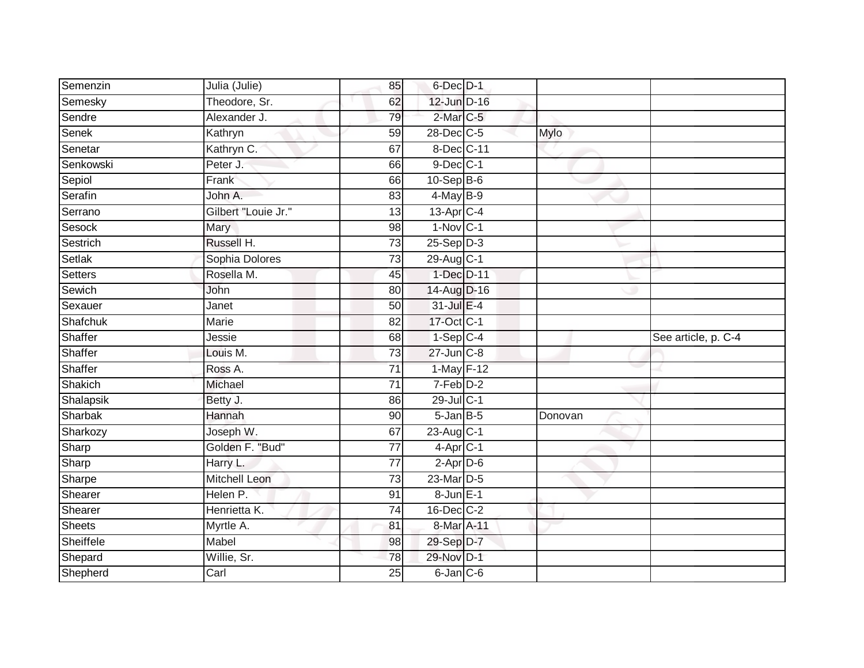| Semenzin            | Julia (Julie)       | 85              | 6-Dec D-1         |         |                     |
|---------------------|---------------------|-----------------|-------------------|---------|---------------------|
| Semesky             | Theodore, Sr.       | 62              | 12-Jun D-16       |         |                     |
| Sendre              | Alexander J.        | 79              | 2-Mar C-5         |         |                     |
| Senek               | Kathryn             | 59              | 28-Dec C-5        | Mylo    |                     |
| Senetar             | Kathryn C.          | 67              | 8-Dec C-11        |         |                     |
| Senkowski           | Peter J.            | 66              | $9$ -Dec $C-1$    |         |                     |
| Sepiol              | Frank               | 66              | $10-Sep$ B-6      |         |                     |
| Serafin             | John A.             | 83              | 4-May B-9         |         |                     |
| Serrano             | Gilbert "Louie Jr." | 13              | 13-Apr C-4        |         |                     |
| Sesock              | Mary                | 98              | $1-Nov$ C-1       |         |                     |
| Sestrich            | Russell H.          | $\overline{73}$ | $25-Sep D-3$      |         |                     |
| Setlak              | Sophia Dolores      | $\overline{73}$ | 29-Aug C-1        |         |                     |
| Setters             | Rosella M.          | 45              | 1-Dec D-11        |         |                     |
| Sewich              | John                | 80              | 14-Aug D-16       |         |                     |
| Sexauer             | Janet               | 50              | 31-Jul E-4        |         |                     |
| Shafchuk            | Marie               | 82              | 17-Oct C-1        |         |                     |
| Shaffer             | Jessie              | 68              | $1-Sep$ C-4       |         | See article, p. C-4 |
| Shaffer             | Louis M.            | $\overline{73}$ | $27 - Jun$ $C-8$  |         |                     |
| Shaffer             | Ross A.             | $\overline{71}$ | $1$ -May $F-12$   |         |                     |
| Shakich             | Michael             | 71              | $7-Feb$ D-2       |         |                     |
| Shalapsik           | Betty J.            | 86              | 29-Jul C-1        |         |                     |
| Sharbak             | Hannah              | 90              | $5 - Jan$ $B - 5$ | Donovan |                     |
| Sharkozy            | Joseph W.           | 67              | $23$ -Aug $C-1$   |         |                     |
| Sharp               | Golden F. "Bud"     | $\overline{77}$ | $4$ -Apr $C-1$    |         |                     |
| Sharp               | Harry L.            | $\overline{77}$ | $2$ -Apr $D-6$    |         |                     |
| Sharpe              | Mitchell Leon       | 73              | 23-Mar D-5        |         |                     |
| Shearer             | Helen P.            | 91              | 8-Jun E-1         |         |                     |
| Shearer             | Henrietta K.        | 74              | $16$ -Dec $C$ -2  |         |                     |
| <b>Sheets</b>       |                     |                 | 8-Mar A-11        |         |                     |
|                     | Myrtle A.           | 81              |                   |         |                     |
| Sheiffele           | Mabel               | 98              | 29-Sep D-7        |         |                     |
|                     | Willie, Sr.         | 78              | 29-Nov D-1        |         |                     |
| Shepard<br>Shepherd | Carl                | $\overline{25}$ | $6$ -Jan $C$ -6   |         |                     |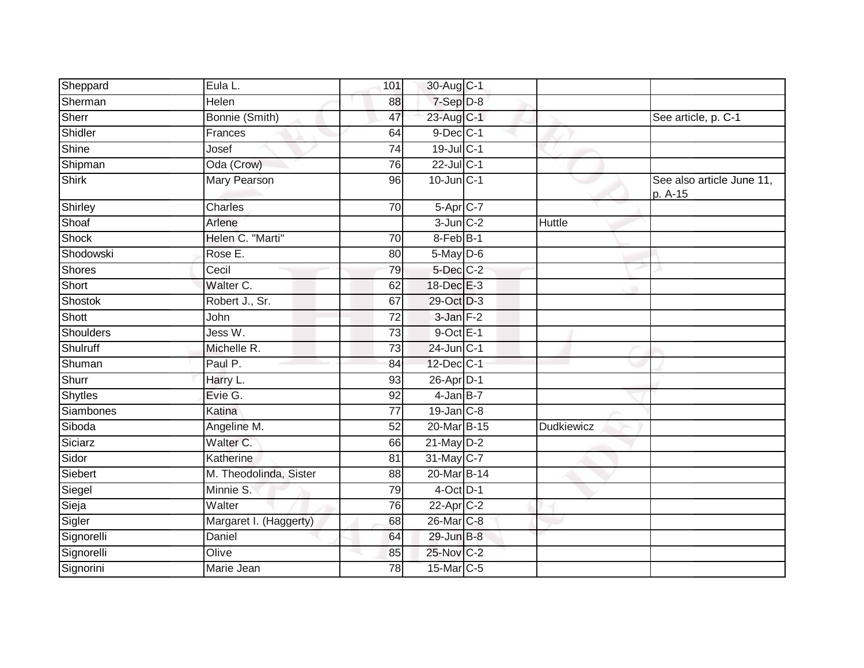| Sheppard       | Eula L.                | 101             | 30-Aug C-1           |            |                                      |
|----------------|------------------------|-----------------|----------------------|------------|--------------------------------------|
| Sherman        | Helen                  | 88              | 7-Sep D-8            |            |                                      |
| Sherr          | Bonnie (Smith)         | 47              | 23-Aug C-1           |            | See article, p. C-1                  |
| Shidler        | Frances                | 64              | $9$ -Dec $C-1$       |            |                                      |
| Shine          | Josef                  | $\overline{74}$ | 19-Jul C-1           |            |                                      |
| Shipman        | Oda (Crow)             | 76              | $22$ -Jul C-1        |            |                                      |
| Shirk          | Mary Pearson           | 96              | $10$ -Jun $C-1$      |            | See also article June 11,<br>p. A-15 |
| Shirley        | Charles                | 70              | 5-Apr C-7            |            |                                      |
| Shoaf          | Arlene                 |                 | $3$ -Jun $C-2$       | Huttle     |                                      |
| Shock          | Helen C. "Marti"       | 70              | 8-Feb <sup>B-1</sup> |            |                                      |
| Shodowski      | Rose E.                | 80              | 5-May D-6            |            |                                      |
| Shores         | Cecil                  | 79              | $5$ -Dec $C$ -2      |            |                                      |
| Short          | Walter C.              | 62              | 18-Dec E-3           |            |                                      |
| Shostok        | Robert J., Sr.         | 67              | 29-Oct D-3           |            |                                      |
| Shott          | John                   | $\overline{72}$ | 3-Jan F-2            |            |                                      |
| Shoulders      | Jess W.                | 73              | $9$ -Oct $E-1$       |            |                                      |
| Shulruff       | Michelle R.            | 73              | 24-Jun C-1           |            |                                      |
| Shuman         | Paul P.                | 84              | 12-Dec C-1           |            |                                      |
| Shurr          | Harry L.               | 93              | $26$ -Apr $D-1$      |            |                                      |
| <b>Shytles</b> | Evie G.                | 92              | $4$ -Jan B-7         |            |                                      |
| Siambones      | Katina                 | 77              | $19$ -Jan $C-8$      |            |                                      |
| Siboda         | Angeline M.            | 52              | 20-Mar B-15          | Dudkiewicz |                                      |
| Siciarz        | Walter C.              | 66              | $21$ -May $D-2$      |            |                                      |
| Sidor          | Katherine              | 81              | 31-May C-7           |            |                                      |
| Siebert        | M. Theodolinda, Sister | 88              | 20-Mar B-14          |            |                                      |
| Siegel         | Minnie S.              | 79              | $4$ -Oct $D-1$       |            |                                      |
| Sieja          | Walter                 | 76              | 22-Apr C-2           |            |                                      |
| Sigler         | Margaret I. (Haggerty) | 68              | 26-Mar C-8           |            |                                      |
| Signorelli     | Daniel                 | 64              | 29-Jun B-8           |            |                                      |
| Signorelli     | Olive                  | 85              | 25-Nov C-2           |            |                                      |
| Signorini      | Marie Jean             | 78              | $15$ -Mar $ C-5 $    |            |                                      |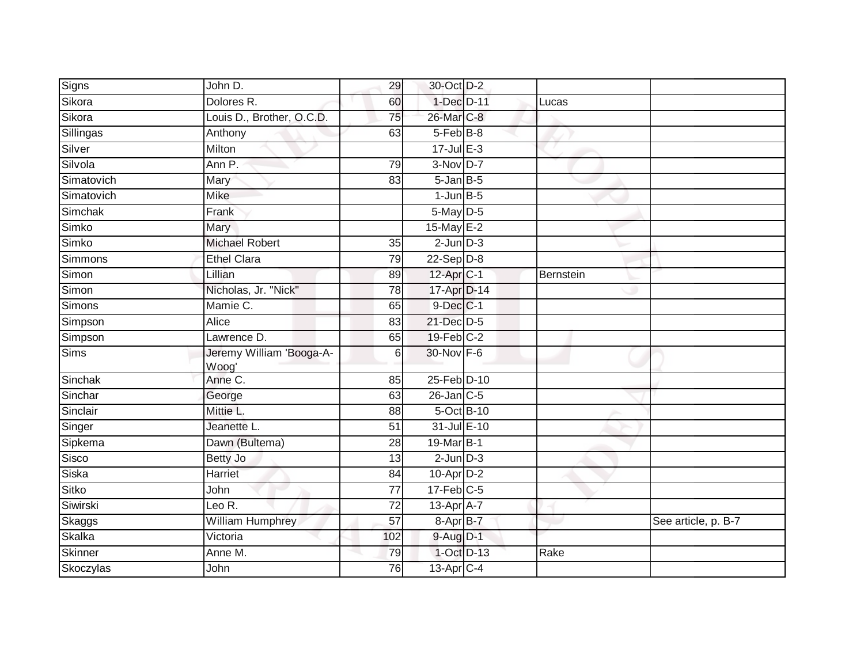| Sikora<br>Dolores R.<br>1-Dec D-11<br>60<br>Lucas<br>Sikora<br>Louis D., Brother, O.C.D.<br>26-Mar C-8<br>75<br>5-Feb B-8<br>63<br>Anthony<br>Silver<br>$17 -$ Jul E-3<br>Milton<br>Silvola<br>$3-Nov$ D-7<br>79<br>Ann P.<br>Simatovich<br>$5 - Jan$ $B-5$<br>Mary<br>83<br>Simatovich<br>$1$ -Jun $B$ -5<br><b>Mike</b><br>$5$ -May $D-5$<br>Frank<br>Simko<br>Mary<br>15-May E-2<br>Simko<br><b>Michael Robert</b><br>$2$ -Jun $D-3$<br>35<br>Simmons<br><b>Ethel Clara</b><br>$22-Sep D-8$<br>79<br>$12$ -Apr $C-1$<br>Lillian<br>Bernstein<br>89<br>Simon<br>Nicholas, Jr. "Nick"<br>17-Apr D-14<br>78<br>$9$ -Dec $C-1$<br>Mamie C.<br>65<br>21-Dec D-5<br>Alice<br>83<br>$19$ -Feb $C-2$<br>Lawrence D.<br>65<br>30-Nov F-6<br>Sims<br>Jeremy William 'Booga-A-<br>6<br>Woog'<br>Anne C.<br>Sinchak<br>25-Feb D-10<br>85<br>$26$ -Jan $C$ -5<br>George<br>63<br>Sinclair<br>5-Oct B-10<br>Mittie L.<br>88<br>31-Jul E-10<br>Jeanette L.<br>51<br>19-Mar B-1<br>Dawn (Bultema)<br>28<br>Sisco<br>$2$ -Jun $D-3$<br>Betty Jo<br>13<br><b>Siska</b><br><b>Harriet</b><br>$10$ -Apr $D-2$<br>84<br>Sitko<br>$17$ -Feb $C-5$<br>John<br>77<br>Siwirski<br>Leo $\overline{\mathsf{R}.}$<br>13-Apr A-7<br>$\overline{72}$<br>$\overline{57}$<br>William Humphrey<br>8-Apr B-7<br>See article, p. B-7<br>Skalka<br>Victoria<br>9-Aug D-1<br>102<br>1-Oct D-13<br>Rake<br>Anne M.<br>79<br>$13$ -Apr $C-4$<br>John<br>76 | Signs | John D. | 29 | 30-Oct D-2 |  |  |
|------------------------------------------------------------------------------------------------------------------------------------------------------------------------------------------------------------------------------------------------------------------------------------------------------------------------------------------------------------------------------------------------------------------------------------------------------------------------------------------------------------------------------------------------------------------------------------------------------------------------------------------------------------------------------------------------------------------------------------------------------------------------------------------------------------------------------------------------------------------------------------------------------------------------------------------------------------------------------------------------------------------------------------------------------------------------------------------------------------------------------------------------------------------------------------------------------------------------------------------------------------------------------------------------------------------------------------------------------------------------------------------------------------------------|-------|---------|----|------------|--|--|
|                                                                                                                                                                                                                                                                                                                                                                                                                                                                                                                                                                                                                                                                                                                                                                                                                                                                                                                                                                                                                                                                                                                                                                                                                                                                                                                                                                                                                        |       |         |    |            |  |  |
| Sillingas<br>Simchak<br>Simons<br>Simpson<br>Simpson<br>Sinchar<br>Singer<br>Sipkema<br>Skaggs<br>Skinner<br>Skoczylas                                                                                                                                                                                                                                                                                                                                                                                                                                                                                                                                                                                                                                                                                                                                                                                                                                                                                                                                                                                                                                                                                                                                                                                                                                                                                                 |       |         |    |            |  |  |
|                                                                                                                                                                                                                                                                                                                                                                                                                                                                                                                                                                                                                                                                                                                                                                                                                                                                                                                                                                                                                                                                                                                                                                                                                                                                                                                                                                                                                        |       |         |    |            |  |  |
|                                                                                                                                                                                                                                                                                                                                                                                                                                                                                                                                                                                                                                                                                                                                                                                                                                                                                                                                                                                                                                                                                                                                                                                                                                                                                                                                                                                                                        |       |         |    |            |  |  |
|                                                                                                                                                                                                                                                                                                                                                                                                                                                                                                                                                                                                                                                                                                                                                                                                                                                                                                                                                                                                                                                                                                                                                                                                                                                                                                                                                                                                                        |       |         |    |            |  |  |
|                                                                                                                                                                                                                                                                                                                                                                                                                                                                                                                                                                                                                                                                                                                                                                                                                                                                                                                                                                                                                                                                                                                                                                                                                                                                                                                                                                                                                        |       |         |    |            |  |  |
|                                                                                                                                                                                                                                                                                                                                                                                                                                                                                                                                                                                                                                                                                                                                                                                                                                                                                                                                                                                                                                                                                                                                                                                                                                                                                                                                                                                                                        |       |         |    |            |  |  |
|                                                                                                                                                                                                                                                                                                                                                                                                                                                                                                                                                                                                                                                                                                                                                                                                                                                                                                                                                                                                                                                                                                                                                                                                                                                                                                                                                                                                                        |       |         |    |            |  |  |
|                                                                                                                                                                                                                                                                                                                                                                                                                                                                                                                                                                                                                                                                                                                                                                                                                                                                                                                                                                                                                                                                                                                                                                                                                                                                                                                                                                                                                        |       |         |    |            |  |  |
|                                                                                                                                                                                                                                                                                                                                                                                                                                                                                                                                                                                                                                                                                                                                                                                                                                                                                                                                                                                                                                                                                                                                                                                                                                                                                                                                                                                                                        |       |         |    |            |  |  |
|                                                                                                                                                                                                                                                                                                                                                                                                                                                                                                                                                                                                                                                                                                                                                                                                                                                                                                                                                                                                                                                                                                                                                                                                                                                                                                                                                                                                                        |       |         |    |            |  |  |
|                                                                                                                                                                                                                                                                                                                                                                                                                                                                                                                                                                                                                                                                                                                                                                                                                                                                                                                                                                                                                                                                                                                                                                                                                                                                                                                                                                                                                        | Simon |         |    |            |  |  |
|                                                                                                                                                                                                                                                                                                                                                                                                                                                                                                                                                                                                                                                                                                                                                                                                                                                                                                                                                                                                                                                                                                                                                                                                                                                                                                                                                                                                                        |       |         |    |            |  |  |
|                                                                                                                                                                                                                                                                                                                                                                                                                                                                                                                                                                                                                                                                                                                                                                                                                                                                                                                                                                                                                                                                                                                                                                                                                                                                                                                                                                                                                        |       |         |    |            |  |  |
|                                                                                                                                                                                                                                                                                                                                                                                                                                                                                                                                                                                                                                                                                                                                                                                                                                                                                                                                                                                                                                                                                                                                                                                                                                                                                                                                                                                                                        |       |         |    |            |  |  |
|                                                                                                                                                                                                                                                                                                                                                                                                                                                                                                                                                                                                                                                                                                                                                                                                                                                                                                                                                                                                                                                                                                                                                                                                                                                                                                                                                                                                                        |       |         |    |            |  |  |
|                                                                                                                                                                                                                                                                                                                                                                                                                                                                                                                                                                                                                                                                                                                                                                                                                                                                                                                                                                                                                                                                                                                                                                                                                                                                                                                                                                                                                        |       |         |    |            |  |  |
|                                                                                                                                                                                                                                                                                                                                                                                                                                                                                                                                                                                                                                                                                                                                                                                                                                                                                                                                                                                                                                                                                                                                                                                                                                                                                                                                                                                                                        |       |         |    |            |  |  |
|                                                                                                                                                                                                                                                                                                                                                                                                                                                                                                                                                                                                                                                                                                                                                                                                                                                                                                                                                                                                                                                                                                                                                                                                                                                                                                                                                                                                                        |       |         |    |            |  |  |
|                                                                                                                                                                                                                                                                                                                                                                                                                                                                                                                                                                                                                                                                                                                                                                                                                                                                                                                                                                                                                                                                                                                                                                                                                                                                                                                                                                                                                        |       |         |    |            |  |  |
|                                                                                                                                                                                                                                                                                                                                                                                                                                                                                                                                                                                                                                                                                                                                                                                                                                                                                                                                                                                                                                                                                                                                                                                                                                                                                                                                                                                                                        |       |         |    |            |  |  |
|                                                                                                                                                                                                                                                                                                                                                                                                                                                                                                                                                                                                                                                                                                                                                                                                                                                                                                                                                                                                                                                                                                                                                                                                                                                                                                                                                                                                                        |       |         |    |            |  |  |
|                                                                                                                                                                                                                                                                                                                                                                                                                                                                                                                                                                                                                                                                                                                                                                                                                                                                                                                                                                                                                                                                                                                                                                                                                                                                                                                                                                                                                        |       |         |    |            |  |  |
|                                                                                                                                                                                                                                                                                                                                                                                                                                                                                                                                                                                                                                                                                                                                                                                                                                                                                                                                                                                                                                                                                                                                                                                                                                                                                                                                                                                                                        |       |         |    |            |  |  |
|                                                                                                                                                                                                                                                                                                                                                                                                                                                                                                                                                                                                                                                                                                                                                                                                                                                                                                                                                                                                                                                                                                                                                                                                                                                                                                                                                                                                                        |       |         |    |            |  |  |
|                                                                                                                                                                                                                                                                                                                                                                                                                                                                                                                                                                                                                                                                                                                                                                                                                                                                                                                                                                                                                                                                                                                                                                                                                                                                                                                                                                                                                        |       |         |    |            |  |  |
|                                                                                                                                                                                                                                                                                                                                                                                                                                                                                                                                                                                                                                                                                                                                                                                                                                                                                                                                                                                                                                                                                                                                                                                                                                                                                                                                                                                                                        |       |         |    |            |  |  |
|                                                                                                                                                                                                                                                                                                                                                                                                                                                                                                                                                                                                                                                                                                                                                                                                                                                                                                                                                                                                                                                                                                                                                                                                                                                                                                                                                                                                                        |       |         |    |            |  |  |
|                                                                                                                                                                                                                                                                                                                                                                                                                                                                                                                                                                                                                                                                                                                                                                                                                                                                                                                                                                                                                                                                                                                                                                                                                                                                                                                                                                                                                        |       |         |    |            |  |  |
|                                                                                                                                                                                                                                                                                                                                                                                                                                                                                                                                                                                                                                                                                                                                                                                                                                                                                                                                                                                                                                                                                                                                                                                                                                                                                                                                                                                                                        |       |         |    |            |  |  |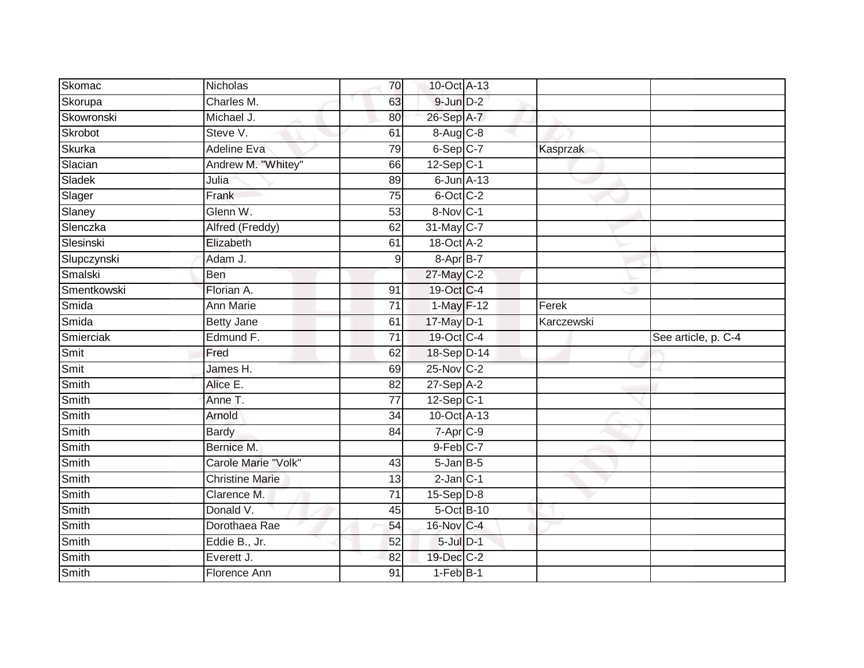| Skomac         | Nicholas                   | 70              | 10-Oct A-13              |            |                     |
|----------------|----------------------------|-----------------|--------------------------|------------|---------------------|
| Skorupa        | Charles M.                 | 63              | $9$ -Jun $D-2$           |            |                     |
| Skowronski     | Michael J.                 | 80              | 26-Sep A-7               |            |                     |
| Skrobot        | Steve V.                   | 61              | 8-Aug C-8                |            |                     |
| Skurka         | <b>Adeline Eva</b>         | 79              | 6-Sep C-7                | Kasprzak   |                     |
| Slacian        | Andrew M. "Whitey"         | 66              | $12-Sep C-1$             |            |                     |
| Sladek         | Julia                      | 89              | $6$ -Jun $A-13$          |            |                     |
| Slager         | Frank                      | 75              | 6-Oct C-2                |            |                     |
| Slaney         | Glenn W.                   | 53              | 8-Nov C-1                |            |                     |
| Slenczka       | Alfred (Freddy)            | 62              | 31-May C-7               |            |                     |
| Slesinski      | Elizabeth                  | 61              | $18-Oct$ A-2             |            |                     |
| Slupczynski    | Adam J.                    | $\mathsf 9$     | 8-Apr B-7                |            |                     |
| Smalski        | Ben                        |                 | 27-May C-2               |            |                     |
| Smentkowski    | Florian A.                 | 91              | 19-Oct C-4               |            |                     |
| Smida          | <b>Ann Marie</b>           | $\overline{71}$ | 1-May F-12               | Ferek      |                     |
| Smida          | <b>Betty Jane</b>          | 61              | 17-May D-1               | Karczewski |                     |
|                |                            |                 |                          |            |                     |
| Smierciak      | Edmund F.                  | $\overline{71}$ | 19-Oct C-4               |            | See article, p. C-4 |
| Smit           | Fred                       | 62              | 18-Sep D-14              |            |                     |
| Smit           | James H.                   | 69              | $25$ -Nov $ C-2 $        |            |                     |
| Smith          | Alice E.                   | 82              | $27-Sep$ A-2             |            |                     |
| Smith          | Anne T.                    | 77              | $12-Sep C-1$             |            |                     |
| Smith          | Arnold                     | $\overline{34}$ | 10-Oct A-13              |            |                     |
| Smith          | <b>Bardy</b>               | 84              | $7-Apr$ <sub>C-9</sub>   |            |                     |
| Smith          | Bernice M.                 |                 | $9$ -Feb $C$ -7          |            |                     |
| Smith          | Carole Marie "Volk"        | 43              | $5 - Jan$ $B - 5$        |            |                     |
| Smith          | <b>Christine Marie</b>     | 13              | $2$ -Jan $C-1$           |            |                     |
| Smith          | Clarence M.                | $\overline{71}$ | $15-Sep$ D-8             |            |                     |
| Smith          | Donald V.                  | 45              | 5-Oct B-10               |            |                     |
| Smith          | Dorothaea Rae              | 54              | 16-Nov C-4               |            |                     |
| Smith          | Eddie B., Jr.              | 52              | $5$ -Jul $D-1$           |            |                     |
| Smith<br>Smith | Everett J.<br>Florence Ann | 82              | 19-Dec C-2<br>$1-FebB-1$ |            |                     |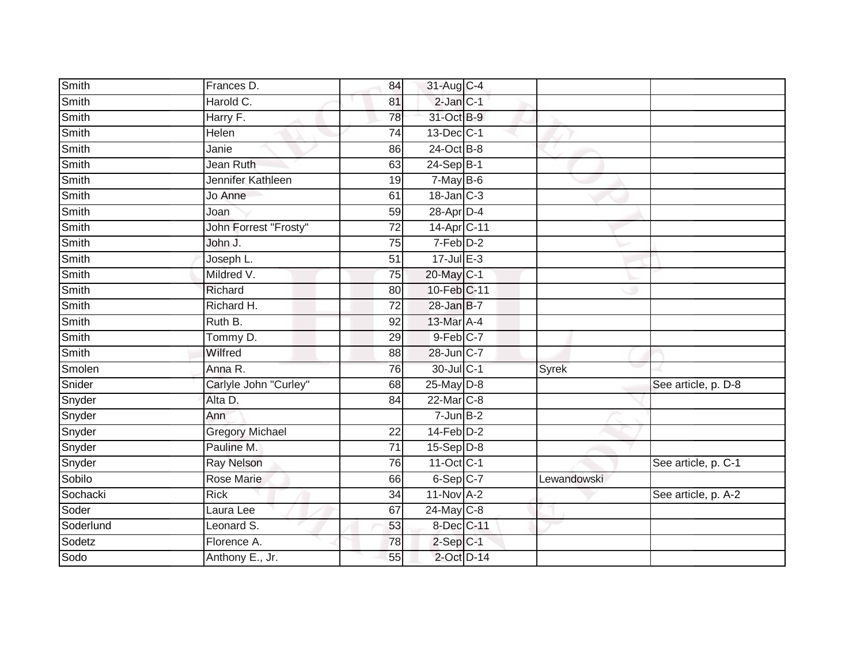| Smith        | Frances D.             | 84              | 31-Aug C-4              |             |                     |
|--------------|------------------------|-----------------|-------------------------|-------------|---------------------|
| <b>Smith</b> | Harold C.              | 81              | $2$ -Jan $C-1$          |             |                     |
| <b>Smith</b> | Harry F.               | 78              | 31-Oct B-9              |             |                     |
| Smith        | Helen                  | 74              | 13-Dec C-1              |             |                     |
| Smith        | Janie                  | 86              | $24$ -Oct B-8           |             |                     |
| Smith        | Jean Ruth              | 63              | $24-Sep B-1$            |             |                     |
| Smith        | Jennifer Kathleen      | 19              | 7-May B-6               |             |                     |
| <b>Smith</b> | Jo Anne                | 61              | $18 - Jan$ $C-3$        |             |                     |
| Smith        | Joan                   | 59              | 28-Apr D-4              |             |                     |
| Smith        | John Forrest "Frosty"  | 72              | 14-Apr C-11             |             |                     |
| Smith        | John J.                | 75              | 7-Feb D-2               |             |                     |
| Smith        | Joseph L.              | 51              | $17 -$ Jul $E - 3$      |             |                     |
| Smith        | Mildred V.             | 75              | 20-May C-1              |             |                     |
| Smith        | Richard                | 80              | 10-Feb C-11             |             |                     |
| Smith        | Richard H.             | $\overline{72}$ | 28-Jan B-7              |             |                     |
| Smith        | Ruth B.                | 92              | 13-Mar A-4              |             |                     |
| Smith        | Tommy D.               | 29              | 9-Feb C-7               |             |                     |
| Smith        | Wilfred                | 88              | 28-Jun C-7              |             |                     |
| Smolen       | Anna R.                | 76              | 30-Jul C-1              | Syrek       |                     |
| Snider       | Carlyle John "Curley"  | 68              | 25-May D-8              |             | See article, p. D-8 |
| Snyder       | Alta D.                | 84              | 22-Mar C-8              |             |                     |
| Snyder       | Ann                    |                 | $7 - Jun$ B-2           |             |                     |
| Snyder       | <b>Gregory Michael</b> | 22              | $14$ -Feb $D-2$         |             |                     |
| Snyder       | Pauline M.             | 71              | $15-Sep D-8$            |             |                     |
| Snyder       | <b>Ray Nelson</b>      | 76              | $11-Oct$ <sub>C-1</sub> |             | See article, p. C-1 |
| Sobilo       | <b>Rose Marie</b>      | 66              | $6-Sep$ $C-7$           | Lewandowski |                     |
| Sochacki     | <b>Rick</b>            | 34              | $11-Nov$ A-2            |             | See article, p. A-2 |
| Soder        | Laura Lee              | 67              | $24$ -May C-8           |             |                     |
| Soderlund    | Leonard S.             | 53              | 8-Dec C-11              |             |                     |
| Sodetz       | Florence A.            | 78              | $2-Sep C-1$             |             |                     |
| Sodo         | Anthony E., Jr.        | 55              | 2-Oct D-14              |             |                     |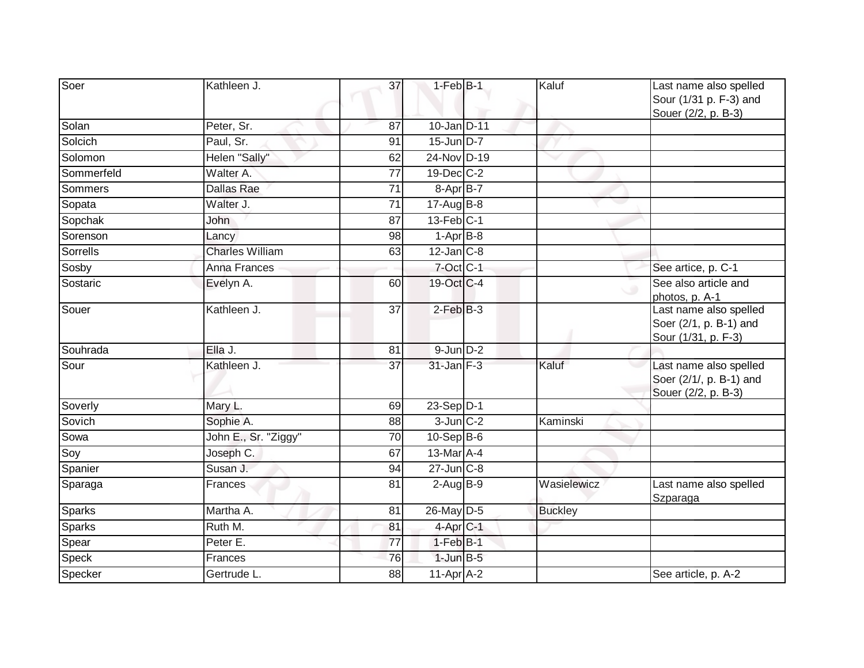| Soer          | Kathleen J.            | 37              | $1-FebB-1$        | Kaluf          | Last name also spelled<br>Sour (1/31 p. F-3) and<br>Souer (2/2, p. B-3)  |
|---------------|------------------------|-----------------|-------------------|----------------|--------------------------------------------------------------------------|
| Solan         | Peter, Sr.             | 87              | 10-Jan D-11       |                |                                                                          |
| Solcich       | Paul, Sr.              | 91              | 15-Jun D-7        |                |                                                                          |
| Solomon       | Helen "Sally"          | 62              | 24-Nov D-19       |                |                                                                          |
| Sommerfeld    | Walter A.              | $\overline{77}$ | $19$ -Dec $C-2$   |                |                                                                          |
| Sommers       | Dallas Rae             | 71              | $8-$ Apr $B-7$    |                |                                                                          |
| Sopata        | Walter J.              | $\overline{71}$ | 17-Aug B-8        |                |                                                                          |
| Sopchak       | John                   | 87              | $13$ -Feb $ C-1 $ |                |                                                                          |
| Sorenson      | Lancy                  | 98              | $1-AprB-8$        |                |                                                                          |
| Sorrells      | <b>Charles William</b> | 63              | $12$ -Jan $C-8$   |                |                                                                          |
| Sosby         | <b>Anna Frances</b>    |                 | 7-Oct C-1         |                | See artice, p. C-1                                                       |
| Sostaric      | Evelyn A.              | 60              | 19-Oct C-4        |                | See also article and<br>photos, p. A-1                                   |
| Souer         | Kathleen J.            | 37              | $2-FebB-3$        |                | Last name also spelled<br>Soer (2/1, p. B-1) and<br>Sour (1/31, p. F-3)  |
| Souhrada      | Ella J.                | 81              | $9$ -Jun $D-2$    |                |                                                                          |
| Sour          | Kathleen J.            | $\overline{37}$ | $31$ -Jan $F-3$   | Kaluf          | Last name also spelled<br>Soer (2/1/, p. B-1) and<br>Souer (2/2, p. B-3) |
| Soverly       | Mary L.                | 69              | 23-Sep D-1        |                |                                                                          |
| Sovich        | Sophie A.              | 88              | $3$ -Jun $C-2$    | Kaminski       |                                                                          |
| Sowa          | John E., Sr. "Ziggy"   | 70              | $10-Sep$ B-6      |                |                                                                          |
| Soy           | Joseph C.              | 67              | $13$ -Mar $A$ -4  |                |                                                                          |
| Spanier       | Susan J.               | 94              | $27$ -Jun $C-8$   |                |                                                                          |
| Sparaga       | Frances                | 81              | $2$ -Aug $B-9$    | Wasielewicz    | Last name also spelled<br>Szparaga                                       |
| <b>Sparks</b> | Martha A.              | 81              | 26-May D-5        | <b>Buckley</b> |                                                                          |
| Sparks        | Ruth M.                | 81              | $4$ -Apr $C-1$    |                |                                                                          |
| Spear         | Peter E.               | 77              | $1-FebB-1$        |                |                                                                          |
| Speck         | Frances                | 76              | $1$ -Jun $B-5$    |                |                                                                          |
| Specker       | Gertrude L.            | $\overline{88}$ | $11-Apr$ A-2      |                | See article, p. A-2                                                      |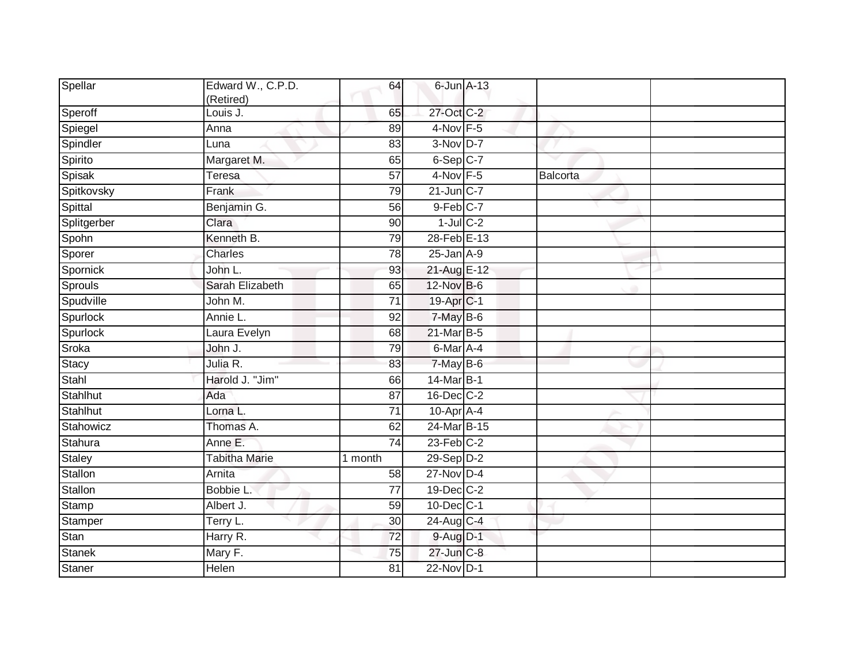| Spellar       | Edward W., C.P.D.<br>(Retired) | 64              | 6-Jun A-13                 |          |  |
|---------------|--------------------------------|-----------------|----------------------------|----------|--|
| Speroff       | Louis J.                       | 65              | 27-Oct C-2                 |          |  |
| Spiegel       | Anna                           | 89              | 4-Nov F-5                  |          |  |
| Spindler      | Luna                           | 83              | 3-Nov D-7                  |          |  |
| Spirito       | Margaret M.                    | 65              | $6-Sep C-7$                |          |  |
| Spisak        | Teresa                         | 57              | $4$ -Nov $F - 5$           | Balcorta |  |
| Spitkovsky    | Frank                          | 79              | $21$ -Jun $C-7$            |          |  |
| Spittal       | Benjamin G.                    | $\overline{56}$ | $9$ -Feb $C$ -7            |          |  |
| Splitgerber   | Clara                          | 90              | $1$ -Jul $C-2$             |          |  |
| Spohn         | Kenneth B.                     | 79              | 28-Feb E-13                |          |  |
| Sporer        | Charles                        | 78              | $25$ -Jan $A-9$            |          |  |
| Spornick      | John L.                        | 93              | 21-Aug E-12                |          |  |
| Sprouls       | Sarah Elizabeth                | 65              | 12-Nov B-6                 |          |  |
| Spudville     | John M.                        | 71              | 19-Apr <sub>C-1</sub>      |          |  |
| Spurlock      | Annie L.                       | 92              | 7-May B-6                  |          |  |
| Spurlock      | Laura Evelyn                   | 68              | 21-Mar B-5                 |          |  |
| Sroka         | John J.                        | 79              | $6$ -Mar $\overline{A}$ -4 |          |  |
| Stacy         | Julia R.                       | 83              | 7-May B-6                  |          |  |
| Stahl         | Harold J. "Jim"                | 66              | 14-Mar B-1                 |          |  |
| Stahlhut      | Ada                            | $\overline{87}$ | $16$ -Dec $C-2$            |          |  |
| Stahlhut      | Lorna L.                       | 71              | $10-Apr$ A-4               |          |  |
| Stahowicz     | Thomas A.                      | 62              | $24$ -Mar B-15             |          |  |
| Stahura       | Anne E.                        | $\overline{74}$ | $23$ -Feb $C-2$            |          |  |
| <b>Staley</b> | <b>Tabitha Marie</b>           | 1 month         | 29-Sep D-2                 |          |  |
| Stallon       | Arnita                         | $\overline{58}$ | $27$ -Nov D-4              |          |  |
| Stallon       | Bobbie L.                      | 77              | 19-Dec C-2                 |          |  |
| Stamp         | Albert J.                      | 59              | 10-Dec C-1                 |          |  |
| Stamper       | Terry L.                       | 30              | 24-Aug C-4                 |          |  |
| Stan          | Harry R.                       | $\overline{72}$ | $9-Aug$ $D-1$              |          |  |
| <b>Stanek</b> | Mary F.                        | 75              | 27-Jun C-8                 |          |  |
| Staner        | Helen                          | 81              | 22-Nov D-1                 |          |  |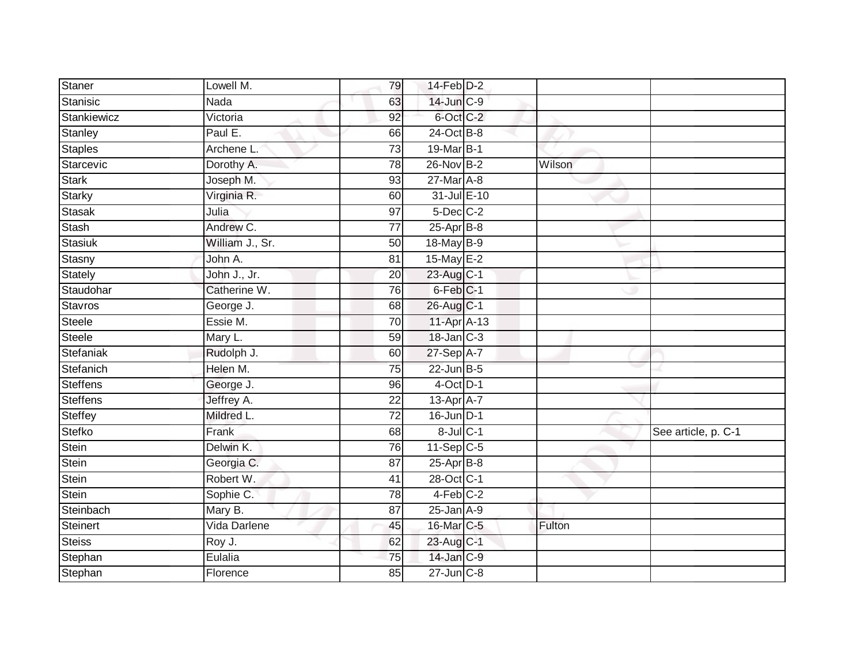| <b>Staner</b>   | Lowell M.       | 79              | $14$ -Feb $D-2$      |        |                     |
|-----------------|-----------------|-----------------|----------------------|--------|---------------------|
| Stanisic        | Nada            | 63              | 14-Jun C-9           |        |                     |
| Stankiewicz     | Victoria        | 92              | 6-Oct C-2            |        |                     |
| Stanley         | Paul E.         | 66              | $24$ -Oct B-8        |        |                     |
| <b>Staples</b>  | Archene L.      | $\overline{73}$ | 19-Mar B-1           |        |                     |
| Starcevic       | Dorothy A.      | 78              | 26-Nov B-2           | Wilson |                     |
| <b>Stark</b>    | Joseph M.       | 93              | 27-Mar A-8           |        |                     |
| <b>Starky</b>   | Virginia R.     | 60              | 31-Jul E-10          |        |                     |
| Stasak          | Julia           | 97              | $5$ -Dec $C$ -2      |        |                     |
| <b>Stash</b>    | Andrew C.       | $\overline{77}$ | $25$ -Apr $B$ -8     |        |                     |
| Stasiuk         | William J., Sr. | 50              | 18-May B-9           |        |                     |
| Stasny          | John A.         | 81              | 15-May $E-2$         |        |                     |
| Stately         | John J., Jr.    | 20              | 23-Aug C-1           |        |                     |
| Staudohar       | Catherine W.    | 76              | 6-Feb <sup>C-1</sup> |        |                     |
| Stavros         | George J.       | 68              | 26-Aug C-1           |        |                     |
| <b>Steele</b>   | Essie M.        | 70              | 11-Apr A-13          |        |                     |
| Steele          | Mary L.         | 59              | $18$ -Jan $C-3$      |        |                     |
| Stefaniak       | Rudolph J.      | 60              | 27-Sep A-7           |        |                     |
| Stefanich       | Helen M.        | 75              | 22-Jun B-5           |        |                     |
| <b>Steffens</b> | George J.       | 96              | $4$ -Oct $D-1$       |        |                     |
| <b>Steffens</b> | Jeffrey A.      | 22              | 13-Apr A-7           |        |                     |
| Steffey         | Mildred L.      | $\overline{72}$ | $16$ -Jun $D-1$      |        |                     |
| Stefko          | Frank           | 68              | $8$ -Jul $C-1$       |        | See article, p. C-1 |
| Stein           | Delwin K.       | 76              | $11-Sep C-5$         |        |                     |
| Stein           | Georgia C.      | 87              | $25$ -Apr $B$ -8     |        |                     |
| Stein           | Robert W.       | 41              | 28-Oct C-1           |        |                     |
| <b>Stein</b>    | Sophie C.       | 78              | $4-Feb$ $C-2$        |        |                     |
| Steinbach       | Mary B.         | 87              | $25$ -Jan A-9        |        |                     |
| <b>Steinert</b> | Vida Darlene    | 45              | 16-Mar C-5           | Fulton |                     |
| Steiss          | Roy J.          | 62              | 23-Aug C-1           |        |                     |
| Stephan         | Eulalia         | 75              | 14-Jan C-9           |        |                     |
| Stephan         | Florence        | 85              | $27 - Jun$ $C-8$     |        |                     |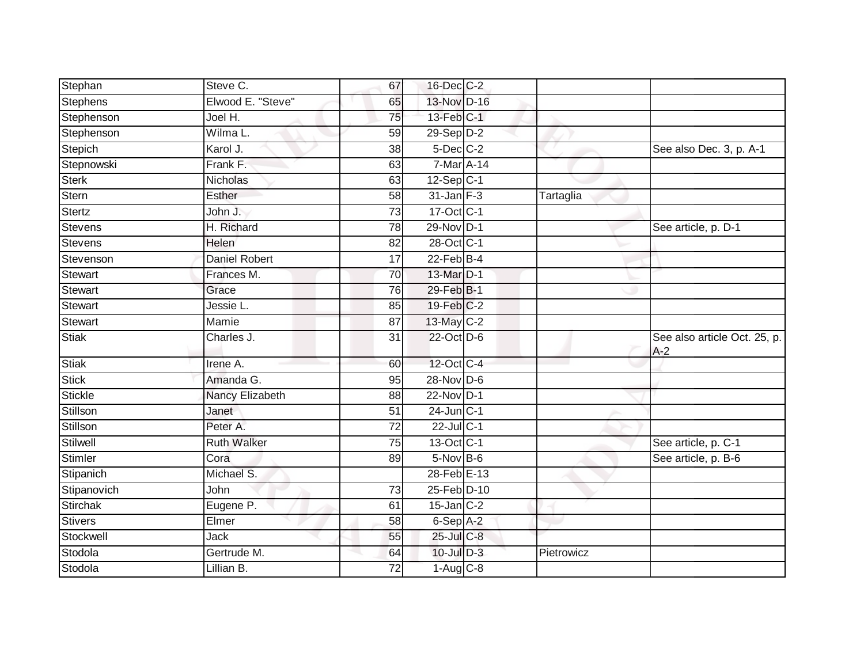| Stephan        | Steve C.             | 67              | 16-Dec C-2      |            |                                       |
|----------------|----------------------|-----------------|-----------------|------------|---------------------------------------|
| Stephens       | Elwood E. "Steve"    | 65              | 13-Nov D-16     |            |                                       |
| Stephenson     | Joel H.              | 75              | 13-Feb C-1      |            |                                       |
| Stephenson     | Wilma L.             | 59              | $29-Sep$ $D-2$  |            |                                       |
| Stepich        | Karol J.             | $\overline{38}$ | $5$ -Dec $C$ -2 |            | See also Dec. 3, p. A-1               |
| Stepnowski     | Frank F.             | 63              | 7-Mar A-14      |            |                                       |
| <b>Sterk</b>   | Nicholas             | 63              | $12-Sep C-1$    |            |                                       |
| Stern          | Esther               | 58              | $31$ -Jan $F-3$ | Tartaglia  |                                       |
| Stertz         | John J.              | 73              | 17-Oct C-1      |            |                                       |
| Stevens        | H. Richard           | 78              | 29-Nov D-1      |            | See article, p. D-1                   |
| Stevens        | Helen                | 82              | 28-Oct C-1      |            |                                       |
| Stevenson      | <b>Daniel Robert</b> | 17              | $22$ -Feb $B-4$ |            |                                       |
| Stewart        | Frances M.           | 70              | 13-Mar D-1      |            |                                       |
| Stewart        | Grace                | 76              | 29-Feb B-1      |            |                                       |
| Stewart        | Jessie L.            | 85              | 19-Feb C-2      |            |                                       |
| Stewart        | Mamie                | 87              | 13-May C-2      |            |                                       |
| <b>Stiak</b>   | Charles J.           | $\overline{31}$ | 22-Oct D-6      |            | See also article Oct. 25, p.<br>$A-2$ |
| <b>Stiak</b>   | Irene A.             | 60              | 12-Oct C-4      |            |                                       |
| <b>Stick</b>   | Amanda G.            | 95              | 28-Nov D-6      |            |                                       |
| <b>Stickle</b> | Nancy Elizabeth      | 88              | 22-Nov D-1      |            |                                       |
| Stillson       | Janet                | 51              | $24$ -Jun $C-1$ |            |                                       |
| Stillson       | Peter A.             | 72              | 22-Jul C-1      |            |                                       |
| Stilwell       | <b>Ruth Walker</b>   | 75              | 13-Oct C-1      |            | See article, p. C-1                   |
| Stimler        | Cora                 | 89              | 5-Nov B-6       |            | See article, p. B-6                   |
| Stipanich      | Michael S.           |                 | 28-Feb E-13     |            |                                       |
| Stipanovich    | John                 | 73              | 25-Feb D-10     |            |                                       |
| Stirchak       | Eugene P.            | 61              | $15$ -Jan $C-2$ |            |                                       |
| <b>Stivers</b> | Elmer                | 58              | 6-Sep A-2       |            |                                       |
| Stockwell      | <b>Jack</b>          | 55              | 25-Jul C-8      |            |                                       |
| Stodola        | Gertrude M.          | 64              | $10$ -Jul $D-3$ | Pietrowicz |                                       |
| Stodola        | Lillian B.           | 72              | $1-Aug$ $C-8$   |            |                                       |
|                |                      |                 |                 |            |                                       |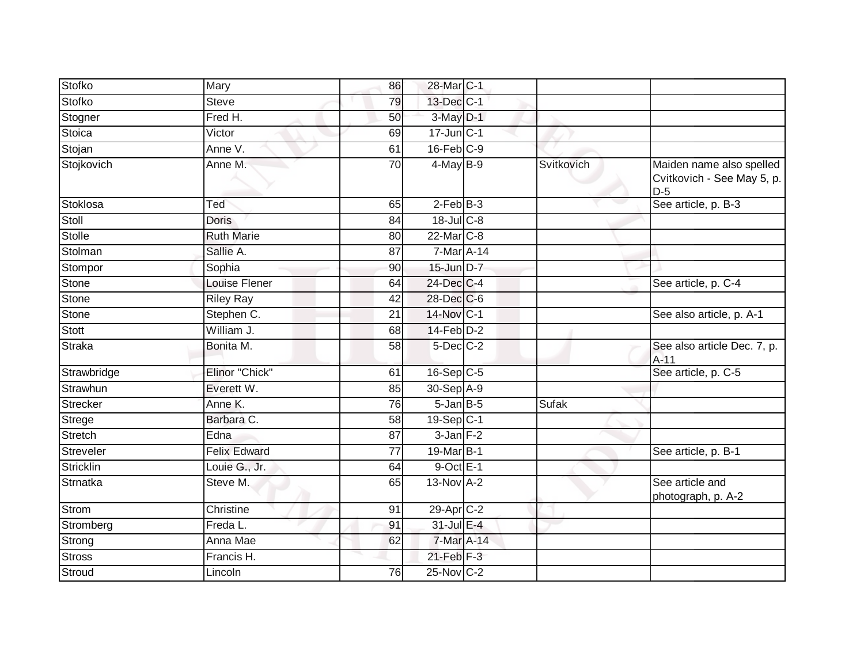| Stofko          | Mary                | 86 | 28-Mar C-1              |              |                                                                 |
|-----------------|---------------------|----|-------------------------|--------------|-----------------------------------------------------------------|
| <b>Stofko</b>   | <b>Steve</b>        | 79 | 13-Dec C-1              |              |                                                                 |
| Stogner         | Fred H.             | 50 | 3-May D-1               |              |                                                                 |
| <b>Stoica</b>   | Victor              | 69 | $17$ -Jun $C-1$         |              |                                                                 |
| Stojan          | Anne V.             | 61 | $16$ -Feb $C-9$         |              |                                                                 |
| Stojkovich      | Anne M.             | 70 | $4$ -May B-9            | Svitkovich   | Maiden name also spelled<br>Cvitkovich - See May 5, p.<br>$D-5$ |
| Stoklosa        | Ted                 | 65 | $2-FebB-3$              |              | See article, p. B-3                                             |
| Stoll           | <b>Doris</b>        | 84 | $18$ -Jul C-8           |              |                                                                 |
| <b>Stolle</b>   | <b>Ruth Marie</b>   | 80 | 22-Mar <sub>C-8</sub>   |              |                                                                 |
| Stolman         | Sallie A.           | 87 | 7-Mar A-14              |              |                                                                 |
| Stompor         | Sophia              | 90 | 15-Jun D-7              |              |                                                                 |
| <b>Stone</b>    | Louise Flener       | 64 | 24-Dec C-4              |              | See article, p. C-4                                             |
| <b>Stone</b>    | <b>Riley Ray</b>    | 42 | 28-Dec C-6              |              |                                                                 |
| <b>Stone</b>    | Stephen C.          | 21 | 14-Nov C-1              |              | See also article, p. A-1                                        |
| Stott           | William J.          | 68 | $14$ -Feb $D-2$         |              |                                                                 |
| <b>Straka</b>   | Bonita M.           | 58 | $5$ -Dec $C-2$          |              | See also article Dec. 7, p.<br>$A-11$                           |
| Strawbridge     | Elinor "Chick"      | 61 | $16-Sep$ C-5            |              | See article, p. C-5                                             |
| Strawhun        | Everett W.          | 85 | 30-Sep A-9              |              |                                                                 |
| <b>Strecker</b> | Anne K.             | 76 | $5$ -Jan $B$ -5         | <b>Sufak</b> |                                                                 |
| <b>Strege</b>   | Barbara C.          | 58 | $19-Sep$ <sub>C-1</sub> |              |                                                                 |
| <b>Stretch</b>  | Edna                | 87 | $3$ -Jan $F-2$          |              |                                                                 |
| Streveler       | <b>Felix Edward</b> | 77 | 19-Mar B-1              |              | See article, p. B-1                                             |
| Stricklin       | Louie G., Jr.       | 64 | $9$ -Oct E-1            |              |                                                                 |
| <b>Strnatka</b> | Steve M.            | 65 | 13-Nov A-2              |              | See article and<br>photograph, p. A-2                           |
| Strom           | Christine           | 91 | 29-Apr C-2              |              |                                                                 |
| Stromberg       | Freda L.            | 91 | 31-Jul E-4              |              |                                                                 |
| Strong          | Anna Mae            | 62 | 7-Mar A-14              |              |                                                                 |
| <b>Stross</b>   | Francis H.          |    | $21$ -Feb $F-3$         |              |                                                                 |
| Stroud          | Lincoln             | 76 | $25$ -Nov C-2           |              |                                                                 |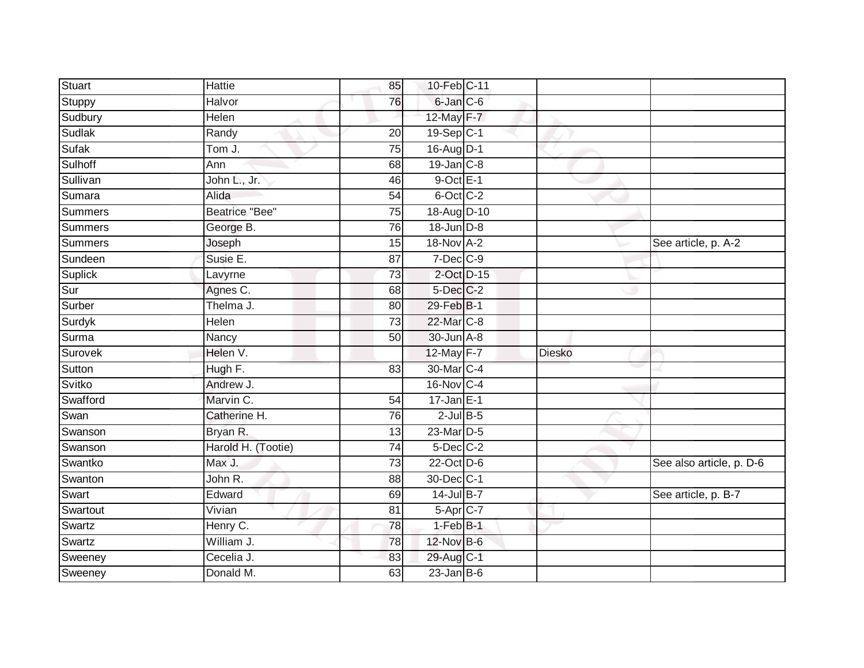| Stuart         | Hattie                | 85              | 10-Feb C-11      |        |                          |
|----------------|-----------------------|-----------------|------------------|--------|--------------------------|
| Stuppy         | Halvor                | 76              | 6-Jan C-6        |        |                          |
| Sudbury        | Helen                 |                 | 12-May F-7       |        |                          |
| Sudlak         | Randy                 | 20              | 19-Sep C-1       |        |                          |
| <b>Sufak</b>   | Tom J.                | $\overline{75}$ | 16-Aug D-1       |        |                          |
| Sulhoff        | Ann                   | 68              | $19$ -Jan $C-8$  |        |                          |
| Sullivan       | John L., Jr.          | 46              | $9$ -Oct $E-1$   |        |                          |
| Sumara         | Alida                 | 54              | 6-Oct C-2        |        |                          |
| Summers        | <b>Beatrice "Bee"</b> | 75              | 18-Aug D-10      |        |                          |
| <b>Summers</b> | George B.             | 76              | 18-Jun D-8       |        |                          |
| Summers        | Joseph                | 15              | 18-Nov A-2       |        | See article, p. A-2      |
| Sundeen        | Susie E.              | 87              | $7$ -Dec $C-9$   |        |                          |
| Suplick        | Lavyrne               | 73              | $2$ -Oct $D-15$  |        |                          |
| Sur            | Agnes C.              | 68              | $5$ -Dec $C$ -2  |        |                          |
| Surber         | Thelma J.             | 80              | 29-Feb B-1       |        |                          |
| Surdyk         | Helen                 | 73              | 22-Mar C-8       |        |                          |
| Surma          | Nancy                 | $\overline{50}$ | 30-Jun A-8       |        |                          |
| Surovek        | Helen V.              |                 | 12-May F-7       | Diesko |                          |
| Sutton         | Hugh F.               | 83              | 30-Mar C-4       |        |                          |
| Svitko         | Andrew J.             |                 | 16-Nov C-4       |        |                          |
| Swafford       | Marvin C.             | 54              | $17 - Jan \nE-1$ |        |                          |
| Swan           | Catherine H.          | 76              | $2$ -Jul $B$ -5  |        |                          |
| Swanson        | Bryan R.              | 13              | 23-Mar D-5       |        |                          |
| Swanson        | Harold H. (Tootie)    | 74              | $5$ -Dec $C$ -2  |        |                          |
| Swantko        | Max J.                | $\overline{73}$ | 22-Oct D-6       |        | See also article, p. D-6 |
| Swanton        | John R.               | 88              | 30-Dec C-1       |        |                          |
| Swart          | Edward                | 69              | 14-Jul B-7       |        | See article, p. B-7      |
| Swartout       | Vivian                | 81              | 5-Apr C-7        |        |                          |
| Swartz         | Henry C.              | 78              | $1-FebB-1$       |        |                          |
| Swartz         | William J.            | 78              | 12-Nov B-6       |        |                          |
| Sweeney        | Cecelia J.            | 83              | 29-Aug C-1       |        |                          |
| Sweeney        | Donald M.             | 63              | $23$ -Jan B-6    |        |                          |
|                |                       |                 |                  |        |                          |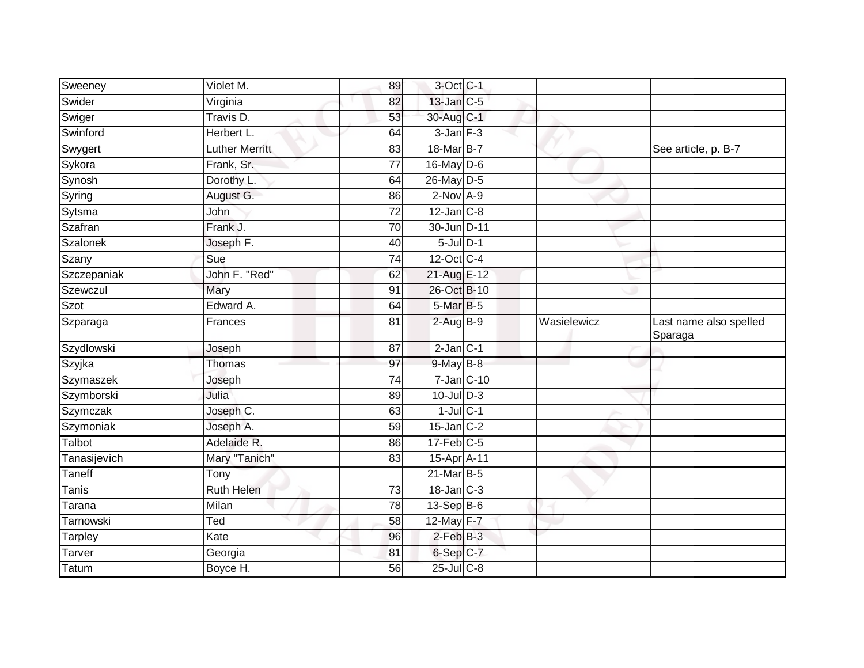| Sweeney      | Violet M.             | 89              | 3-Oct C-1         |             |                                   |
|--------------|-----------------------|-----------------|-------------------|-------------|-----------------------------------|
| Swider       | Virginia              | 82              | $13$ -Jan $C-5$   |             |                                   |
| Swiger       | Travis D.             | 53              | 30-Aug C-1        |             |                                   |
| Swinford     | Herbert L.            | 64              | $3$ -Jan $F-3$    |             |                                   |
| Swygert      | <b>Luther Merritt</b> | $\overline{83}$ | 18-Mar B-7        |             | See article, p. B-7               |
| Sykora       | Frank, Sr.            | 77              | $16$ -May D-6     |             |                                   |
| Synosh       | Dorothy L.            | 64              | $26$ -May D-5     |             |                                   |
| Syring       | August G.             | 86              | $2$ -Nov $A-9$    |             |                                   |
| Sytsma       | John                  | 72              | $12$ -Jan $C-8$   |             |                                   |
| Szafran      | Frank J.              | $\overline{70}$ | 30-Jun D-11       |             |                                   |
| Szalonek     | Joseph F.             | 40              | $5$ -Jul $D-1$    |             |                                   |
| Szany        | Sue                   | 74              | $12$ -Oct $ C-4 $ |             |                                   |
| Szczepaniak  | John F. "Red"         | 62              | 21-Aug E-12       |             |                                   |
| Szewczul     | Mary                  | 91              | 26-Oct B-10       |             |                                   |
| Szot         | Edward A.             | 64              | 5-Mar B-5         |             |                                   |
| Szparaga     | Frances               | 81              | $2-AugBB-9$       | Wasielewicz | Last name also spelled<br>Sparaga |
| Szydlowski   | Joseph                | 87              | $2$ -Jan $C-1$    |             |                                   |
| Szyjka       | Thomas                | 97              | 9-May B-8         |             |                                   |
| Szymaszek    | Joseph                | 74              | $7$ -Jan $ C-10 $ |             |                                   |
| Szymborski   | Julia                 | 89              | $10$ -Jul $D-3$   |             |                                   |
| Szymczak     | Joseph C.             | 63              | $1$ -Jul $C-1$    |             |                                   |
| Szymoniak    | Joseph A.             | 59              | $15$ -Jan $C-2$   |             |                                   |
| Talbot       | Adelaide R.           | 86              | $17$ -Feb $C$ -5  |             |                                   |
| Tanasijevich | Mary "Tanich"         | 83              | 15-Apr A-11       |             |                                   |
| Taneff       | Tony                  |                 | $21$ -Mar $B-5$   |             |                                   |
| <b>Tanis</b> | <b>Ruth Helen</b>     | 73              | $18$ -Jan $C-3$   |             |                                   |
| Tarana       | Milan                 | 78              | $13-Sep$ B-6      |             |                                   |
| Tarnowski    | Ted                   | 58              | 12-May F-7        |             |                                   |
| Tarpley      | Kate                  | 96              | $2$ -Feb $B-3$    |             |                                   |
| Tarver       | Georgia               | 81              | 6-Sep C-7         |             |                                   |
| Tatum        | Boyce H.              | 56              | $25$ -Jul $C$ -8  |             |                                   |
|              |                       |                 |                   |             |                                   |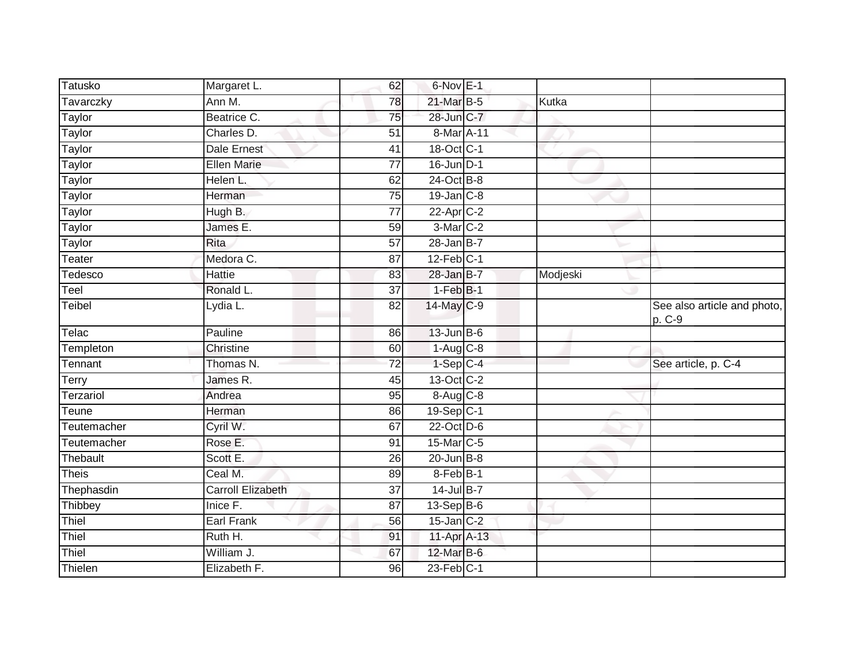| <b>Tatusko</b> | Margaret L.              | 62              | $6$ -Nov $E-1$    |          |                                       |
|----------------|--------------------------|-----------------|-------------------|----------|---------------------------------------|
| Tavarczky      | Ann M.                   | 78              | 21-Mar B-5        | Kutka    |                                       |
| Taylor         | Beatrice C.              | 75              | 28-Jun C-7        |          |                                       |
| Taylor         | Charles D.               | 51              | 8-Mar A-11        |          |                                       |
| Taylor         | <b>Dale Ernest</b>       | $\overline{41}$ | 18-Oct C-1        |          |                                       |
| Taylor         | <b>Ellen Marie</b>       | 77              | $16$ -Jun D-1     |          |                                       |
| Taylor         | Helen L.                 | 62              | 24-Oct B-8        |          |                                       |
| <b>Taylor</b>  | Herman                   | 75              | $19$ -Jan $C-8$   |          |                                       |
| Taylor         | Hugh B.                  | 77              | 22-Apr C-2        |          |                                       |
| Taylor         | James E.                 | 59              | 3-Mar C-2         |          |                                       |
| <b>Taylor</b>  | Rita                     | 57              | $28$ -Jan B-7     |          |                                       |
| Teater         | Medora C.                | 87              | $12$ -Feb $C-1$   |          |                                       |
| Tedesco        | Hattie                   | 83              | $28$ -Jan B-7     | Modjeski |                                       |
| Teel           | Ronald L.                | $\overline{37}$ | $1-FebB-1$        |          |                                       |
| <b>Teibel</b>  | Lydia L.                 | 82              | 14-May C-9        |          | See also article and photo,<br>p. C-9 |
| Telac          | Pauline                  | 86              | $13$ -Jun $B-6$   |          |                                       |
| Templeton      | Christine                | 60              | $1-Aug$ $C-8$     |          |                                       |
| Tennant        | Thomas N.                | 72              | $1-Sep$ C-4       |          | See article, p. C-4                   |
| Terry          | James R.                 | 45              | $13-Oct$ $C-2$    |          |                                       |
| Terzariol      | Andrea                   | 95              | 8-Aug C-8         |          |                                       |
| Teune          | Herman                   | 86              | $19-Sep C-1$      |          |                                       |
| Teutemacher    | Cyril W.                 | 67              | 22-Oct D-6        |          |                                       |
| Teutemacher    | Rose E.                  | 91              | 15-Mar C-5        |          |                                       |
| Thebault       | Scott E.                 | 26              | $20$ -Jun $B-8$   |          |                                       |
| <b>Theis</b>   | Ceal M.                  | 89              | 8-Feb B-1         |          |                                       |
| Thephasdin     | <b>Carroll Elizabeth</b> | 37              | $14$ -Jul B-7     |          |                                       |
| Thibbey        | Inice F.                 | 87              | $13-Sep$ B-6      |          |                                       |
| Thiel          | Earl Frank               | 56              | $15$ -Jan $C-2$   |          |                                       |
| Thiel          | Ruth H.                  | 91              | 11-Apr A-13       |          |                                       |
| Thiel          | William J.               | 67              | 12-Mar B-6        |          |                                       |
| Thielen        | Elizabeth F.             | 96              | $23$ -Feb $ C-1 $ |          |                                       |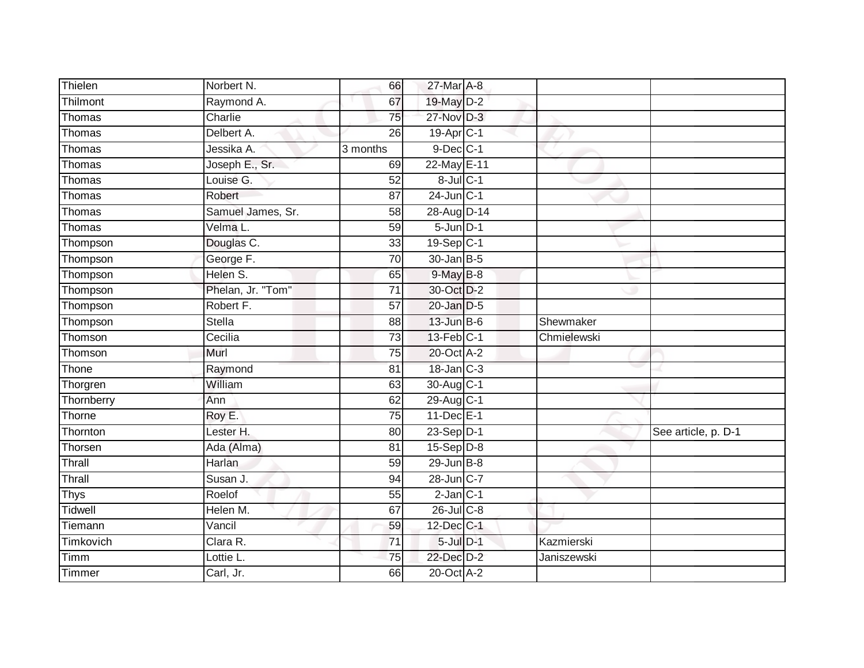| Thielen     | Norbert N.        | 66              | 27-Mar A-8            |             |                     |
|-------------|-------------------|-----------------|-----------------------|-------------|---------------------|
| Thilmont    | Raymond A.        | 67              | 19-May D-2            |             |                     |
| Thomas      | Charlie           | $\overline{75}$ | 27-Nov D-3            |             |                     |
| Thomas      | Delbert A.        | 26              | 19-Apr <sub>C-1</sub> |             |                     |
| Thomas      | Jessika A.        | 3 months        | $9$ -Dec $C-1$        |             |                     |
| Thomas      | Joseph E., Sr.    | 69              | 22-May E-11           |             |                     |
| Thomas      | Louise G.         | 52              | $8$ -Jul $C-1$        |             |                     |
| Thomas      | Robert            | 87              | $24$ -Jun $C-1$       |             |                     |
| Thomas      | Samuel James, Sr. | 58              | 28-Aug D-14           |             |                     |
| Thomas      | Velma L.          | 59              | $5 - Jun$ $D-1$       |             |                     |
| Thompson    | Douglas C.        | 33              | 19-Sep C-1            |             |                     |
| Thompson    | George F.         | $\overline{70}$ | $30 - Jan$ $B-5$      |             |                     |
| Thompson    | Helen S.          | 65              | $9$ -May $B$ -8       |             |                     |
| Thompson    | Phelan, Jr. "Tom" | 71              | 30-Oct D-2            |             |                     |
| Thompson    | Robert F.         | $\overline{57}$ | 20-Jan D-5            |             |                     |
| Thompson    | <b>Stella</b>     | 88              | $13$ -Jun $B$ -6      | Shewmaker   |                     |
| Thomson     | Cecilia           | $\overline{73}$ | 13-Feb C-1            | Chmielewski |                     |
| Thomson     | Murl              | $\overline{75}$ | 20-Oct A-2            |             |                     |
| Thone       | Raymond           | 81              | 18-Jan C-3            |             |                     |
| Thorgren    | William           | 63              | 30-Aug C-1            |             |                     |
| Thornberry  | Ann               | 62              | 29-Aug C-1            |             |                     |
| Thorne      | Roy E.            | $\overline{75}$ | $11$ -Dec $E-1$       |             |                     |
| Thornton    | Lester H.         | 80              | 23-Sep D-1            |             | See article, p. D-1 |
| Thorsen     | Ada (Alma)        | 81              | $15-Sep$ D-8          |             |                     |
| Thrall      | Harlan            | $\overline{59}$ | $29$ -Jun $B - 8$     |             |                     |
| Thrall      | Susan J.          | 94              | 28-Jun C-7            |             |                     |
| <b>Thys</b> | Roelof            | 55              | $2$ -Jan $C-1$        |             |                     |
| Tidwell     | Helen M.          | 67              | $26$ -Jul $C-8$       |             |                     |
| Tiemann     | Vancil            | 59              | 12-Dec C-1            |             |                     |
| Timkovich   | Clara R.          | $\overline{71}$ | $5$ -Jul $D-1$        | Kazmierski  |                     |
| Timm        | Lottie L.         | 75              | 22-Dec D-2            | Janiszewski |                     |
| Timmer      | Carl, Jr.         | 66              | 20-Oct A-2            |             |                     |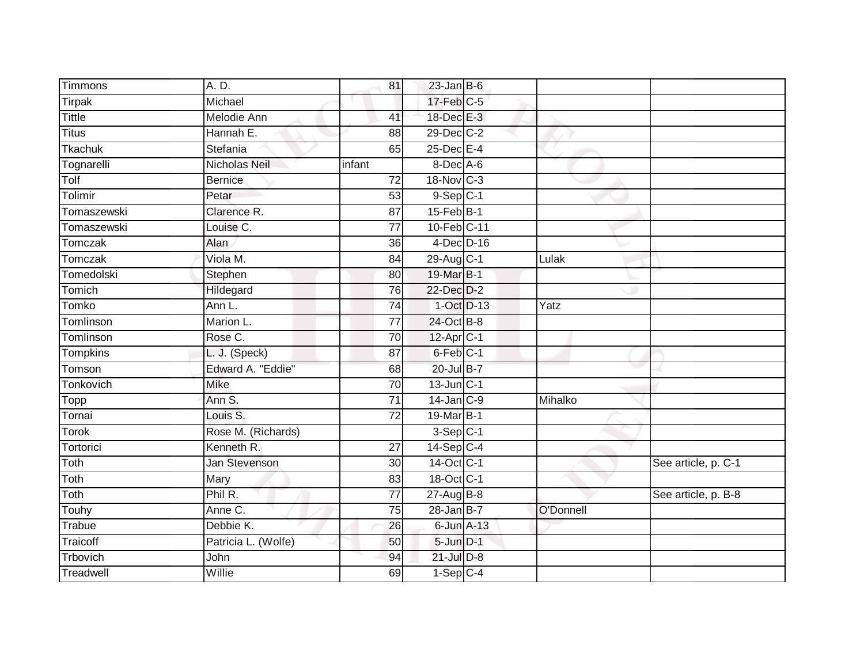| <b>Timmons</b> | A. D.               | 81              | $23$ -Jan B-6   |            |           |                     |
|----------------|---------------------|-----------------|-----------------|------------|-----------|---------------------|
| Tirpak         | Michael             |                 | $17$ -Feb $C-5$ |            |           |                     |
| <b>Tittle</b>  | <b>Melodie Ann</b>  | 41              | 18-Dec E-3      |            |           |                     |
| <b>Titus</b>   | Hannah E.           | 88              | 29-Dec C-2      |            |           |                     |
| Tkachuk        | Stefania            | 65              | 25-Dec E-4      |            |           |                     |
| Tognarelli     | Nicholas Neil       | infant          | $8$ -Dec A-6    |            |           |                     |
| Tolf           | <b>Bernice</b>      | 72              | 18-Nov C-3      |            |           |                     |
| Tolimir        | Petar               | 53              | $9-Sep$ $C-1$   |            |           |                     |
| Tomaszewski    | Clarence R.         | 87              | 15-Feb B-1      |            |           |                     |
| Tomaszewski    | Louise C.           | $\overline{77}$ | 10-Feb C-11     |            |           |                     |
| Tomczak        | Alan                | 36              | $4$ -Dec $D-16$ |            |           |                     |
| Tomczak        | Viola M.            | 84              | 29-Aug C-1      |            | Lulak     |                     |
| Tomedolski     | Stephen             | 80              | 19-Mar B-1      |            |           |                     |
| Tomich         | Hildegard           | 76              | 22-Dec D-2      |            |           |                     |
| <b>Tomko</b>   | Ann L.              | 74              |                 | 1-Oct D-13 | Yatz      |                     |
| Tomlinson      | Marion L.           | $\overline{77}$ | 24-Oct B-8      |            |           |                     |
| Tomlinson      | Rose C.             | $\overline{70}$ | $12-AprC-1$     |            |           |                     |
| Tompkins       | L. J. (Speck)       | 87              | 6-Feb C-1       |            |           |                     |
| Tomson         | Edward A. "Eddie"   | 68              | 20-Jul B-7      |            |           |                     |
| Tonkovich      | <b>Mike</b>         | 70              | 13-Jun C-1      |            |           |                     |
| Topp           | Ann S.              | 71              | $14$ -Jan $C-9$ |            | Mihalko   |                     |
| Tornai         | Louis S.            | $\overline{72}$ | 19-Mar B-1      |            |           |                     |
| <b>Torok</b>   | Rose M. (Richards)  |                 | $3-Sep$ C-1     |            |           |                     |
| Tortorici      | Kenneth R.          | 27              | $14-Sep$ C-4    |            |           |                     |
| Toth           | Jan Stevenson       | 30              | 14-Oct C-1      |            |           | See article, p. C-1 |
| Toth           | Mary                | 83              | 18-Oct C-1      |            |           |                     |
| Toth           | Phil R.             | $\overline{77}$ | $27 - Aug$ B-8  |            |           | See article, p. B-8 |
| Touhy          | Anne C.             | 75              | $28$ -Jan B-7   |            | O'Donnell |                     |
| Trabue         | Debbie K.           | 26              | 6-Jun A-13      |            |           |                     |
| Traicoff       | Patricia L. (Wolfe) | 50              | 5-Jun D-1       |            |           |                     |
| Trbovich       | John                | 94              | $21$ -Jul $D-8$ |            |           |                     |
| Treadwell      | Willie              | 69              | $1-Sep$ C-4     |            |           |                     |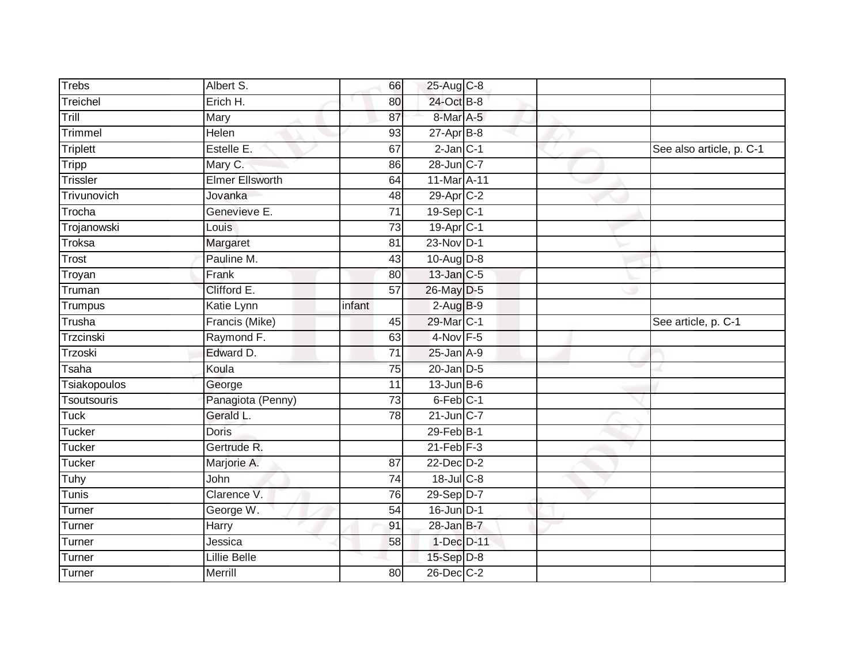| <b>Trebs</b>     | Albert S.              | 66              | 25-Aug C-8            |  |                          |
|------------------|------------------------|-----------------|-----------------------|--|--------------------------|
| Treichel         | Erich H.               | 80              | 24-Oct B-8            |  |                          |
| Trill            | Mary                   | 87              | 8-Mar A-5             |  |                          |
| <b>Trimmel</b>   | Helen                  | 93              | $27$ -Apr $B-8$       |  |                          |
| Triplett         | Estelle E.             | 67              | $2$ -Jan $C-1$        |  | See also article, p. C-1 |
| Tripp            | Mary C.                | 86              | 28-Jun C-7            |  |                          |
| <b>Trissler</b>  | <b>Elmer Ellsworth</b> | 64              | 11-Mar A-11           |  |                          |
| Trivunovich      | Jovanka                | 48              | 29-Apr C-2            |  |                          |
| Trocha           | Genevieve E.           | 71              | $19-Sep C-1$          |  |                          |
| Trojanowski      | Louis                  | $\overline{73}$ | 19-Apr <sub>C-1</sub> |  |                          |
| Troksa           | Margaret               | 81              | 23-Nov D-1            |  |                          |
| Trost            | Pauline M.             | 43              | 10-Aug D-8            |  |                          |
| Troyan           | Frank                  | 80              | $13$ -Jan $C-5$       |  |                          |
| Truman           | Clifford E.            | 57              | 26-May D-5            |  |                          |
| <b>Trumpus</b>   | <b>Katie Lynn</b>      | infant          | $2-AugB-9$            |  |                          |
| Trusha           | Francis (Mike)         | 45              | 29-Mar C-1            |  | See article, p. C-1      |
| <b>Trzcinski</b> | Raymond F.             | 63              | $4-Nov$ F-5           |  |                          |
| Trzoski          | Edward D.              | $\overline{71}$ | $25$ -Jan $A-9$       |  |                          |
| Tsaha            | Koula                  | 75              | $20$ -Jan $D-5$       |  |                          |
| Tsiakopoulos     | George                 | 11              | $13$ -Jun B-6         |  |                          |
| Tsoutsouris      | Panagiota (Penny)      | 73              | 6-Feb <sup>C-1</sup>  |  |                          |
| <b>Tuck</b>      | Gerald L.              | 78              | $21$ -Jun $C-7$       |  |                          |
| <b>Tucker</b>    | <b>Doris</b>           |                 | $29$ -Feb $B-1$       |  |                          |
| <b>Tucker</b>    | Gertrude R.            |                 | $21$ -Feb $F-3$       |  |                          |
| Tucker           | Marjorie A.            | 87              | 22-Dec D-2            |  |                          |
| Tuhy             | John                   | 74              | $18$ -Jul C-8         |  |                          |
| <b>Tunis</b>     | Clarence V.            | 76              | 29-Sep D-7            |  |                          |
| Turner           | George W.              | 54              | $16$ -Jun $ D-1 $     |  |                          |
| Turner           | Harry                  | 91              | $28$ -Jan B-7         |  |                          |
| Turner           | Jessica                | 58              | 1-Dec D-11            |  |                          |
| Turner           | Lillie Belle           |                 | 15-Sep D-8            |  |                          |
| Turner           | Merrill                | $\overline{80}$ | 26-Dec C-2            |  |                          |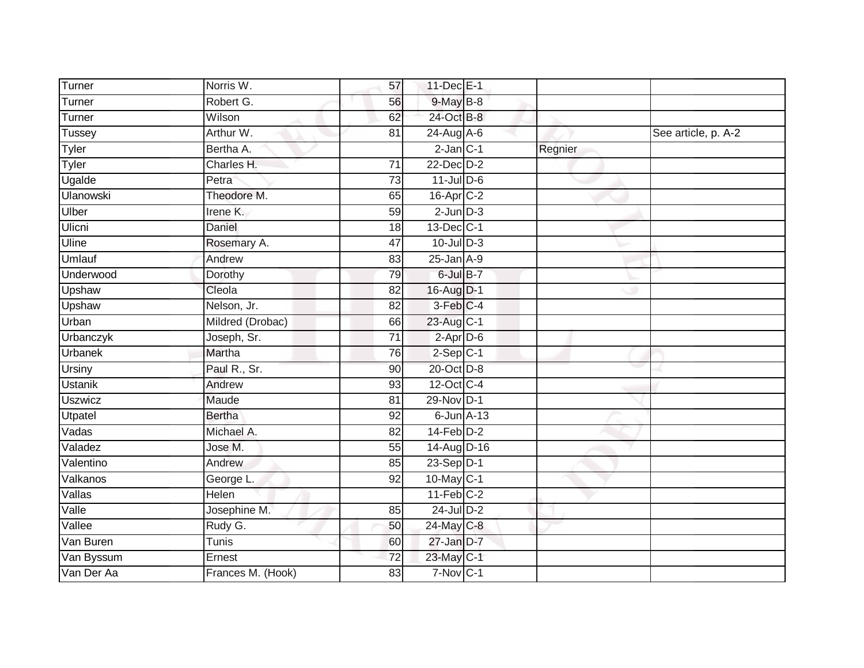| Turner           | Norris W.         | 57              | 11-Dec E-1             |         |                     |
|------------------|-------------------|-----------------|------------------------|---------|---------------------|
| Turner           | Robert G.         | 56              | $9$ -May $B$ -8        |         |                     |
| Turner           | Wilson            | 62              | 24-Oct B-8             |         |                     |
| <b>Tussey</b>    | Arthur W.         | 81              | $24$ -Aug $A$ -6       |         | See article, p. A-2 |
| <b>Tyler</b>     | Bertha A.         |                 | $2$ -Jan $C-1$         | Regnier |                     |
| Tyler            | Charles H.        | $\overline{71}$ | 22-Dec D-2             |         |                     |
| Ugalde           | Petra             | 73              | $11$ -Jul D-6          |         |                     |
| <b>Ulanowski</b> | Theodore M.       | 65              | $16$ -Apr $C-2$        |         |                     |
| Ulber            | Irene K.          | 59              | $2$ -Jun $D-3$         |         |                     |
| Ulicni           | Daniel            | 18              | 13-Dec C-1             |         |                     |
| Uline            | Rosemary A.       | 47              | $10$ -Jul $D-3$        |         |                     |
| <b>Umlauf</b>    | Andrew            | 83              | $25$ -Jan $A-9$        |         |                     |
| Underwood        | Dorothy           | 79              | 6-Jul B-7              |         |                     |
| Upshaw           | Cleola            | 82              | 16-Aug D-1             |         |                     |
| Upshaw           | Nelson, Jr.       | $\overline{82}$ | 3-Feb C-4              |         |                     |
| Urban            | Mildred (Drobac)  | 66              | 23-Aug C-1             |         |                     |
| Urbanczyk        | Joseph, Sr.       | $\overline{71}$ | $2$ -Apr $D-6$         |         |                     |
| Urbanek          | Martha            | 76              | $2-Sep$ C-1            |         |                     |
| Ursiny           | Paul R., Sr.      | 90              | 20-Oct D-8             |         |                     |
| <b>Ustanik</b>   | Andrew            | 93              | 12-Oct C-4             |         |                     |
| <b>Uszwicz</b>   | Maude             | 81              | 29-Nov D-1             |         |                     |
| Utpatel          | <b>Bertha</b>     | 92              | $6$ -Jun $A-13$        |         |                     |
| Vadas            | Michael A.        | $\overline{82}$ | $14$ -Feb $D-2$        |         |                     |
| Valadez          | Jose M.           | 55              | 14-Aug D-16            |         |                     |
| Valentino        | Andrew            | 85              | $23-Sep\overline{D-1}$ |         |                     |
| Valkanos         | George L.         | 92              | 10-May C-1             |         |                     |
| Vallas           | Helen             |                 | $11-Feb$ C-2           |         |                     |
| Valle            | Josephine M.      | 85              | $24$ -Jul $D-2$        |         |                     |
| Vallee           | Rudy G.           | 50              | 24-May C-8             |         |                     |
| Van Buren        | Tunis             | 60              | 27-Jan D-7             |         |                     |
| Van Byssum       | Ernest            | $\overline{72}$ | 23-May C-1             |         |                     |
| Van Der Aa       | Frances M. (Hook) | 83              | 7-Nov C-1              |         |                     |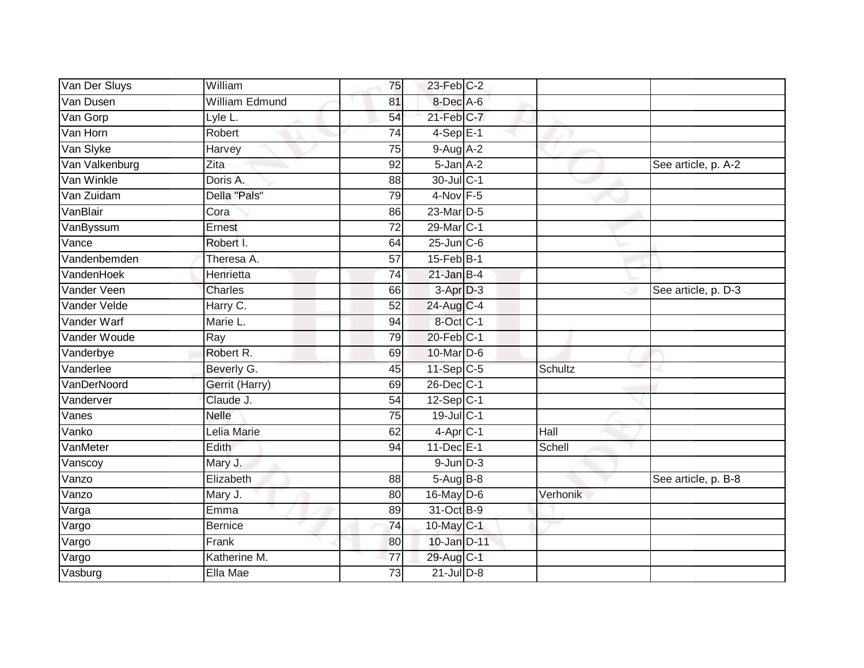| Van Der Sluys      | William               | 75              | $23$ -Feb $C-2$  |          |                     |
|--------------------|-----------------------|-----------------|------------------|----------|---------------------|
| Van Dusen          | <b>William Edmund</b> | 81              | 8-Dec A-6        |          |                     |
| Van Gorp           | Lyle L.               | 54              | $21$ -Feb $C-7$  |          |                     |
| Van Horn           | Robert                | $\overline{74}$ | $4-SepE-1$       |          |                     |
| Van Slyke          | Harvey                | 75              | $9-Aug$ A-2      |          |                     |
| Van Valkenburg     | Zita                  | 92              | 5-Jan A-2        |          | See article, p. A-2 |
| Van Winkle         | Doris A.              | 88              | 30-Jul C-1       |          |                     |
| Van Zuidam         | Della "Pals"          | 79              | 4-Nov F-5        |          |                     |
| VanBlair           | Cora                  | 86              | $23$ -Mar $D-5$  |          |                     |
| VanByssum          | Ernest                | $\overline{72}$ | 29-Mar C-1       |          |                     |
| Vance              | Robert I.             | 64              | $25$ -Jun $C$ -6 |          |                     |
| Vandenbemden       | Theresa A.            | 57              | $15$ -Feb $B$ -1 |          |                     |
| VandenHoek         | Henrietta             | $\overline{74}$ | $21$ -Jan B-4    |          |                     |
| Vander Veen        | Charles               | 66              | $3-Apr$ $D-3$    |          | See article, p. D-3 |
| Vander Velde       | Harry C.              | $\overline{52}$ | 24-Aug C-4       |          |                     |
| Vander Warf        | Marie L.              | 94              | 8-Oct C-1        |          |                     |
| Vander Woude       | Ray                   | 79              | 20-Feb C-1       |          |                     |
| Vanderbye          | Robert R.             | 69              | 10-Mar D-6       |          |                     |
| Vanderlee          | Beverly G.            | 45              | $11-Sep C-5$     | Schultz  |                     |
| <b>VanDerNoord</b> | Gerrit (Harry)        | 69              | 26-Dec C-1       |          |                     |
| Vanderver          | Claude J.             | 54              | $12-Sep$ C-1     |          |                     |
| Vanes              | <b>Nelle</b>          | 75              | 19-Jul C-1       |          |                     |
| Vanko              | Lelia Marie           | 62              | 4-Apr C-1        | Hall     |                     |
| VanMeter           | Edith                 | 94              | 11-Dec E-1       | Schell   |                     |
| Vanscoy            | Mary J.               |                 | $9$ -Jun $D-3$   |          |                     |
| Vanzo              | Elizabeth             | 88              | 5-Aug B-8        |          | See article, p. B-8 |
| Vanzo              | Mary J.               | 80              | 16-May D-6       | Verhonik |                     |
| Varga              | Emma                  | 89              | 31-Oct B-9       |          |                     |
| Vargo              | <b>Bernice</b>        | $\overline{74}$ | 10-May C-1       |          |                     |
| Vargo              | Frank                 | 80              | 10-Jan D-11      |          |                     |
| Vargo              | Katherine M.          | 77              | 29-Aug C-1       |          |                     |
| Vasburg            | Ella Mae              | 73              | $21$ -Jul $D-8$  |          |                     |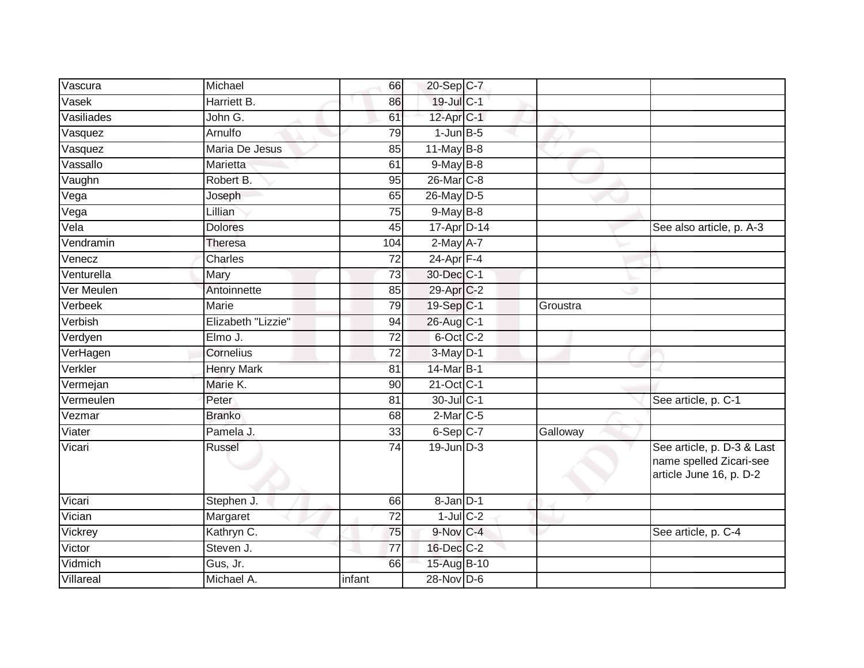| Vascura    | Michael            | 66              | 20-Sep C-7             |          |                                                                                  |
|------------|--------------------|-----------------|------------------------|----------|----------------------------------------------------------------------------------|
| Vasek      | Harriett B.        | 86              | 19-Jul C-1             |          |                                                                                  |
| Vasiliades | John G.            | 61              | 12-Apr C-1             |          |                                                                                  |
| Vasquez    | Arnulfo            | 79              | $1$ -Jun $B$ -5        |          |                                                                                  |
| Vasquez    | Maria De Jesus     | 85              | $11$ -May B-8          |          |                                                                                  |
| Vassallo   | Marietta           | 61              | $9$ -May $B$ -8        |          |                                                                                  |
| Vaughn     | Robert B.          | 95              | 26-Mar <sub>IC-8</sub> |          |                                                                                  |
| Vega       | Joseph             | 65              | 26-May D-5             |          |                                                                                  |
| Vega       | Lillian            | 75              | $9$ -May $B$ -8        |          |                                                                                  |
| $Ve$ la    | <b>Dolores</b>     | 45              | 17-Apr D-14            |          | See also article, p. A-3                                                         |
| Vendramin  | <b>Theresa</b>     | 104             | $2$ -May $A-7$         |          |                                                                                  |
| Venecz     | Charles            | 72              | $24$ -Apr $F-4$        |          |                                                                                  |
| Venturella | Mary               | 73              | 30-Dec C-1             |          |                                                                                  |
| Ver Meulen | Antoinnette        | 85              | 29-Apr <sub>IC-2</sub> |          |                                                                                  |
| Verbeek    | Marie              | 79              | 19-Sep C-1             | Groustra |                                                                                  |
| Verbish    | Elizabeth "Lizzie" | 94              | 26-Aug C-1             |          |                                                                                  |
| Verdyen    | Elmo J.            | 72              | 6-Oct C-2              |          |                                                                                  |
| VerHagen   | Cornelius          | $\overline{72}$ | $3-May$ D-1            |          |                                                                                  |
| Verkler    | <b>Henry Mark</b>  | 81              | 14-Mar B-1             |          |                                                                                  |
| Vermejan   | Marie K.           | 90              | 21-Oct C-1             |          |                                                                                  |
| Vermeulen  | Peter              | 81              | 30-Jul C-1             |          | See article, p. C-1                                                              |
| Vezmar     | <b>Branko</b>      | 68              | $2$ -Mar $C$ -5        |          |                                                                                  |
| Viater     | Pamela J.          | 33              | 6-Sep C-7              | Galloway |                                                                                  |
| Vicari     | <b>Russel</b>      | 74              | $19$ -Jun $D-3$        |          | See article, p. D-3 & Last<br>name spelled Zicari-see<br>article June 16, p. D-2 |
| Vicari     | Stephen J.         | 66              | 8-Jan D-1              |          |                                                                                  |
| Vician     | Margaret           | $\overline{72}$ | $1$ -Jul $C-2$         |          |                                                                                  |
| Vickrey    | Kathryn C.         | 75              | 9-Nov C-4              |          | See article, p. C-4                                                              |
| Victor     | Steven J.          | 77              | 16-Dec C-2             |          |                                                                                  |
| Vidmich    | Gus, Jr.           | 66              | 15-Aug B-10            |          |                                                                                  |
| Villareal  | Michael A.         | infant          | $28-Nov$ D-6           |          |                                                                                  |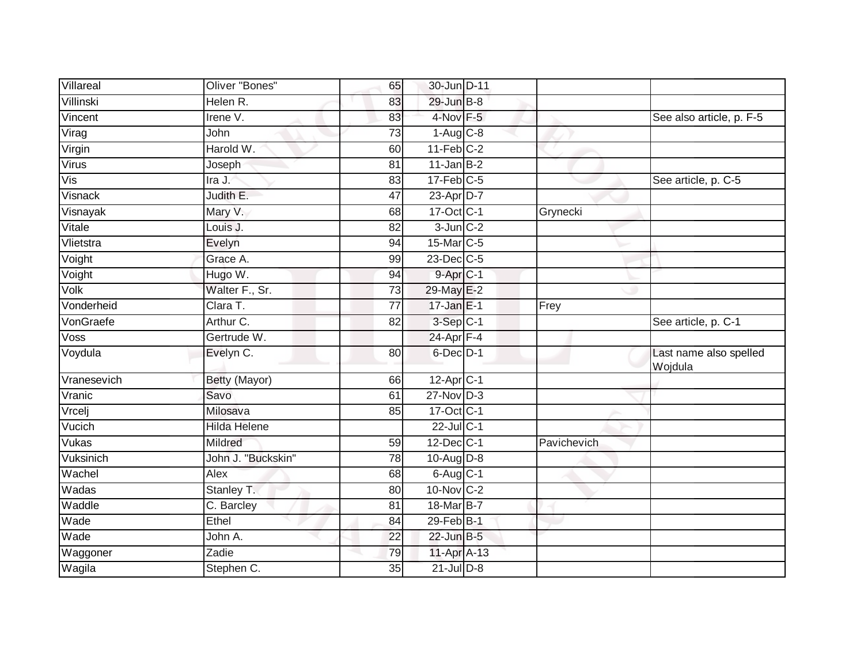| Villareal                 | Oliver "Bones"     | 65 | 30-Jun D-11            |             |                                   |
|---------------------------|--------------------|----|------------------------|-------------|-----------------------------------|
| Villinski                 | Helen R.           | 83 | 29-Jun B-8             |             |                                   |
| Vincent                   | Irene V.           | 83 | $4$ -Nov $F-5$         |             | See also article, p. F-5          |
| Virag                     | John               | 73 | $1-Aug$ $C-8$          |             |                                   |
| Virgin                    | Harold W.          | 60 | $11-Feb$ C-2           |             |                                   |
| Virus                     | Joseph             | 81 | $11$ -Jan B-2          |             |                                   |
| $\overline{\mathsf{Vis}}$ | Ira J.             | 83 | $17$ -Feb $C-5$        |             | See article, p. C-5               |
| Visnack                   | Judith E.          | 47 | 23-Apr D-7             |             |                                   |
| Visnayak                  | Mary V.            | 68 | 17-Oct C-1             | Grynecki    |                                   |
| Vitale                    | Louis J.           | 82 | $3$ -Jun $C-2$         |             |                                   |
| Vlietstra                 | Evelyn             | 94 | 15-Mar C-5             |             |                                   |
| Voight                    | Grace A.           | 99 | 23-Dec C-5             |             |                                   |
| Voight                    | Hugo W.            | 94 | $9-Apr$ <sub>C-1</sub> |             |                                   |
| Volk                      | Walter F., Sr.     | 73 | 29-May E-2             |             |                                   |
| Vonderheid                | Clara T.           | 77 | $17$ -Jan E-1          | Frey        |                                   |
| VonGraefe                 | Arthur C.          | 82 | $3-Sep$ $C-1$          |             | See article, p. C-1               |
| Voss                      | Gertrude W.        |    | $24$ -Apr $F-4$        |             |                                   |
| Voydula                   | Evelyn C.          | 80 | 6-Dec D-1              |             | Last name also spelled<br>Wojdula |
| Vranesevich               | Betty (Mayor)      | 66 | $12-AprC-1$            |             |                                   |
| Vranic                    | Savo               | 61 | $27$ -Nov $D-3$        |             |                                   |
| Vrcelj                    | Milosava           | 85 | 17-Oct C-1             |             |                                   |
| Vucich                    | Hilda Helene       |    | $22$ -Jul C-1          |             |                                   |
| Vukas                     | Mildred            | 59 | 12-Dec C-1             | Pavichevich |                                   |
| Vuksinich                 | John J. "Buckskin" | 78 | 10-Aug $D-8$           |             |                                   |
| Wachel                    | Alex               | 68 | $6$ -Aug $C$ -1        |             |                                   |
| Wadas                     | Stanley T.         | 80 | 10-Nov C-2             |             |                                   |
| Waddle                    | C. Barcley         | 81 | 18-Mar B-7             |             |                                   |
| Wade                      | Ethel              | 84 | 29-Feb B-1             |             |                                   |
| Wade                      | John A.            | 22 | $22$ -Jun $B-5$        |             |                                   |
| Waggoner                  | Zadie              | 79 | 11-Apr A-13            |             |                                   |
| Wagila                    | Stephen C.         | 35 | $21$ -Jul $D-8$        |             |                                   |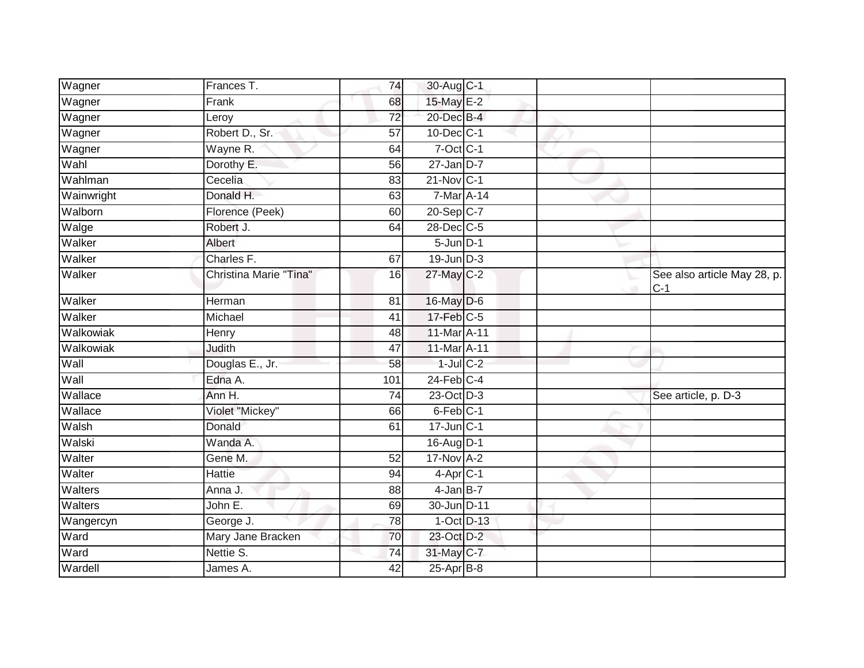| Wagner     | Frances T.             | 74              | 30-Aug C-1             |  |                                      |
|------------|------------------------|-----------------|------------------------|--|--------------------------------------|
| Wagner     | Frank                  | 68              | 15-May E-2             |  |                                      |
| Wagner     | Leroy                  | $\overline{72}$ | 20-Dec B-4             |  |                                      |
| Wagner     | Robert D., Sr.         | 57              | 10-Dec C-1             |  |                                      |
| Wagner     | Wayne R.               | 64              | $7$ -Oct $C-1$         |  |                                      |
| Wahl       | Dorothy E.             | 56              | $27$ -Jan D-7          |  |                                      |
| Wahlman    | Cecelia                | 83              | 21-Nov C-1             |  |                                      |
| Wainwright | Donald H.              | 63              | 7-Mar A-14             |  |                                      |
| Walborn    | Florence (Peek)        | 60              | 20-Sep C-7             |  |                                      |
| Walge      | Robert J.              | 64              | 28-Dec C-5             |  |                                      |
| Walker     | Albert                 |                 | $5 - Jun$ $D-1$        |  |                                      |
| Walker     | Charles F.             | 67              | $19$ -Jun $D-3$        |  |                                      |
| Walker     | Christina Marie "Tina" | 16              | 27-May C-2             |  | See also article May 28, p.<br>$C-1$ |
| Walker     | Herman                 | 81              | 16-May D-6             |  |                                      |
| Walker     | Michael                | 41              | 17-Feb C-5             |  |                                      |
| Walkowiak  | Henry                  | 48              | 11-Mar A-11            |  |                                      |
| Walkowiak  | Judith                 | 47              | 11-Mar A-11            |  |                                      |
| Wall       | Douglas E., Jr.        | 58              | $1$ -Jul $C$ -2        |  |                                      |
| Wall       | Edna A.                | 101             | $24$ -Feb $C-4$        |  |                                      |
| Wallace    | Ann H.                 | 74              | 23-Oct D-3             |  | See article, p. D-3                  |
| Wallace    | Violet "Mickey"        | 66              | 6-Feb C-1              |  |                                      |
| Walsh      | Donald                 | 61              | $17$ -Jun $C-1$        |  |                                      |
| Walski     | Wanda A.               |                 | 16-Aug D-1             |  |                                      |
| Walter     | Gene M.                | 52              | $17-Nov$ A-2           |  |                                      |
| Walter     | <b>Hattie</b>          | 94              | $4-Apr$ <sub>C-1</sub> |  |                                      |
| Walters    | Anna J.                | 88              | $4$ -Jan B-7           |  |                                      |
| Walters    | John E.                | 69              | 30-Jun D-11            |  |                                      |
| Wangercyn  | George J.              | 78              | $1-Oct$ D-13           |  |                                      |
| Ward       | Mary Jane Bracken      | 70              | 23-Oct D-2             |  |                                      |
| Ward       | Nettie S.              | 74              | 31-May C-7             |  |                                      |
| Wardell    | James A.               | 42              | 25-Apr B-8             |  |                                      |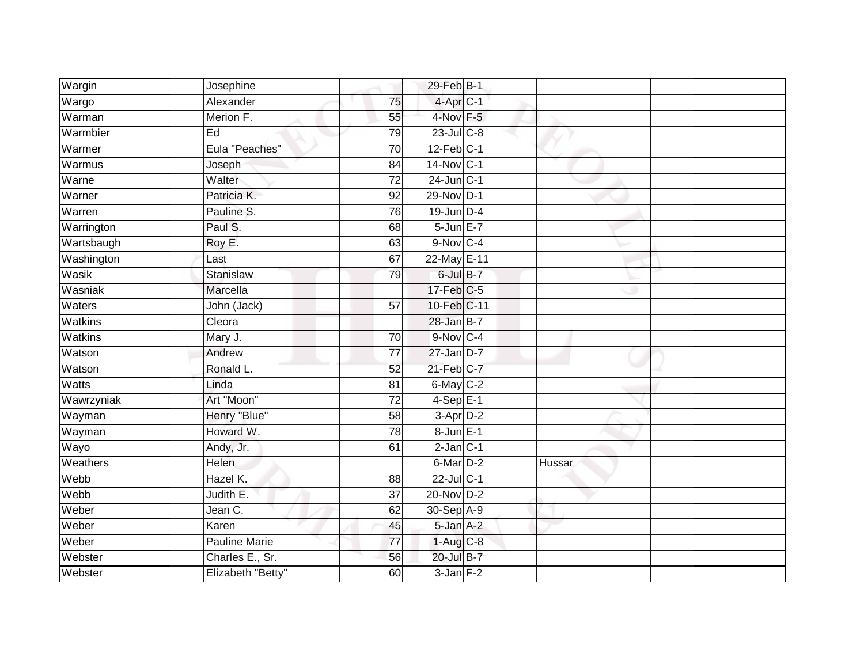| Wargin         | Josephine            |                 | 29-Feb B-1        |        |
|----------------|----------------------|-----------------|-------------------|--------|
| Wargo          | Alexander            | 75              | $4$ -Apr $C-1$    |        |
| Warman         | Merion F.            | 55              | 4-Nov F-5         |        |
| Warmbier       | Ed                   | 79              | 23-Jul C-8        |        |
| Warmer         | Eula "Peaches"       | $\overline{70}$ | $12$ -Feb $ C-1 $ |        |
| Warmus         | Joseph               | 84              | 14-Nov C-1        |        |
| Warne          | Walter               | $\overline{72}$ | $24$ -Jun $C-1$   |        |
| Warner         | Patricia K.          | 92              | 29-Nov D-1        |        |
| Warren         | Pauline S.           | 76              | $19$ -Jun $D-4$   |        |
| Warrington     | Paul S.              | 68              | 5-Jun E-7         |        |
| Wartsbaugh     | Roy E.               | 63              | $9-Nov$ C-4       |        |
| Washington     | Last                 | 67              | 22-May E-11       |        |
| Wasik          | <b>Stanislaw</b>     | 79              | 6-Jul B-7         |        |
| Wasniak        | Marcella             |                 | $17$ -Feb $C-5$   |        |
| Waters         | John (Jack)          | $\overline{57}$ | 10-Feb C-11       |        |
| Watkins        | Cleora               |                 | 28-Jan B-7        |        |
| <b>Watkins</b> | Mary J.              | $\overline{70}$ | 9-Nov C-4         |        |
| Watson         | Andrew               | 77              | $27$ -Jan $D-7$   |        |
| Watson         | Ronald L.            | 52              | $21$ -Feb $C-7$   |        |
| Watts          | Linda                | $\overline{81}$ | 6-May C-2         |        |
| Wawrzyniak     | Art "Moon"           | $\overline{72}$ | $4-SepE-1$        |        |
| Wayman         | Henry "Blue"         | 58              | 3-Apr D-2         |        |
| Wayman         | Howard W.            | 78              | 8-Jun E-1         |        |
| Wayo           | Andy, Jr.            | 61              | $2-Jan$ $C-1$     |        |
| Weathers       | Helen                |                 | 6-Mar D-2         | Hussar |
| Webb           | Hazel K.             | 88              | $22$ -Jul C-1     |        |
| Webb           | Judith E.            | $\overline{37}$ | 20-Nov D-2        |        |
| Weber          | Jean C.              | 62              | 30-Sep A-9        |        |
| Weber          | Karen                | 45              | 5-Jan A-2         |        |
| Weber          | <b>Pauline Marie</b> | $\overline{77}$ | $1-Aug$ $C-8$     |        |
| Webster        | Charles E., Sr.      | 56              | 20-Jul B-7        |        |
| Webster        | Elizabeth "Betty"    | 60              | $3$ -Jan $F-2$    |        |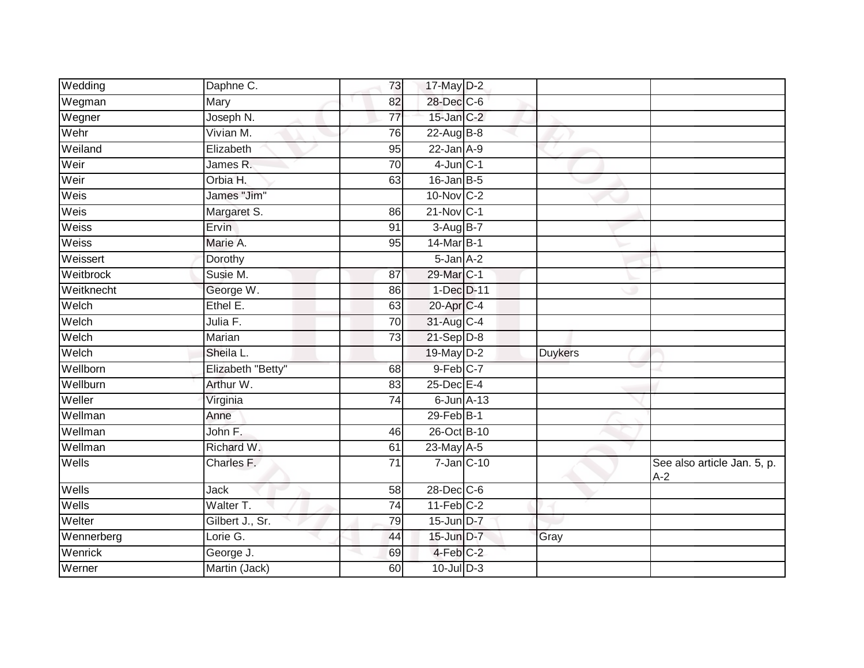| Wegman<br>28-Dec C-6<br>Mary<br>82<br>Joseph N.<br>$15$ -Jan $C-2$<br>Wegner<br>77<br>Wehr<br>Vivian M.<br>22-Aug B-8<br>76<br>Weiland<br>$22$ -Jan $A-9$<br>Elizabeth<br>95<br>Weir<br>$4$ -Jun $C-1$<br>James R.<br>70<br>Weir<br>Orbia H.<br>$16$ -Jan $B-5$<br>63<br>James "Jim"<br>Weis<br>10-Nov C-2<br>Weis<br>$21-Nov$ C-1<br>Margaret S.<br>86<br><b>Weiss</b><br><b>Ervin</b><br>3-Aug B-7<br>91 |  |
|------------------------------------------------------------------------------------------------------------------------------------------------------------------------------------------------------------------------------------------------------------------------------------------------------------------------------------------------------------------------------------------------------------|--|
|                                                                                                                                                                                                                                                                                                                                                                                                            |  |
|                                                                                                                                                                                                                                                                                                                                                                                                            |  |
|                                                                                                                                                                                                                                                                                                                                                                                                            |  |
|                                                                                                                                                                                                                                                                                                                                                                                                            |  |
|                                                                                                                                                                                                                                                                                                                                                                                                            |  |
|                                                                                                                                                                                                                                                                                                                                                                                                            |  |
|                                                                                                                                                                                                                                                                                                                                                                                                            |  |
|                                                                                                                                                                                                                                                                                                                                                                                                            |  |
|                                                                                                                                                                                                                                                                                                                                                                                                            |  |
| Weiss<br>Marie A.<br>14-Mar B-1<br>95                                                                                                                                                                                                                                                                                                                                                                      |  |
| Weissert<br>$5$ -Jan $A-2$<br>Dorothy                                                                                                                                                                                                                                                                                                                                                                      |  |
| Weitbrock<br>Susie M.<br>29-Mar C-1<br>87                                                                                                                                                                                                                                                                                                                                                                  |  |
| Weitknecht<br>George W.<br>1-Dec D-11<br>86                                                                                                                                                                                                                                                                                                                                                                |  |
| Welch<br>20-Apr C-4<br>Ethel E.<br>63                                                                                                                                                                                                                                                                                                                                                                      |  |
| Welch<br>31-Aug C-4<br>Julia F.<br>70                                                                                                                                                                                                                                                                                                                                                                      |  |
| $21-Sep$ D-8<br>Welch<br><b>Marian</b><br>$\overline{73}$                                                                                                                                                                                                                                                                                                                                                  |  |
| Welch<br>$19$ -May D-2<br>Sheila L.<br><b>Duykers</b>                                                                                                                                                                                                                                                                                                                                                      |  |
| Wellborn<br>9-Feb C-7<br>Elizabeth "Betty"<br>68                                                                                                                                                                                                                                                                                                                                                           |  |
| Wellburn<br>Arthur W.<br>25-Dec E-4<br>83                                                                                                                                                                                                                                                                                                                                                                  |  |
| Weller<br>74<br>$6$ -Jun $A$ -13<br>Virginia                                                                                                                                                                                                                                                                                                                                                               |  |
| 29-Feb B-1<br>Wellman<br>Anne                                                                                                                                                                                                                                                                                                                                                                              |  |
| Wellman<br>John F.<br>26-Oct B-10<br>46                                                                                                                                                                                                                                                                                                                                                                    |  |
| Wellman<br>Richard W.<br>23-May A-5<br>61                                                                                                                                                                                                                                                                                                                                                                  |  |
| $7$ -Jan $ C-10$<br>Wells<br>Charles F.<br>$\overline{71}$<br>See also article Jan. 5, p.<br>$A-2$                                                                                                                                                                                                                                                                                                         |  |
| 28-Dec C-6<br>Wells<br>Jack<br>58                                                                                                                                                                                                                                                                                                                                                                          |  |
| Wells<br>$11-Feb$ C-2<br>Walter T.<br>$\overline{74}$                                                                                                                                                                                                                                                                                                                                                      |  |
| Welter<br>15-Jun D-7<br>Gilbert J., Sr.<br>79                                                                                                                                                                                                                                                                                                                                                              |  |
| Lorie G.<br>15-Jun D-7<br>Wennerberg<br>Gray<br>44                                                                                                                                                                                                                                                                                                                                                         |  |
| $4-Feb$ C-2<br>Wenrick<br>George J.<br>69                                                                                                                                                                                                                                                                                                                                                                  |  |
| Werner<br>Martin (Jack)<br>$10$ -Jul $D-3$<br>60                                                                                                                                                                                                                                                                                                                                                           |  |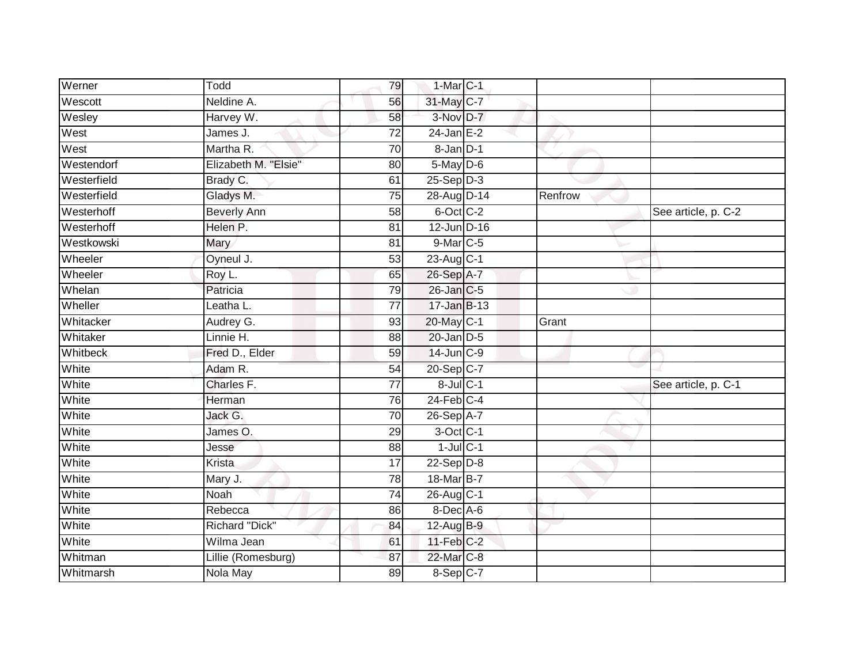| Werner      | Todd                 | 79              | $1-MarC-1$      |         |                     |
|-------------|----------------------|-----------------|-----------------|---------|---------------------|
| Wescott     | Neldine A.           | 56              | 31-May C-7      |         |                     |
| Wesley      | Harvey W.            | 58              | 3-Nov D-7       |         |                     |
| West        | James J.             | 72              | $24$ -Jan E-2   |         |                     |
| West        | Martha R.            | $\overline{70}$ | 8-Jan D-1       |         |                     |
| Westendorf  | Elizabeth M. "Elsie" | 80              | 5-May D-6       |         |                     |
| Westerfield | Brady C.             | 61              | $25-Sep$ $D-3$  |         |                     |
| Westerfield | Gladys M.            | 75              | 28-Aug D-14     | Renfrow |                     |
| Westerhoff  | <b>Beverly Ann</b>   | 58              | 6-Oct C-2       |         | See article, p. C-2 |
| Westerhoff  | Helen P.             | 81              | $12$ -Jun D-16  |         |                     |
| Westkowski  | Mary                 | 81              | $9$ -Mar $C$ -5 |         |                     |
| Wheeler     | Oyneul J.            | 53              | 23-Aug C-1      |         |                     |
| Wheeler     | Roy L.               | 65              | 26-Sep A-7      |         |                     |
| Whelan      | Patricia             | 79              | 26-Jan C-5      |         |                     |
| Wheller     | Leatha L.            | $\overline{77}$ | 17-Jan B-13     |         |                     |
| Whitacker   | Audrey G.            | 93              | 20-May C-1      | Grant   |                     |
| Whitaker    | Linnie H.            | $\overline{88}$ | $20$ -Jan $D-5$ |         |                     |
| Whitbeck    | Fred D., Elder       | 59              | 14-Jun C-9      |         |                     |
| White       | Adam R.              | 54              | 20-Sep C-7      |         |                     |
| White       | Charles F.           | 77              | $8$ -Jul $C-1$  |         | See article, p. C-1 |
| White       | Herman               | 76              | $24$ -Feb $C-4$ |         |                     |
| White       | Jack G.              | 70              | 26-Sep A-7      |         |                     |
| White       | James O.             | 29              | 3-Oct C-1       |         |                     |
| White       | Jesse                | 88              | $1$ -Jul $C-1$  |         |                     |
| White       | Krista               | 17              | $22-Sep D-8$    |         |                     |
| White       | Mary J.              | 78              | 18-Mar B-7      |         |                     |
| White       | Noah                 | $\overline{74}$ | 26-Aug C-1      |         |                     |
| White       | Rebecca              | 86              | $8$ -Dec A-6    |         |                     |
| White       | Richard "Dick"       | 84              | $12$ -Aug $B-9$ |         |                     |
| White       | Wilma Jean           | 61              | $11$ -Feb $C-2$ |         |                     |
| Whitman     | Lillie (Romesburg)   | 87              | 22-Mar C-8      |         |                     |
| Whitmarsh   | Nola May             | 89              | 8-Sep C-7       |         |                     |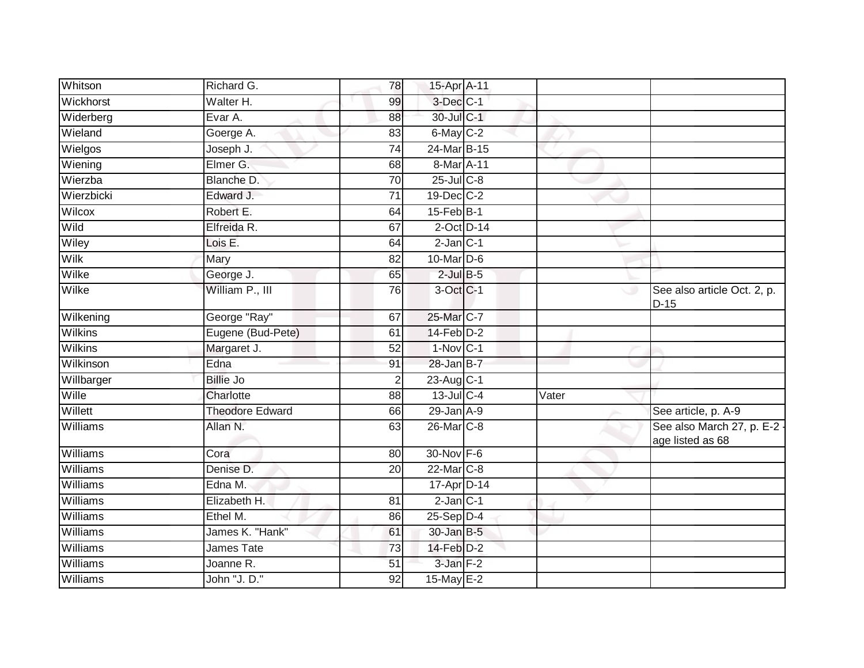| Whitson        | Richard G.             | 78              | 15-Apr A-11            |       |                                                 |
|----------------|------------------------|-----------------|------------------------|-------|-------------------------------------------------|
| Wickhorst      | Walter H.              | 99              | 3-Dec C-1              |       |                                                 |
| Widerberg      | Evar A.                | 88              | 30-Jul C-1             |       |                                                 |
| Wieland        | Goerge A.              | 83              | 6-May C-2              |       |                                                 |
| Wielgos        | Joseph J.              | $\overline{74}$ | 24-Mar B-15            |       |                                                 |
| Wiening        | Elmer G.               | 68              | 8-Mar A-11             |       |                                                 |
| Wierzba        | Blanche D.             | 70              | $25$ -Jul $C-8$        |       |                                                 |
| Wierzbicki     | Edward J.              | 71              | 19-Dec C-2             |       |                                                 |
| Wilcox         | Robert E.              | 64              | 15-Feb B-1             |       |                                                 |
| Wild           | Elfreida R.            | 67              | $2$ -Oct $D-14$        |       |                                                 |
| Wiley          | Lois E.                | 64              | $2$ -Jan $C-1$         |       |                                                 |
| Wilk           | Mary                   | 82              | $10$ -Mar $D-6$        |       |                                                 |
| Wilke          | George J.              | 65              | $2$ -Jul $B$ -5        |       |                                                 |
| Wilke          | William P., III        | 76              | 3-Oct C-1              |       | See also article Oct. 2, p.<br>$D-15$           |
| Wilkening      | George "Ray"           | 67              | 25-Mar C-7             |       |                                                 |
| <b>Wilkins</b> | Eugene (Bud-Pete)      | 61              | $14$ -Feb $D-2$        |       |                                                 |
| <b>Wilkins</b> | Margaret J.            | $\overline{52}$ | $1-Nov$ C-1            |       |                                                 |
| Wilkinson      | Edna                   | 91              | 28-Jan B-7             |       |                                                 |
| Willbarger     | <b>Billie Jo</b>       | $\overline{2}$  | 23-Aug C-1             |       |                                                 |
| Wille          | Charlotte              | 88              | $13$ -Jul C-4          | Vater |                                                 |
| Willett        | <b>Theodore Edward</b> | 66              | $29$ -Jan $A-9$        |       | See article, p. A-9                             |
| Williams       | Allan N.               | 63              | 26-Mar C-8             |       | See also March 27, p. E-2 -<br>age listed as 68 |
| Williams       | Cora                   | 80              | 30-Nov F-6             |       |                                                 |
| Williams       | Denise D.              | 20              | 22-Mar C-8             |       |                                                 |
| Williams       | Edna M.                |                 | 17-Apr D-14            |       |                                                 |
| Williams       | Elizabeth H.           | 81              | $2$ -Jan $C-1$         |       |                                                 |
| Williams       | Ethel M.               | 86              | $25-Sep\overline{D-4}$ |       |                                                 |
| Williams       | James K. "Hank"        | 61              | 30-Jan B-5             |       |                                                 |
| Williams       | James Tate             | 73              | $14$ -Feb $D-2$        |       |                                                 |
| Williams       | Joanne R.              | 51              | 3-Jan F-2              |       |                                                 |
| Williams       | John "J. D."           | 92              | 15-May E-2             |       |                                                 |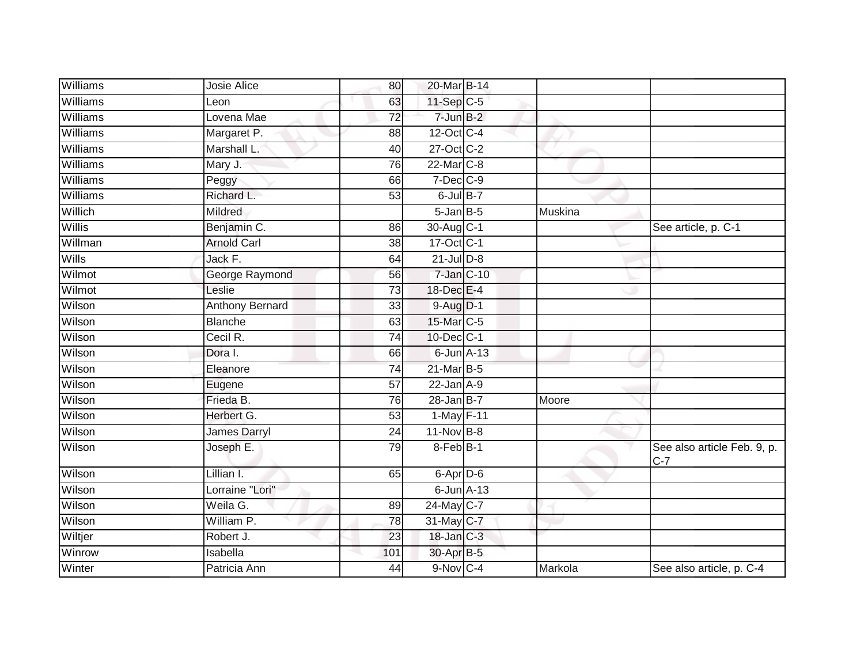| Williams      | Josie Alice            | 80              | 20-Mar B-14          |         |                                      |
|---------------|------------------------|-----------------|----------------------|---------|--------------------------------------|
| Williams      | Leon                   | 63              | 11-Sep C-5           |         |                                      |
| Williams      | Lovena Mae             | 72              | $7$ -Jun $B-2$       |         |                                      |
| Williams      | Margaret P.            | 88              | 12-Oct C-4           |         |                                      |
| Williams      | Marshall L.            | 40              | 27-Oct C-2           |         |                                      |
| Williams      | Mary J.                | 76              | 22-Mar C-8           |         |                                      |
| Williams      | Peggy                  | 66              | $7$ -Dec $C$ -9      |         |                                      |
| Williams      | Richard L.             | 53              | $6$ -Jul $B-7$       |         |                                      |
| Willich       | Mildred                |                 | $5 - Jan$ $B - 5$    | Muskina |                                      |
| <b>Willis</b> | Benjamin C.            | 86              | 30-Aug C-1           |         | See article, p. C-1                  |
| Willman       | <b>Arnold Carl</b>     | 38              | 17-Oct C-1           |         |                                      |
| Wills         | Jack F.                | 64              | $21$ -JulD-8         |         |                                      |
| Wilmot        | George Raymond         | 56              | $7 - Jan$ $C - 10$   |         |                                      |
| Wilmot        | Leslie                 | $\overline{73}$ | 18-Dec E-4           |         |                                      |
| Wilson        | <b>Anthony Bernard</b> | 33              | 9-Aug D-1            |         |                                      |
| Wilson        | <b>Blanche</b>         | 63              | 15-Mar C-5           |         |                                      |
| Wilson        | Cecil R.               | $\overline{74}$ | 10-Dec C-1           |         |                                      |
| Wilson        | Dora I.                | 66              | $6$ -Jun $A$ -13     |         |                                      |
| Wilson        | Eleanore               | 74              | 21-Mar B-5           |         |                                      |
| Wilson        | Eugene                 | $\overline{57}$ | $22$ -Jan $A-9$      |         |                                      |
| Wilson        | Frieda B.              | 76              | $28$ -Jan $B$ -7     | Moore   |                                      |
| Wilson        | Herbert G.             | $\overline{53}$ | 1-May F-11           |         |                                      |
| Wilson        | <b>James Darryl</b>    | 24              | 11-Nov B-8           |         |                                      |
| Wilson        | Joseph E.              | 79              | 8-Feb <sup>B-1</sup> |         | See also article Feb. 9, p.<br>$C-7$ |
| Wilson        | Lillian I.             | 65              | 6-Apr D-6            |         |                                      |
| Wilson        | Lorraine "Lori"        |                 | $6$ -Jun $A-13$      |         |                                      |
| Wilson        | Weila G.               | 89              | 24-May C-7           |         |                                      |
| Wilson        | William P.             | 78              | 31-May C-7           |         |                                      |
| Wiltjer       | Robert J.              | 23              | 18-Jan C-3           |         |                                      |
| Winrow        | Isabella               | 101             | 30-Apr B-5           |         |                                      |
| Winter        | Patricia Ann           | 44              | $9-Nov$ C-4          | Markola | See also article, p. C-4             |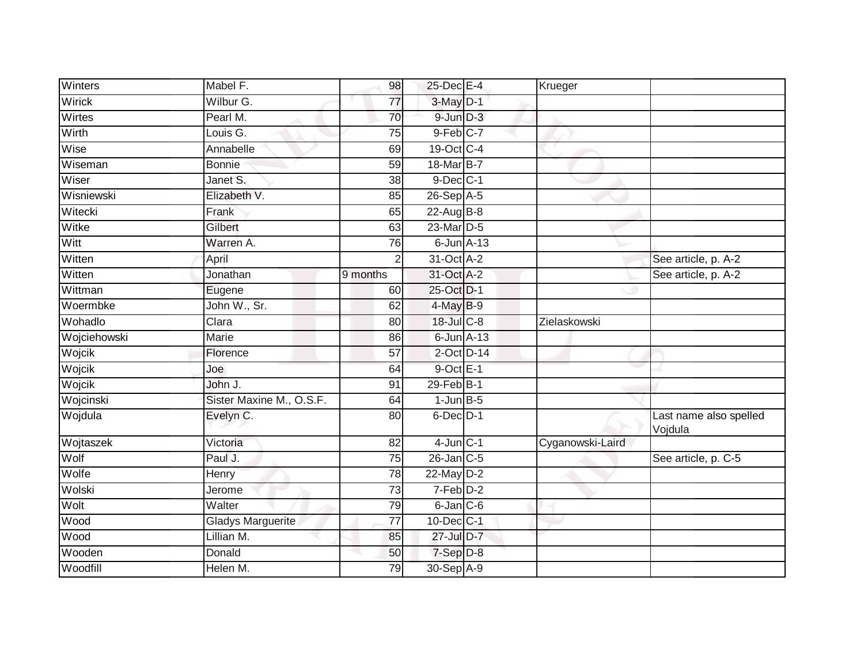| Winters      | Mabel F.                 | 98              | 25-Dec E-4              | Krueger          |                                   |
|--------------|--------------------------|-----------------|-------------------------|------------------|-----------------------------------|
| Wirick       | Wilbur G.                | $\overline{77}$ | 3-May D-1               |                  |                                   |
| Wirtes       | Pearl M.                 | 70              | $9$ -Jun $D-3$          |                  |                                   |
| Wirth        | Louis G.                 | 75              | $9-Feb$ <sub>C</sub> -7 |                  |                                   |
| Wise         | Annabelle                | 69              | 19-Oct C-4              |                  |                                   |
| Wiseman      | <b>Bonnie</b>            | 59              | 18-Mar B-7              |                  |                                   |
| Wiser        | Janet S.                 | 38              | $9$ -Dec $C-1$          |                  |                                   |
| Wisniewski   | Elizabeth V.             | 85              | 26-Sep A-5              |                  |                                   |
| Witecki      | Frank                    | 65              | 22-Aug $B-8$            |                  |                                   |
| Witke        | Gilbert                  | 63              | $23$ -Mar $D-5$         |                  |                                   |
| Witt         | Warren A.                | 76              | $6$ -Jun $A-13$         |                  |                                   |
| Witten       | April                    |                 | 31-Oct A-2              |                  | See article, p. A-2               |
| Witten       | Jonathan                 | 9 months        | 31-Oct A-2              |                  | See article, p. A-2               |
| Wittman      | Eugene                   | 60              | 25-Oct D-1              |                  |                                   |
| Woermbke     | John W., Sr.             | 62              | $4$ -May $B-9$          |                  |                                   |
| Wohadlo      | Clara                    | 80              | 18-Jul C-8              | Zielaskowski     |                                   |
| Wojciehowski | <b>Marie</b>             | 86              | $6$ -Jun $A-13$         |                  |                                   |
| Wojcik       | Florence                 | 57              | $2$ -Oct $D-14$         |                  |                                   |
| Wojcik       | Joe                      | 64              | 9-Oct E-1               |                  |                                   |
| Wojcik       | John J.                  | 91              | $29$ -Feb $B-1$         |                  |                                   |
| Wojcinski    | Sister Maxine M., O.S.F. | 64              | $1$ -Jun $B$ -5         |                  |                                   |
| Wojdula      | Evelyn C.                | 80              | 6-Dec D-1               |                  | Last name also spelled<br>Vojdula |
| Wojtaszek    | Victoria                 | 82              | $4$ -Jun $C-1$          | Cyganowski-Laird |                                   |
| Wolf         | Paul J.                  | 75              | $26$ -Jan $C-5$         |                  | See article, p. C-5               |
| Wolfe        | Henry                    | 78              | $22$ -May $D-2$         |                  |                                   |
| Wolski       | Jerome                   | 73              | $7-Feb$ D-2             |                  |                                   |
| Wolt         | Walter                   | 79              | $6$ -Jan $C$ -6         |                  |                                   |
| Wood         | <b>Gladys Marguerite</b> | 77              | $10$ -Dec $ C-1 $       |                  |                                   |
| Wood         | Lillian M.               | 85              | 27-Jul D-7              |                  |                                   |
| Wooden       | Donald                   | 50              | 7-Sep D-8               |                  |                                   |
| Woodfill     | Helen M.                 | 79              | 30-Sep A-9              |                  |                                   |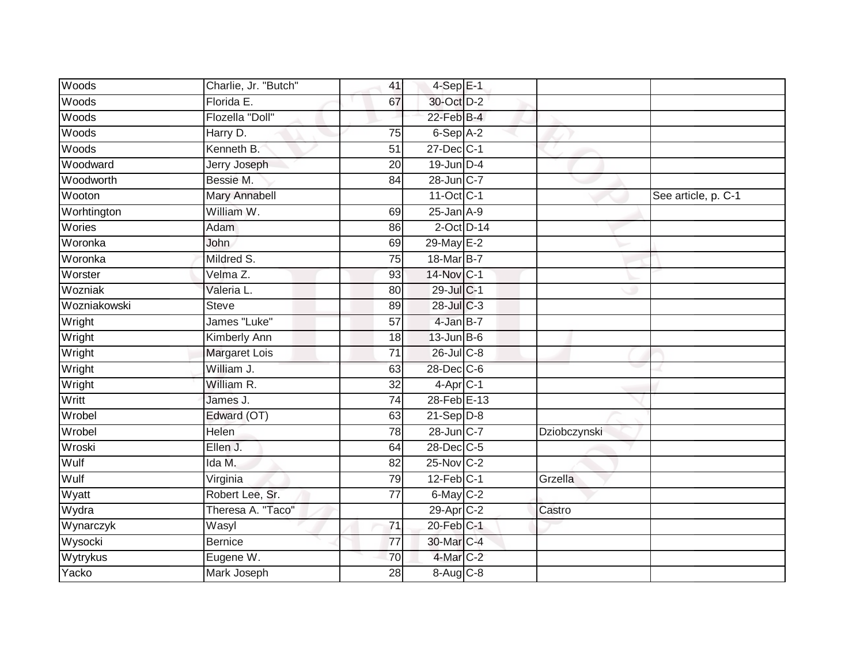| Woods        | Charlie, Jr. "Butch" | 41              | $4-Sep$ E-1           |              |                     |
|--------------|----------------------|-----------------|-----------------------|--------------|---------------------|
| Woods        | Florida E.           | 67              | 30-Oct D-2            |              |                     |
| Woods        | Flozella "Doll"      |                 | $22$ -Feb $B-4$       |              |                     |
| Woods        | Harry D.             | 75              | $6-Sep$ A-2           |              |                     |
| Woods        | Kenneth B.           | $\overline{51}$ | 27-Dec C-1            |              |                     |
| Woodward     | Jerry Joseph         | 20              | 19-Jun D-4            |              |                     |
| Woodworth    | Bessie M.            | 84              | 28-Jun C-7            |              |                     |
| Wooton       | <b>Mary Annabell</b> |                 | 11-Oct C-1            |              | See article, p. C-1 |
| Worhtington  | William W.           | 69              | $25$ -Jan $A-9$       |              |                     |
| Wories       | Adam                 | 86              | $2$ -Oct $D-14$       |              |                     |
| Woronka      | John                 | 69              | 29-May E-2            |              |                     |
| Woronka      | Mildred S.           | 75              | 18-Mar B-7            |              |                     |
| Worster      | Velma Z.             | 93              | 14-Nov C-1            |              |                     |
| Wozniak      | Valeria L.           | 80              | 29-Jul C-1            |              |                     |
| Wozniakowski | <b>Steve</b>         | 89              | 28-Jul C-3            |              |                     |
| Wright       | James "Luke"         | 57              | 4-Jan B-7             |              |                     |
| Wright       | <b>Kimberly Ann</b>  | $\overline{18}$ | $13$ -Jun B-6         |              |                     |
| Wright       | <b>Margaret Lois</b> | $\overline{71}$ | 26-Jul C-8            |              |                     |
| Wright       | William J.           | 63              | 28-Dec C-6            |              |                     |
| Wright       | William R.           | $\overline{32}$ | $4$ -Apr $C-1$        |              |                     |
| Writt        | James J.             | 74              | 28-Feb E-13           |              |                     |
| Wrobel       | Edward (OT)          | 63              | $21-Sep D-8$          |              |                     |
| Wrobel       | <b>Helen</b>         | 78              | 28-Jun C-7            | Dziobczynski |                     |
| Wroski       | Ellen J.             | 64              | 28-Dec C-5            |              |                     |
| Wulf         | Ida M.               | 82              | $25$ -Nov $C-2$       |              |                     |
| Wulf         | Virginia             | 79              | $12$ -Feb $ C-1 $     | Grzella      |                     |
| Wyatt        | Robert Lee, Sr.      | $\overline{77}$ | 6-May C-2             |              |                     |
| Wydra        | Theresa A. "Taco"    |                 | 29-Apr <sub>C-2</sub> | Castro       |                     |
| Wynarczyk    | Wasyl                | 71              | 20-Feb C-1            |              |                     |
| Wysocki      | <b>Bernice</b>       | 77              | 30-Mar C-4            |              |                     |
| Wytrykus     | Eugene W.            | 70              | 4-Mar C-2             |              |                     |
| Yacko        | Mark Joseph          | $\overline{28}$ | 8-Aug C-8             |              |                     |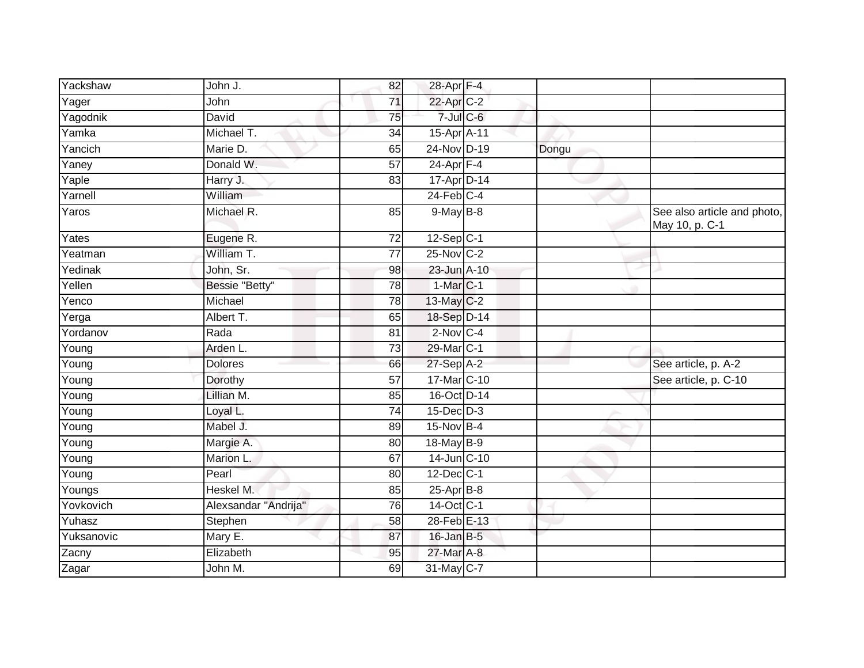| Yackshaw            | John J.              | 82              | 28-Apr F-4       |       |                                               |
|---------------------|----------------------|-----------------|------------------|-------|-----------------------------------------------|
| Yager               | John                 | 71              | 22-Apr C-2       |       |                                               |
| Yagodnik            | David                | 75              | $7$ -Jul $C$ -6  |       |                                               |
| Yamka               | Michael T.           | 34              | 15-Apr A-11      |       |                                               |
| Yancich             | Marie D.             | 65              | 24-Nov D-19      | Dongu |                                               |
| Yaney               | Donald W.            | $\overline{57}$ | $24$ -Apr $F-4$  |       |                                               |
| Yaple               | Harry J.             | 83              | 17-Apr D-14      |       |                                               |
| Yarnell             | William              |                 | $24$ -Feb $C-4$  |       |                                               |
| Yaros               | Michael R.           | 85              | $9$ -May B-8     |       | See also article and photo,<br>May 10, p. C-1 |
| Yates               | Eugene R.            | 72              | $12-Sep$ C-1     |       |                                               |
| Yeatman             | William T.           | 77              | 25-Nov C-2       |       |                                               |
| Yedinak             | John, Sr.            | 98              | 23-Jun A-10      |       |                                               |
| Yellen              | Bessie "Betty"       | $\overline{78}$ | $1-MarC-1$       |       |                                               |
| Yenco               | Michael              | 78              | 13-May C-2       |       |                                               |
| Yerga               | Albert T.            | 65              | 18-Sep D-14      |       |                                               |
| Yordanov            | Rada                 | 81              | $2$ -Nov $ C-4 $ |       |                                               |
| Young               | Arden L.             | 73              | 29-Mar C-1       |       |                                               |
| Young               | <b>Dolores</b>       | 66              | 27-Sep A-2       |       | See article, p. A-2                           |
| Young               | Dorothy              | 57              | 17-Mar C-10      |       | See article, p. C-10                          |
| $\overline{Y}$ oung | Lillian M.           | 85              | 16-Oct D-14      |       |                                               |
| Young               | Loyal L.             | 74              | $15$ -Dec $D-3$  |       |                                               |
| Young               | Mabel J.             | 89              | 15-Nov B-4       |       |                                               |
| Young               | Margie A.            | 80              | 18-May B-9       |       |                                               |
| Young               | Marion L.            | 67              | 14-Jun C-10      |       |                                               |
| $\overline{Y}$ oung | Pearl                | 80              | $12$ -Dec $C-1$  |       |                                               |
| Youngs              | Heskel M.            | 85              | $25$ -Apr $B$ -8 |       |                                               |
| Yovkovich           | Alexsandar "Andrija" | 76              | 14-Oct C-1       |       |                                               |
| Yuhasz              | Stephen              | 58              | 28-Feb E-13      |       |                                               |
| Yuksanovic          | Mary E.              | 87              | $16$ -Jan B-5    |       |                                               |
| Zacny               | Elizabeth            | 95              | 27-Mar A-8       |       |                                               |
| Zagar               | John M.              | 69              | 31-May C-7       |       |                                               |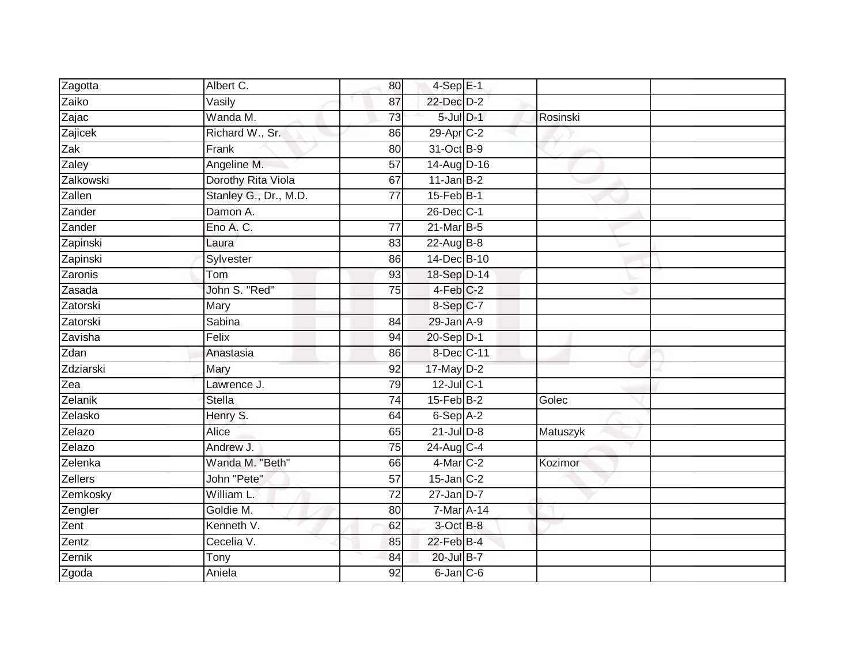| Zagotta   | Albert C.             | 80              | $4-Sep$ E-1            |          |  |
|-----------|-----------------------|-----------------|------------------------|----------|--|
| Zaiko     | Vasily                | 87              | 22-Dec D-2             |          |  |
| Zajac     | Wanda M.              | 73              | 5-Jul D-1              | Rosinski |  |
| Zajicek   | Richard W., Sr.       | 86              | $29$ -Apr $C-2$        |          |  |
| Zak       | Frank                 | $\overline{80}$ | 31-Oct B-9             |          |  |
| Zaley     | Angeline M.           | 57              | 14-Aug D-16            |          |  |
| Zalkowski | Dorothy Rita Viola    | 67              | $11$ -Jan B-2          |          |  |
| Zallen    | Stanley G., Dr., M.D. | $\overline{77}$ | $15$ -Feb $B-1$        |          |  |
| Zander    | Damon A.              |                 | 26-Dec C-1             |          |  |
| Zander    | Eno A. C.             | 77              | 21-Mar B-5             |          |  |
| Zapinski  | Laura                 | 83              | 22-Aug B-8             |          |  |
| Zapinski  | Sylvester             | 86              | 14-Dec B-10            |          |  |
| Zaronis   | Tom                   | 93              | 18-Sep D-14            |          |  |
| Zasada    | John S. "Red"         | 75              | $4-Feb$ <sub>C-2</sub> |          |  |
| Zatorski  | Mary                  |                 | 8-Sep C-7              |          |  |
| Zatorski  | Sabina                | 84              | 29-Jan A-9             |          |  |
| Zavisha   | Felix                 | 94              | 20-Sep D-1             |          |  |
| Zdan      | Anastasia             | 86              | 8-Dec C-11             |          |  |
| Zdziarski | Mary                  | 92              | $17$ -May $D-2$        |          |  |
| Zea       | Lawrence J.           | 79              | 12-Jul C-1             |          |  |
| Zelanik   | <b>Stella</b>         | $\overline{74}$ | $15$ -Feb $B$ -2       | Golec    |  |
| Zelasko   | Henry S.              | 64              | $6-Sep$ A-2            |          |  |
| Zelazo    | Alice                 | 65              | $21$ -Jul $D-8$        | Matuszyk |  |
| Zelazo    | Andrew J.             | 75              | 24-Aug C-4             |          |  |
| Zelenka   | Wanda M. "Beth"       | 66              | $4$ -Mar $C-2$         | Kozimor  |  |
| Zellers   | John "Pete"           | 57              | $15$ -Jan $C-2$        |          |  |
| Zemkosky  | William L.            | $\overline{72}$ | $27 - Jan$ $D-7$       |          |  |
| Zengler   | Goldie M.             | 80              | 7-Mar A-14             |          |  |
| Zent      | Kenneth V.            | 62              | 3-Oct B-8              |          |  |
| Zentz     | Cecelia V.            | 85              | 22-Feb B-4             |          |  |
| Zernik    | Tony                  | 84              | 20-Jul B-7             |          |  |
| Zgoda     | Aniela                | $\overline{92}$ | 6-Jan C-6              |          |  |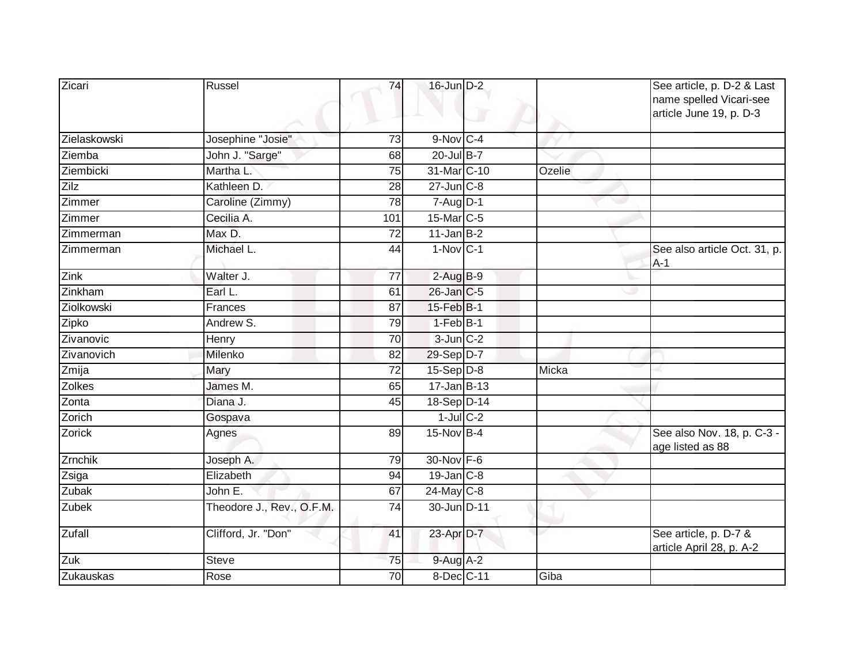| Zicari            | Russel                    | 74              | 16-Jun D-2      |        | See article, p. D-2 & Last<br>name spelled Vicari-see<br>article June 19, p. D-3 |
|-------------------|---------------------------|-----------------|-----------------|--------|----------------------------------------------------------------------------------|
| Zielaskowski      | Josephine "Josie"         | 73              | $9-Nov$ C-4     |        |                                                                                  |
| Ziemba            | John J. "Sarge"           | 68              | 20-Jul B-7      |        |                                                                                  |
| Ziembicki         | Martha L.                 | 75              | 31-Mar C-10     | Ozelie |                                                                                  |
| Zilz              | Kathleen D.               | $\overline{28}$ | $27$ -Jun $C-8$ |        |                                                                                  |
| Zimmer            | Caroline (Zimmy)          | 78              | $7 - Aug$ D-1   |        |                                                                                  |
| Zimmer            | Cecilia A.                | 101             | 15-Mar C-5      |        |                                                                                  |
| Zimmerman         | Max D.                    | 72              | $11$ -Jan B-2   |        |                                                                                  |
| Zimmerman         | Michael L.                | 44              | $1-Nov$ C-1     |        | See also article Oct. 31, p.<br>$A-1$                                            |
| Zink              | Walter J.                 | 77              | $2-AugB-9$      |        |                                                                                  |
| Zinkham           | Earl L.                   | 61              | 26-Jan C-5      |        |                                                                                  |
| Ziolkowski        | Frances                   | 87              | 15-Feb B-1      |        |                                                                                  |
| Zipko             | Andrew S.                 | 79              | $1-Feb$ B-1     |        |                                                                                  |
| Zivanovic         | Henry                     | 70              | $3$ -Jun $C-2$  |        |                                                                                  |
| Zivanovich        | Milenko                   | $\overline{82}$ | 29-Sep D-7      |        |                                                                                  |
| Zmija             | Mary                      | 72              | $15-Sep D-8$    | Micka  |                                                                                  |
| <b>Zolkes</b>     | James M.                  | 65              | $17 - Jan$ B-13 |        |                                                                                  |
| Zonta             | Diana J.                  | 45              | 18-Sep D-14     |        |                                                                                  |
| Zorich            | Gospava                   |                 | $1$ -Jul $C-2$  |        |                                                                                  |
| Zorick            | Agnes                     | 89              | $15$ -Nov B-4   |        | See also Nov. 18, p. C-3 -<br>age listed as 88                                   |
| Zrnchik           | Joseph A.                 | 79              | 30-Nov F-6      |        |                                                                                  |
| Zsiga             | Elizabeth                 | 94              | $19$ -Jan $C-8$ |        |                                                                                  |
| Zubak             | John E.                   | 67              | 24-May C-8      |        |                                                                                  |
| Zubek             | Theodore J., Rev., O.F.M. | $\overline{74}$ | 30-Jun D-11     |        |                                                                                  |
| <b>Zufall</b>     | Clifford, Jr. "Don"       | 41              | 23-Apr D-7      |        | See article, p. D-7 &<br>article April 28, p. A-2                                |
| $\overline{Z}$ uk | <b>Steve</b>              | 75              | 9-Aug A-2       |        |                                                                                  |
| Zukauskas         | Rose                      | 70              | 8-Dec C-11      | Giba   |                                                                                  |